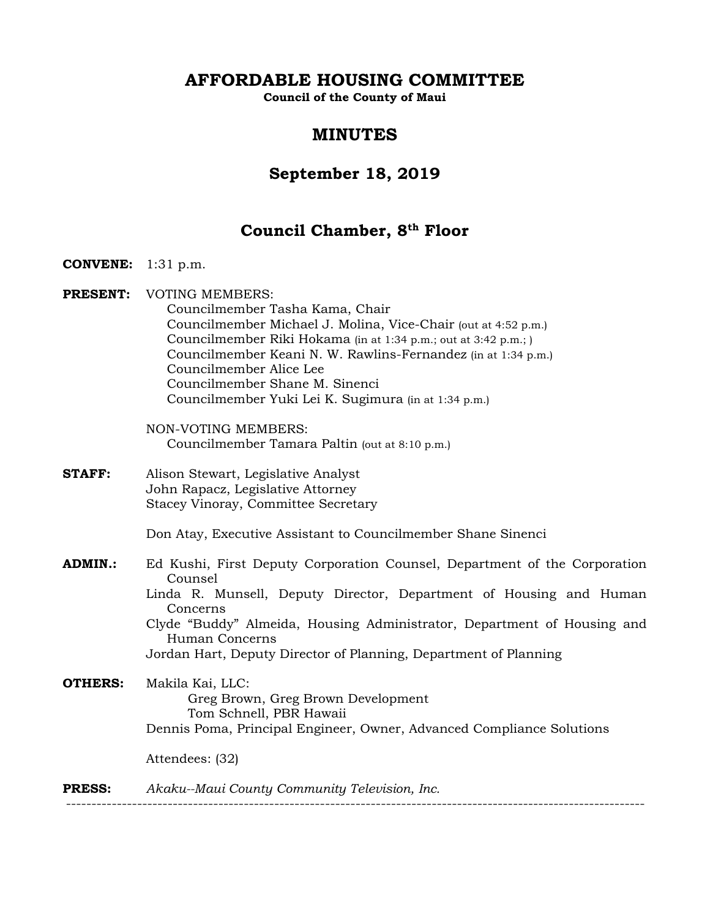**AFFORDABLE HOUSING COMMITTEE** 

**Council of the County of Maui** 

# **MINUTES**

## **September 18, 2019**

# **Council Chamber, 8th Floor**

- **CONVENE:** 1:31 p.m.
- **PRESENT:** VOTING MEMBERS:
	- Councilmember Tasha Kama, Chair Councilmember Michael J. Molina, Vice-Chair (out at 4:52 p.m.) Councilmember Riki Hokama (in at 1:34 p.m.; out at 3:42 p.m.; ) Councilmember Keani N. W. Rawlins-Fernandez (in at 1:34 p.m.) Councilmember Alice Lee Councilmember Shane M. Sinenci Councilmember Yuki Lei K. Sugimura (in at 1:34 p.m.)
	- NON-VOTING MEMBERS: Councilmember Tamara Paltin (out at 8:10 p.m.)
- **STAFF:** Alison Stewart, Legislative Analyst John Rapacz, Legislative Attorney Stacey Vinoray, Committee Secretary

Don Atay, Executive Assistant to Councilmember Shane Sinenci

**ADMIN.:** Ed Kushi, First Deputy Corporation Counsel, Department of the Corporation Counsel

Linda R. Munsell, Deputy Director, Department of Housing and Human Concerns

Clyde "Buddy" Almeida, Housing Administrator, Department of Housing and Human Concerns

Jordan Hart, Deputy Director of Planning, Department of Planning

**OTHERS:** Makila Kai, LLC: Greg Brown, Greg Brown Development Tom Schnell, PBR Hawaii Dennis Poma, Principal Engineer, Owner, Advanced Compliance Solutions Attendees: (32)

**PRESS:** *Akaku--Maui County Community Television, Inc.*  ------------------------------------------------------------------------------------------------------------------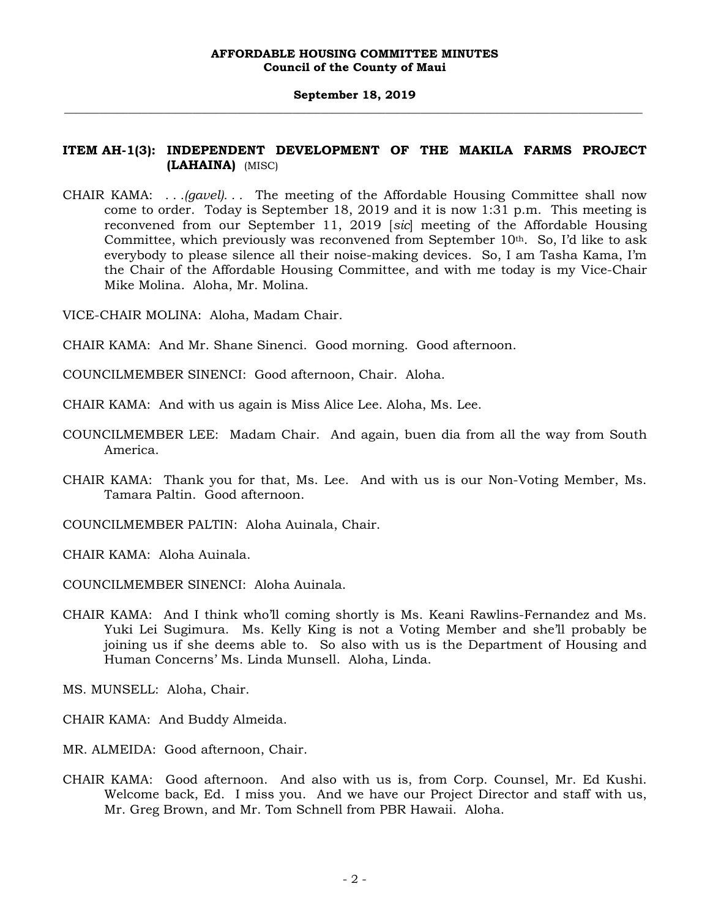## **ITEM AH-1(3): INDEPENDENT DEVELOPMENT OF THE MAKILA FARMS PROJECT (LAHAINA)** (MISC)

CHAIR KAMA: *. . .(gavel). . .* The meeting of the Affordable Housing Committee shall now come to order. Today is September 18, 2019 and it is now 1:31 p.m. This meeting is reconvened from our September 11, 2019 [*sic*] meeting of the Affordable Housing Committee, which previously was reconvened from September  $10<sup>th</sup>$ . So, I'd like to ask everybody to please silence all their noise-making devices. So, I am Tasha Kama, I'm the Chair of the Affordable Housing Committee, and with me today is my Vice-Chair Mike Molina. Aloha, Mr. Molina.

VICE-CHAIR MOLINA: Aloha, Madam Chair.

- CHAIR KAMA: And Mr. Shane Sinenci. Good morning. Good afternoon.
- COUNCILMEMBER SINENCI: Good afternoon, Chair. Aloha.
- CHAIR KAMA: And with us again is Miss Alice Lee. Aloha, Ms. Lee.
- COUNCILMEMBER LEE: Madam Chair. And again, buen dia from all the way from South America.
- CHAIR KAMA: Thank you for that, Ms. Lee. And with us is our Non-Voting Member, Ms. Tamara Paltin. Good afternoon.
- COUNCILMEMBER PALTIN: Aloha Auinala, Chair.
- CHAIR KAMA: Aloha Auinala.
- COUNCILMEMBER SINENCI: Aloha Auinala.
- CHAIR KAMA: And I think who'll coming shortly is Ms. Keani Rawlins-Fernandez and Ms. Yuki Lei Sugimura. Ms. Kelly King is not a Voting Member and she'll probably be joining us if she deems able to. So also with us is the Department of Housing and Human Concerns' Ms. Linda Munsell. Aloha, Linda.
- MS. MUNSELL: Aloha, Chair.
- CHAIR KAMA: And Buddy Almeida.
- MR. ALMEIDA: Good afternoon, Chair.
- CHAIR KAMA: Good afternoon. And also with us is, from Corp. Counsel, Mr. Ed Kushi. Welcome back, Ed. I miss you. And we have our Project Director and staff with us, Mr. Greg Brown, and Mr. Tom Schnell from PBR Hawaii. Aloha.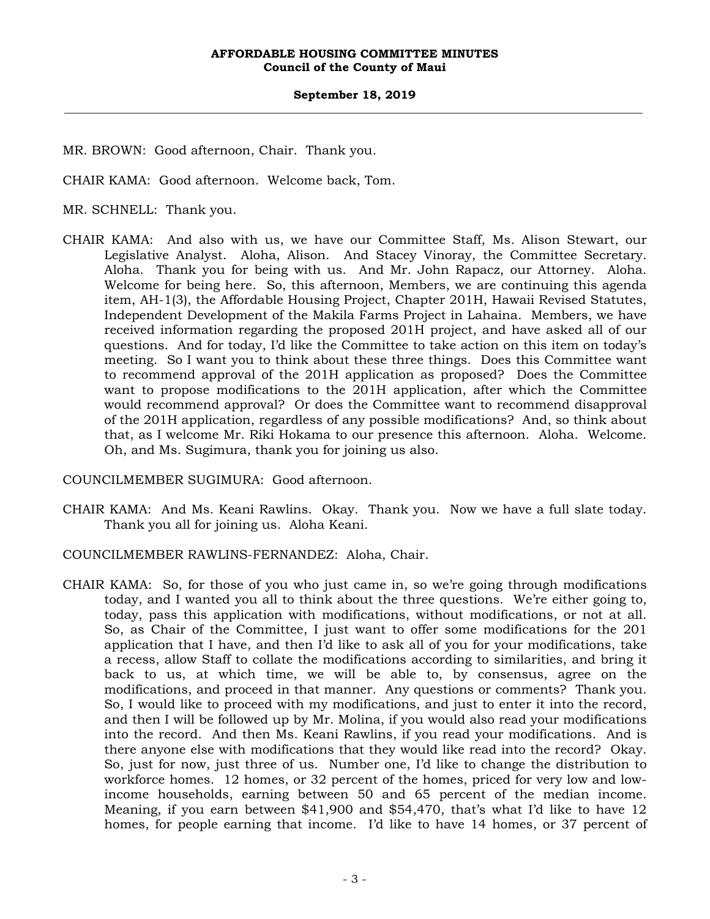MR. BROWN: Good afternoon, Chair. Thank you.

CHAIR KAMA: Good afternoon. Welcome back, Tom.

MR. SCHNELL: Thank you.

CHAIR KAMA: And also with us, we have our Committee Staff, Ms. Alison Stewart, our Legislative Analyst. Aloha, Alison. And Stacey Vinoray, the Committee Secretary. Aloha. Thank you for being with us. And Mr. John Rapacz, our Attorney. Aloha. Welcome for being here. So, this afternoon, Members, we are continuing this agenda item, AH-1(3), the Affordable Housing Project, Chapter 201H, Hawaii Revised Statutes, Independent Development of the Makila Farms Project in Lahaina. Members, we have received information regarding the proposed 201H project, and have asked all of our questions. And for today, I'd like the Committee to take action on this item on today's meeting. So I want you to think about these three things. Does this Committee want to recommend approval of the 201H application as proposed? Does the Committee want to propose modifications to the 201H application, after which the Committee would recommend approval? Or does the Committee want to recommend disapproval of the 201H application, regardless of any possible modifications? And, so think about that, as I welcome Mr. Riki Hokama to our presence this afternoon. Aloha. Welcome. Oh, and Ms. Sugimura, thank you for joining us also.

COUNCILMEMBER SUGIMURA: Good afternoon.

CHAIR KAMA: And Ms. Keani Rawlins. Okay. Thank you. Now we have a full slate today. Thank you all for joining us. Aloha Keani.

COUNCILMEMBER RAWLINS-FERNANDEZ: Aloha, Chair.

CHAIR KAMA: So, for those of you who just came in, so we're going through modifications today, and I wanted you all to think about the three questions. We're either going to, today, pass this application with modifications, without modifications, or not at all. So, as Chair of the Committee, I just want to offer some modifications for the 201 application that I have, and then I'd like to ask all of you for your modifications, take a recess, allow Staff to collate the modifications according to similarities, and bring it back to us, at which time, we will be able to, by consensus, agree on the modifications, and proceed in that manner. Any questions or comments? Thank you. So, I would like to proceed with my modifications, and just to enter it into the record, and then I will be followed up by Mr. Molina, if you would also read your modifications into the record. And then Ms. Keani Rawlins, if you read your modifications. And is there anyone else with modifications that they would like read into the record? Okay. So, just for now, just three of us. Number one, I'd like to change the distribution to workforce homes. 12 homes, or 32 percent of the homes, priced for very low and lowincome households, earning between 50 and 65 percent of the median income. Meaning, if you earn between \$41,900 and \$54,470, that's what I'd like to have 12 homes, for people earning that income. I'd like to have 14 homes, or 37 percent of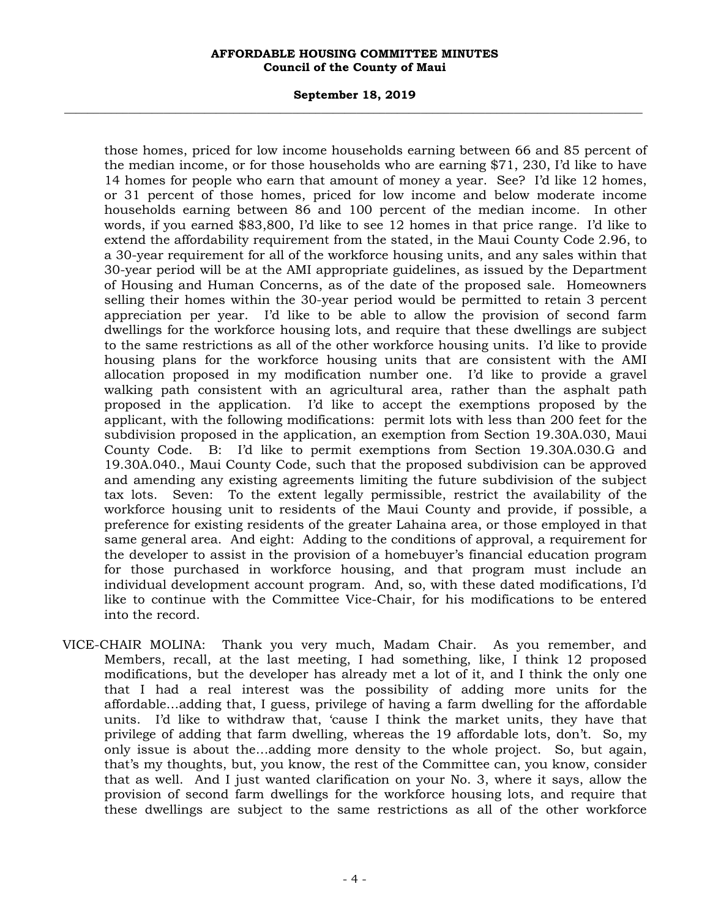#### **September 18, 2019 \_\_\_\_\_\_\_\_\_\_\_\_\_\_\_\_\_\_\_\_\_\_\_\_\_\_\_\_\_\_\_\_\_\_\_\_\_\_\_\_\_\_\_\_\_\_\_\_\_\_\_\_\_\_\_\_\_\_\_\_\_\_\_\_\_\_\_\_\_\_\_\_\_\_\_\_\_\_\_\_\_\_\_\_\_\_\_\_\_\_\_\_\_\_\_\_\_\_\_**

those homes, priced for low income households earning between 66 and 85 percent of the median income, or for those households who are earning \$71, 230, I'd like to have 14 homes for people who earn that amount of money a year. See? I'd like 12 homes, or 31 percent of those homes, priced for low income and below moderate income households earning between 86 and 100 percent of the median income. In other words, if you earned \$83,800, I'd like to see 12 homes in that price range. I'd like to extend the affordability requirement from the stated, in the Maui County Code 2.96, to a 30-year requirement for all of the workforce housing units, and any sales within that 30-year period will be at the AMI appropriate guidelines, as issued by the Department of Housing and Human Concerns, as of the date of the proposed sale. Homeowners selling their homes within the 30-year period would be permitted to retain 3 percent appreciation per year. I'd like to be able to allow the provision of second farm dwellings for the workforce housing lots, and require that these dwellings are subject to the same restrictions as all of the other workforce housing units. I'd like to provide housing plans for the workforce housing units that are consistent with the AMI allocation proposed in my modification number one. I'd like to provide a gravel walking path consistent with an agricultural area, rather than the asphalt path proposed in the application. I'd like to accept the exemptions proposed by the applicant, with the following modifications: permit lots with less than 200 feet for the subdivision proposed in the application, an exemption from Section 19.30A.030, Maui County Code. B: I'd like to permit exemptions from Section 19.30A.030.G and 19.30A.040., Maui County Code, such that the proposed subdivision can be approved and amending any existing agreements limiting the future subdivision of the subject tax lots. Seven: To the extent legally permissible, restrict the availability of the workforce housing unit to residents of the Maui County and provide, if possible, a preference for existing residents of the greater Lahaina area, or those employed in that same general area. And eight: Adding to the conditions of approval, a requirement for the developer to assist in the provision of a homebuyer's financial education program for those purchased in workforce housing, and that program must include an individual development account program. And, so, with these dated modifications, I'd like to continue with the Committee Vice-Chair, for his modifications to be entered into the record.

VICE-CHAIR MOLINA: Thank you very much, Madam Chair. As you remember, and Members, recall, at the last meeting, I had something, like, I think 12 proposed modifications, but the developer has already met a lot of it, and I think the only one that I had a real interest was the possibility of adding more units for the affordable…adding that, I guess, privilege of having a farm dwelling for the affordable units. I'd like to withdraw that, 'cause I think the market units, they have that privilege of adding that farm dwelling, whereas the 19 affordable lots, don't. So, my only issue is about the…adding more density to the whole project. So, but again, that's my thoughts, but, you know, the rest of the Committee can, you know, consider that as well. And I just wanted clarification on your No. 3, where it says, allow the provision of second farm dwellings for the workforce housing lots, and require that these dwellings are subject to the same restrictions as all of the other workforce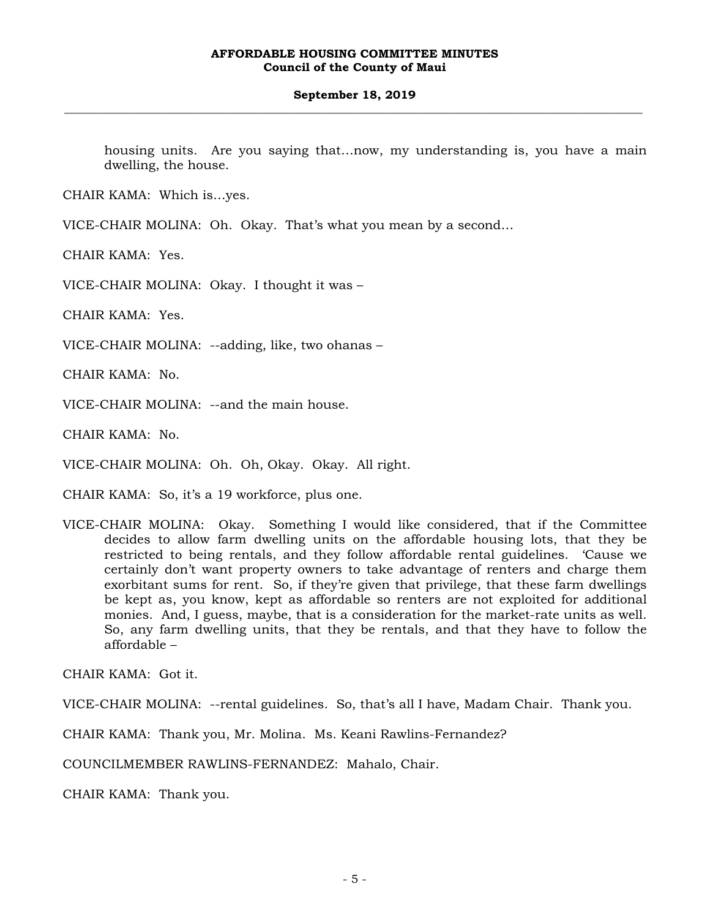housing units. Are you saying that…now, my understanding is, you have a main dwelling, the house.

CHAIR KAMA: Which is…yes.

VICE-CHAIR MOLINA: Oh. Okay. That's what you mean by a second…

CHAIR KAMA: Yes.

VICE-CHAIR MOLINA: Okay. I thought it was –

CHAIR KAMA: Yes.

VICE-CHAIR MOLINA: --adding, like, two ohanas –

CHAIR KAMA: No.

VICE-CHAIR MOLINA: --and the main house.

CHAIR KAMA: No.

VICE-CHAIR MOLINA: Oh. Oh, Okay. Okay. All right.

CHAIR KAMA: So, it's a 19 workforce, plus one.

VICE-CHAIR MOLINA: Okay. Something I would like considered, that if the Committee decides to allow farm dwelling units on the affordable housing lots, that they be restricted to being rentals, and they follow affordable rental guidelines. 'Cause we certainly don't want property owners to take advantage of renters and charge them exorbitant sums for rent. So, if they're given that privilege, that these farm dwellings be kept as, you know, kept as affordable so renters are not exploited for additional monies. And, I guess, maybe, that is a consideration for the market-rate units as well. So, any farm dwelling units, that they be rentals, and that they have to follow the affordable –

CHAIR KAMA: Got it.

VICE-CHAIR MOLINA: --rental guidelines. So, that's all I have, Madam Chair. Thank you.

CHAIR KAMA: Thank you, Mr. Molina. Ms. Keani Rawlins-Fernandez?

COUNCILMEMBER RAWLINS-FERNANDEZ: Mahalo, Chair.

CHAIR KAMA: Thank you.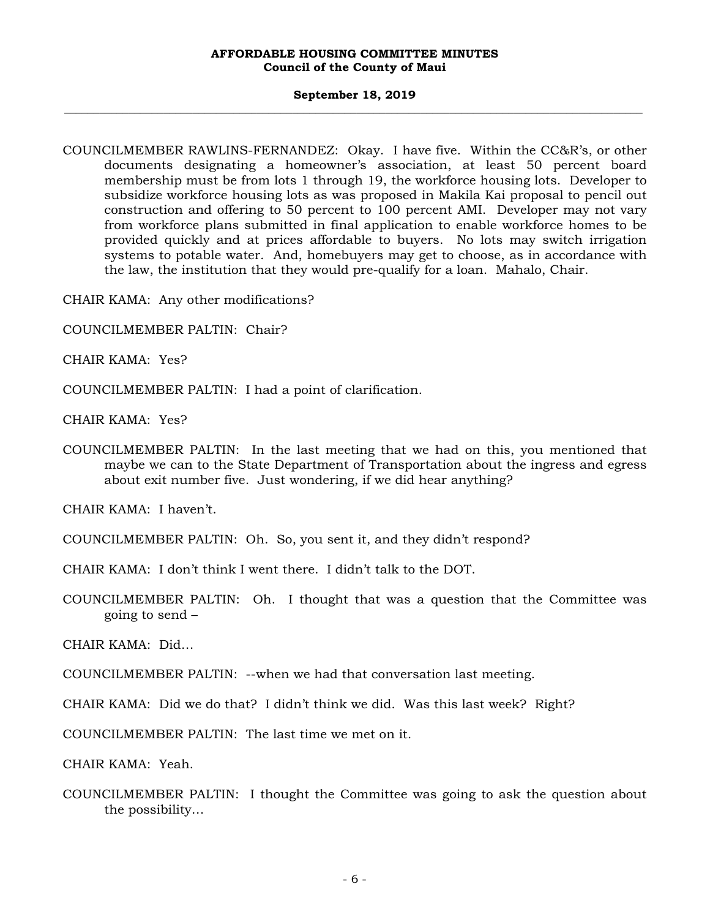#### **September 18, 2019 \_\_\_\_\_\_\_\_\_\_\_\_\_\_\_\_\_\_\_\_\_\_\_\_\_\_\_\_\_\_\_\_\_\_\_\_\_\_\_\_\_\_\_\_\_\_\_\_\_\_\_\_\_\_\_\_\_\_\_\_\_\_\_\_\_\_\_\_\_\_\_\_\_\_\_\_\_\_\_\_\_\_\_\_\_\_\_\_\_\_\_\_\_\_\_\_\_\_\_**

COUNCILMEMBER RAWLINS-FERNANDEZ: Okay. I have five. Within the CC&R's, or other documents designating a homeowner's association, at least 50 percent board membership must be from lots 1 through 19, the workforce housing lots. Developer to subsidize workforce housing lots as was proposed in Makila Kai proposal to pencil out construction and offering to 50 percent to 100 percent AMI. Developer may not vary from workforce plans submitted in final application to enable workforce homes to be provided quickly and at prices affordable to buyers. No lots may switch irrigation systems to potable water. And, homebuyers may get to choose, as in accordance with the law, the institution that they would pre-qualify for a loan. Mahalo, Chair.

CHAIR KAMA: Any other modifications?

- COUNCILMEMBER PALTIN: Chair?
- CHAIR KAMA: Yes?

COUNCILMEMBER PALTIN: I had a point of clarification.

CHAIR KAMA: Yes?

COUNCILMEMBER PALTIN: In the last meeting that we had on this, you mentioned that maybe we can to the State Department of Transportation about the ingress and egress about exit number five. Just wondering, if we did hear anything?

CHAIR KAMA: I haven't.

COUNCILMEMBER PALTIN: Oh. So, you sent it, and they didn't respond?

CHAIR KAMA: I don't think I went there. I didn't talk to the DOT.

COUNCILMEMBER PALTIN: Oh. I thought that was a question that the Committee was going to send –

CHAIR KAMA: Did…

COUNCILMEMBER PALTIN: --when we had that conversation last meeting.

CHAIR KAMA: Did we do that? I didn't think we did. Was this last week? Right?

COUNCILMEMBER PALTIN: The last time we met on it.

CHAIR KAMA: Yeah.

COUNCILMEMBER PALTIN: I thought the Committee was going to ask the question about the possibility…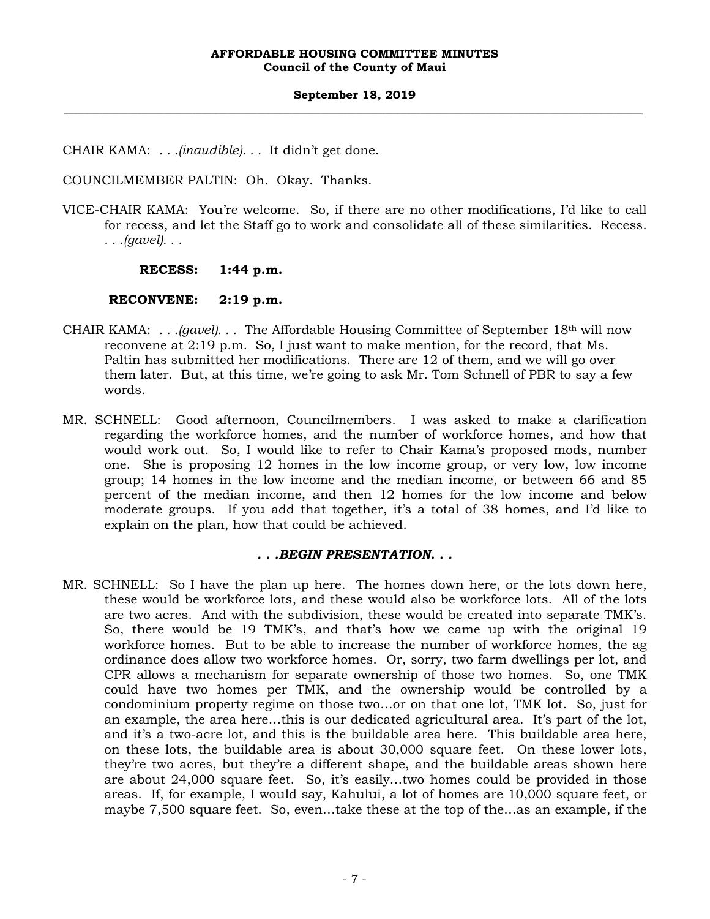CHAIR KAMA: *. . .(inaudible). . .* It didn't get done.

COUNCILMEMBER PALTIN: Oh. Okay. Thanks.

VICE-CHAIR KAMA: You're welcome. So, if there are no other modifications, I'd like to call for recess, and let the Staff go to work and consolidate all of these similarities. Recess. *. . .(gavel). . .*

**RECESS: 1:44 p.m.** 

 **RECONVENE: 2:19 p.m.** 

- CHAIR KAMA: *. . .(gavel). . .* The Affordable Housing Committee of September 18th will now reconvene at 2:19 p.m. So, I just want to make mention, for the record, that Ms. Paltin has submitted her modifications. There are 12 of them, and we will go over them later. But, at this time, we're going to ask Mr. Tom Schnell of PBR to say a few words.
- MR. SCHNELL: Good afternoon, Councilmembers. I was asked to make a clarification regarding the workforce homes, and the number of workforce homes, and how that would work out. So, I would like to refer to Chair Kama's proposed mods, number one. She is proposing 12 homes in the low income group, or very low, low income group; 14 homes in the low income and the median income, or between 66 and 85 percent of the median income, and then 12 homes for the low income and below moderate groups. If you add that together, it's a total of 38 homes, and I'd like to explain on the plan, how that could be achieved.

#### *. . .BEGIN PRESENTATION. . .*

MR. SCHNELL: So I have the plan up here. The homes down here, or the lots down here, these would be workforce lots, and these would also be workforce lots. All of the lots are two acres. And with the subdivision, these would be created into separate TMK's. So, there would be 19 TMK's, and that's how we came up with the original 19 workforce homes. But to be able to increase the number of workforce homes, the ag ordinance does allow two workforce homes. Or, sorry, two farm dwellings per lot, and CPR allows a mechanism for separate ownership of those two homes. So, one TMK could have two homes per TMK, and the ownership would be controlled by a condominium property regime on those two…or on that one lot, TMK lot. So, just for an example, the area here…this is our dedicated agricultural area. It's part of the lot, and it's a two-acre lot, and this is the buildable area here. This buildable area here, on these lots, the buildable area is about 30,000 square feet. On these lower lots, they're two acres, but they're a different shape, and the buildable areas shown here are about 24,000 square feet. So, it's easily…two homes could be provided in those areas. If, for example, I would say, Kahului, a lot of homes are 10,000 square feet, or maybe 7,500 square feet. So, even…take these at the top of the…as an example, if the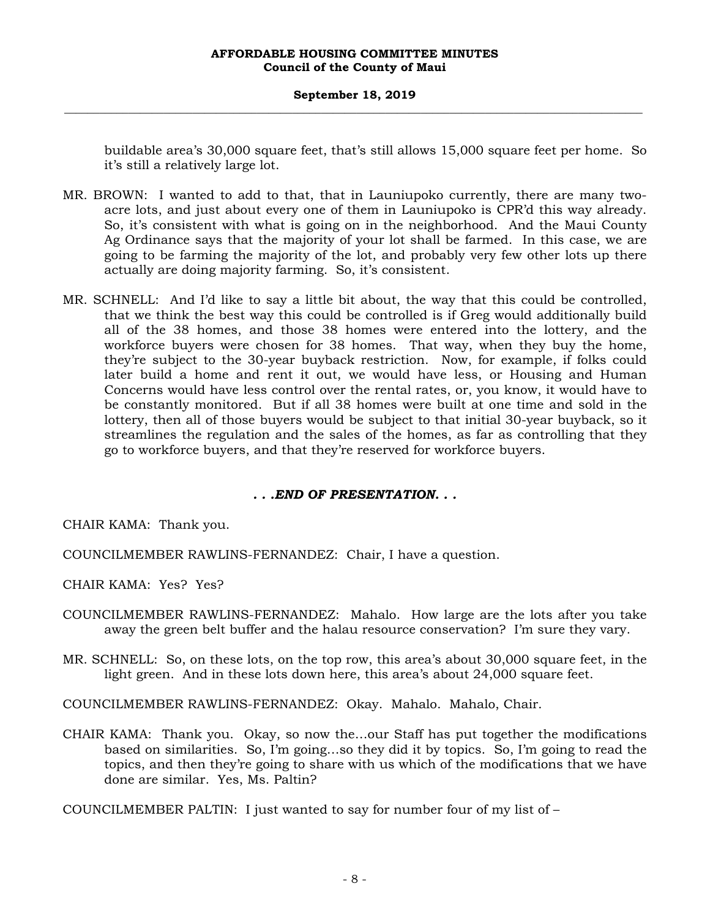#### **September 18, 2019 \_\_\_\_\_\_\_\_\_\_\_\_\_\_\_\_\_\_\_\_\_\_\_\_\_\_\_\_\_\_\_\_\_\_\_\_\_\_\_\_\_\_\_\_\_\_\_\_\_\_\_\_\_\_\_\_\_\_\_\_\_\_\_\_\_\_\_\_\_\_\_\_\_\_\_\_\_\_\_\_\_\_\_\_\_\_\_\_\_\_\_\_\_\_\_\_\_\_\_**

buildable area's 30,000 square feet, that's still allows 15,000 square feet per home. So it's still a relatively large lot.

- MR. BROWN: I wanted to add to that, that in Launiupoko currently, there are many twoacre lots, and just about every one of them in Launiupoko is CPR'd this way already. So, it's consistent with what is going on in the neighborhood. And the Maui County Ag Ordinance says that the majority of your lot shall be farmed. In this case, we are going to be farming the majority of the lot, and probably very few other lots up there actually are doing majority farming. So, it's consistent.
- MR. SCHNELL: And I'd like to say a little bit about, the way that this could be controlled, that we think the best way this could be controlled is if Greg would additionally build all of the 38 homes, and those 38 homes were entered into the lottery, and the workforce buyers were chosen for 38 homes. That way, when they buy the home, they're subject to the 30-year buyback restriction. Now, for example, if folks could later build a home and rent it out, we would have less, or Housing and Human Concerns would have less control over the rental rates, or, you know, it would have to be constantly monitored. But if all 38 homes were built at one time and sold in the lottery, then all of those buyers would be subject to that initial 30-year buyback, so it streamlines the regulation and the sales of the homes, as far as controlling that they go to workforce buyers, and that they're reserved for workforce buyers.

### *. . .END OF PRESENTATION. . .*

CHAIR KAMA: Thank you.

COUNCILMEMBER RAWLINS-FERNANDEZ: Chair, I have a question.

CHAIR KAMA: Yes? Yes?

- COUNCILMEMBER RAWLINS-FERNANDEZ: Mahalo. How large are the lots after you take away the green belt buffer and the halau resource conservation? I'm sure they vary.
- MR. SCHNELL: So, on these lots, on the top row, this area's about 30,000 square feet, in the light green. And in these lots down here, this area's about 24,000 square feet.

COUNCILMEMBER RAWLINS-FERNANDEZ: Okay. Mahalo. Mahalo, Chair.

CHAIR KAMA: Thank you. Okay, so now the…our Staff has put together the modifications based on similarities. So, I'm going…so they did it by topics. So, I'm going to read the topics, and then they're going to share with us which of the modifications that we have done are similar. Yes, Ms. Paltin?

COUNCILMEMBER PALTIN: I just wanted to say for number four of my list of –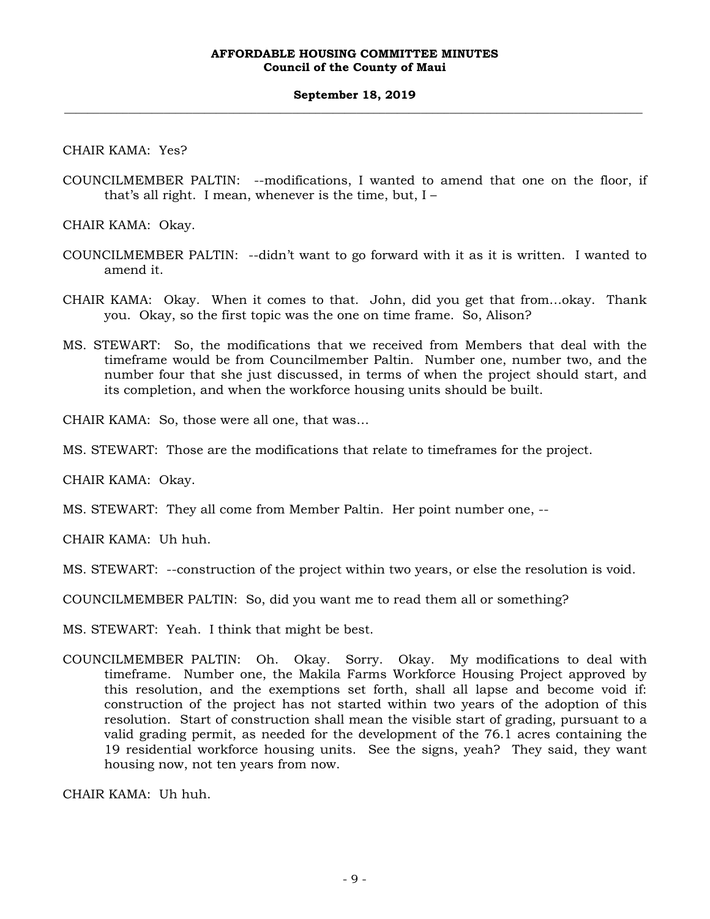CHAIR KAMA: Yes?

COUNCILMEMBER PALTIN: --modifications, I wanted to amend that one on the floor, if that's all right. I mean, whenever is the time, but,  $I -$ 

CHAIR KAMA: Okay.

- COUNCILMEMBER PALTIN: --didn't want to go forward with it as it is written. I wanted to amend it.
- CHAIR KAMA: Okay. When it comes to that. John, did you get that from…okay. Thank you. Okay, so the first topic was the one on time frame. So, Alison?
- MS. STEWART: So, the modifications that we received from Members that deal with the timeframe would be from Councilmember Paltin. Number one, number two, and the number four that she just discussed, in terms of when the project should start, and its completion, and when the workforce housing units should be built.

CHAIR KAMA: So, those were all one, that was…

MS. STEWART: Those are the modifications that relate to timeframes for the project.

CHAIR KAMA: Okay.

MS. STEWART: They all come from Member Paltin. Her point number one, --

CHAIR KAMA: Uh huh.

MS. STEWART: --construction of the project within two years, or else the resolution is void.

COUNCILMEMBER PALTIN: So, did you want me to read them all or something?

- MS. STEWART: Yeah. I think that might be best.
- COUNCILMEMBER PALTIN: Oh. Okay. Sorry. Okay. My modifications to deal with timeframe. Number one, the Makila Farms Workforce Housing Project approved by this resolution, and the exemptions set forth, shall all lapse and become void if: construction of the project has not started within two years of the adoption of this resolution. Start of construction shall mean the visible start of grading, pursuant to a valid grading permit, as needed for the development of the 76.1 acres containing the 19 residential workforce housing units. See the signs, yeah? They said, they want housing now, not ten years from now.

CHAIR KAMA: Uh huh.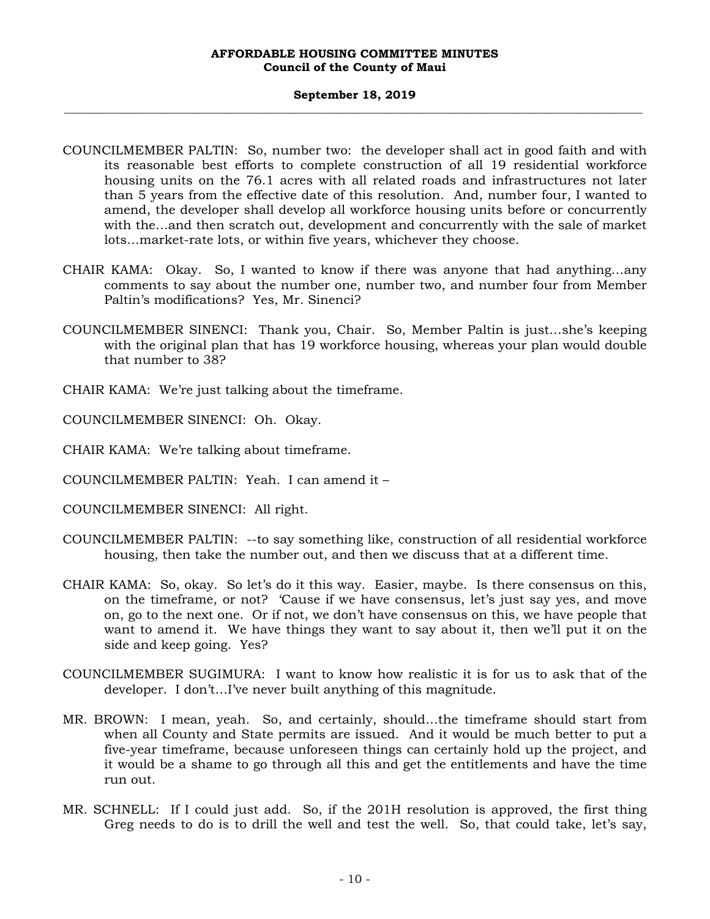#### **September 18, 2019 \_\_\_\_\_\_\_\_\_\_\_\_\_\_\_\_\_\_\_\_\_\_\_\_\_\_\_\_\_\_\_\_\_\_\_\_\_\_\_\_\_\_\_\_\_\_\_\_\_\_\_\_\_\_\_\_\_\_\_\_\_\_\_\_\_\_\_\_\_\_\_\_\_\_\_\_\_\_\_\_\_\_\_\_\_\_\_\_\_\_\_\_\_\_\_\_\_\_\_**

- COUNCILMEMBER PALTIN: So, number two: the developer shall act in good faith and with its reasonable best efforts to complete construction of all 19 residential workforce housing units on the 76.1 acres with all related roads and infrastructures not later than 5 years from the effective date of this resolution. And, number four, I wanted to amend, the developer shall develop all workforce housing units before or concurrently with the…and then scratch out, development and concurrently with the sale of market lots…market-rate lots, or within five years, whichever they choose.
- CHAIR KAMA: Okay. So, I wanted to know if there was anyone that had anything…any comments to say about the number one, number two, and number four from Member Paltin's modifications? Yes, Mr. Sinenci?
- COUNCILMEMBER SINENCI: Thank you, Chair. So, Member Paltin is just…she's keeping with the original plan that has 19 workforce housing, whereas your plan would double that number to 38?
- CHAIR KAMA: We're just talking about the timeframe.
- COUNCILMEMBER SINENCI: Oh. Okay.
- CHAIR KAMA: We're talking about timeframe.
- COUNCILMEMBER PALTIN: Yeah. I can amend it –
- COUNCILMEMBER SINENCI: All right.
- COUNCILMEMBER PALTIN: --to say something like, construction of all residential workforce housing, then take the number out, and then we discuss that at a different time.
- CHAIR KAMA: So, okay. So let's do it this way. Easier, maybe. Is there consensus on this, on the timeframe, or not? 'Cause if we have consensus, let's just say yes, and move on, go to the next one. Or if not, we don't have consensus on this, we have people that want to amend it. We have things they want to say about it, then we'll put it on the side and keep going. Yes?
- COUNCILMEMBER SUGIMURA: I want to know how realistic it is for us to ask that of the developer. I don't…I've never built anything of this magnitude.
- MR. BROWN: I mean, yeah. So, and certainly, should…the timeframe should start from when all County and State permits are issued. And it would be much better to put a five-year timeframe, because unforeseen things can certainly hold up the project, and it would be a shame to go through all this and get the entitlements and have the time run out.
- MR. SCHNELL: If I could just add. So, if the 201H resolution is approved, the first thing Greg needs to do is to drill the well and test the well. So, that could take, let's say,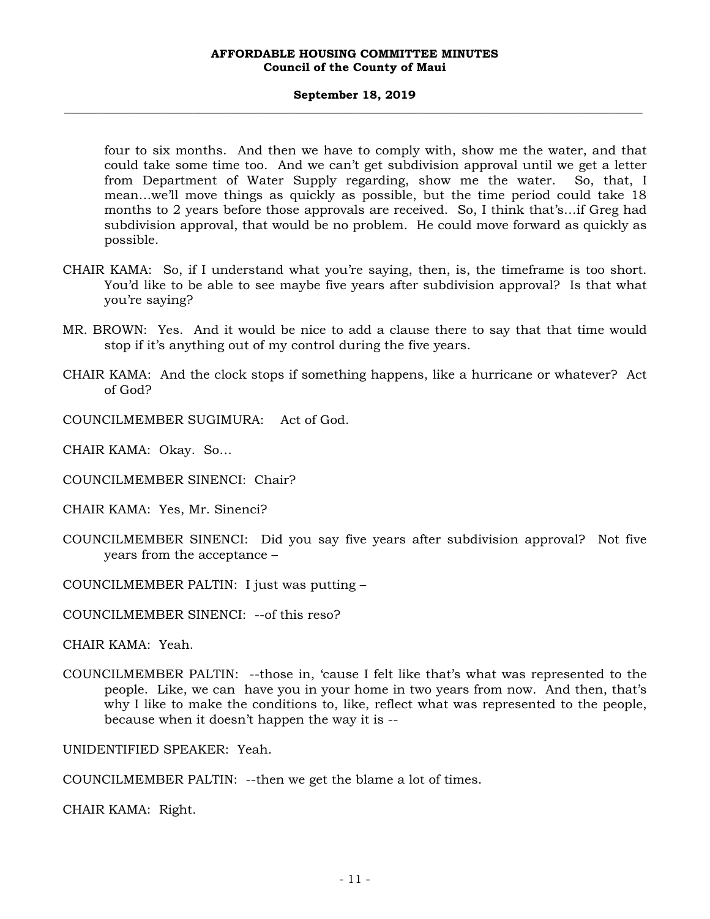#### **September 18, 2019 \_\_\_\_\_\_\_\_\_\_\_\_\_\_\_\_\_\_\_\_\_\_\_\_\_\_\_\_\_\_\_\_\_\_\_\_\_\_\_\_\_\_\_\_\_\_\_\_\_\_\_\_\_\_\_\_\_\_\_\_\_\_\_\_\_\_\_\_\_\_\_\_\_\_\_\_\_\_\_\_\_\_\_\_\_\_\_\_\_\_\_\_\_\_\_\_\_\_\_**

four to six months. And then we have to comply with, show me the water, and that could take some time too. And we can't get subdivision approval until we get a letter from Department of Water Supply regarding, show me the water. So, that, I mean…we'll move things as quickly as possible, but the time period could take 18 months to 2 years before those approvals are received. So, I think that's…if Greg had subdivision approval, that would be no problem. He could move forward as quickly as possible.

- CHAIR KAMA: So, if I understand what you're saying, then, is, the timeframe is too short. You'd like to be able to see maybe five years after subdivision approval? Is that what you're saying?
- MR. BROWN: Yes. And it would be nice to add a clause there to say that that time would stop if it's anything out of my control during the five years.
- CHAIR KAMA: And the clock stops if something happens, like a hurricane or whatever? Act of God?
- COUNCILMEMBER SUGIMURA: Act of God.

CHAIR KAMA: Okay. So…

- COUNCILMEMBER SINENCI: Chair?
- CHAIR KAMA: Yes, Mr. Sinenci?
- COUNCILMEMBER SINENCI: Did you say five years after subdivision approval? Not five years from the acceptance –
- COUNCILMEMBER PALTIN: I just was putting –

COUNCILMEMBER SINENCI: --of this reso?

CHAIR KAMA: Yeah.

COUNCILMEMBER PALTIN: --those in, 'cause I felt like that's what was represented to the people. Like, we can have you in your home in two years from now. And then, that's why I like to make the conditions to, like, reflect what was represented to the people, because when it doesn't happen the way it is --

UNIDENTIFIED SPEAKER: Yeah.

COUNCILMEMBER PALTIN: --then we get the blame a lot of times.

CHAIR KAMA: Right.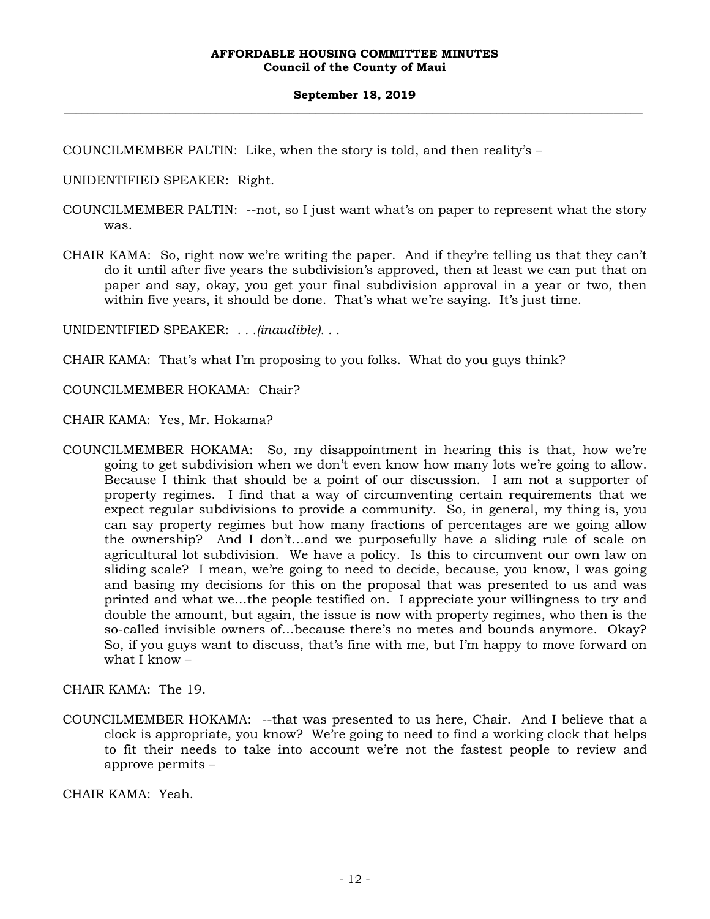COUNCILMEMBER PALTIN: Like, when the story is told, and then reality's –

UNIDENTIFIED SPEAKER: Right.

- COUNCILMEMBER PALTIN: --not, so I just want what's on paper to represent what the story was.
- CHAIR KAMA: So, right now we're writing the paper. And if they're telling us that they can't do it until after five years the subdivision's approved, then at least we can put that on paper and say, okay, you get your final subdivision approval in a year or two, then within five years, it should be done. That's what we're saying. It's just time.

UNIDENTIFIED SPEAKER: *. . .(inaudible). . .*

CHAIR KAMA: That's what I'm proposing to you folks. What do you guys think?

COUNCILMEMBER HOKAMA: Chair?

CHAIR KAMA: Yes, Mr. Hokama?

COUNCILMEMBER HOKAMA: So, my disappointment in hearing this is that, how we're going to get subdivision when we don't even know how many lots we're going to allow. Because I think that should be a point of our discussion. I am not a supporter of property regimes. I find that a way of circumventing certain requirements that we expect regular subdivisions to provide a community. So, in general, my thing is, you can say property regimes but how many fractions of percentages are we going allow the ownership? And I don't…and we purposefully have a sliding rule of scale on agricultural lot subdivision. We have a policy. Is this to circumvent our own law on sliding scale? I mean, we're going to need to decide, because, you know, I was going and basing my decisions for this on the proposal that was presented to us and was printed and what we…the people testified on. I appreciate your willingness to try and double the amount, but again, the issue is now with property regimes, who then is the so-called invisible owners of…because there's no metes and bounds anymore. Okay? So, if you guys want to discuss, that's fine with me, but I'm happy to move forward on what I know –

CHAIR KAMA: The 19.

COUNCILMEMBER HOKAMA: --that was presented to us here, Chair. And I believe that a clock is appropriate, you know? We're going to need to find a working clock that helps to fit their needs to take into account we're not the fastest people to review and approve permits –

CHAIR KAMA: Yeah.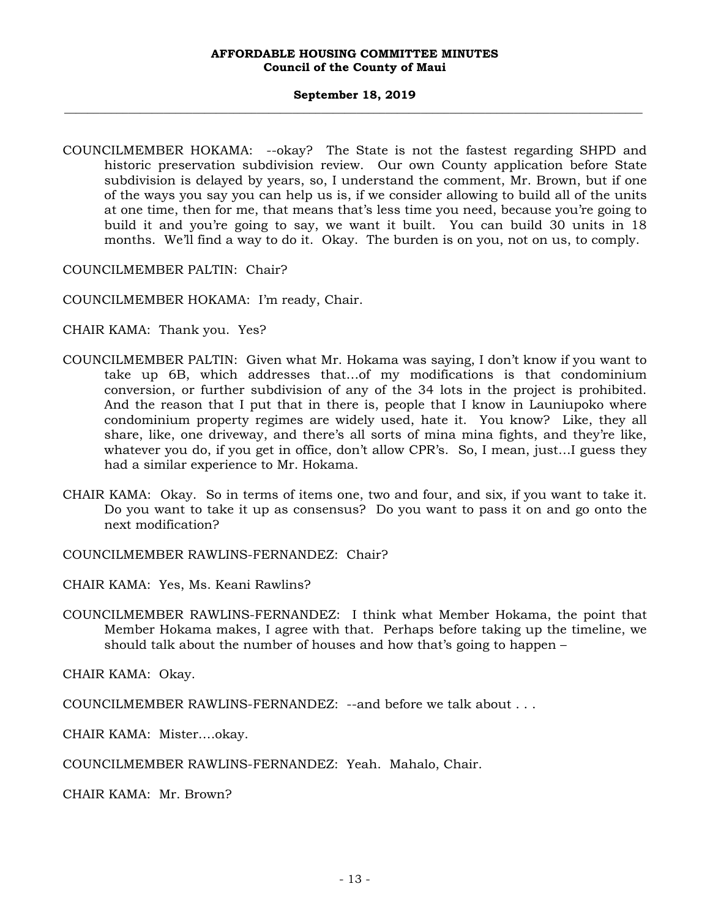#### **September 18, 2019 \_\_\_\_\_\_\_\_\_\_\_\_\_\_\_\_\_\_\_\_\_\_\_\_\_\_\_\_\_\_\_\_\_\_\_\_\_\_\_\_\_\_\_\_\_\_\_\_\_\_\_\_\_\_\_\_\_\_\_\_\_\_\_\_\_\_\_\_\_\_\_\_\_\_\_\_\_\_\_\_\_\_\_\_\_\_\_\_\_\_\_\_\_\_\_\_\_\_\_**

COUNCILMEMBER HOKAMA: --okay? The State is not the fastest regarding SHPD and historic preservation subdivision review. Our own County application before State subdivision is delayed by years, so, I understand the comment, Mr. Brown, but if one of the ways you say you can help us is, if we consider allowing to build all of the units at one time, then for me, that means that's less time you need, because you're going to build it and you're going to say, we want it built. You can build 30 units in 18 months. We'll find a way to do it. Okay. The burden is on you, not on us, to comply.

COUNCILMEMBER PALTIN: Chair?

COUNCILMEMBER HOKAMA: I'm ready, Chair.

CHAIR KAMA: Thank you. Yes?

- COUNCILMEMBER PALTIN: Given what Mr. Hokama was saying, I don't know if you want to take up 6B, which addresses that…of my modifications is that condominium conversion, or further subdivision of any of the 34 lots in the project is prohibited. And the reason that I put that in there is, people that I know in Launiupoko where condominium property regimes are widely used, hate it. You know? Like, they all share, like, one driveway, and there's all sorts of mina mina fights, and they're like, whatever you do, if you get in office, don't allow CPR's. So, I mean, just…I guess they had a similar experience to Mr. Hokama.
- CHAIR KAMA: Okay. So in terms of items one, two and four, and six, if you want to take it. Do you want to take it up as consensus? Do you want to pass it on and go onto the next modification?

COUNCILMEMBER RAWLINS-FERNANDEZ: Chair?

CHAIR KAMA: Yes, Ms. Keani Rawlins?

COUNCILMEMBER RAWLINS-FERNANDEZ: I think what Member Hokama, the point that Member Hokama makes, I agree with that. Perhaps before taking up the timeline, we should talk about the number of houses and how that's going to happen –

CHAIR KAMA: Okay.

COUNCILMEMBER RAWLINS-FERNANDEZ: --and before we talk about . . .

CHAIR KAMA: Mister….okay.

COUNCILMEMBER RAWLINS-FERNANDEZ: Yeah. Mahalo, Chair.

CHAIR KAMA: Mr. Brown?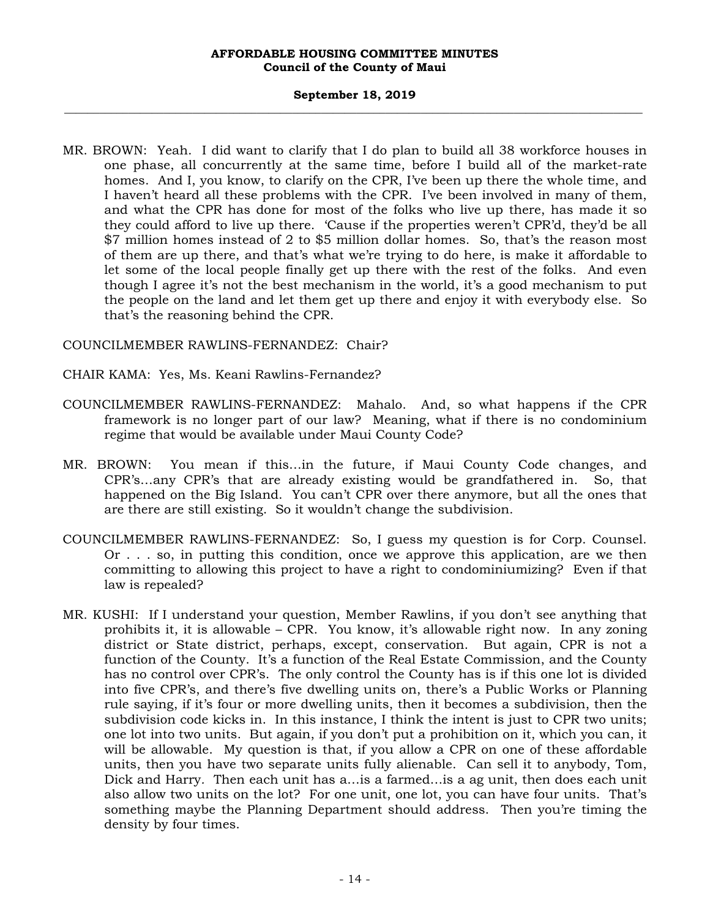#### **September 18, 2019 \_\_\_\_\_\_\_\_\_\_\_\_\_\_\_\_\_\_\_\_\_\_\_\_\_\_\_\_\_\_\_\_\_\_\_\_\_\_\_\_\_\_\_\_\_\_\_\_\_\_\_\_\_\_\_\_\_\_\_\_\_\_\_\_\_\_\_\_\_\_\_\_\_\_\_\_\_\_\_\_\_\_\_\_\_\_\_\_\_\_\_\_\_\_\_\_\_\_\_**

MR. BROWN: Yeah. I did want to clarify that I do plan to build all 38 workforce houses in one phase, all concurrently at the same time, before I build all of the market-rate homes. And I, you know, to clarify on the CPR, I've been up there the whole time, and I haven't heard all these problems with the CPR. I've been involved in many of them, and what the CPR has done for most of the folks who live up there, has made it so they could afford to live up there. 'Cause if the properties weren't CPR'd, they'd be all \$7 million homes instead of 2 to \$5 million dollar homes. So, that's the reason most of them are up there, and that's what we're trying to do here, is make it affordable to let some of the local people finally get up there with the rest of the folks. And even though I agree it's not the best mechanism in the world, it's a good mechanism to put the people on the land and let them get up there and enjoy it with everybody else. So that's the reasoning behind the CPR.

COUNCILMEMBER RAWLINS-FERNANDEZ: Chair?

- CHAIR KAMA: Yes, Ms. Keani Rawlins-Fernandez?
- COUNCILMEMBER RAWLINS-FERNANDEZ: Mahalo. And, so what happens if the CPR framework is no longer part of our law? Meaning, what if there is no condominium regime that would be available under Maui County Code?
- MR. BROWN: You mean if this…in the future, if Maui County Code changes, and CPR's…any CPR's that are already existing would be grandfathered in. So, that happened on the Big Island. You can't CPR over there anymore, but all the ones that are there are still existing. So it wouldn't change the subdivision.
- COUNCILMEMBER RAWLINS-FERNANDEZ: So, I guess my question is for Corp. Counsel. Or . . . so, in putting this condition, once we approve this application, are we then committing to allowing this project to have a right to condominiumizing? Even if that law is repealed?
- MR. KUSHI: If I understand your question, Member Rawlins, if you don't see anything that prohibits it, it is allowable – CPR. You know, it's allowable right now. In any zoning district or State district, perhaps, except, conservation. But again, CPR is not a function of the County. It's a function of the Real Estate Commission, and the County has no control over CPR's. The only control the County has is if this one lot is divided into five CPR's, and there's five dwelling units on, there's a Public Works or Planning rule saying, if it's four or more dwelling units, then it becomes a subdivision, then the subdivision code kicks in. In this instance, I think the intent is just to CPR two units; one lot into two units. But again, if you don't put a prohibition on it, which you can, it will be allowable. My question is that, if you allow a CPR on one of these affordable units, then you have two separate units fully alienable. Can sell it to anybody, Tom, Dick and Harry*.* Then each unit has a…is a farmed…is a ag unit, then does each unit also allow two units on the lot? For one unit, one lot, you can have four units. That's something maybe the Planning Department should address. Then you're timing the density by four times.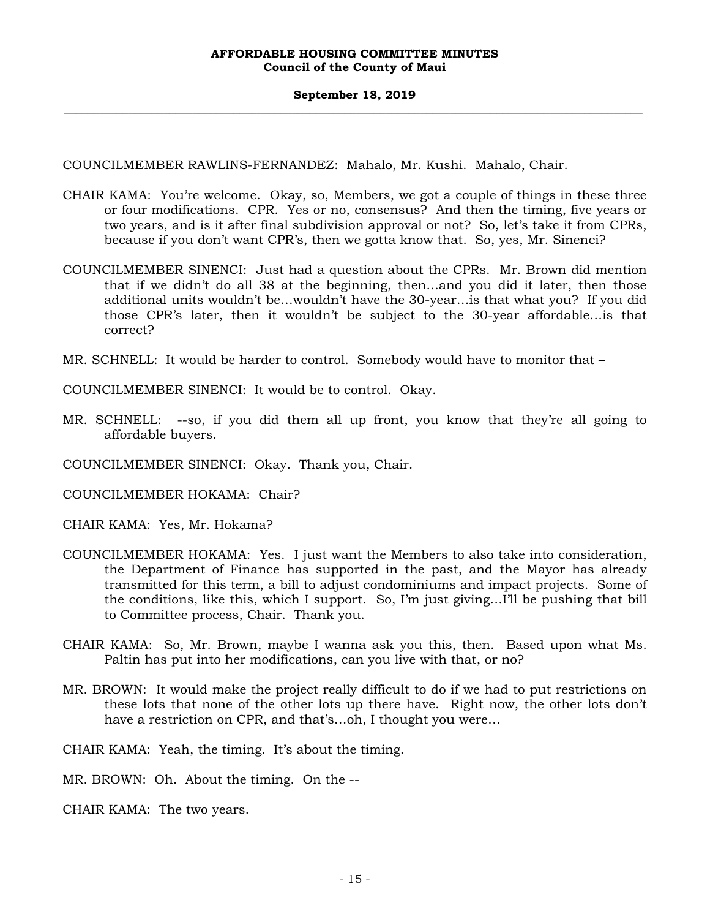COUNCILMEMBER RAWLINS-FERNANDEZ: Mahalo, Mr. Kushi. Mahalo, Chair.

- CHAIR KAMA: You're welcome. Okay, so, Members, we got a couple of things in these three or four modifications. CPR. Yes or no, consensus? And then the timing, five years or two years, and is it after final subdivision approval or not? So, let's take it from CPRs, because if you don't want CPR's, then we gotta know that. So, yes, Mr. Sinenci?
- COUNCILMEMBER SINENCI: Just had a question about the CPRs. Mr. Brown did mention that if we didn't do all 38 at the beginning, then…and you did it later, then those additional units wouldn't be…wouldn't have the 30-year…is that what you? If you did those CPR's later, then it wouldn't be subject to the 30-year affordable…is that correct?
- MR. SCHNELL: It would be harder to control. Somebody would have to monitor that –

COUNCILMEMBER SINENCI: It would be to control. Okay.

- MR. SCHNELL: --so, if you did them all up front, you know that they're all going to affordable buyers.
- COUNCILMEMBER SINENCI: Okay. Thank you, Chair.

COUNCILMEMBER HOKAMA: Chair?

CHAIR KAMA: Yes, Mr. Hokama?

- COUNCILMEMBER HOKAMA: Yes. I just want the Members to also take into consideration, the Department of Finance has supported in the past, and the Mayor has already transmitted for this term, a bill to adjust condominiums and impact projects. Some of the conditions, like this, which I support. So, I'm just giving…I'll be pushing that bill to Committee process, Chair. Thank you.
- CHAIR KAMA: So, Mr. Brown, maybe I wanna ask you this, then. Based upon what Ms. Paltin has put into her modifications, can you live with that, or no?
- MR. BROWN: It would make the project really difficult to do if we had to put restrictions on these lots that none of the other lots up there have. Right now, the other lots don't have a restriction on CPR, and that's…oh, I thought you were…

CHAIR KAMA: Yeah, the timing. It's about the timing.

MR. BROWN: Oh. About the timing. On the --

CHAIR KAMA: The two years.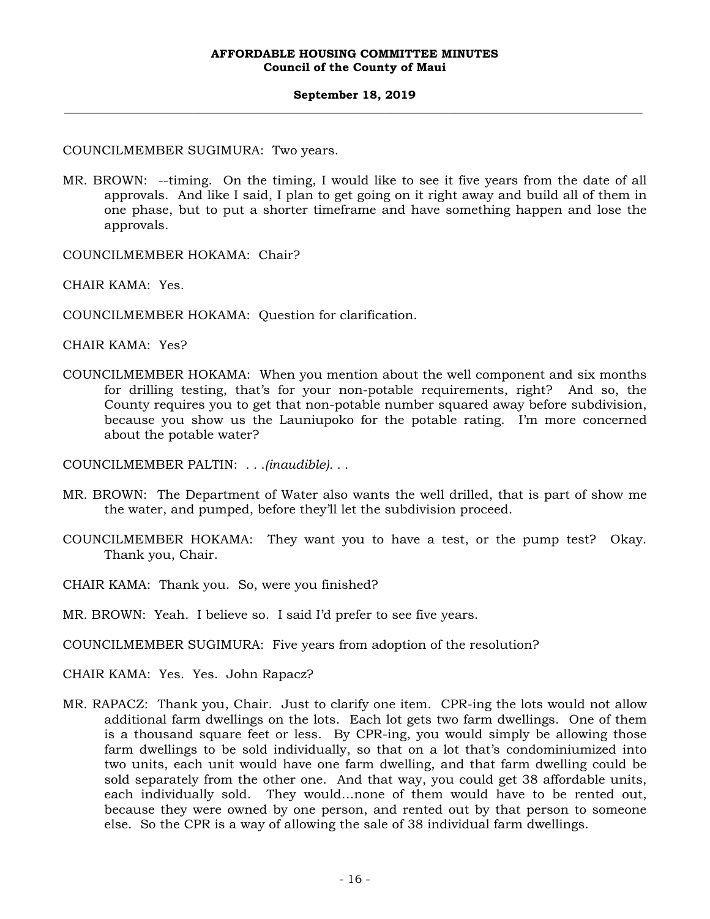COUNCILMEMBER SUGIMURA: Two years.

MR. BROWN: --timing. On the timing, I would like to see it five years from the date of all approvals. And like I said, I plan to get going on it right away and build all of them in one phase, but to put a shorter timeframe and have something happen and lose the approvals.

COUNCILMEMBER HOKAMA: Chair?

CHAIR KAMA: Yes.

COUNCILMEMBER HOKAMA: Question for clarification.

CHAIR KAMA: Yes?

COUNCILMEMBER HOKAMA: When you mention about the well component and six months for drilling testing, that's for your non-potable requirements, right? And so, the County requires you to get that non-potable number squared away before subdivision, because you show us the Launiupoko for the potable rating. I'm more concerned about the potable water?

COUNCILMEMBER PALTIN: *. . .(inaudible). . .*

- MR. BROWN: The Department of Water also wants the well drilled, that is part of show me the water, and pumped, before they'll let the subdivision proceed.
- COUNCILMEMBER HOKAMA: They want you to have a test, or the pump test? Okay. Thank you, Chair.
- CHAIR KAMA: Thank you. So, were you finished?

MR. BROWN: Yeah. I believe so. I said I'd prefer to see five years.

COUNCILMEMBER SUGIMURA: Five years from adoption of the resolution?

CHAIR KAMA: Yes. Yes. John Rapacz?

MR. RAPACZ: Thank you, Chair. Just to clarify one item. CPR-ing the lots would not allow additional farm dwellings on the lots. Each lot gets two farm dwellings. One of them is a thousand square feet or less. By CPR-ing, you would simply be allowing those farm dwellings to be sold individually, so that on a lot that's condominiumized into two units, each unit would have one farm dwelling, and that farm dwelling could be sold separately from the other one. And that way, you could get 38 affordable units, each individually sold. They would…none of them would have to be rented out, because they were owned by one person, and rented out by that person to someone else. So the CPR is a way of allowing the sale of 38 individual farm dwellings.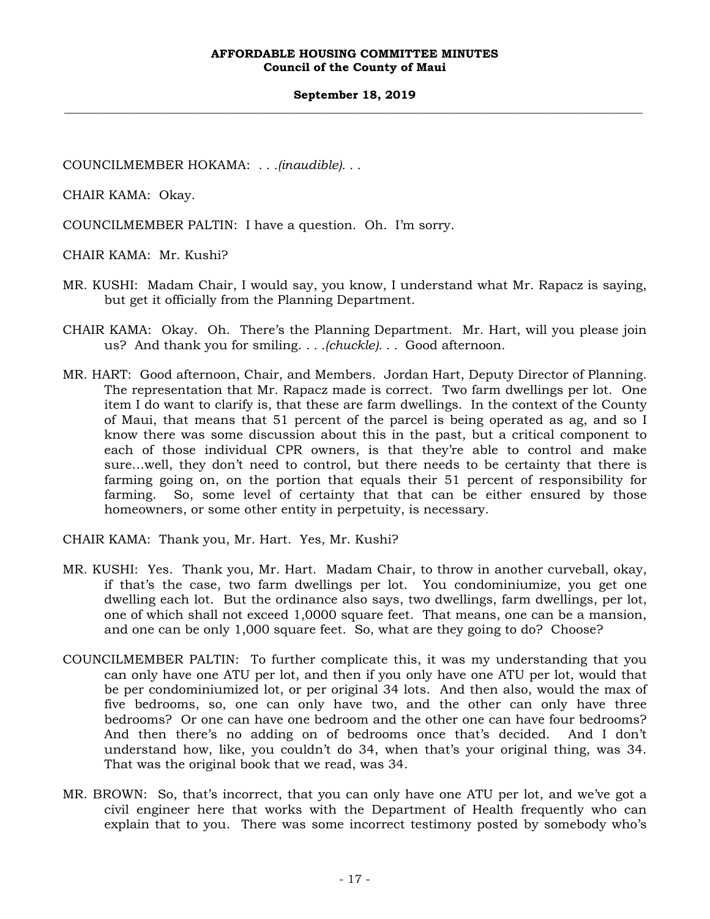#### **September 18, 2019 \_\_\_\_\_\_\_\_\_\_\_\_\_\_\_\_\_\_\_\_\_\_\_\_\_\_\_\_\_\_\_\_\_\_\_\_\_\_\_\_\_\_\_\_\_\_\_\_\_\_\_\_\_\_\_\_\_\_\_\_\_\_\_\_\_\_\_\_\_\_\_\_\_\_\_\_\_\_\_\_\_\_\_\_\_\_\_\_\_\_\_\_\_\_\_\_\_\_\_**

COUNCILMEMBER HOKAMA: *. . .(inaudible). . .*

CHAIR KAMA: Okay.

COUNCILMEMBER PALTIN: I have a question. Oh. I'm sorry.

CHAIR KAMA: Mr. Kushi?

- MR. KUSHI: Madam Chair, I would say, you know, I understand what Mr. Rapacz is saying, but get it officially from the Planning Department.
- CHAIR KAMA: Okay. Oh. There's the Planning Department. Mr. Hart, will you please join us? And thank you for smiling. *. . .(chuckle). . .* Good afternoon.
- MR. HART: Good afternoon, Chair, and Members. Jordan Hart, Deputy Director of Planning. The representation that Mr. Rapacz made is correct. Two farm dwellings per lot. One item I do want to clarify is, that these are farm dwellings. In the context of the County of Maui, that means that 51 percent of the parcel is being operated as ag, and so I know there was some discussion about this in the past, but a critical component to each of those individual CPR owners, is that they're able to control and make sure…well, they don't need to control, but there needs to be certainty that there is farming going on, on the portion that equals their 51 percent of responsibility for farming. So, some level of certainty that that can be either ensured by those homeowners, or some other entity in perpetuity, is necessary.

CHAIR KAMA: Thank you, Mr. Hart. Yes, Mr. Kushi?

- MR. KUSHI: Yes. Thank you, Mr. Hart. Madam Chair, to throw in another curveball, okay, if that's the case, two farm dwellings per lot. You condominiumize, you get one dwelling each lot. But the ordinance also says, two dwellings, farm dwellings, per lot, one of which shall not exceed 1,0000 square feet. That means, one can be a mansion, and one can be only 1,000 square feet. So, what are they going to do? Choose?
- COUNCILMEMBER PALTIN: To further complicate this, it was my understanding that you can only have one ATU per lot, and then if you only have one ATU per lot, would that be per condominiumized lot, or per original 34 lots. And then also, would the max of five bedrooms, so, one can only have two, and the other can only have three bedrooms? Or one can have one bedroom and the other one can have four bedrooms? And then there's no adding on of bedrooms once that's decided. And I don't understand how, like, you couldn't do 34, when that's your original thing, was 34. That was the original book that we read, was 34.
- MR. BROWN: So, that's incorrect, that you can only have one ATU per lot, and we've got a civil engineer here that works with the Department of Health frequently who can explain that to you. There was some incorrect testimony posted by somebody who's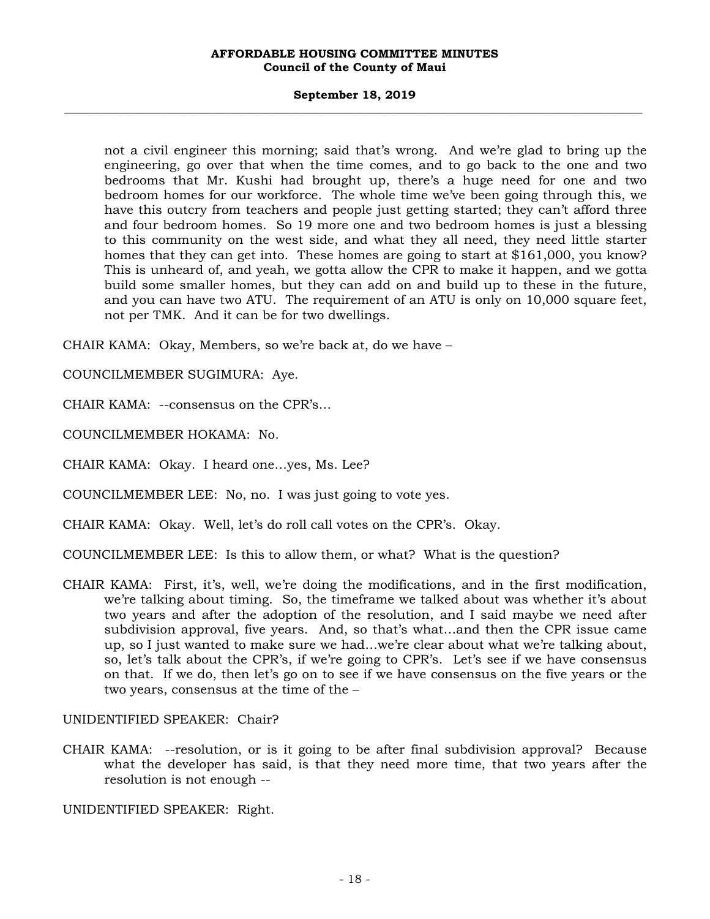#### **September 18, 2019 \_\_\_\_\_\_\_\_\_\_\_\_\_\_\_\_\_\_\_\_\_\_\_\_\_\_\_\_\_\_\_\_\_\_\_\_\_\_\_\_\_\_\_\_\_\_\_\_\_\_\_\_\_\_\_\_\_\_\_\_\_\_\_\_\_\_\_\_\_\_\_\_\_\_\_\_\_\_\_\_\_\_\_\_\_\_\_\_\_\_\_\_\_\_\_\_\_\_\_**

not a civil engineer this morning; said that's wrong. And we're glad to bring up the engineering, go over that when the time comes, and to go back to the one and two bedrooms that Mr. Kushi had brought up, there's a huge need for one and two bedroom homes for our workforce. The whole time we've been going through this, we have this outcry from teachers and people just getting started; they can't afford three and four bedroom homes. So 19 more one and two bedroom homes is just a blessing to this community on the west side, and what they all need, they need little starter homes that they can get into. These homes are going to start at \$161,000, you know? This is unheard of, and yeah, we gotta allow the CPR to make it happen, and we gotta build some smaller homes, but they can add on and build up to these in the future, and you can have two ATU. The requirement of an ATU is only on 10,000 square feet, not per TMK. And it can be for two dwellings.

CHAIR KAMA: Okay, Members, so we're back at, do we have –

COUNCILMEMBER SUGIMURA: Aye.

CHAIR KAMA: --consensus on the CPR's…

COUNCILMEMBER HOKAMA: No.

CHAIR KAMA: Okay. I heard one…yes, Ms. Lee?

COUNCILMEMBER LEE: No, no. I was just going to vote yes.

CHAIR KAMA: Okay. Well, let's do roll call votes on the CPR's. Okay.

COUNCILMEMBER LEE: Is this to allow them, or what? What is the question?

CHAIR KAMA: First, it's, well, we're doing the modifications, and in the first modification, we're talking about timing. So, the timeframe we talked about was whether it's about two years and after the adoption of the resolution, and I said maybe we need after subdivision approval, five years. And, so that's what…and then the CPR issue came up, so I just wanted to make sure we had…we're clear about what we're talking about, so, let's talk about the CPR's, if we're going to CPR's. Let's see if we have consensus on that. If we do, then let's go on to see if we have consensus on the five years or the two years, consensus at the time of the -

#### UNIDENTIFIED SPEAKER: Chair?

CHAIR KAMA: --resolution, or is it going to be after final subdivision approval? Because what the developer has said, is that they need more time, that two years after the resolution is not enough --

UNIDENTIFIED SPEAKER: Right.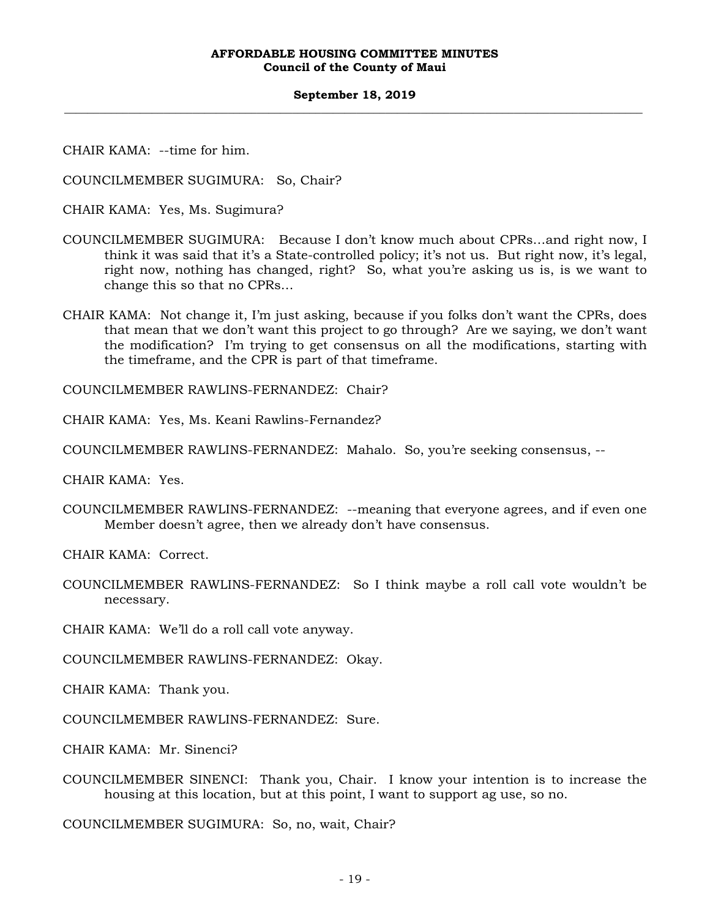#### **September 18, 2019 \_\_\_\_\_\_\_\_\_\_\_\_\_\_\_\_\_\_\_\_\_\_\_\_\_\_\_\_\_\_\_\_\_\_\_\_\_\_\_\_\_\_\_\_\_\_\_\_\_\_\_\_\_\_\_\_\_\_\_\_\_\_\_\_\_\_\_\_\_\_\_\_\_\_\_\_\_\_\_\_\_\_\_\_\_\_\_\_\_\_\_\_\_\_\_\_\_\_\_**

CHAIR KAMA: --time for him.

COUNCILMEMBER SUGIMURA: So, Chair?

CHAIR KAMA: Yes, Ms. Sugimura?

- COUNCILMEMBER SUGIMURA: Because I don't know much about CPRs…and right now, I think it was said that it's a State-controlled policy; it's not us. But right now, it's legal, right now, nothing has changed, right? So, what you're asking us is, is we want to change this so that no CPRs…
- CHAIR KAMA: Not change it, I'm just asking, because if you folks don't want the CPRs, does that mean that we don't want this project to go through? Are we saying, we don't want the modification? I'm trying to get consensus on all the modifications, starting with the timeframe, and the CPR is part of that timeframe.

COUNCILMEMBER RAWLINS-FERNANDEZ: Chair?

CHAIR KAMA: Yes, Ms. Keani Rawlins-Fernandez?

COUNCILMEMBER RAWLINS-FERNANDEZ: Mahalo. So, you're seeking consensus, --

CHAIR KAMA: Yes.

COUNCILMEMBER RAWLINS-FERNANDEZ: --meaning that everyone agrees, and if even one Member doesn't agree, then we already don't have consensus.

CHAIR KAMA: Correct.

COUNCILMEMBER RAWLINS-FERNANDEZ: So I think maybe a roll call vote wouldn't be necessary.

CHAIR KAMA: We'll do a roll call vote anyway.

COUNCILMEMBER RAWLINS-FERNANDEZ: Okay.

CHAIR KAMA: Thank you.

COUNCILMEMBER RAWLINS-FERNANDEZ: Sure.

CHAIR KAMA: Mr. Sinenci?

COUNCILMEMBER SINENCI: Thank you, Chair. I know your intention is to increase the housing at this location, but at this point, I want to support ag use, so no.

COUNCILMEMBER SUGIMURA: So, no, wait, Chair?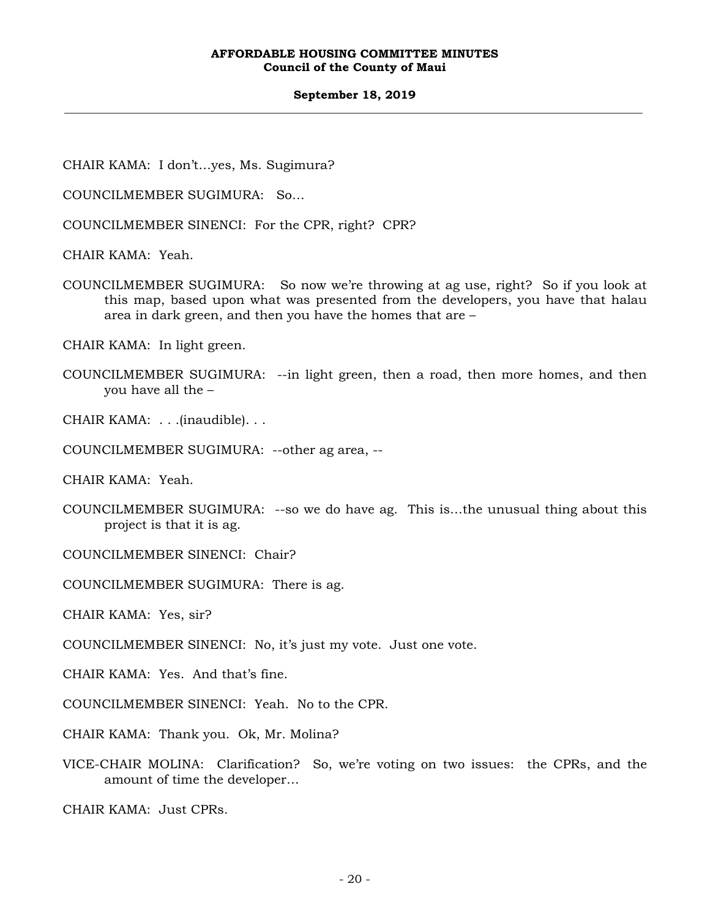#### **September 18, 2019 \_\_\_\_\_\_\_\_\_\_\_\_\_\_\_\_\_\_\_\_\_\_\_\_\_\_\_\_\_\_\_\_\_\_\_\_\_\_\_\_\_\_\_\_\_\_\_\_\_\_\_\_\_\_\_\_\_\_\_\_\_\_\_\_\_\_\_\_\_\_\_\_\_\_\_\_\_\_\_\_\_\_\_\_\_\_\_\_\_\_\_\_\_\_\_\_\_\_\_**

CHAIR KAMA: I don't…yes, Ms. Sugimura?

COUNCILMEMBER SUGIMURA: So…

COUNCILMEMBER SINENCI: For the CPR, right? CPR?

CHAIR KAMA: Yeah.

COUNCILMEMBER SUGIMURA: So now we're throwing at ag use, right? So if you look at this map, based upon what was presented from the developers, you have that halau area in dark green, and then you have the homes that are –

CHAIR KAMA: In light green.

COUNCILMEMBER SUGIMURA: --in light green, then a road, then more homes, and then you have all the –

CHAIR KAMA: . . .(inaudible). . .

COUNCILMEMBER SUGIMURA: --other ag area, --

CHAIR KAMA: Yeah.

COUNCILMEMBER SUGIMURA: --so we do have ag. This is…the unusual thing about this project is that it is ag.

COUNCILMEMBER SINENCI: Chair?

COUNCILMEMBER SUGIMURA: There is ag.

CHAIR KAMA: Yes, sir?

COUNCILMEMBER SINENCI: No, it's just my vote. Just one vote.

CHAIR KAMA: Yes. And that's fine.

COUNCILMEMBER SINENCI: Yeah. No to the CPR.

CHAIR KAMA: Thank you. Ok, Mr. Molina?

VICE-CHAIR MOLINA: Clarification? So, we're voting on two issues: the CPRs, and the amount of time the developer…

CHAIR KAMA: Just CPRs.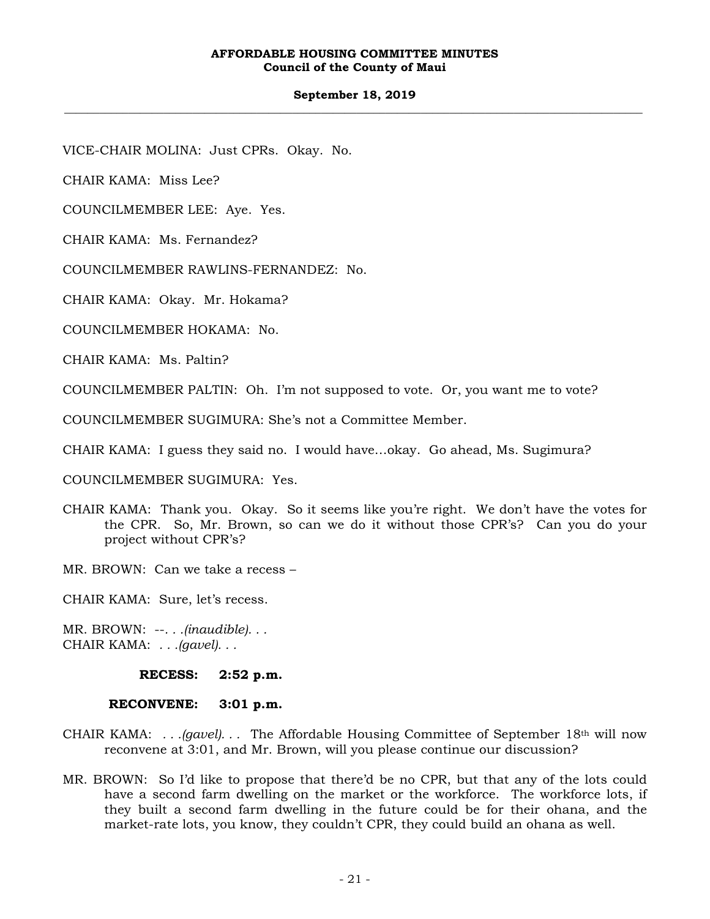#### **September 18, 2019 \_\_\_\_\_\_\_\_\_\_\_\_\_\_\_\_\_\_\_\_\_\_\_\_\_\_\_\_\_\_\_\_\_\_\_\_\_\_\_\_\_\_\_\_\_\_\_\_\_\_\_\_\_\_\_\_\_\_\_\_\_\_\_\_\_\_\_\_\_\_\_\_\_\_\_\_\_\_\_\_\_\_\_\_\_\_\_\_\_\_\_\_\_\_\_\_\_\_\_**

VICE-CHAIR MOLINA: Just CPRs. Okay. No.

CHAIR KAMA: Miss Lee?

COUNCILMEMBER LEE: Aye. Yes.

CHAIR KAMA: Ms. Fernandez?

COUNCILMEMBER RAWLINS-FERNANDEZ: No.

CHAIR KAMA: Okay. Mr. Hokama?

COUNCILMEMBER HOKAMA: No.

CHAIR KAMA: Ms. Paltin?

COUNCILMEMBER PALTIN: Oh. I'm not supposed to vote. Or, you want me to vote?

COUNCILMEMBER SUGIMURA: She's not a Committee Member.

CHAIR KAMA: I guess they said no. I would have…okay. Go ahead, Ms. Sugimura?

COUNCILMEMBER SUGIMURA: Yes.

CHAIR KAMA: Thank you. Okay. So it seems like you're right. We don't have the votes for the CPR. So, Mr. Brown, so can we do it without those CPR's? Can you do your project without CPR's?

MR. BROWN: Can we take a recess –

CHAIR KAMA: Sure, let's recess.

MR. BROWN: --*. . .(inaudible). . .* CHAIR KAMA: *. . .(gavel). . .*

**RECESS: 2:52 p.m.** 

#### **RECONVENE: 3:01 p.m.**

- CHAIR KAMA: *. . .(gavel). . .* The Affordable Housing Committee of September 18th will now reconvene at 3:01, and Mr. Brown, will you please continue our discussion?
- MR. BROWN: So I'd like to propose that there'd be no CPR, but that any of the lots could have a second farm dwelling on the market or the workforce. The workforce lots, if they built a second farm dwelling in the future could be for their ohana, and the market-rate lots, you know, they couldn't CPR, they could build an ohana as well.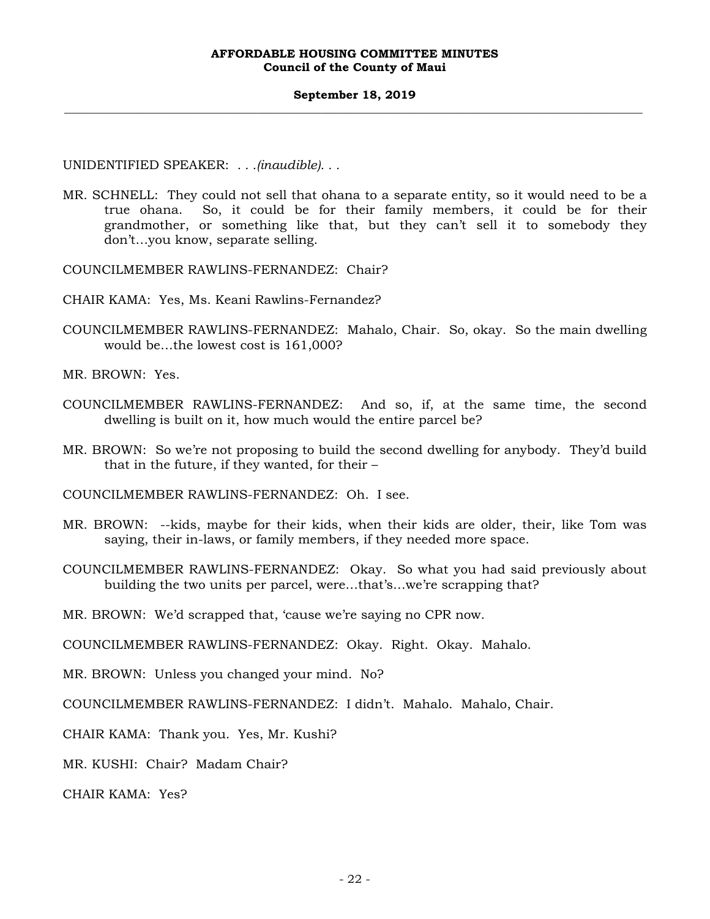UNIDENTIFIED SPEAKER: *. . .(inaudible). . .*

MR. SCHNELL: They could not sell that ohana to a separate entity, so it would need to be a true ohana. So, it could be for their family members, it could be for their grandmother, or something like that, but they can't sell it to somebody they don't…you know, separate selling.

COUNCILMEMBER RAWLINS-FERNANDEZ: Chair?

CHAIR KAMA: Yes, Ms. Keani Rawlins-Fernandez?

COUNCILMEMBER RAWLINS-FERNANDEZ: Mahalo, Chair. So, okay. So the main dwelling would be…the lowest cost is 161,000?

MR. BROWN: Yes.

- COUNCILMEMBER RAWLINS-FERNANDEZ: And so, if, at the same time, the second dwelling is built on it, how much would the entire parcel be?
- MR. BROWN: So we're not proposing to build the second dwelling for anybody. They'd build that in the future, if they wanted, for their –

COUNCILMEMBER RAWLINS-FERNANDEZ: Oh. I see.

- MR. BROWN: --kids, maybe for their kids, when their kids are older, their, like Tom was saying, their in-laws, or family members, if they needed more space.
- COUNCILMEMBER RAWLINS-FERNANDEZ: Okay. So what you had said previously about building the two units per parcel, were…that's…we're scrapping that?

MR. BROWN: We'd scrapped that, 'cause we're saying no CPR now.

COUNCILMEMBER RAWLINS-FERNANDEZ: Okay. Right. Okay. Mahalo.

MR. BROWN: Unless you changed your mind. No?

COUNCILMEMBER RAWLINS-FERNANDEZ: I didn't. Mahalo. Mahalo, Chair.

CHAIR KAMA: Thank you. Yes, Mr. Kushi?

MR. KUSHI: Chair? Madam Chair?

CHAIR KAMA: Yes?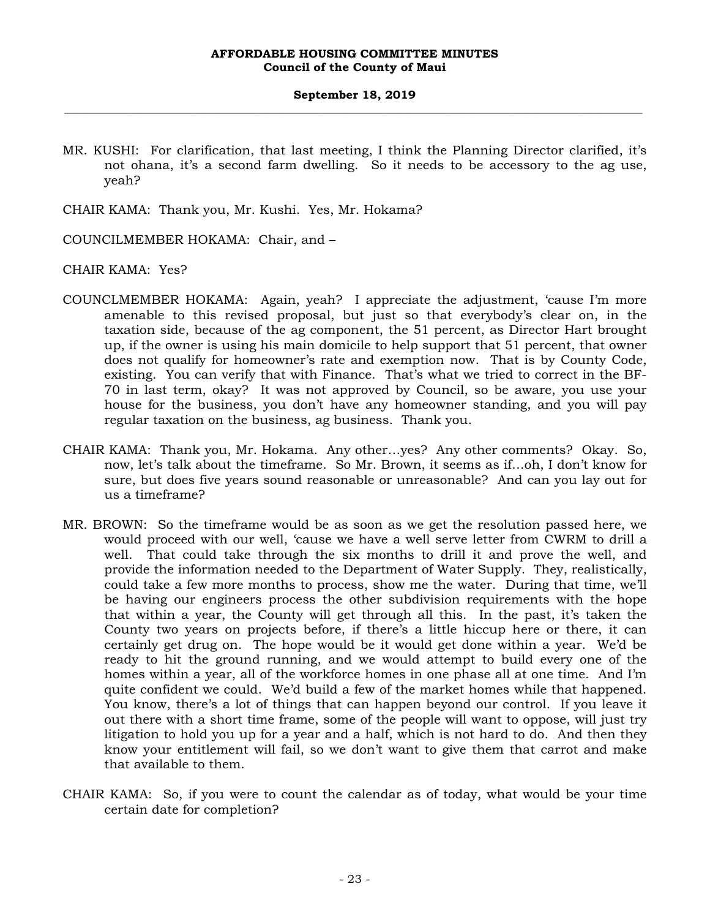MR. KUSHI: For clarification, that last meeting, I think the Planning Director clarified, it's not ohana, it's a second farm dwelling. So it needs to be accessory to the ag use, yeah?

CHAIR KAMA: Thank you, Mr. Kushi. Yes, Mr. Hokama?

COUNCILMEMBER HOKAMA: Chair, and –

CHAIR KAMA: Yes?

- COUNCLMEMBER HOKAMA: Again, yeah? I appreciate the adjustment, 'cause I'm more amenable to this revised proposal, but just so that everybody's clear on, in the taxation side, because of the ag component, the 51 percent, as Director Hart brought up, if the owner is using his main domicile to help support that 51 percent, that owner does not qualify for homeowner's rate and exemption now. That is by County Code, existing. You can verify that with Finance. That's what we tried to correct in the BF-70 in last term, okay? It was not approved by Council, so be aware, you use your house for the business, you don't have any homeowner standing, and you will pay regular taxation on the business, ag business. Thank you.
- CHAIR KAMA: Thank you, Mr. Hokama. Any other…yes? Any other comments? Okay. So, now, let's talk about the timeframe. So Mr. Brown, it seems as if…oh, I don't know for sure, but does five years sound reasonable or unreasonable? And can you lay out for us a timeframe?
- MR. BROWN: So the timeframe would be as soon as we get the resolution passed here, we would proceed with our well, 'cause we have a well serve letter from CWRM to drill a well. That could take through the six months to drill it and prove the well, and provide the information needed to the Department of Water Supply. They, realistically, could take a few more months to process, show me the water. During that time, we'll be having our engineers process the other subdivision requirements with the hope that within a year, the County will get through all this. In the past, it's taken the County two years on projects before, if there's a little hiccup here or there, it can certainly get drug on. The hope would be it would get done within a year. We'd be ready to hit the ground running, and we would attempt to build every one of the homes within a year, all of the workforce homes in one phase all at one time. And I'm quite confident we could. We'd build a few of the market homes while that happened. You know, there's a lot of things that can happen beyond our control. If you leave it out there with a short time frame, some of the people will want to oppose, will just try litigation to hold you up for a year and a half, which is not hard to do. And then they know your entitlement will fail, so we don't want to give them that carrot and make that available to them.
- CHAIR KAMA: So, if you were to count the calendar as of today, what would be your time certain date for completion?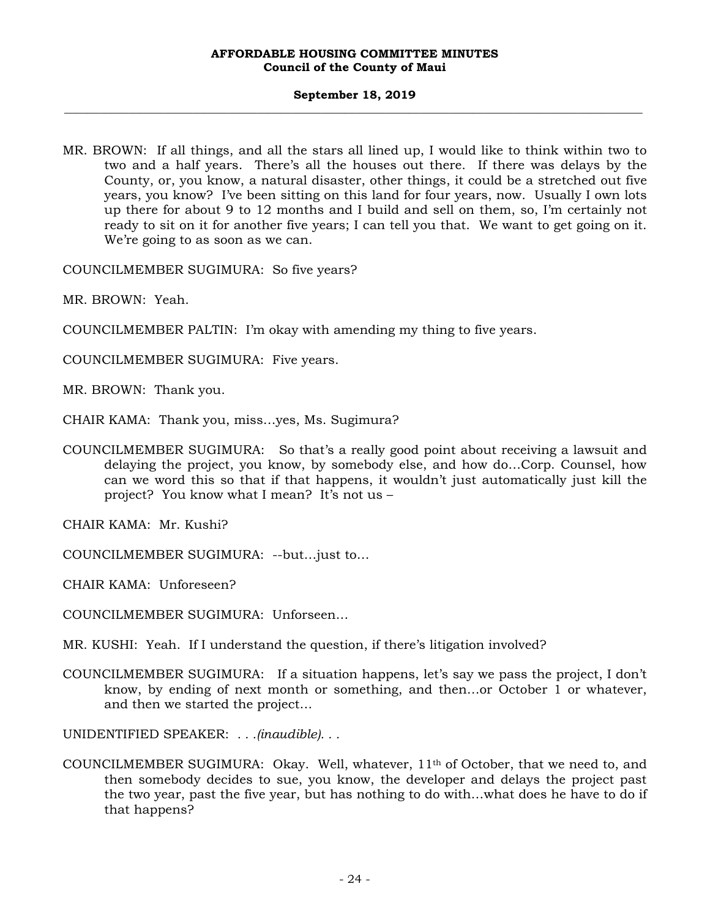#### **September 18, 2019 \_\_\_\_\_\_\_\_\_\_\_\_\_\_\_\_\_\_\_\_\_\_\_\_\_\_\_\_\_\_\_\_\_\_\_\_\_\_\_\_\_\_\_\_\_\_\_\_\_\_\_\_\_\_\_\_\_\_\_\_\_\_\_\_\_\_\_\_\_\_\_\_\_\_\_\_\_\_\_\_\_\_\_\_\_\_\_\_\_\_\_\_\_\_\_\_\_\_\_**

MR. BROWN: If all things, and all the stars all lined up, I would like to think within two to two and a half years. There's all the houses out there. If there was delays by the County, or, you know, a natural disaster, other things, it could be a stretched out five years, you know? I've been sitting on this land for four years, now. Usually I own lots up there for about 9 to 12 months and I build and sell on them, so, I'm certainly not ready to sit on it for another five years; I can tell you that. We want to get going on it. We're going to as soon as we can.

COUNCILMEMBER SUGIMURA: So five years?

MR. BROWN: Yeah.

COUNCILMEMBER PALTIN: I'm okay with amending my thing to five years.

COUNCILMEMBER SUGIMURA: Five years.

MR. BROWN: Thank you.

CHAIR KAMA: Thank you, miss…yes, Ms. Sugimura?

COUNCILMEMBER SUGIMURA: So that's a really good point about receiving a lawsuit and delaying the project, you know, by somebody else, and how do…Corp. Counsel, how can we word this so that if that happens, it wouldn't just automatically just kill the project? You know what I mean? It's not us –

CHAIR KAMA: Mr. Kushi?

COUNCILMEMBER SUGIMURA: --but…just to…

CHAIR KAMA: Unforeseen?

COUNCILMEMBER SUGIMURA: Unforseen…

MR. KUSHI: Yeah. If I understand the question, if there's litigation involved?

COUNCILMEMBER SUGIMURA: If a situation happens, let's say we pass the project, I don't know, by ending of next month or something, and then…or October 1 or whatever, and then we started the project…

UNIDENTIFIED SPEAKER: *. . .(inaudible). . .*

COUNCILMEMBER SUGIMURA: Okay. Well, whatever, 11th of October, that we need to, and then somebody decides to sue, you know, the developer and delays the project past the two year, past the five year, but has nothing to do with…what does he have to do if that happens?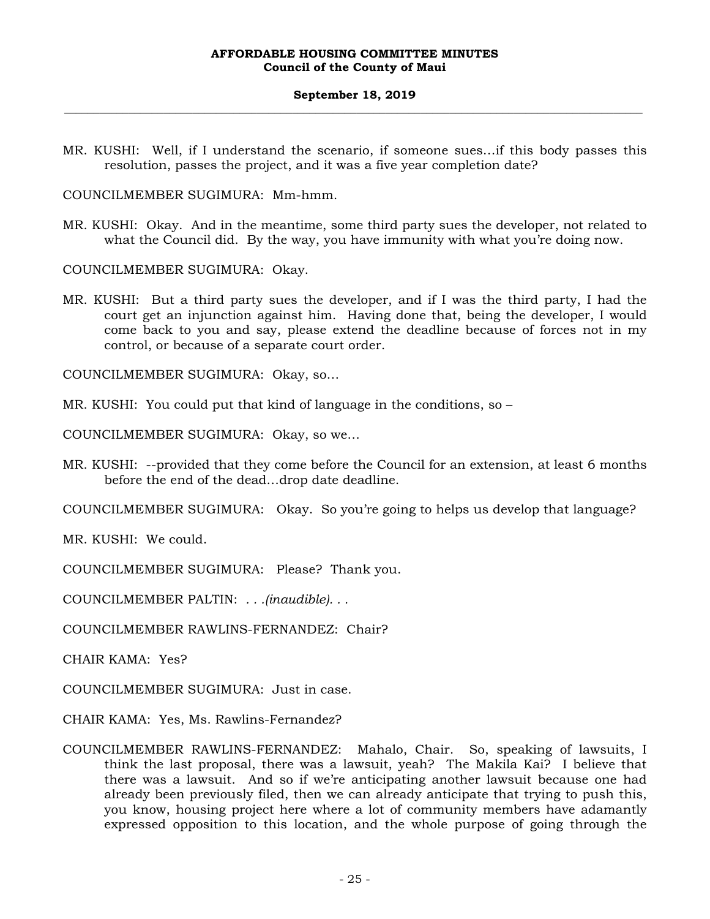MR. KUSHI: Well, if I understand the scenario, if someone sues…if this body passes this resolution, passes the project, and it was a five year completion date?

COUNCILMEMBER SUGIMURA: Mm-hmm.

MR. KUSHI: Okay. And in the meantime, some third party sues the developer, not related to what the Council did. By the way, you have immunity with what you're doing now.

COUNCILMEMBER SUGIMURA: Okay.

MR. KUSHI: But a third party sues the developer, and if I was the third party, I had the court get an injunction against him. Having done that, being the developer, I would come back to you and say, please extend the deadline because of forces not in my control, or because of a separate court order.

COUNCILMEMBER SUGIMURA: Okay, so…

MR. KUSHI: You could put that kind of language in the conditions, so –

COUNCILMEMBER SUGIMURA: Okay, so we…

MR. KUSHI: --provided that they come before the Council for an extension, at least 6 months before the end of the dead…drop date deadline.

COUNCILMEMBER SUGIMURA: Okay. So you're going to helps us develop that language?

MR. KUSHI: We could.

COUNCILMEMBER SUGIMURA: Please? Thank you.

COUNCILMEMBER PALTIN: *. . .(inaudible). . .*

COUNCILMEMBER RAWLINS-FERNANDEZ: Chair?

CHAIR KAMA: Yes?

COUNCILMEMBER SUGIMURA: Just in case.

CHAIR KAMA: Yes, Ms. Rawlins-Fernandez?

COUNCILMEMBER RAWLINS-FERNANDEZ: Mahalo, Chair. So, speaking of lawsuits, I think the last proposal, there was a lawsuit, yeah? The Makila Kai? I believe that there was a lawsuit. And so if we're anticipating another lawsuit because one had already been previously filed, then we can already anticipate that trying to push this, you know, housing project here where a lot of community members have adamantly expressed opposition to this location, and the whole purpose of going through the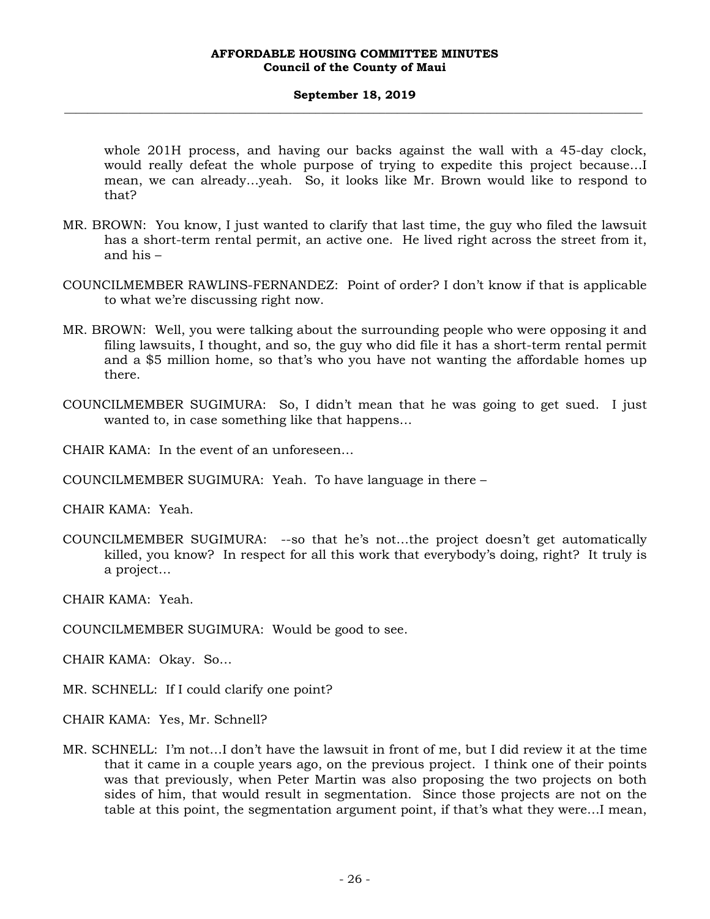whole 201H process, and having our backs against the wall with a 45-day clock, would really defeat the whole purpose of trying to expedite this project because…I mean, we can already…yeah. So, it looks like Mr. Brown would like to respond to that?

- MR. BROWN: You know, I just wanted to clarify that last time, the guy who filed the lawsuit has a short-term rental permit, an active one. He lived right across the street from it, and his –
- COUNCILMEMBER RAWLINS-FERNANDEZ: Point of order? I don't know if that is applicable to what we're discussing right now.
- MR. BROWN: Well, you were talking about the surrounding people who were opposing it and filing lawsuits, I thought, and so, the guy who did file it has a short-term rental permit and a \$5 million home, so that's who you have not wanting the affordable homes up there.
- COUNCILMEMBER SUGIMURA: So, I didn't mean that he was going to get sued. I just wanted to, in case something like that happens…
- CHAIR KAMA: In the event of an unforeseen…
- COUNCILMEMBER SUGIMURA: Yeah. To have language in there –

CHAIR KAMA: Yeah.

COUNCILMEMBER SUGIMURA: --so that he's not…the project doesn't get automatically killed, you know? In respect for all this work that everybody's doing, right? It truly is a project…

CHAIR KAMA: Yeah.

COUNCILMEMBER SUGIMURA: Would be good to see.

CHAIR KAMA: Okay. So…

MR. SCHNELL: If I could clarify one point?

CHAIR KAMA: Yes, Mr. Schnell?

MR. SCHNELL: I'm not…I don't have the lawsuit in front of me, but I did review it at the time that it came in a couple years ago, on the previous project. I think one of their points was that previously, when Peter Martin was also proposing the two projects on both sides of him, that would result in segmentation. Since those projects are not on the table at this point, the segmentation argument point, if that's what they were…I mean,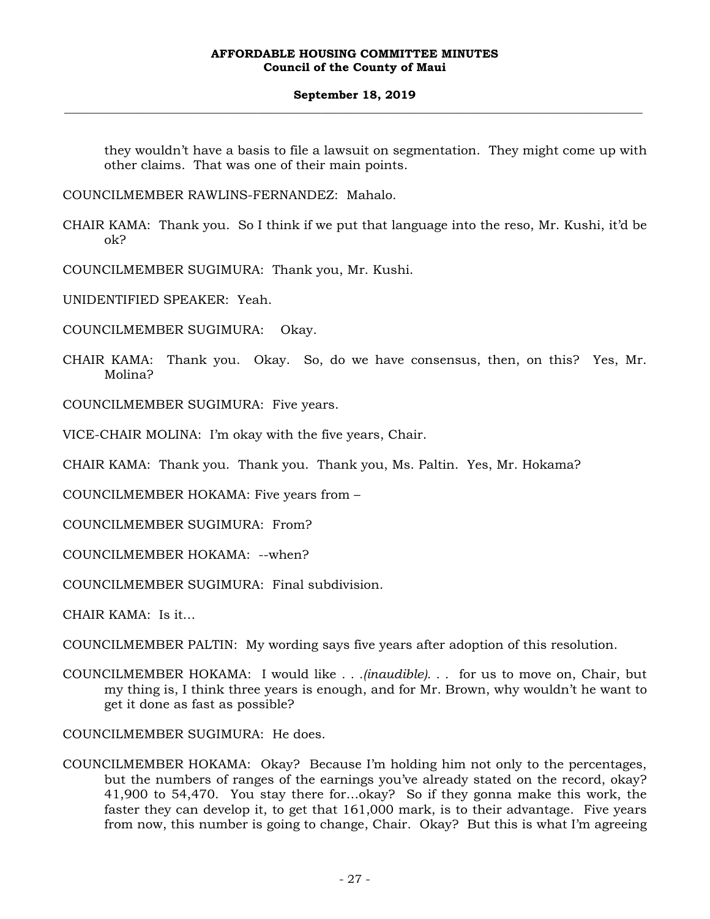they wouldn't have a basis to file a lawsuit on segmentation. They might come up with other claims. That was one of their main points.

COUNCILMEMBER RAWLINS-FERNANDEZ: Mahalo.

- CHAIR KAMA: Thank you. So I think if we put that language into the reso, Mr. Kushi, it'd be ok?
- COUNCILMEMBER SUGIMURA: Thank you, Mr. Kushi.

UNIDENTIFIED SPEAKER: Yeah.

COUNCILMEMBER SUGIMURA: Okay.

CHAIR KAMA: Thank you. Okay. So, do we have consensus, then, on this? Yes, Mr. Molina?

COUNCILMEMBER SUGIMURA: Five years.

VICE-CHAIR MOLINA: I'm okay with the five years, Chair.

CHAIR KAMA: Thank you. Thank you. Thank you, Ms. Paltin. Yes, Mr. Hokama?

COUNCILMEMBER HOKAMA: Five years from –

COUNCILMEMBER SUGIMURA: From?

COUNCILMEMBER HOKAMA: --when?

COUNCILMEMBER SUGIMURA: Final subdivision.

CHAIR KAMA: Is it…

COUNCILMEMBER PALTIN: My wording says five years after adoption of this resolution.

COUNCILMEMBER HOKAMA: I would like *. . .(inaudible). . .* for us to move on, Chair, but my thing is, I think three years is enough, and for Mr. Brown, why wouldn't he want to get it done as fast as possible?

COUNCILMEMBER SUGIMURA: He does.

COUNCILMEMBER HOKAMA: Okay? Because I'm holding him not only to the percentages, but the numbers of ranges of the earnings you've already stated on the record, okay? 41,900 to 54,470. You stay there for…okay? So if they gonna make this work, the faster they can develop it, to get that 161,000 mark, is to their advantage. Five years from now, this number is going to change, Chair. Okay? But this is what I'm agreeing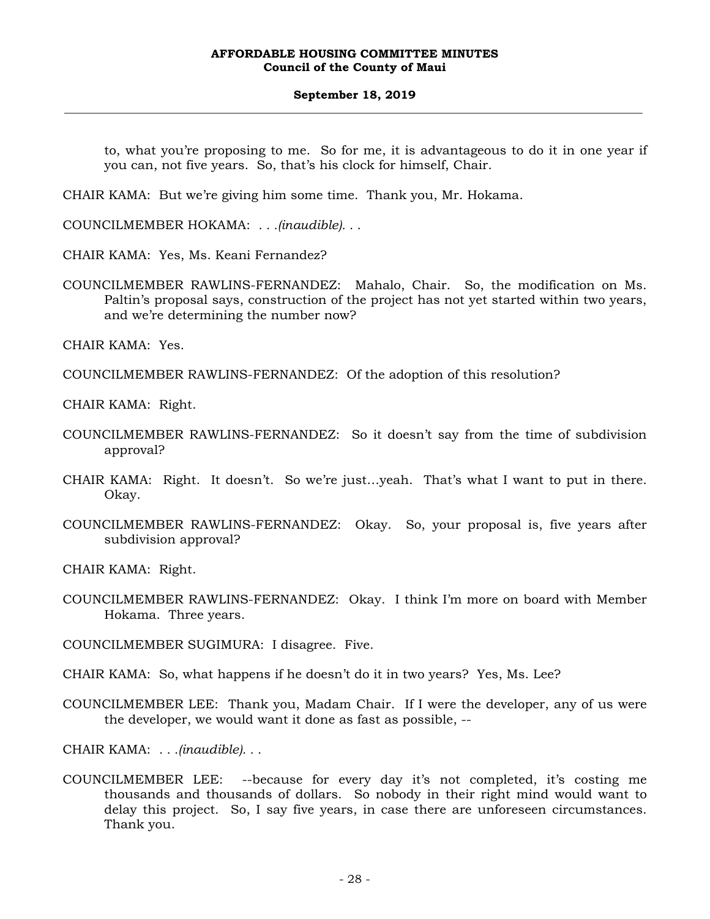#### **September 18, 2019 \_\_\_\_\_\_\_\_\_\_\_\_\_\_\_\_\_\_\_\_\_\_\_\_\_\_\_\_\_\_\_\_\_\_\_\_\_\_\_\_\_\_\_\_\_\_\_\_\_\_\_\_\_\_\_\_\_\_\_\_\_\_\_\_\_\_\_\_\_\_\_\_\_\_\_\_\_\_\_\_\_\_\_\_\_\_\_\_\_\_\_\_\_\_\_\_\_\_\_**

to, what you're proposing to me. So for me, it is advantageous to do it in one year if you can, not five years. So, that's his clock for himself, Chair.

CHAIR KAMA: But we're giving him some time. Thank you, Mr. Hokama.

COUNCILMEMBER HOKAMA: *. . .(inaudible). . .*

CHAIR KAMA: Yes, Ms. Keani Fernandez?

COUNCILMEMBER RAWLINS-FERNANDEZ: Mahalo, Chair. So, the modification on Ms. Paltin's proposal says, construction of the project has not yet started within two years, and we're determining the number now?

CHAIR KAMA: Yes.

COUNCILMEMBER RAWLINS-FERNANDEZ: Of the adoption of this resolution?

CHAIR KAMA: Right.

- COUNCILMEMBER RAWLINS-FERNANDEZ: So it doesn't say from the time of subdivision approval?
- CHAIR KAMA: Right. It doesn't. So we're just…yeah. That's what I want to put in there. Okay.
- COUNCILMEMBER RAWLINS-FERNANDEZ: Okay. So, your proposal is, five years after subdivision approval?

CHAIR KAMA: Right.

COUNCILMEMBER RAWLINS-FERNANDEZ: Okay. I think I'm more on board with Member Hokama. Three years.

COUNCILMEMBER SUGIMURA: I disagree. Five.

CHAIR KAMA: So, what happens if he doesn't do it in two years? Yes, Ms. Lee?

- COUNCILMEMBER LEE: Thank you, Madam Chair. If I were the developer, any of us were the developer, we would want it done as fast as possible, --
- CHAIR KAMA: *. . .(inaudible). . .*
- COUNCILMEMBER LEE: --because for every day it's not completed, it's costing me thousands and thousands of dollars. So nobody in their right mind would want to delay this project. So, I say five years, in case there are unforeseen circumstances. Thank you.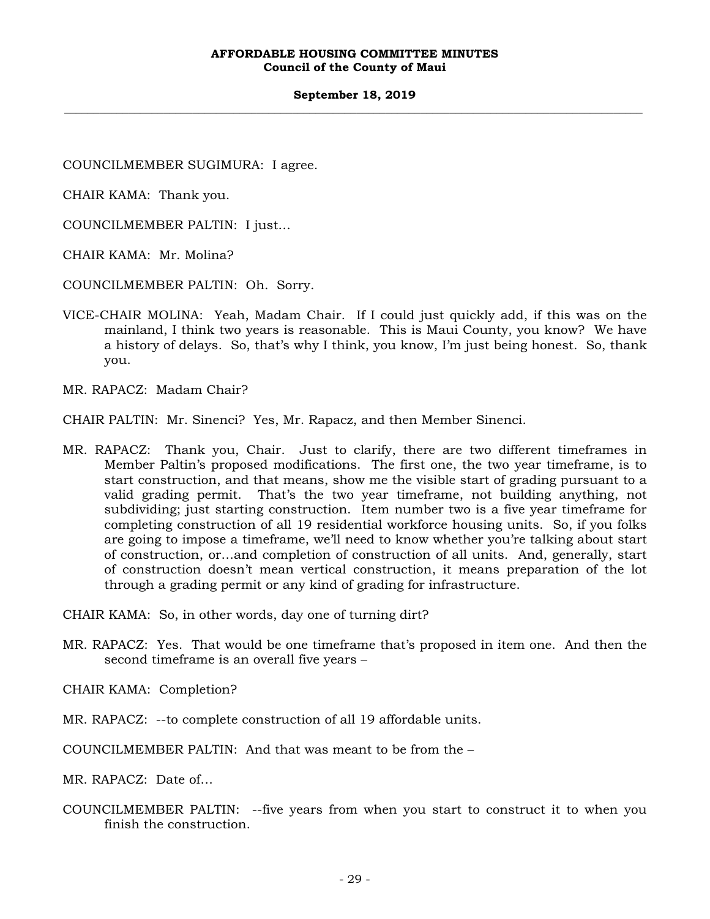#### **September 18, 2019 \_\_\_\_\_\_\_\_\_\_\_\_\_\_\_\_\_\_\_\_\_\_\_\_\_\_\_\_\_\_\_\_\_\_\_\_\_\_\_\_\_\_\_\_\_\_\_\_\_\_\_\_\_\_\_\_\_\_\_\_\_\_\_\_\_\_\_\_\_\_\_\_\_\_\_\_\_\_\_\_\_\_\_\_\_\_\_\_\_\_\_\_\_\_\_\_\_\_\_**

COUNCILMEMBER SUGIMURA: I agree.

CHAIR KAMA: Thank you.

COUNCILMEMBER PALTIN: I just…

CHAIR KAMA: Mr. Molina?

COUNCILMEMBER PALTIN: Oh. Sorry.

VICE-CHAIR MOLINA: Yeah, Madam Chair. If I could just quickly add, if this was on the mainland, I think two years is reasonable. This is Maui County, you know? We have a history of delays. So, that's why I think, you know, I'm just being honest. So, thank you.

MR. RAPACZ: Madam Chair?

CHAIR PALTIN: Mr. Sinenci? Yes, Mr. Rapacz, and then Member Sinenci.

MR. RAPACZ: Thank you, Chair. Just to clarify, there are two different timeframes in Member Paltin's proposed modifications. The first one, the two year timeframe, is to start construction, and that means, show me the visible start of grading pursuant to a valid grading permit. That's the two year timeframe, not building anything, not subdividing; just starting construction. Item number two is a five year timeframe for completing construction of all 19 residential workforce housing units. So, if you folks are going to impose a timeframe, we'll need to know whether you're talking about start of construction, or…and completion of construction of all units. And, generally, start of construction doesn't mean vertical construction, it means preparation of the lot through a grading permit or any kind of grading for infrastructure.

CHAIR KAMA: So, in other words, day one of turning dirt?

MR. RAPACZ: Yes. That would be one timeframe that's proposed in item one. And then the second timeframe is an overall five years –

CHAIR KAMA: Completion?

MR. RAPACZ: --to complete construction of all 19 affordable units.

COUNCILMEMBER PALTIN: And that was meant to be from the –

MR. RAPACZ: Date of…

COUNCILMEMBER PALTIN: --five years from when you start to construct it to when you finish the construction.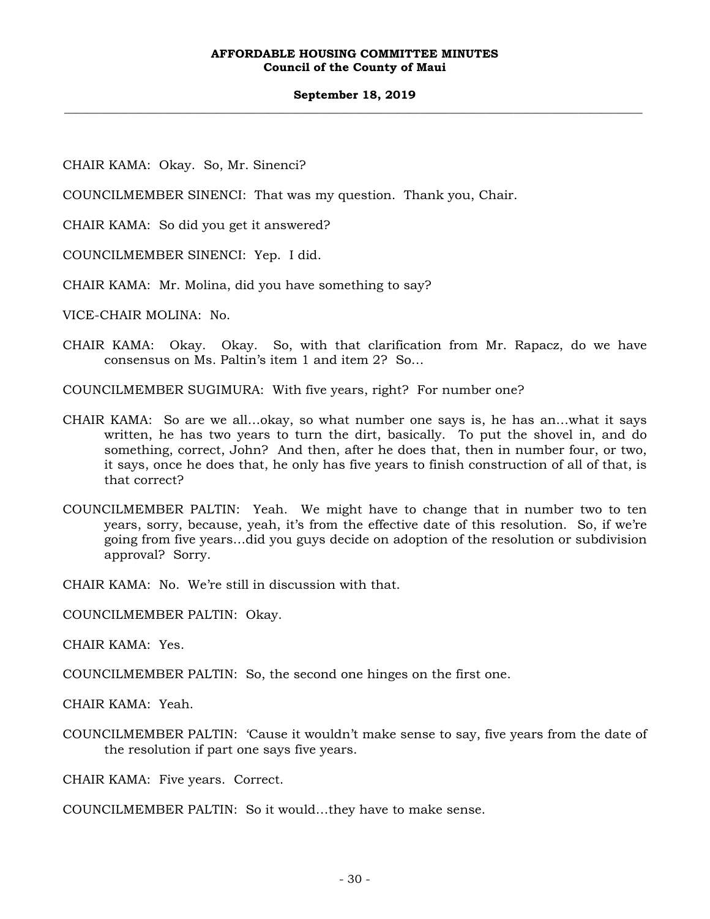#### **September 18, 2019 \_\_\_\_\_\_\_\_\_\_\_\_\_\_\_\_\_\_\_\_\_\_\_\_\_\_\_\_\_\_\_\_\_\_\_\_\_\_\_\_\_\_\_\_\_\_\_\_\_\_\_\_\_\_\_\_\_\_\_\_\_\_\_\_\_\_\_\_\_\_\_\_\_\_\_\_\_\_\_\_\_\_\_\_\_\_\_\_\_\_\_\_\_\_\_\_\_\_\_**

CHAIR KAMA: Okay. So, Mr. Sinenci?

COUNCILMEMBER SINENCI: That was my question. Thank you, Chair.

CHAIR KAMA: So did you get it answered?

COUNCILMEMBER SINENCI: Yep. I did.

CHAIR KAMA: Mr. Molina, did you have something to say?

VICE-CHAIR MOLINA: No.

CHAIR KAMA: Okay. Okay. So, with that clarification from Mr. Rapacz, do we have consensus on Ms. Paltin's item 1 and item 2? So…

COUNCILMEMBER SUGIMURA: With five years, right? For number one?

- CHAIR KAMA: So are we all…okay, so what number one says is, he has an…what it says written, he has two years to turn the dirt, basically. To put the shovel in, and do something, correct, John? And then, after he does that, then in number four, or two, it says, once he does that, he only has five years to finish construction of all of that, is that correct?
- COUNCILMEMBER PALTIN: Yeah. We might have to change that in number two to ten years, sorry, because, yeah, it's from the effective date of this resolution. So, if we're going from five years…did you guys decide on adoption of the resolution or subdivision approval? Sorry.
- CHAIR KAMA: No. We're still in discussion with that.

COUNCILMEMBER PALTIN: Okay.

CHAIR KAMA: Yes.

COUNCILMEMBER PALTIN: So, the second one hinges on the first one.

CHAIR KAMA: Yeah.

COUNCILMEMBER PALTIN: 'Cause it wouldn't make sense to say, five years from the date of the resolution if part one says five years.

CHAIR KAMA: Five years. Correct.

COUNCILMEMBER PALTIN: So it would…they have to make sense.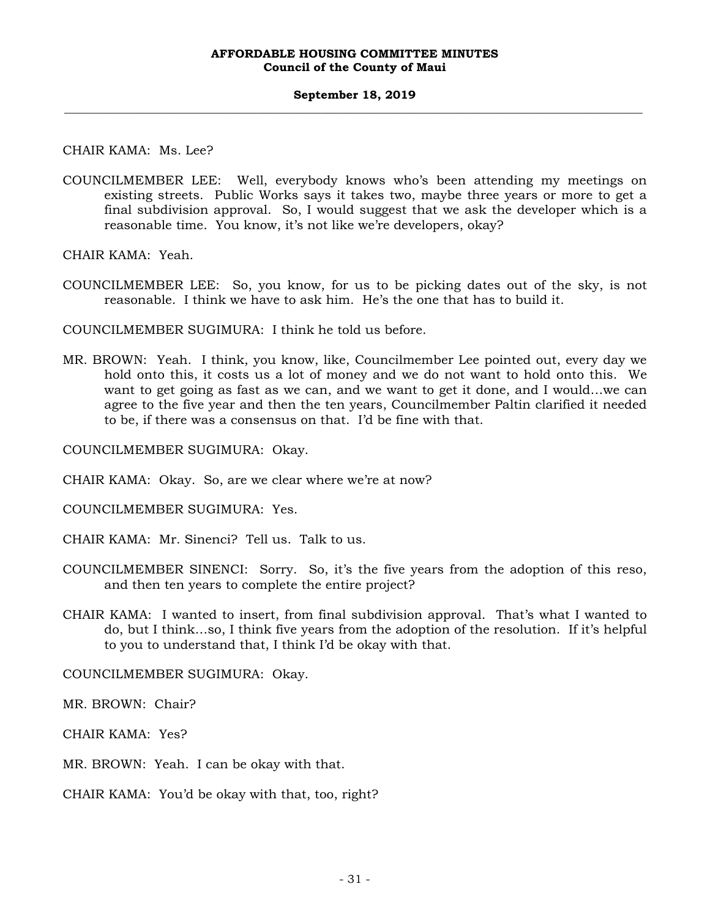CHAIR KAMA: Ms. Lee?

COUNCILMEMBER LEE: Well, everybody knows who's been attending my meetings on existing streets. Public Works says it takes two, maybe three years or more to get a final subdivision approval. So, I would suggest that we ask the developer which is a reasonable time. You know, it's not like we're developers, okay?

CHAIR KAMA: Yeah.

COUNCILMEMBER LEE: So, you know, for us to be picking dates out of the sky, is not reasonable. I think we have to ask him. He's the one that has to build it.

COUNCILMEMBER SUGIMURA: I think he told us before.

MR. BROWN: Yeah. I think, you know, like, Councilmember Lee pointed out, every day we hold onto this, it costs us a lot of money and we do not want to hold onto this. We want to get going as fast as we can, and we want to get it done, and I would…we can agree to the five year and then the ten years, Councilmember Paltin clarified it needed to be, if there was a consensus on that. I'd be fine with that.

COUNCILMEMBER SUGIMURA: Okay.

CHAIR KAMA: Okay. So, are we clear where we're at now?

COUNCILMEMBER SUGIMURA: Yes.

CHAIR KAMA: Mr. Sinenci? Tell us. Talk to us.

- COUNCILMEMBER SINENCI: Sorry. So, it's the five years from the adoption of this reso, and then ten years to complete the entire project?
- CHAIR KAMA: I wanted to insert, from final subdivision approval. That's what I wanted to do, but I think…so, I think five years from the adoption of the resolution. If it's helpful to you to understand that, I think I'd be okay with that.

COUNCILMEMBER SUGIMURA: Okay.

MR. BROWN: Chair?

CHAIR KAMA: Yes?

MR. BROWN: Yeah. I can be okay with that.

CHAIR KAMA: You'd be okay with that, too, right?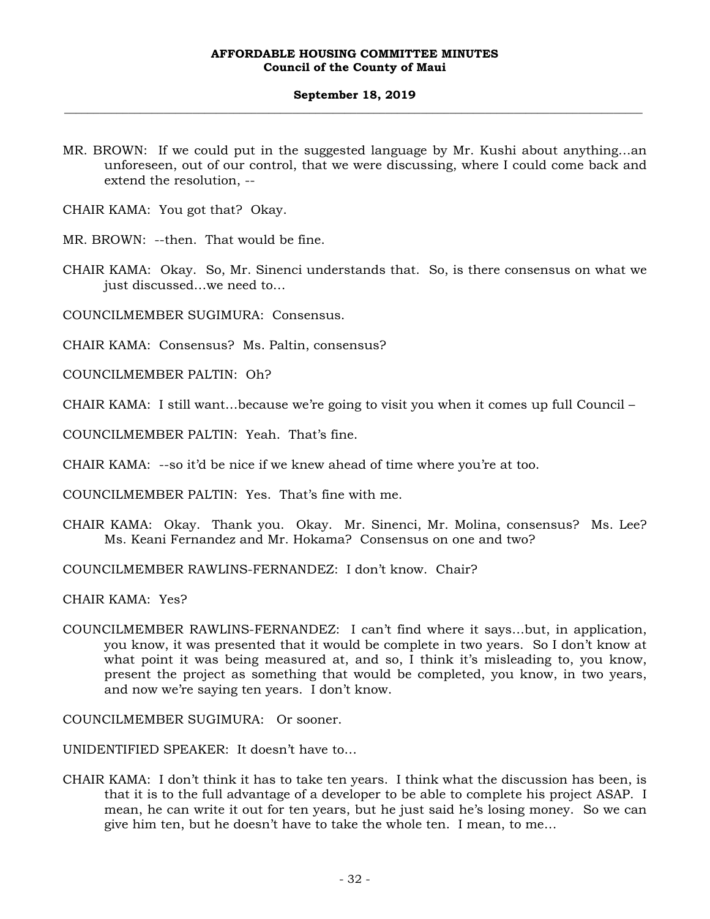MR. BROWN: If we could put in the suggested language by Mr. Kushi about anything…an unforeseen, out of our control, that we were discussing, where I could come back and extend the resolution, --

CHAIR KAMA: You got that? Okay.

MR. BROWN: --then. That would be fine.

CHAIR KAMA: Okay. So, Mr. Sinenci understands that. So, is there consensus on what we just discussed…we need to…

COUNCILMEMBER SUGIMURA: Consensus.

CHAIR KAMA: Consensus? Ms. Paltin, consensus?

COUNCILMEMBER PALTIN: Oh?

CHAIR KAMA: I still want…because we're going to visit you when it comes up full Council –

COUNCILMEMBER PALTIN: Yeah. That's fine.

CHAIR KAMA: --so it'd be nice if we knew ahead of time where you're at too.

COUNCILMEMBER PALTIN: Yes. That's fine with me.

CHAIR KAMA: Okay. Thank you. Okay. Mr. Sinenci, Mr. Molina, consensus? Ms. Lee? Ms. Keani Fernandez and Mr. Hokama? Consensus on one and two?

COUNCILMEMBER RAWLINS-FERNANDEZ: I don't know. Chair?

CHAIR KAMA: Yes?

COUNCILMEMBER RAWLINS-FERNANDEZ: I can't find where it says…but, in application, you know, it was presented that it would be complete in two years. So I don't know at what point it was being measured at, and so, I think it's misleading to, you know, present the project as something that would be completed, you know, in two years, and now we're saying ten years. I don't know.

COUNCILMEMBER SUGIMURA: Or sooner.

UNIDENTIFIED SPEAKER: It doesn't have to…

CHAIR KAMA: I don't think it has to take ten years. I think what the discussion has been, is that it is to the full advantage of a developer to be able to complete his project ASAP. I mean, he can write it out for ten years, but he just said he's losing money. So we can give him ten, but he doesn't have to take the whole ten. I mean, to me…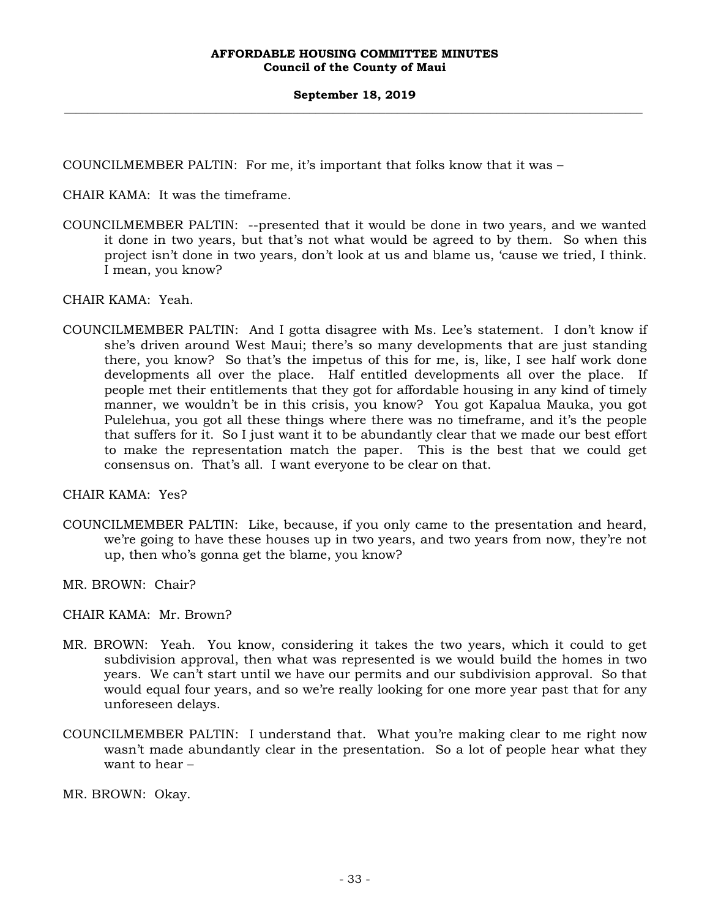COUNCILMEMBER PALTIN: For me, it's important that folks know that it was –

CHAIR KAMA: It was the timeframe.

COUNCILMEMBER PALTIN: --presented that it would be done in two years, and we wanted it done in two years, but that's not what would be agreed to by them. So when this project isn't done in two years, don't look at us and blame us, 'cause we tried, I think. I mean, you know?

CHAIR KAMA: Yeah.

COUNCILMEMBER PALTIN: And I gotta disagree with Ms. Lee's statement. I don't know if she's driven around West Maui; there's so many developments that are just standing there, you know? So that's the impetus of this for me, is, like, I see half work done developments all over the place. Half entitled developments all over the place. If people met their entitlements that they got for affordable housing in any kind of timely manner, we wouldn't be in this crisis, you know? You got Kapalua Mauka, you got Pulelehua, you got all these things where there was no timeframe, and it's the people that suffers for it. So I just want it to be abundantly clear that we made our best effort to make the representation match the paper. This is the best that we could get consensus on. That's all. I want everyone to be clear on that.

CHAIR KAMA: Yes?

- COUNCILMEMBER PALTIN: Like, because, if you only came to the presentation and heard, we're going to have these houses up in two years, and two years from now, they're not up, then who's gonna get the blame, you know?
- MR. BROWN: Chair?

CHAIR KAMA: Mr. Brown?

- MR. BROWN: Yeah. You know, considering it takes the two years, which it could to get subdivision approval, then what was represented is we would build the homes in two years. We can't start until we have our permits and our subdivision approval. So that would equal four years, and so we're really looking for one more year past that for any unforeseen delays.
- COUNCILMEMBER PALTIN: I understand that. What you're making clear to me right now wasn't made abundantly clear in the presentation. So a lot of people hear what they want to hear –

MR. BROWN: Okay.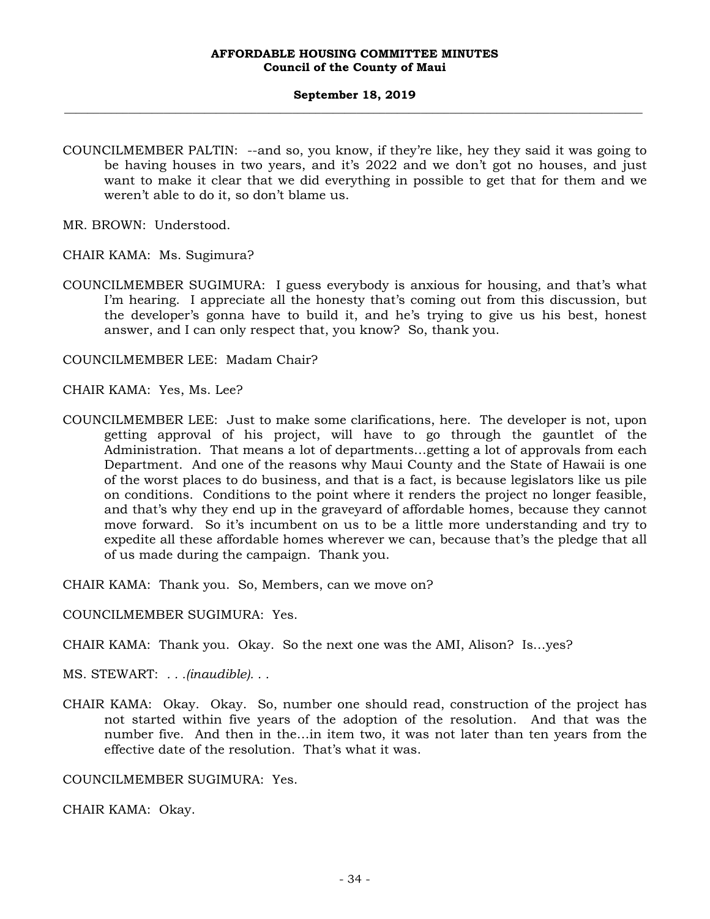COUNCILMEMBER PALTIN: --and so, you know, if they're like, hey they said it was going to be having houses in two years, and it's 2022 and we don't got no houses, and just want to make it clear that we did everything in possible to get that for them and we weren't able to do it, so don't blame us.

MR. BROWN: Understood.

CHAIR KAMA: Ms. Sugimura?

COUNCILMEMBER SUGIMURA: I guess everybody is anxious for housing, and that's what I'm hearing. I appreciate all the honesty that's coming out from this discussion, but the developer's gonna have to build it, and he's trying to give us his best, honest answer, and I can only respect that, you know? So, thank you.

COUNCILMEMBER LEE: Madam Chair?

CHAIR KAMA: Yes, Ms. Lee?

COUNCILMEMBER LEE: Just to make some clarifications, here. The developer is not, upon getting approval of his project, will have to go through the gauntlet of the Administration. That means a lot of departments…getting a lot of approvals from each Department. And one of the reasons why Maui County and the State of Hawaii is one of the worst places to do business, and that is a fact, is because legislators like us pile on conditions. Conditions to the point where it renders the project no longer feasible, and that's why they end up in the graveyard of affordable homes, because they cannot move forward. So it's incumbent on us to be a little more understanding and try to expedite all these affordable homes wherever we can, because that's the pledge that all of us made during the campaign. Thank you.

CHAIR KAMA: Thank you. So, Members, can we move on?

COUNCILMEMBER SUGIMURA: Yes.

CHAIR KAMA: Thank you. Okay. So the next one was the AMI, Alison? Is…yes?

MS. STEWART: *. . .(inaudible). . .* 

CHAIR KAMA: Okay. Okay. So, number one should read, construction of the project has not started within five years of the adoption of the resolution. And that was the number five. And then in the…in item two, it was not later than ten years from the effective date of the resolution. That's what it was.

COUNCILMEMBER SUGIMURA: Yes.

CHAIR KAMA: Okay.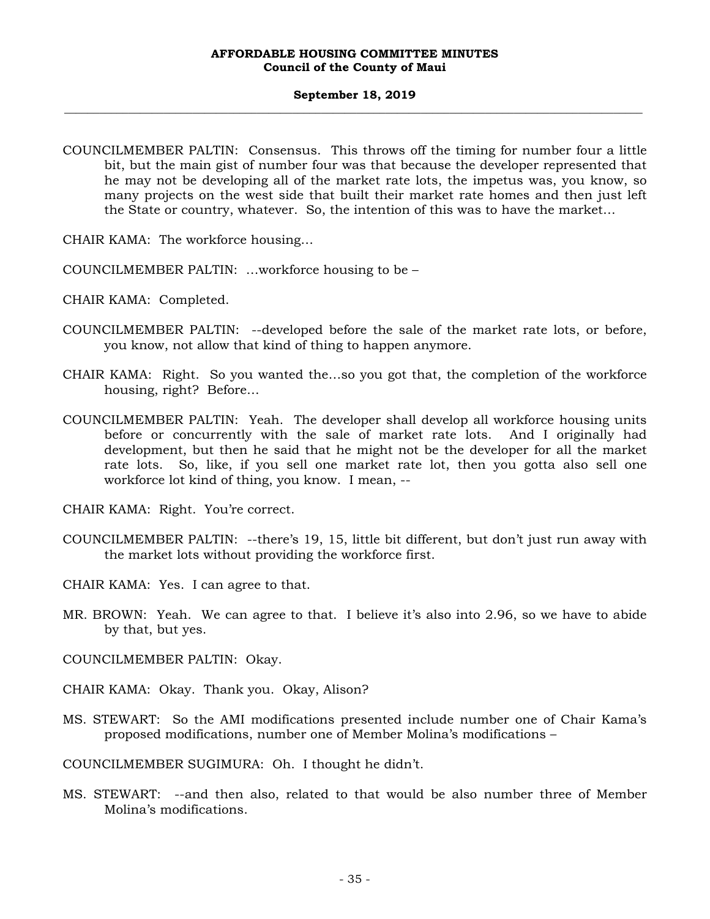#### **September 18, 2019 \_\_\_\_\_\_\_\_\_\_\_\_\_\_\_\_\_\_\_\_\_\_\_\_\_\_\_\_\_\_\_\_\_\_\_\_\_\_\_\_\_\_\_\_\_\_\_\_\_\_\_\_\_\_\_\_\_\_\_\_\_\_\_\_\_\_\_\_\_\_\_\_\_\_\_\_\_\_\_\_\_\_\_\_\_\_\_\_\_\_\_\_\_\_\_\_\_\_\_**

- COUNCILMEMBER PALTIN: Consensus. This throws off the timing for number four a little bit, but the main gist of number four was that because the developer represented that he may not be developing all of the market rate lots, the impetus was, you know, so many projects on the west side that built their market rate homes and then just left the State or country, whatever. So, the intention of this was to have the market…
- CHAIR KAMA: The workforce housing…
- COUNCILMEMBER PALTIN: …workforce housing to be –
- CHAIR KAMA: Completed.
- COUNCILMEMBER PALTIN: --developed before the sale of the market rate lots, or before, you know, not allow that kind of thing to happen anymore.
- CHAIR KAMA: Right. So you wanted the…so you got that, the completion of the workforce housing, right? Before…
- COUNCILMEMBER PALTIN: Yeah. The developer shall develop all workforce housing units before or concurrently with the sale of market rate lots. And I originally had development, but then he said that he might not be the developer for all the market rate lots. So, like, if you sell one market rate lot, then you gotta also sell one workforce lot kind of thing, you know. I mean, --
- CHAIR KAMA: Right. You're correct.
- COUNCILMEMBER PALTIN: --there's 19, 15, little bit different, but don't just run away with the market lots without providing the workforce first.
- CHAIR KAMA: Yes. I can agree to that.
- MR. BROWN: Yeah. We can agree to that. I believe it's also into 2.96, so we have to abide by that, but yes.
- COUNCILMEMBER PALTIN: Okay.
- CHAIR KAMA: Okay. Thank you. Okay, Alison?
- MS. STEWART: So the AMI modifications presented include number one of Chair Kama's proposed modifications, number one of Member Molina's modifications –

COUNCILMEMBER SUGIMURA: Oh. I thought he didn't.

MS. STEWART: --and then also, related to that would be also number three of Member Molina's modifications.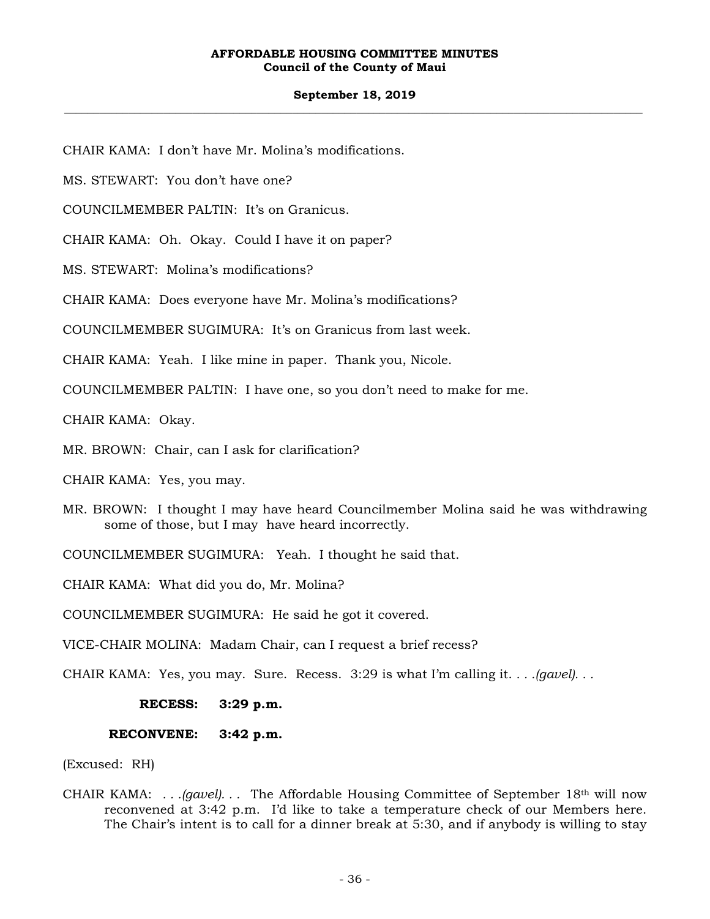#### **September 18, 2019 \_\_\_\_\_\_\_\_\_\_\_\_\_\_\_\_\_\_\_\_\_\_\_\_\_\_\_\_\_\_\_\_\_\_\_\_\_\_\_\_\_\_\_\_\_\_\_\_\_\_\_\_\_\_\_\_\_\_\_\_\_\_\_\_\_\_\_\_\_\_\_\_\_\_\_\_\_\_\_\_\_\_\_\_\_\_\_\_\_\_\_\_\_\_\_\_\_\_\_**

CHAIR KAMA: I don't have Mr. Molina's modifications.

MS. STEWART: You don't have one?

COUNCILMEMBER PALTIN: It's on Granicus.

CHAIR KAMA: Oh. Okay. Could I have it on paper?

MS. STEWART: Molina's modifications?

CHAIR KAMA: Does everyone have Mr. Molina's modifications?

COUNCILMEMBER SUGIMURA: It's on Granicus from last week.

CHAIR KAMA: Yeah. I like mine in paper. Thank you, Nicole.

COUNCILMEMBER PALTIN: I have one, so you don't need to make for me.

CHAIR KAMA: Okay.

MR. BROWN: Chair, can I ask for clarification?

CHAIR KAMA: Yes, you may.

- MR. BROWN: I thought I may have heard Councilmember Molina said he was withdrawing some of those, but I may have heard incorrectly.
- COUNCILMEMBER SUGIMURA: Yeah. I thought he said that.

CHAIR KAMA: What did you do, Mr. Molina?

COUNCILMEMBER SUGIMURA: He said he got it covered.

VICE-CHAIR MOLINA: Madam Chair, can I request a brief recess?

CHAIR KAMA: Yes, you may. Sure. Recess. 3:29 is what I'm calling it. *. . .(gavel). . .* 

**RECESS: 3:29 p.m.** 

#### **RECONVENE: 3:42 p.m.**

(Excused: RH)

CHAIR KAMA: *. . .(gavel). . .* The Affordable Housing Committee of September 18th will now reconvened at 3:42 p.m. I'd like to take a temperature check of our Members here. The Chair's intent is to call for a dinner break at 5:30, and if anybody is willing to stay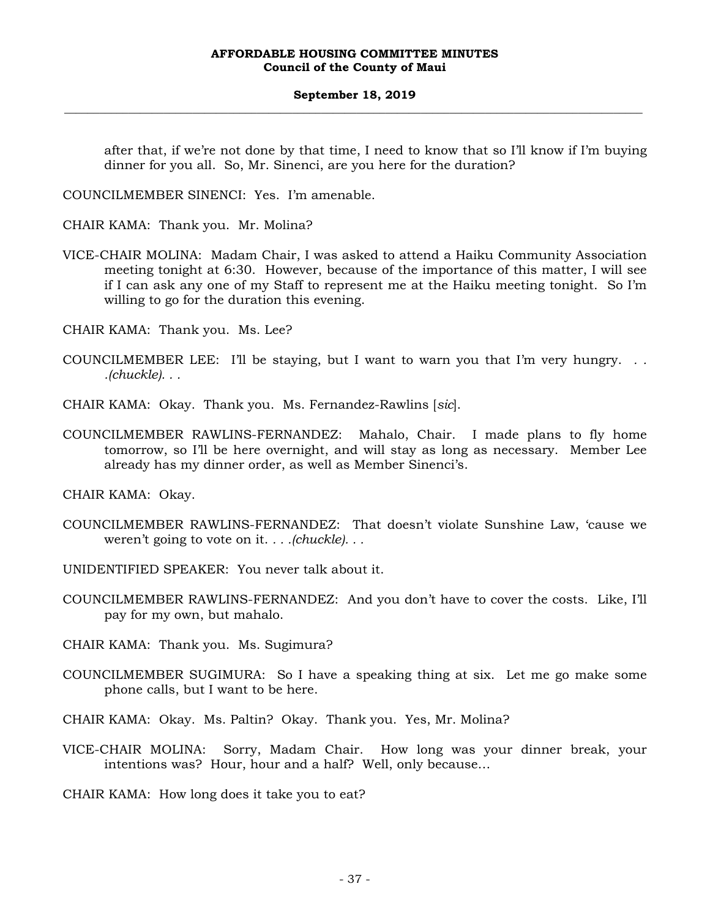after that, if we're not done by that time, I need to know that so I'll know if I'm buying dinner for you all. So, Mr. Sinenci, are you here for the duration?

COUNCILMEMBER SINENCI: Yes. I'm amenable.

CHAIR KAMA: Thank you. Mr. Molina?

VICE-CHAIR MOLINA: Madam Chair, I was asked to attend a Haiku Community Association meeting tonight at 6:30. However, because of the importance of this matter, I will see if I can ask any one of my Staff to represent me at the Haiku meeting tonight. So I'm willing to go for the duration this evening.

CHAIR KAMA: Thank you. Ms. Lee?

COUNCILMEMBER LEE: I'll be staying, but I want to warn you that I'm very hungry. *. . .(chuckle). . .*

CHAIR KAMA: Okay. Thank you. Ms. Fernandez-Rawlins [*sic*].

COUNCILMEMBER RAWLINS-FERNANDEZ: Mahalo, Chair. I made plans to fly home tomorrow, so I'll be here overnight, and will stay as long as necessary. Member Lee already has my dinner order, as well as Member Sinenci's.

CHAIR KAMA: Okay.

COUNCILMEMBER RAWLINS-FERNANDEZ: That doesn't violate Sunshine Law, 'cause we weren't going to vote on it. *. . .(chuckle). . .*

UNIDENTIFIED SPEAKER: You never talk about it.

COUNCILMEMBER RAWLINS-FERNANDEZ: And you don't have to cover the costs. Like, I'll pay for my own, but mahalo.

CHAIR KAMA: Thank you. Ms. Sugimura?

- COUNCILMEMBER SUGIMURA: So I have a speaking thing at six. Let me go make some phone calls, but I want to be here.
- CHAIR KAMA: Okay. Ms. Paltin? Okay. Thank you. Yes, Mr. Molina?
- VICE-CHAIR MOLINA: Sorry, Madam Chair. How long was your dinner break, your intentions was? Hour, hour and a half? Well, only because…

CHAIR KAMA: How long does it take you to eat?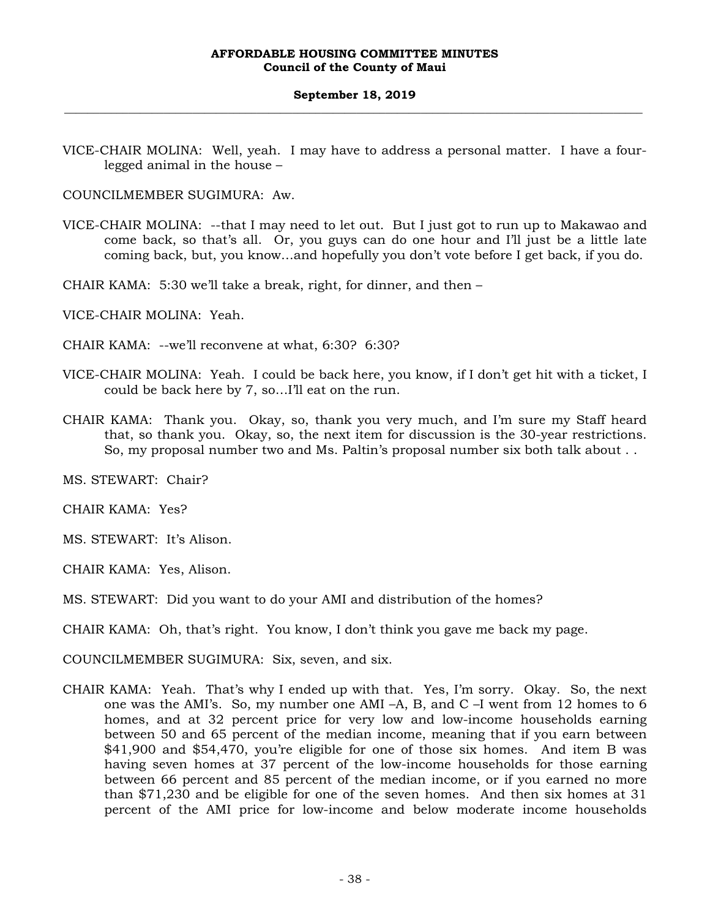VICE-CHAIR MOLINA: Well, yeah. I may have to address a personal matter. I have a fourlegged animal in the house –

COUNCILMEMBER SUGIMURA: Aw.

VICE-CHAIR MOLINA: --that I may need to let out. But I just got to run up to Makawao and come back, so that's all. Or, you guys can do one hour and I'll just be a little late coming back, but, you know…and hopefully you don't vote before I get back, if you do.

CHAIR KAMA: 5:30 we'll take a break, right, for dinner, and then –

VICE-CHAIR MOLINA: Yeah.

CHAIR KAMA: --we'll reconvene at what, 6:30? 6:30?

- VICE-CHAIR MOLINA: Yeah. I could be back here, you know, if I don't get hit with a ticket, I could be back here by 7, so…I'll eat on the run.
- CHAIR KAMA: Thank you. Okay, so, thank you very much, and I'm sure my Staff heard that, so thank you. Okay, so, the next item for discussion is the 30-year restrictions. So, my proposal number two and Ms. Paltin's proposal number six both talk about . .

MS. STEWART: Chair?

CHAIR KAMA: Yes?

MS. STEWART: It's Alison.

CHAIR KAMA: Yes, Alison.

MS. STEWART: Did you want to do your AMI and distribution of the homes?

CHAIR KAMA: Oh, that's right. You know, I don't think you gave me back my page.

COUNCILMEMBER SUGIMURA: Six, seven, and six.

CHAIR KAMA: Yeah. That's why I ended up with that. Yes, I'm sorry. Okay. So, the next one was the AMI's. So, my number one AMI –A, B, and C –I went from 12 homes to 6 homes, and at 32 percent price for very low and low-income households earning between 50 and 65 percent of the median income, meaning that if you earn between \$41,900 and \$54,470, you're eligible for one of those six homes. And item B was having seven homes at 37 percent of the low-income households for those earning between 66 percent and 85 percent of the median income, or if you earned no more than \$71,230 and be eligible for one of the seven homes. And then six homes at 31 percent of the AMI price for low-income and below moderate income households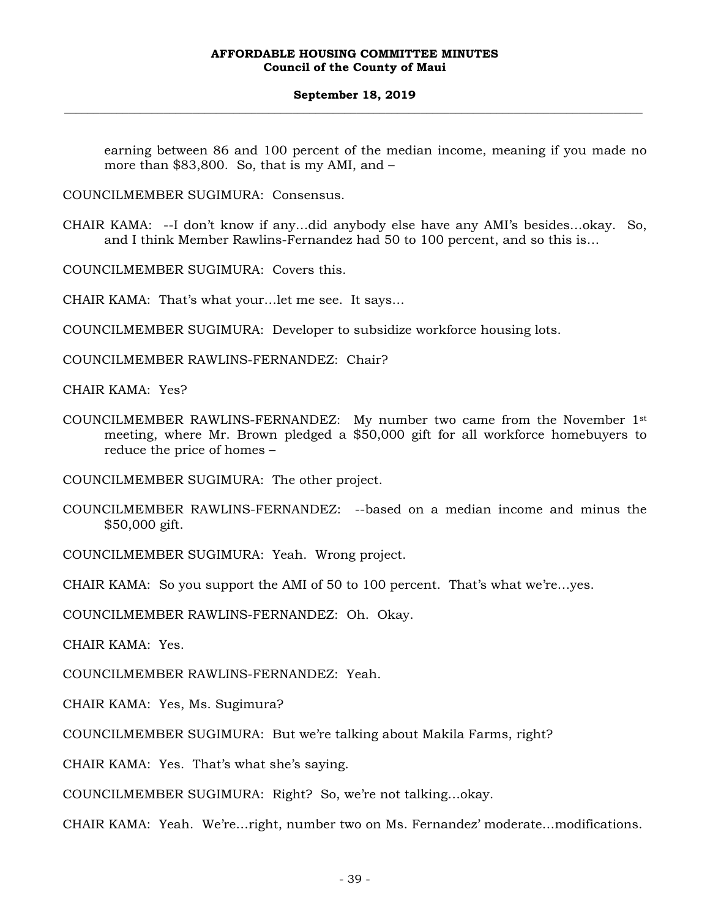## **September 18, 2019 \_\_\_\_\_\_\_\_\_\_\_\_\_\_\_\_\_\_\_\_\_\_\_\_\_\_\_\_\_\_\_\_\_\_\_\_\_\_\_\_\_\_\_\_\_\_\_\_\_\_\_\_\_\_\_\_\_\_\_\_\_\_\_\_\_\_\_\_\_\_\_\_\_\_\_\_\_\_\_\_\_\_\_\_\_\_\_\_\_\_\_\_\_\_\_\_\_\_\_**

earning between 86 and 100 percent of the median income, meaning if you made no more than \$83,800. So, that is my AMI, and –

COUNCILMEMBER SUGIMURA: Consensus.

CHAIR KAMA: --I don't know if any…did anybody else have any AMI's besides…okay. So, and I think Member Rawlins-Fernandez had 50 to 100 percent, and so this is…

COUNCILMEMBER SUGIMURA: Covers this.

CHAIR KAMA: That's what your…let me see. It says…

COUNCILMEMBER SUGIMURA: Developer to subsidize workforce housing lots.

COUNCILMEMBER RAWLINS-FERNANDEZ: Chair?

CHAIR KAMA: Yes?

COUNCILMEMBER RAWLINS-FERNANDEZ: My number two came from the November 1st meeting, where Mr. Brown pledged a \$50,000 gift for all workforce homebuyers to reduce the price of homes –

COUNCILMEMBER SUGIMURA: The other project.

COUNCILMEMBER RAWLINS-FERNANDEZ: --based on a median income and minus the \$50,000 gift.

COUNCILMEMBER SUGIMURA: Yeah. Wrong project.

CHAIR KAMA: So you support the AMI of 50 to 100 percent. That's what we're…yes.

COUNCILMEMBER RAWLINS-FERNANDEZ: Oh. Okay.

CHAIR KAMA: Yes.

COUNCILMEMBER RAWLINS-FERNANDEZ: Yeah.

CHAIR KAMA: Yes, Ms. Sugimura?

COUNCILMEMBER SUGIMURA: But we're talking about Makila Farms, right?

CHAIR KAMA: Yes. That's what she's saying.

COUNCILMEMBER SUGIMURA: Right? So, we're not talking…okay.

CHAIR KAMA: Yeah. We're…right, number two on Ms. Fernandez' moderate…modifications.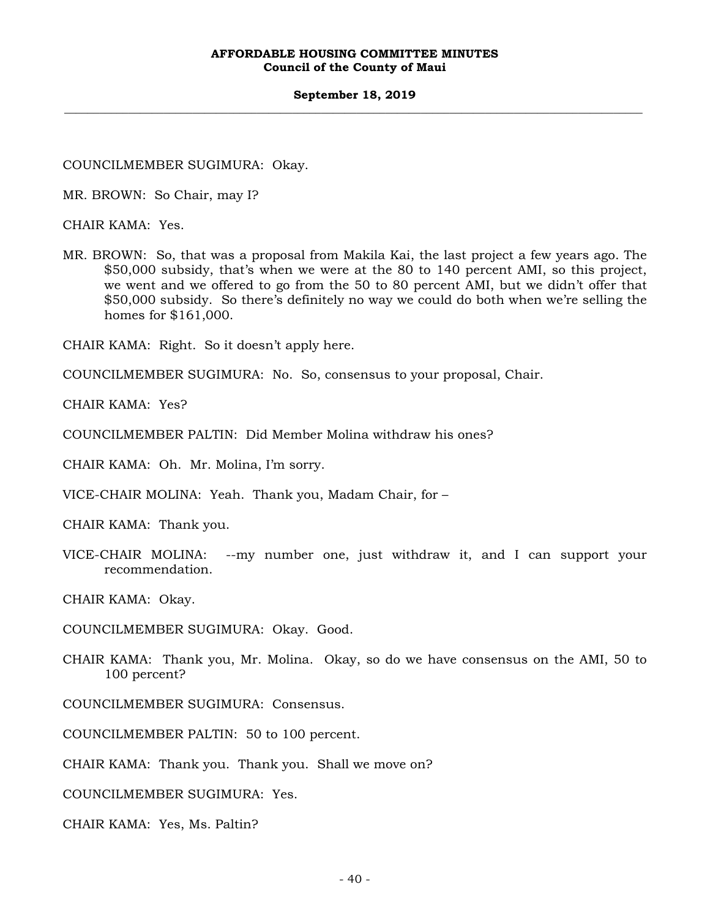#### **September 18, 2019 \_\_\_\_\_\_\_\_\_\_\_\_\_\_\_\_\_\_\_\_\_\_\_\_\_\_\_\_\_\_\_\_\_\_\_\_\_\_\_\_\_\_\_\_\_\_\_\_\_\_\_\_\_\_\_\_\_\_\_\_\_\_\_\_\_\_\_\_\_\_\_\_\_\_\_\_\_\_\_\_\_\_\_\_\_\_\_\_\_\_\_\_\_\_\_\_\_\_\_**

COUNCILMEMBER SUGIMURA: Okay.

MR. BROWN: So Chair, may I?

CHAIR KAMA: Yes.

MR. BROWN: So, that was a proposal from Makila Kai, the last project a few years ago. The \$50,000 subsidy, that's when we were at the 80 to 140 percent AMI, so this project, we went and we offered to go from the 50 to 80 percent AMI, but we didn't offer that \$50,000 subsidy. So there's definitely no way we could do both when we're selling the homes for \$161,000.

CHAIR KAMA: Right. So it doesn't apply here.

COUNCILMEMBER SUGIMURA: No. So, consensus to your proposal, Chair.

CHAIR KAMA: Yes?

COUNCILMEMBER PALTIN: Did Member Molina withdraw his ones?

CHAIR KAMA: Oh. Mr. Molina, I'm sorry.

VICE-CHAIR MOLINA: Yeah. Thank you, Madam Chair, for –

CHAIR KAMA: Thank you.

VICE-CHAIR MOLINA: --my number one, just withdraw it, and I can support your recommendation.

CHAIR KAMA: Okay.

COUNCILMEMBER SUGIMURA: Okay. Good.

CHAIR KAMA: Thank you, Mr. Molina. Okay, so do we have consensus on the AMI, 50 to 100 percent?

COUNCILMEMBER SUGIMURA: Consensus.

COUNCILMEMBER PALTIN: 50 to 100 percent.

CHAIR KAMA: Thank you. Thank you. Shall we move on?

COUNCILMEMBER SUGIMURA: Yes.

CHAIR KAMA: Yes, Ms. Paltin?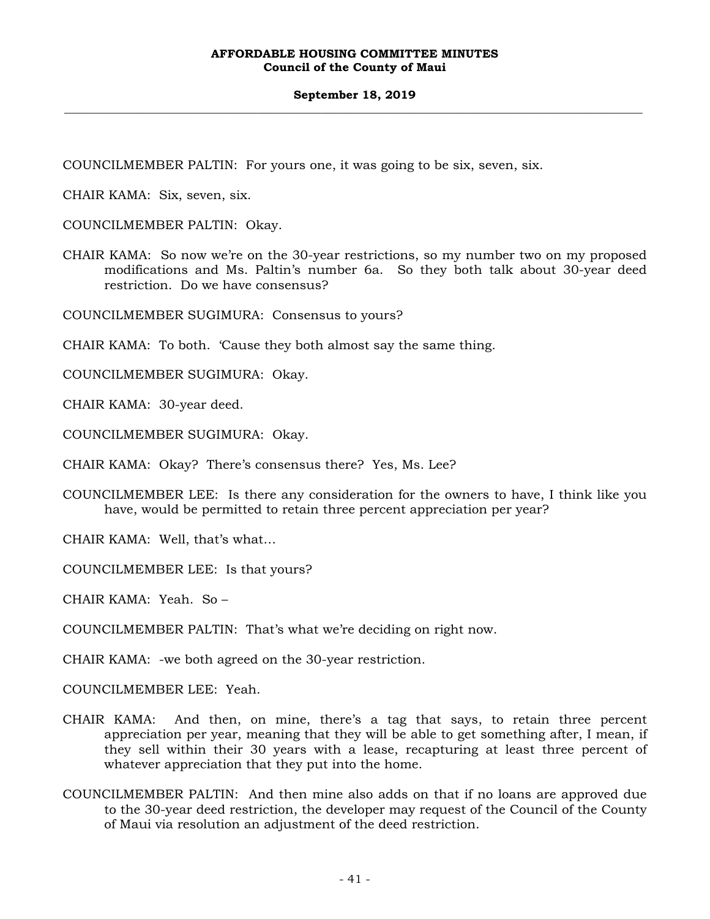COUNCILMEMBER PALTIN: For yours one, it was going to be six, seven, six.

CHAIR KAMA: Six, seven, six.

COUNCILMEMBER PALTIN: Okay.

CHAIR KAMA: So now we're on the 30-year restrictions, so my number two on my proposed modifications and Ms. Paltin's number 6a. So they both talk about 30-year deed restriction. Do we have consensus?

COUNCILMEMBER SUGIMURA: Consensus to yours?

CHAIR KAMA: To both. 'Cause they both almost say the same thing.

COUNCILMEMBER SUGIMURA: Okay.

CHAIR KAMA: 30-year deed.

COUNCILMEMBER SUGIMURA: Okay.

CHAIR KAMA: Okay? There's consensus there? Yes, Ms. Lee?

COUNCILMEMBER LEE: Is there any consideration for the owners to have, I think like you have, would be permitted to retain three percent appreciation per year?

CHAIR KAMA: Well, that's what…

COUNCILMEMBER LEE: Is that yours?

CHAIR KAMA: Yeah. So –

COUNCILMEMBER PALTIN: That's what we're deciding on right now.

CHAIR KAMA: -we both agreed on the 30-year restriction.

COUNCILMEMBER LEE: Yeah.

- CHAIR KAMA: And then, on mine, there's a tag that says, to retain three percent appreciation per year, meaning that they will be able to get something after, I mean, if they sell within their 30 years with a lease, recapturing at least three percent of whatever appreciation that they put into the home.
- COUNCILMEMBER PALTIN: And then mine also adds on that if no loans are approved due to the 30-year deed restriction, the developer may request of the Council of the County of Maui via resolution an adjustment of the deed restriction.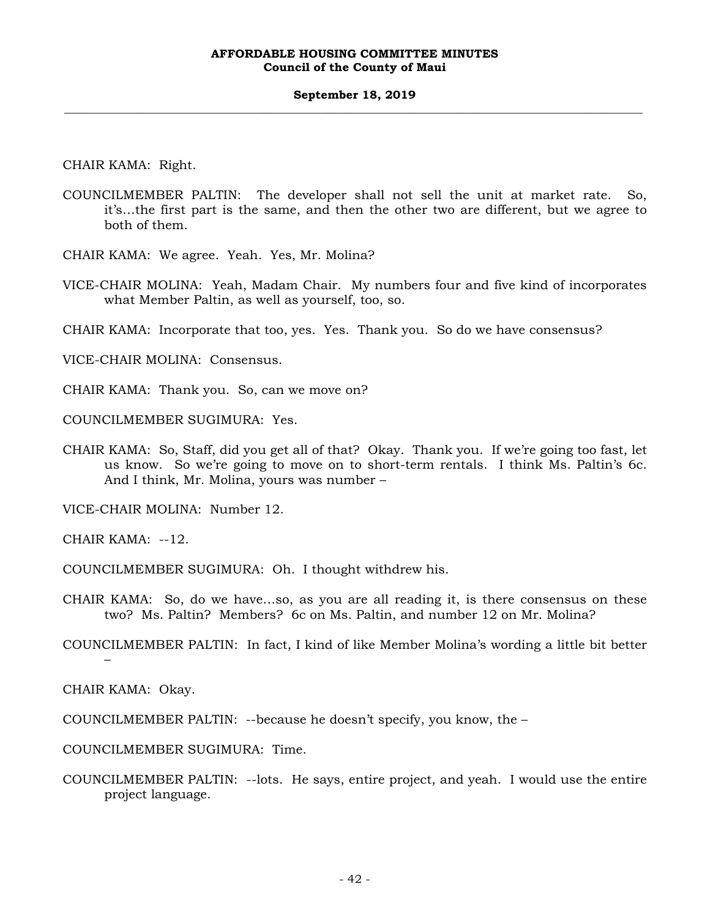CHAIR KAMA: Right.

COUNCILMEMBER PALTIN: The developer shall not sell the unit at market rate. So, it's…the first part is the same, and then the other two are different, but we agree to both of them.

CHAIR KAMA: We agree. Yeah. Yes, Mr. Molina?

VICE-CHAIR MOLINA: Yeah, Madam Chair. My numbers four and five kind of incorporates what Member Paltin, as well as yourself, too, so.

CHAIR KAMA: Incorporate that too, yes. Yes. Thank you. So do we have consensus?

VICE-CHAIR MOLINA: Consensus.

CHAIR KAMA: Thank you. So, can we move on?

COUNCILMEMBER SUGIMURA: Yes.

CHAIR KAMA: So, Staff, did you get all of that? Okay. Thank you. If we're going too fast, let us know. So we're going to move on to short-term rentals. I think Ms. Paltin's 6c. And I think, Mr. Molina, yours was number –

VICE-CHAIR MOLINA: Number 12.

CHAIR KAMA: --12.

COUNCILMEMBER SUGIMURA: Oh. I thought withdrew his.

CHAIR KAMA: So, do we have…so, as you are all reading it, is there consensus on these two? Ms. Paltin? Members? 6c on Ms. Paltin, and number 12 on Mr. Molina?

COUNCILMEMBER PALTIN: In fact, I kind of like Member Molina's wording a little bit better –

CHAIR KAMA: Okay.

- COUNCILMEMBER PALTIN: --because he doesn't specify, you know, the –
- COUNCILMEMBER SUGIMURA: Time.
- COUNCILMEMBER PALTIN: --lots. He says, entire project, and yeah. I would use the entire project language.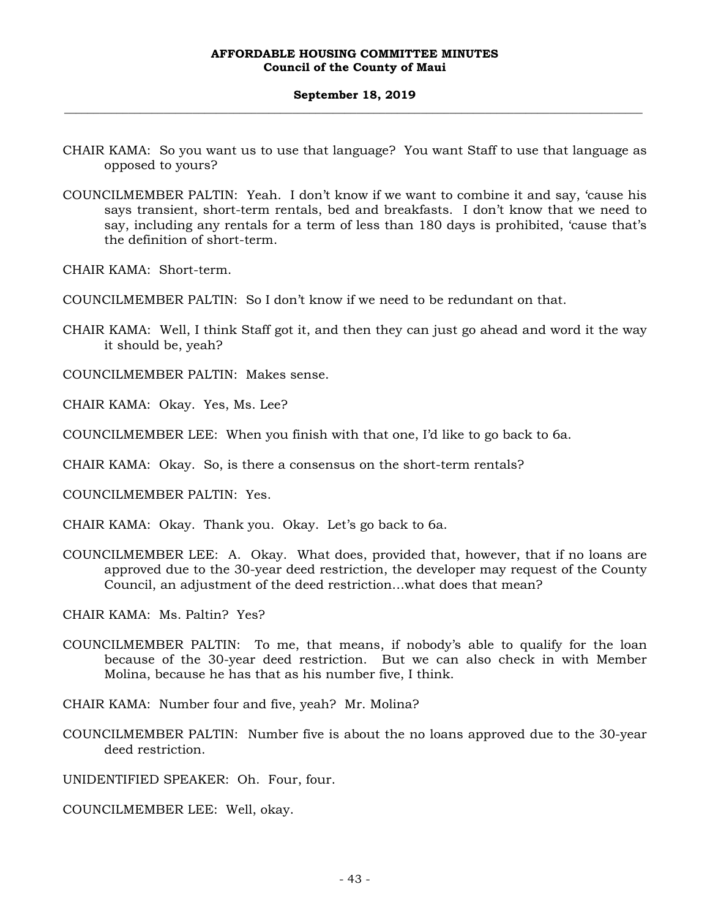- CHAIR KAMA: So you want us to use that language? You want Staff to use that language as opposed to yours?
- COUNCILMEMBER PALTIN: Yeah. I don't know if we want to combine it and say, 'cause his says transient, short-term rentals, bed and breakfasts. I don't know that we need to say, including any rentals for a term of less than 180 days is prohibited, 'cause that's the definition of short-term.

CHAIR KAMA: Short-term.

- COUNCILMEMBER PALTIN: So I don't know if we need to be redundant on that.
- CHAIR KAMA: Well, I think Staff got it, and then they can just go ahead and word it the way it should be, yeah?

COUNCILMEMBER PALTIN: Makes sense.

CHAIR KAMA: Okay. Yes, Ms. Lee?

COUNCILMEMBER LEE: When you finish with that one, I'd like to go back to 6a.

CHAIR KAMA: Okay. So, is there a consensus on the short-term rentals?

COUNCILMEMBER PALTIN: Yes.

CHAIR KAMA: Okay. Thank you. Okay. Let's go back to 6a.

COUNCILMEMBER LEE: A. Okay. What does, provided that, however, that if no loans are approved due to the 30-year deed restriction, the developer may request of the County Council, an adjustment of the deed restriction…what does that mean?

CHAIR KAMA: Ms. Paltin? Yes?

COUNCILMEMBER PALTIN: To me, that means, if nobody's able to qualify for the loan because of the 30-year deed restriction. But we can also check in with Member Molina, because he has that as his number five, I think.

CHAIR KAMA: Number four and five, yeah? Mr. Molina?

COUNCILMEMBER PALTIN: Number five is about the no loans approved due to the 30-year deed restriction.

UNIDENTIFIED SPEAKER: Oh. Four, four.

COUNCILMEMBER LEE: Well, okay.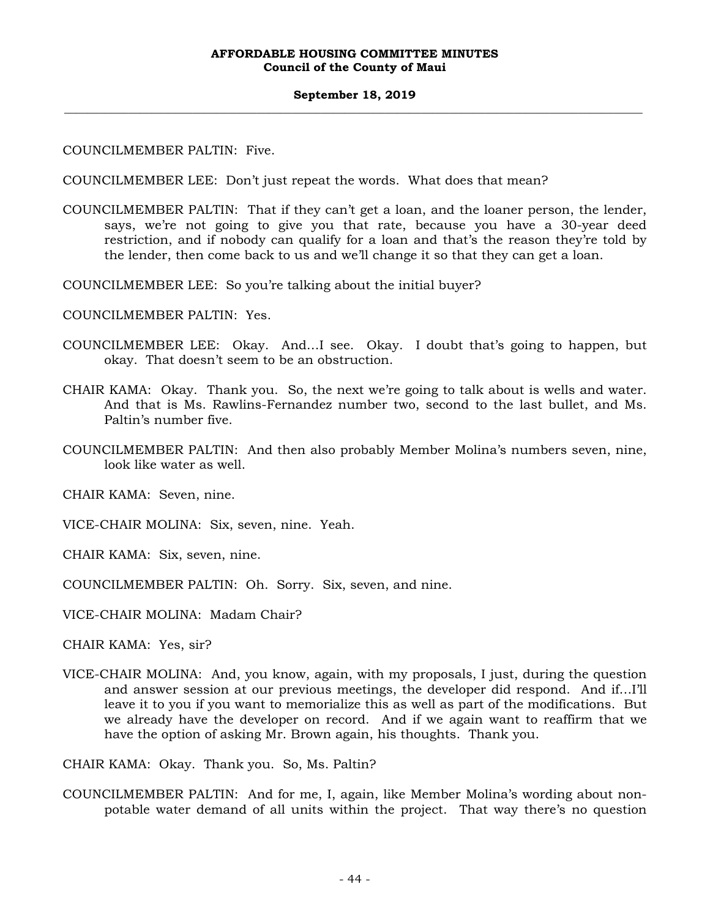COUNCILMEMBER PALTIN: Five.

COUNCILMEMBER LEE: Don't just repeat the words. What does that mean?

COUNCILMEMBER PALTIN: That if they can't get a loan, and the loaner person, the lender, says, we're not going to give you that rate, because you have a 30-year deed restriction, and if nobody can qualify for a loan and that's the reason they're told by the lender, then come back to us and we'll change it so that they can get a loan.

COUNCILMEMBER LEE: So you're talking about the initial buyer?

COUNCILMEMBER PALTIN: Yes.

- COUNCILMEMBER LEE: Okay. And…I see. Okay. I doubt that's going to happen, but okay. That doesn't seem to be an obstruction.
- CHAIR KAMA: Okay. Thank you. So, the next we're going to talk about is wells and water. And that is Ms. Rawlins-Fernandez number two, second to the last bullet, and Ms. Paltin's number five.
- COUNCILMEMBER PALTIN: And then also probably Member Molina's numbers seven, nine, look like water as well.

CHAIR KAMA: Seven, nine.

VICE-CHAIR MOLINA: Six, seven, nine. Yeah.

CHAIR KAMA: Six, seven, nine.

COUNCILMEMBER PALTIN: Oh. Sorry. Six, seven, and nine.

VICE-CHAIR MOLINA: Madam Chair?

CHAIR KAMA: Yes, sir?

VICE-CHAIR MOLINA: And, you know, again, with my proposals, I just, during the question and answer session at our previous meetings, the developer did respond. And if…I'll leave it to you if you want to memorialize this as well as part of the modifications. But we already have the developer on record. And if we again want to reaffirm that we have the option of asking Mr. Brown again, his thoughts. Thank you.

CHAIR KAMA: Okay. Thank you. So, Ms. Paltin?

COUNCILMEMBER PALTIN: And for me, I, again, like Member Molina's wording about nonpotable water demand of all units within the project. That way there's no question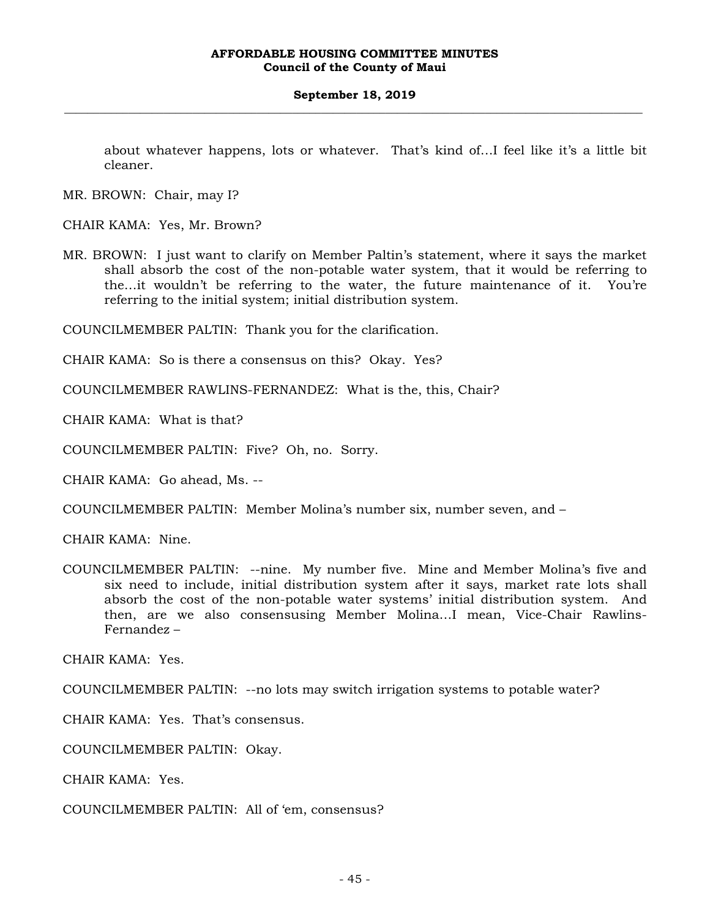about whatever happens, lots or whatever. That's kind of…I feel like it's a little bit cleaner.

MR. BROWN: Chair, may I?

CHAIR KAMA: Yes, Mr. Brown?

MR. BROWN: I just want to clarify on Member Paltin's statement, where it says the market shall absorb the cost of the non-potable water system, that it would be referring to the…it wouldn't be referring to the water, the future maintenance of it. You're referring to the initial system; initial distribution system.

COUNCILMEMBER PALTIN: Thank you for the clarification.

CHAIR KAMA: So is there a consensus on this? Okay. Yes?

COUNCILMEMBER RAWLINS-FERNANDEZ: What is the, this, Chair?

CHAIR KAMA: What is that?

COUNCILMEMBER PALTIN: Five? Oh, no. Sorry.

CHAIR KAMA: Go ahead, Ms. --

COUNCILMEMBER PALTIN: Member Molina's number six, number seven, and –

CHAIR KAMA: Nine.

COUNCILMEMBER PALTIN: --nine. My number five. Mine and Member Molina's five and six need to include, initial distribution system after it says, market rate lots shall absorb the cost of the non-potable water systems' initial distribution system. And then, are we also consensusing Member Molina…I mean, Vice-Chair Rawlins-Fernandez –

CHAIR KAMA: Yes.

COUNCILMEMBER PALTIN: --no lots may switch irrigation systems to potable water?

CHAIR KAMA: Yes. That's consensus.

COUNCILMEMBER PALTIN: Okay.

CHAIR KAMA: Yes.

COUNCILMEMBER PALTIN: All of 'em, consensus?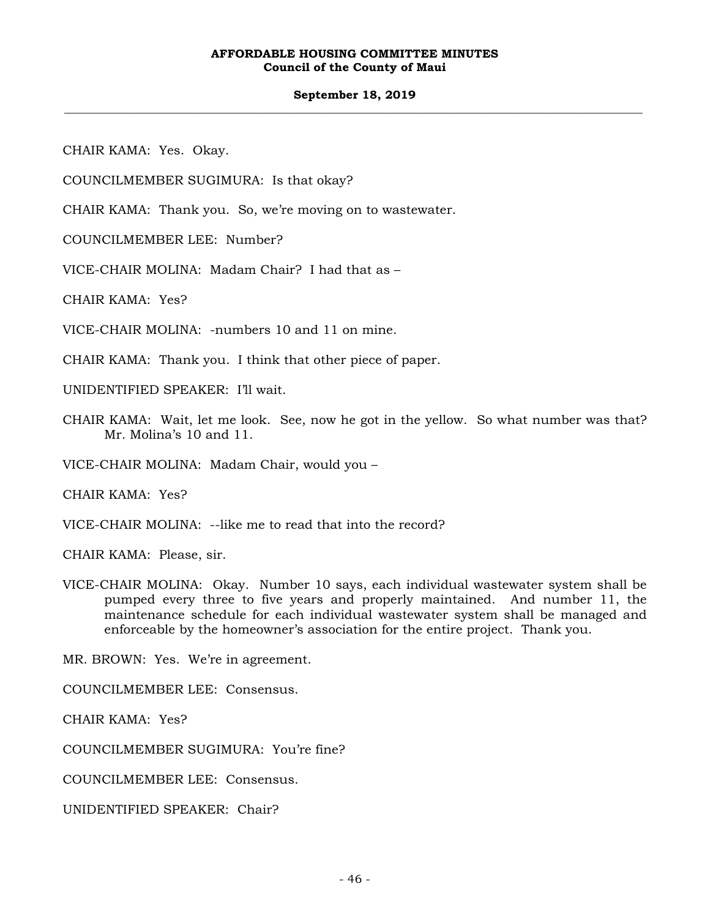# **September 18, 2019 \_\_\_\_\_\_\_\_\_\_\_\_\_\_\_\_\_\_\_\_\_\_\_\_\_\_\_\_\_\_\_\_\_\_\_\_\_\_\_\_\_\_\_\_\_\_\_\_\_\_\_\_\_\_\_\_\_\_\_\_\_\_\_\_\_\_\_\_\_\_\_\_\_\_\_\_\_\_\_\_\_\_\_\_\_\_\_\_\_\_\_\_\_\_\_\_\_\_\_**

CHAIR KAMA: Yes. Okay.

COUNCILMEMBER SUGIMURA: Is that okay?

CHAIR KAMA: Thank you. So, we're moving on to wastewater.

COUNCILMEMBER LEE: Number?

VICE-CHAIR MOLINA: Madam Chair? I had that as –

CHAIR KAMA: Yes?

VICE-CHAIR MOLINA: -numbers 10 and 11 on mine.

CHAIR KAMA: Thank you. I think that other piece of paper.

UNIDENTIFIED SPEAKER: I'll wait.

CHAIR KAMA: Wait, let me look. See, now he got in the yellow. So what number was that? Mr. Molina's 10 and 11.

VICE-CHAIR MOLINA: Madam Chair, would you –

CHAIR KAMA: Yes?

VICE-CHAIR MOLINA: --like me to read that into the record?

CHAIR KAMA: Please, sir.

VICE-CHAIR MOLINA: Okay. Number 10 says, each individual wastewater system shall be pumped every three to five years and properly maintained. And number 11, the maintenance schedule for each individual wastewater system shall be managed and enforceable by the homeowner's association for the entire project. Thank you.

MR. BROWN: Yes. We're in agreement.

COUNCILMEMBER LEE: Consensus.

CHAIR KAMA: Yes?

COUNCILMEMBER SUGIMURA: You're fine?

COUNCILMEMBER LEE: Consensus.

UNIDENTIFIED SPEAKER: Chair?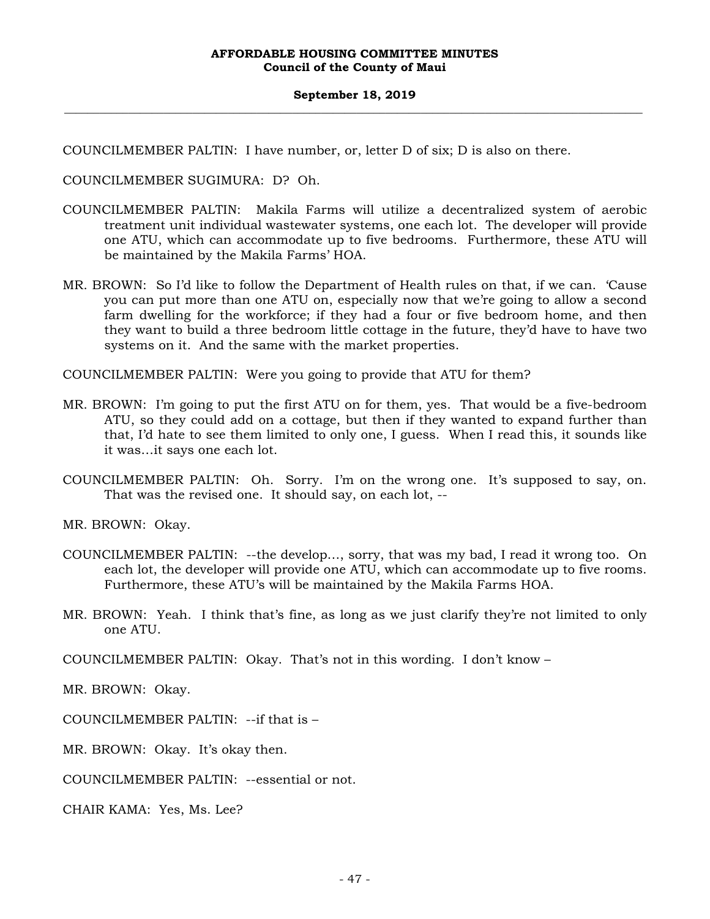COUNCILMEMBER PALTIN: I have number, or, letter D of six; D is also on there.

COUNCILMEMBER SUGIMURA: D? Oh.

- COUNCILMEMBER PALTIN: Makila Farms will utilize a decentralized system of aerobic treatment unit individual wastewater systems, one each lot. The developer will provide one ATU, which can accommodate up to five bedrooms. Furthermore, these ATU will be maintained by the Makila Farms' HOA.
- MR. BROWN: So I'd like to follow the Department of Health rules on that, if we can. 'Cause you can put more than one ATU on, especially now that we're going to allow a second farm dwelling for the workforce; if they had a four or five bedroom home, and then they want to build a three bedroom little cottage in the future, they'd have to have two systems on it. And the same with the market properties.

COUNCILMEMBER PALTIN: Were you going to provide that ATU for them?

- MR. BROWN: I'm going to put the first ATU on for them, yes. That would be a five-bedroom ATU, so they could add on a cottage, but then if they wanted to expand further than that, I'd hate to see them limited to only one, I guess. When I read this, it sounds like it was…it says one each lot.
- COUNCILMEMBER PALTIN: Oh. Sorry. I'm on the wrong one. It's supposed to say, on. That was the revised one. It should say, on each lot, --

MR. BROWN: Okay.

- COUNCILMEMBER PALTIN: --the develop…, sorry, that was my bad, I read it wrong too. On each lot, the developer will provide one ATU, which can accommodate up to five rooms. Furthermore, these ATU's will be maintained by the Makila Farms HOA.
- MR. BROWN: Yeah. I think that's fine, as long as we just clarify they're not limited to only one ATU.

COUNCILMEMBER PALTIN: Okay. That's not in this wording. I don't know –

MR. BROWN: Okay.

COUNCILMEMBER PALTIN: --if that is –

MR. BROWN: Okay. It's okay then.

COUNCILMEMBER PALTIN: --essential or not.

CHAIR KAMA: Yes, Ms. Lee?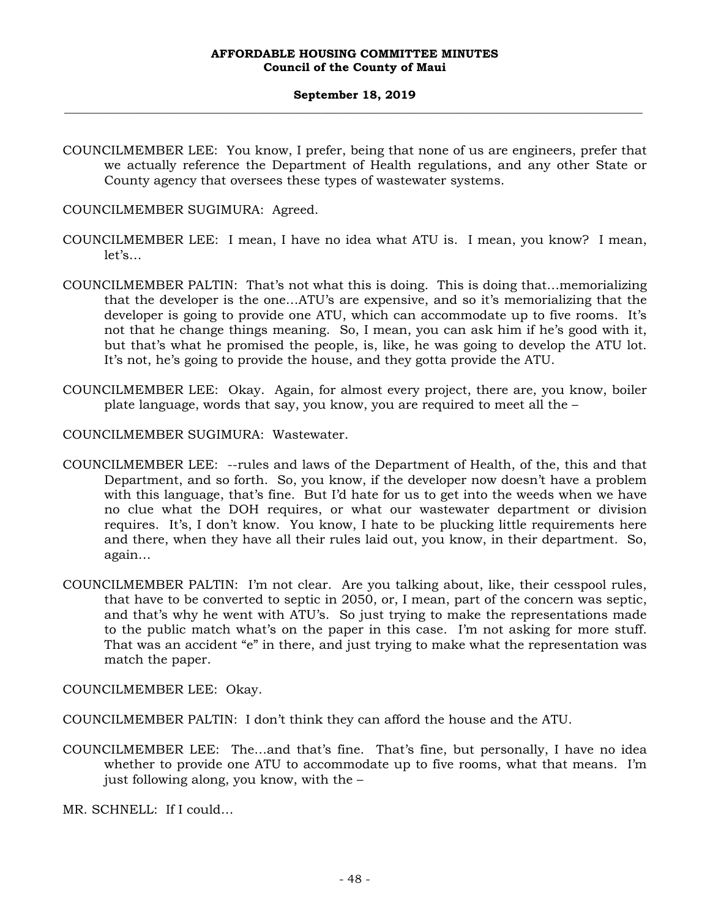COUNCILMEMBER LEE: You know, I prefer, being that none of us are engineers, prefer that we actually reference the Department of Health regulations, and any other State or County agency that oversees these types of wastewater systems.

COUNCILMEMBER SUGIMURA: Agreed.

- COUNCILMEMBER LEE: I mean, I have no idea what ATU is. I mean, you know? I mean, let's…
- COUNCILMEMBER PALTIN: That's not what this is doing. This is doing that…memorializing that the developer is the one…ATU's are expensive, and so it's memorializing that the developer is going to provide one ATU, which can accommodate up to five rooms. It's not that he change things meaning. So, I mean, you can ask him if he's good with it, but that's what he promised the people, is, like, he was going to develop the ATU lot. It's not, he's going to provide the house, and they gotta provide the ATU.
- COUNCILMEMBER LEE: Okay. Again, for almost every project, there are, you know, boiler plate language, words that say, you know, you are required to meet all the –

COUNCILMEMBER SUGIMURA: Wastewater.

- COUNCILMEMBER LEE: --rules and laws of the Department of Health, of the, this and that Department, and so forth. So, you know, if the developer now doesn't have a problem with this language, that's fine. But I'd hate for us to get into the weeds when we have no clue what the DOH requires, or what our wastewater department or division requires. It's, I don't know. You know, I hate to be plucking little requirements here and there, when they have all their rules laid out, you know, in their department. So, again…
- COUNCILMEMBER PALTIN: I'm not clear. Are you talking about, like, their cesspool rules, that have to be converted to septic in 2050, or, I mean, part of the concern was septic, and that's why he went with ATU's. So just trying to make the representations made to the public match what's on the paper in this case. I'm not asking for more stuff. That was an accident "e" in there, and just trying to make what the representation was match the paper.

COUNCILMEMBER LEE: Okay.

COUNCILMEMBER PALTIN: I don't think they can afford the house and the ATU.

COUNCILMEMBER LEE: The…and that's fine. That's fine, but personally, I have no idea whether to provide one ATU to accommodate up to five rooms, what that means. I'm just following along, you know, with the –

MR. SCHNELL: If I could…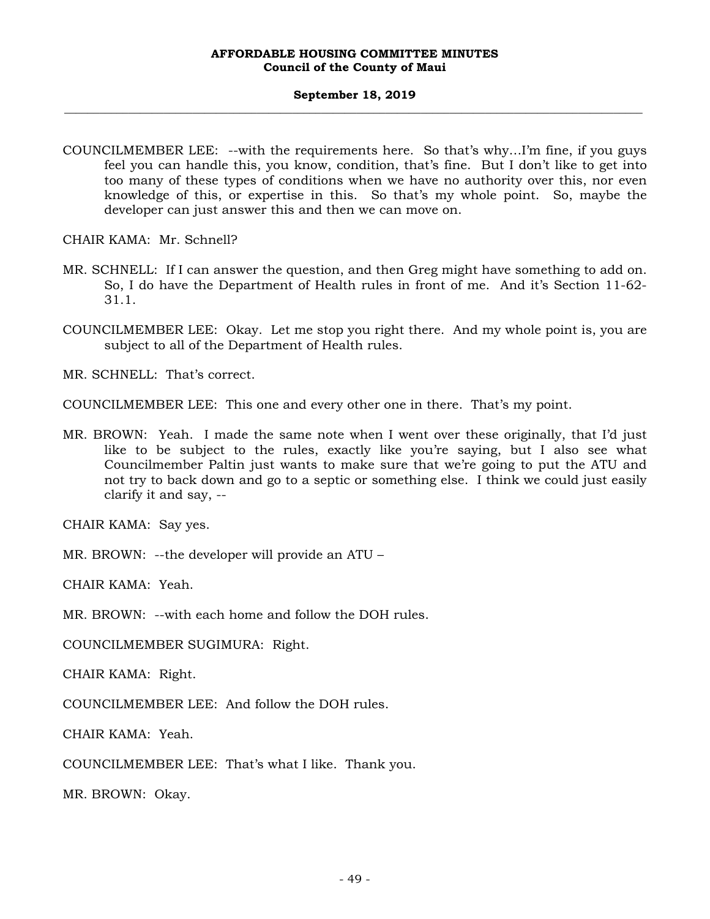COUNCILMEMBER LEE: --with the requirements here. So that's why…I'm fine, if you guys feel you can handle this, you know, condition, that's fine. But I don't like to get into too many of these types of conditions when we have no authority over this, nor even knowledge of this, or expertise in this. So that's my whole point. So, maybe the developer can just answer this and then we can move on.

CHAIR KAMA: Mr. Schnell?

- MR. SCHNELL: If I can answer the question, and then Greg might have something to add on. So, I do have the Department of Health rules in front of me. And it's Section 11-62- 31.1.
- COUNCILMEMBER LEE: Okay. Let me stop you right there. And my whole point is, you are subject to all of the Department of Health rules.

MR. SCHNELL: That's correct.

COUNCILMEMBER LEE: This one and every other one in there. That's my point.

MR. BROWN: Yeah. I made the same note when I went over these originally, that I'd just like to be subject to the rules, exactly like you're saying, but I also see what Councilmember Paltin just wants to make sure that we're going to put the ATU and not try to back down and go to a septic or something else. I think we could just easily clarify it and say, --

CHAIR KAMA: Say yes.

MR. BROWN: --the developer will provide an ATU –

CHAIR KAMA: Yeah.

MR. BROWN: --with each home and follow the DOH rules.

COUNCILMEMBER SUGIMURA: Right.

CHAIR KAMA: Right.

COUNCILMEMBER LEE: And follow the DOH rules.

CHAIR KAMA: Yeah.

COUNCILMEMBER LEE: That's what I like. Thank you.

MR. BROWN: Okay.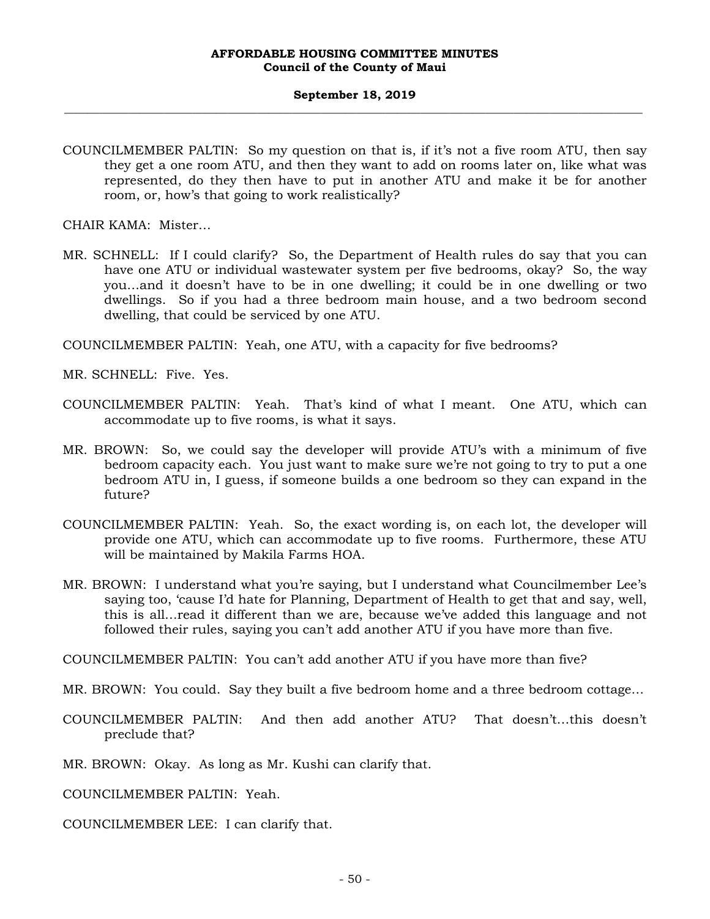COUNCILMEMBER PALTIN: So my question on that is, if it's not a five room ATU, then say they get a one room ATU, and then they want to add on rooms later on, like what was represented, do they then have to put in another ATU and make it be for another room, or, how's that going to work realistically?

CHAIR KAMA: Mister…

MR. SCHNELL: If I could clarify? So, the Department of Health rules do say that you can have one ATU or individual wastewater system per five bedrooms, okay? So, the way you…and it doesn't have to be in one dwelling; it could be in one dwelling or two dwellings. So if you had a three bedroom main house, and a two bedroom second dwelling, that could be serviced by one ATU.

COUNCILMEMBER PALTIN: Yeah, one ATU, with a capacity for five bedrooms?

MR. SCHNELL: Five. Yes.

- COUNCILMEMBER PALTIN: Yeah. That's kind of what I meant. One ATU, which can accommodate up to five rooms, is what it says.
- MR. BROWN: So, we could say the developer will provide ATU's with a minimum of five bedroom capacity each. You just want to make sure we're not going to try to put a one bedroom ATU in, I guess, if someone builds a one bedroom so they can expand in the future?
- COUNCILMEMBER PALTIN: Yeah. So, the exact wording is, on each lot, the developer will provide one ATU, which can accommodate up to five rooms. Furthermore, these ATU will be maintained by Makila Farms HOA.
- MR. BROWN: I understand what you're saying, but I understand what Councilmember Lee's saying too, 'cause I'd hate for Planning, Department of Health to get that and say, well, this is all…read it different than we are, because we've added this language and not followed their rules, saying you can't add another ATU if you have more than five.

COUNCILMEMBER PALTIN: You can't add another ATU if you have more than five?

MR. BROWN: You could. Say they built a five bedroom home and a three bedroom cottage…

COUNCILMEMBER PALTIN: And then add another ATU? That doesn't…this doesn't preclude that?

MR. BROWN: Okay. As long as Mr. Kushi can clarify that.

COUNCILMEMBER PALTIN: Yeah.

COUNCILMEMBER LEE: I can clarify that.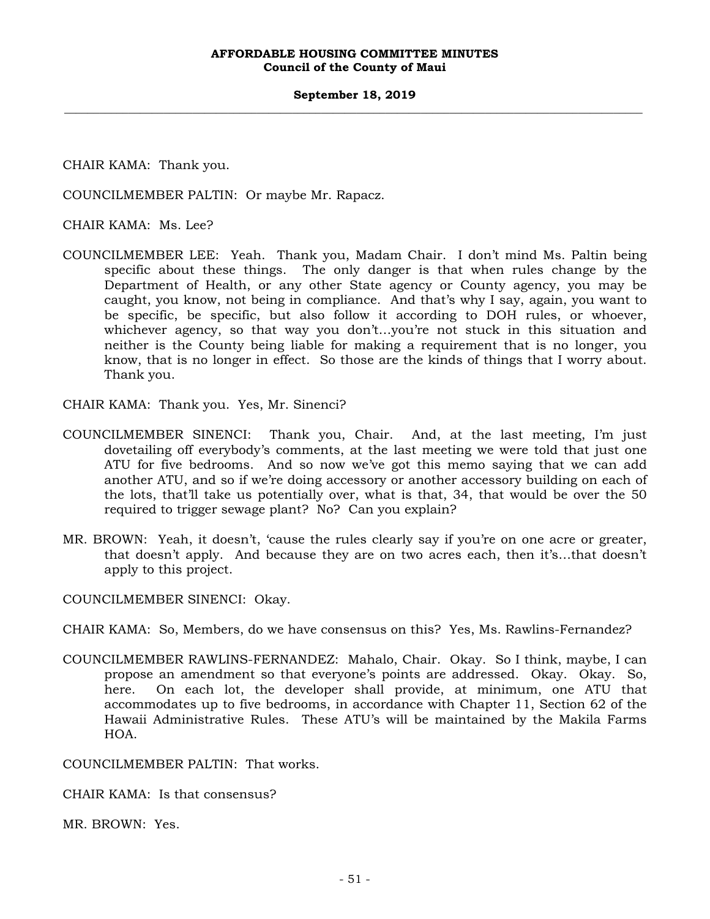CHAIR KAMA: Thank you.

COUNCILMEMBER PALTIN: Or maybe Mr. Rapacz.

CHAIR KAMA: Ms. Lee?

COUNCILMEMBER LEE: Yeah. Thank you, Madam Chair. I don't mind Ms. Paltin being specific about these things. The only danger is that when rules change by the Department of Health, or any other State agency or County agency, you may be caught, you know, not being in compliance. And that's why I say, again, you want to be specific, be specific, but also follow it according to DOH rules, or whoever, whichever agency, so that way you don't…you're not stuck in this situation and neither is the County being liable for making a requirement that is no longer, you know, that is no longer in effect. So those are the kinds of things that I worry about. Thank you.

CHAIR KAMA: Thank you. Yes, Mr. Sinenci?

- COUNCILMEMBER SINENCI: Thank you, Chair. And, at the last meeting, I'm just dovetailing off everybody's comments, at the last meeting we were told that just one ATU for five bedrooms. And so now we've got this memo saying that we can add another ATU, and so if we're doing accessory or another accessory building on each of the lots, that'll take us potentially over, what is that, 34, that would be over the 50 required to trigger sewage plant? No? Can you explain?
- MR. BROWN: Yeah, it doesn't, 'cause the rules clearly say if you're on one acre or greater, that doesn't apply. And because they are on two acres each, then it's…that doesn't apply to this project.

COUNCILMEMBER SINENCI: Okay.

CHAIR KAMA: So, Members, do we have consensus on this? Yes, Ms. Rawlins-Fernandez?

COUNCILMEMBER RAWLINS-FERNANDEZ: Mahalo, Chair. Okay. So I think, maybe, I can propose an amendment so that everyone's points are addressed. Okay. Okay. So, here. On each lot, the developer shall provide, at minimum, one ATU that accommodates up to five bedrooms, in accordance with Chapter 11, Section 62 of the Hawaii Administrative Rules. These ATU's will be maintained by the Makila Farms HOA.

COUNCILMEMBER PALTIN: That works.

CHAIR KAMA: Is that consensus?

MR. BROWN: Yes.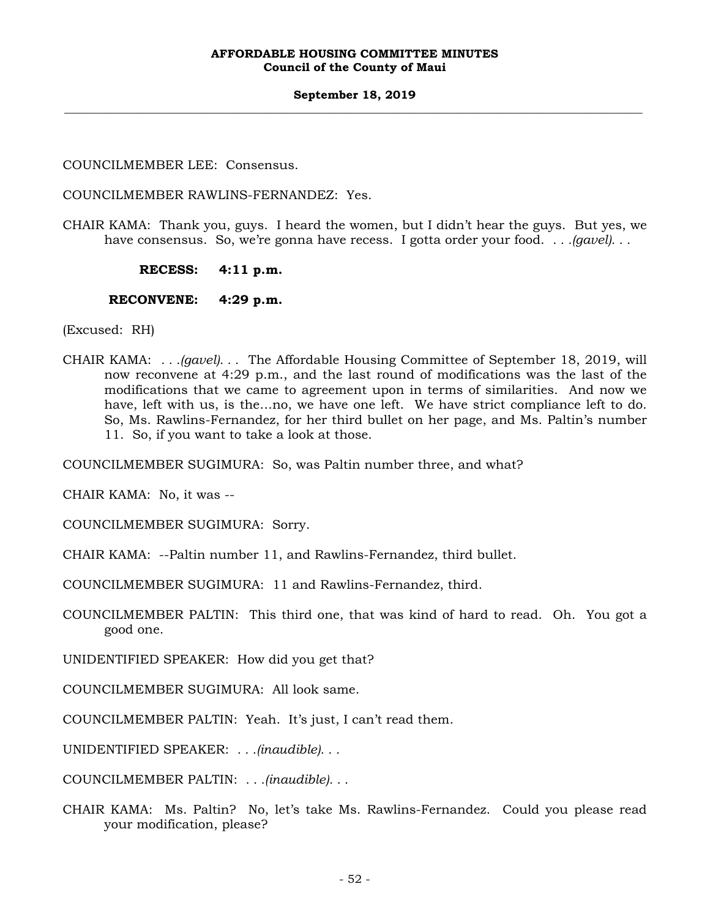## **September 18, 2019 \_\_\_\_\_\_\_\_\_\_\_\_\_\_\_\_\_\_\_\_\_\_\_\_\_\_\_\_\_\_\_\_\_\_\_\_\_\_\_\_\_\_\_\_\_\_\_\_\_\_\_\_\_\_\_\_\_\_\_\_\_\_\_\_\_\_\_\_\_\_\_\_\_\_\_\_\_\_\_\_\_\_\_\_\_\_\_\_\_\_\_\_\_\_\_\_\_\_\_**

COUNCILMEMBER LEE: Consensus.

COUNCILMEMBER RAWLINS-FERNANDEZ: Yes.

CHAIR KAMA: Thank you, guys. I heard the women, but I didn't hear the guys. But yes, we have consensus. So, we're gonna have recess. I gotta order your food. *. . .(gavel). . .*

**RECESS: 4:11 p.m.** 

# **RECONVENE: 4:29 p.m.**

(Excused: RH)

CHAIR KAMA: *. . .(gavel). . .* The Affordable Housing Committee of September 18, 2019, will now reconvene at 4:29 p.m., and the last round of modifications was the last of the modifications that we came to agreement upon in terms of similarities. And now we have, left with us, is the…no, we have one left. We have strict compliance left to do. So, Ms. Rawlins-Fernandez, for her third bullet on her page, and Ms. Paltin's number 11. So, if you want to take a look at those.

COUNCILMEMBER SUGIMURA: So, was Paltin number three, and what?

CHAIR KAMA: No, it was --

COUNCILMEMBER SUGIMURA: Sorry.

CHAIR KAMA: --Paltin number 11, and Rawlins-Fernandez, third bullet.

COUNCILMEMBER SUGIMURA: 11 and Rawlins-Fernandez, third.

COUNCILMEMBER PALTIN: This third one, that was kind of hard to read. Oh. You got a good one.

UNIDENTIFIED SPEAKER: How did you get that?

COUNCILMEMBER SUGIMURA: All look same.

COUNCILMEMBER PALTIN: Yeah. It's just, I can't read them.

UNIDENTIFIED SPEAKER: *. . .(inaudible). . .*

COUNCILMEMBER PALTIN: *. . .(inaudible). . .*

CHAIR KAMA: Ms. Paltin? No, let's take Ms. Rawlins-Fernandez. Could you please read your modification, please?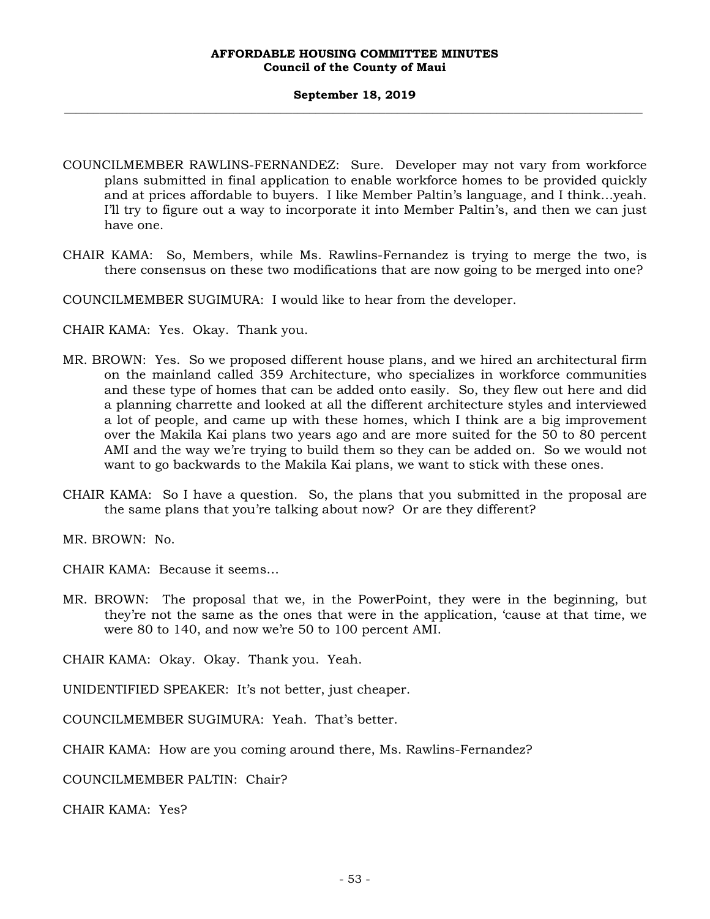# **September 18, 2019 \_\_\_\_\_\_\_\_\_\_\_\_\_\_\_\_\_\_\_\_\_\_\_\_\_\_\_\_\_\_\_\_\_\_\_\_\_\_\_\_\_\_\_\_\_\_\_\_\_\_\_\_\_\_\_\_\_\_\_\_\_\_\_\_\_\_\_\_\_\_\_\_\_\_\_\_\_\_\_\_\_\_\_\_\_\_\_\_\_\_\_\_\_\_\_\_\_\_\_**

- COUNCILMEMBER RAWLINS-FERNANDEZ: Sure. Developer may not vary from workforce plans submitted in final application to enable workforce homes to be provided quickly and at prices affordable to buyers. I like Member Paltin's language, and I think…yeah. I'll try to figure out a way to incorporate it into Member Paltin's, and then we can just have one.
- CHAIR KAMA: So, Members, while Ms. Rawlins-Fernandez is trying to merge the two, is there consensus on these two modifications that are now going to be merged into one?
- COUNCILMEMBER SUGIMURA: I would like to hear from the developer.
- CHAIR KAMA: Yes. Okay. Thank you.
- MR. BROWN: Yes. So we proposed different house plans, and we hired an architectural firm on the mainland called 359 Architecture, who specializes in workforce communities and these type of homes that can be added onto easily. So, they flew out here and did a planning charrette and looked at all the different architecture styles and interviewed a lot of people, and came up with these homes, which I think are a big improvement over the Makila Kai plans two years ago and are more suited for the 50 to 80 percent AMI and the way we're trying to build them so they can be added on. So we would not want to go backwards to the Makila Kai plans, we want to stick with these ones.
- CHAIR KAMA: So I have a question. So, the plans that you submitted in the proposal are the same plans that you're talking about now? Or are they different?

MR. BROWN: No.

- CHAIR KAMA: Because it seems…
- MR. BROWN: The proposal that we, in the PowerPoint, they were in the beginning, but they're not the same as the ones that were in the application, 'cause at that time, we were 80 to 140, and now we're 50 to 100 percent AMI.

CHAIR KAMA: Okay. Okay. Thank you. Yeah.

UNIDENTIFIED SPEAKER: It's not better, just cheaper.

COUNCILMEMBER SUGIMURA: Yeah. That's better.

CHAIR KAMA: How are you coming around there, Ms. Rawlins-Fernandez?

COUNCILMEMBER PALTIN: Chair?

CHAIR KAMA: Yes?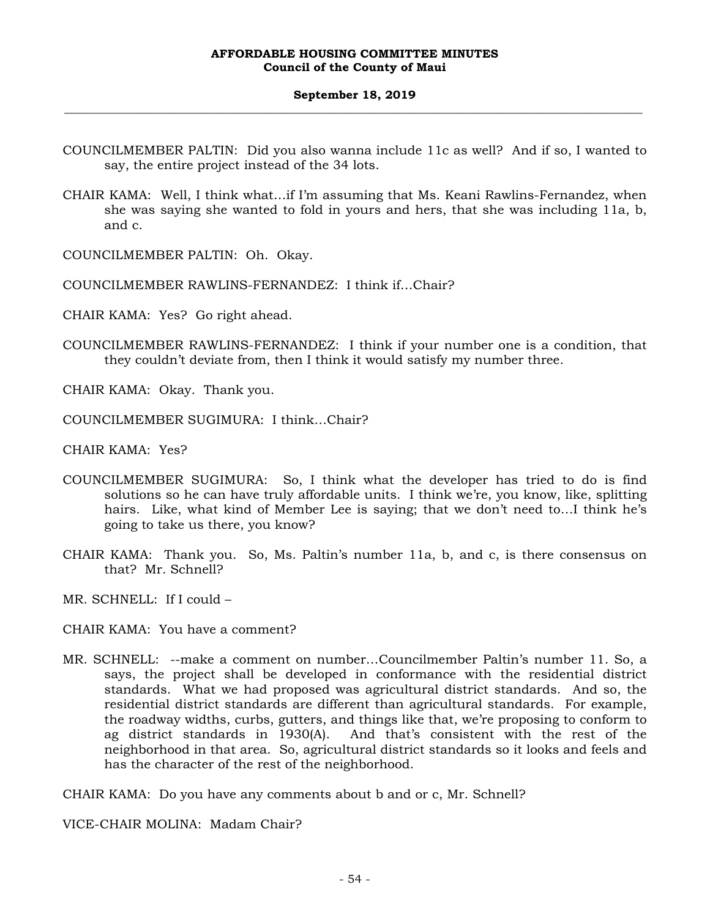## **September 18, 2019 \_\_\_\_\_\_\_\_\_\_\_\_\_\_\_\_\_\_\_\_\_\_\_\_\_\_\_\_\_\_\_\_\_\_\_\_\_\_\_\_\_\_\_\_\_\_\_\_\_\_\_\_\_\_\_\_\_\_\_\_\_\_\_\_\_\_\_\_\_\_\_\_\_\_\_\_\_\_\_\_\_\_\_\_\_\_\_\_\_\_\_\_\_\_\_\_\_\_\_**

- COUNCILMEMBER PALTIN: Did you also wanna include 11c as well? And if so, I wanted to say, the entire project instead of the 34 lots.
- CHAIR KAMA: Well, I think what…if I'm assuming that Ms. Keani Rawlins-Fernandez, when she was saying she wanted to fold in yours and hers, that she was including 11a, b, and c.
- COUNCILMEMBER PALTIN: Oh. Okay.
- COUNCILMEMBER RAWLINS-FERNANDEZ: I think if…Chair?
- CHAIR KAMA: Yes? Go right ahead.
- COUNCILMEMBER RAWLINS-FERNANDEZ: I think if your number one is a condition, that they couldn't deviate from, then I think it would satisfy my number three.
- CHAIR KAMA: Okay. Thank you.
- COUNCILMEMBER SUGIMURA: I think…Chair?

CHAIR KAMA: Yes?

- COUNCILMEMBER SUGIMURA: So, I think what the developer has tried to do is find solutions so he can have truly affordable units. I think we're, you know, like, splitting hairs. Like, what kind of Member Lee is saying; that we don't need to…I think he's going to take us there, you know?
- CHAIR KAMA: Thank you. So, Ms. Paltin's number 11a, b, and c, is there consensus on that? Mr. Schnell?
- MR. SCHNELL: If I could –
- CHAIR KAMA: You have a comment?
- MR. SCHNELL: --make a comment on number…Councilmember Paltin's number 11. So, a says, the project shall be developed in conformance with the residential district standards. What we had proposed was agricultural district standards. And so, the residential district standards are different than agricultural standards. For example, the roadway widths, curbs, gutters, and things like that, we're proposing to conform to ag district standards in 1930(A). And that's consistent with the rest of the neighborhood in that area. So, agricultural district standards so it looks and feels and has the character of the rest of the neighborhood.

CHAIR KAMA: Do you have any comments about b and or c, Mr. Schnell?

VICE-CHAIR MOLINA: Madam Chair?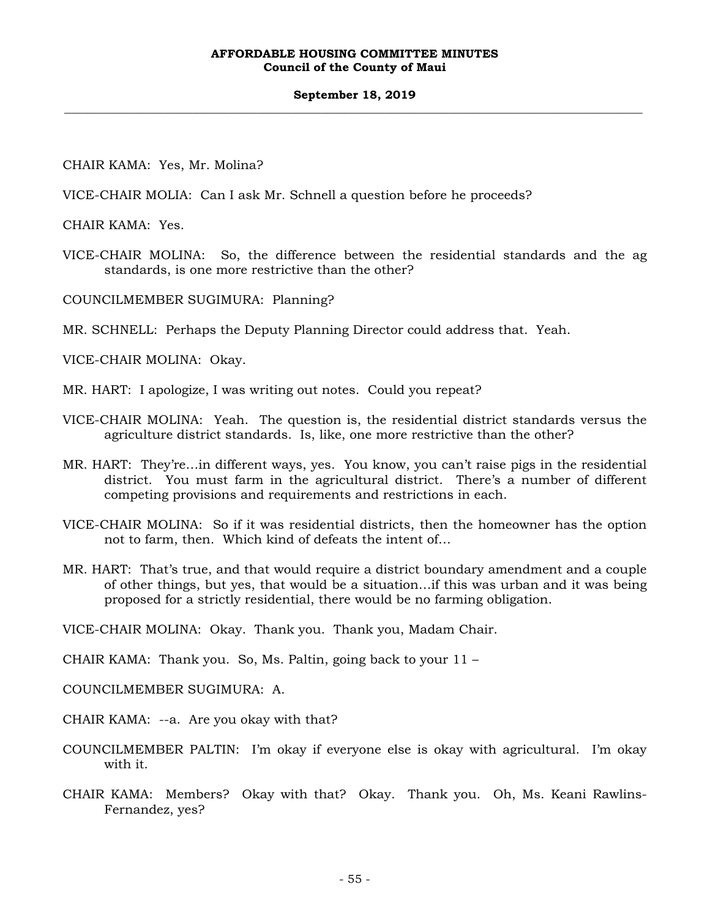# **September 18, 2019 \_\_\_\_\_\_\_\_\_\_\_\_\_\_\_\_\_\_\_\_\_\_\_\_\_\_\_\_\_\_\_\_\_\_\_\_\_\_\_\_\_\_\_\_\_\_\_\_\_\_\_\_\_\_\_\_\_\_\_\_\_\_\_\_\_\_\_\_\_\_\_\_\_\_\_\_\_\_\_\_\_\_\_\_\_\_\_\_\_\_\_\_\_\_\_\_\_\_\_**

CHAIR KAMA: Yes, Mr. Molina?

VICE-CHAIR MOLIA: Can I ask Mr. Schnell a question before he proceeds?

CHAIR KAMA: Yes.

VICE-CHAIR MOLINA: So, the difference between the residential standards and the ag standards, is one more restrictive than the other?

COUNCILMEMBER SUGIMURA: Planning?

MR. SCHNELL: Perhaps the Deputy Planning Director could address that. Yeah.

VICE-CHAIR MOLINA: Okay.

MR. HART: I apologize, I was writing out notes. Could you repeat?

- VICE-CHAIR MOLINA: Yeah. The question is, the residential district standards versus the agriculture district standards. Is, like, one more restrictive than the other?
- MR. HART: They're…in different ways, yes. You know, you can't raise pigs in the residential district. You must farm in the agricultural district. There's a number of different competing provisions and requirements and restrictions in each.
- VICE-CHAIR MOLINA: So if it was residential districts, then the homeowner has the option not to farm, then. Which kind of defeats the intent of…
- MR. HART: That's true, and that would require a district boundary amendment and a couple of other things, but yes, that would be a situation…if this was urban and it was being proposed for a strictly residential, there would be no farming obligation.

VICE-CHAIR MOLINA: Okay. Thank you. Thank you, Madam Chair.

CHAIR KAMA: Thank you. So, Ms. Paltin, going back to your 11 –

COUNCILMEMBER SUGIMURA: A.

CHAIR KAMA: --a. Are you okay with that?

- COUNCILMEMBER PALTIN: I'm okay if everyone else is okay with agricultural. I'm okay with it.
- CHAIR KAMA: Members? Okay with that? Okay. Thank you. Oh, Ms. Keani Rawlins-Fernandez, yes?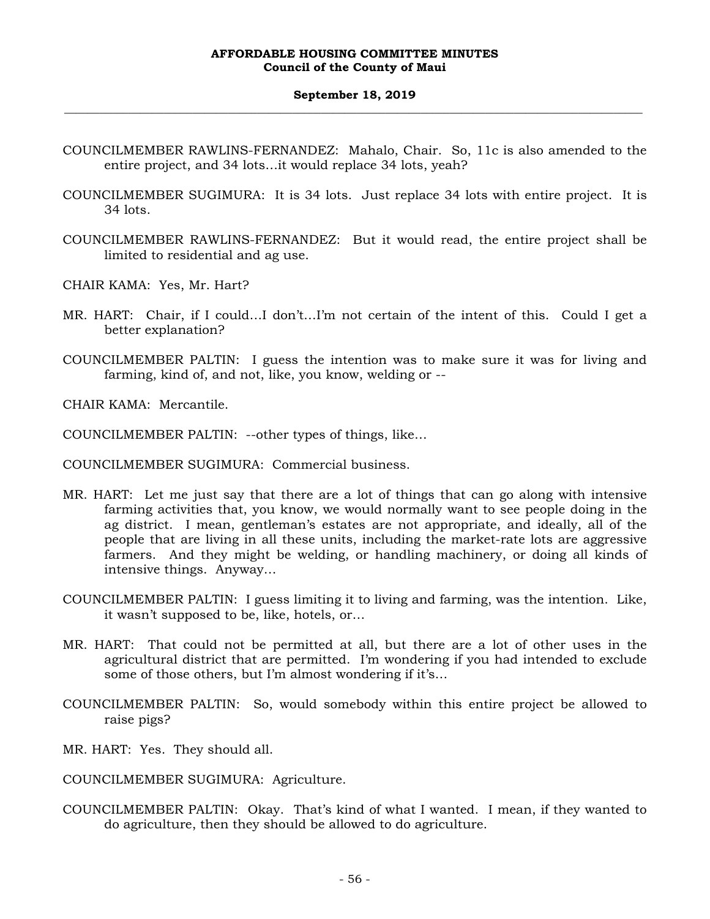### **September 18, 2019 \_\_\_\_\_\_\_\_\_\_\_\_\_\_\_\_\_\_\_\_\_\_\_\_\_\_\_\_\_\_\_\_\_\_\_\_\_\_\_\_\_\_\_\_\_\_\_\_\_\_\_\_\_\_\_\_\_\_\_\_\_\_\_\_\_\_\_\_\_\_\_\_\_\_\_\_\_\_\_\_\_\_\_\_\_\_\_\_\_\_\_\_\_\_\_\_\_\_\_**

- COUNCILMEMBER RAWLINS-FERNANDEZ: Mahalo, Chair. So, 11c is also amended to the entire project, and 34 lots…it would replace 34 lots, yeah?
- COUNCILMEMBER SUGIMURA: It is 34 lots. Just replace 34 lots with entire project. It is 34 lots.
- COUNCILMEMBER RAWLINS-FERNANDEZ: But it would read, the entire project shall be limited to residential and ag use.
- CHAIR KAMA: Yes, Mr. Hart?
- MR. HART: Chair, if I could…I don't…I'm not certain of the intent of this. Could I get a better explanation?
- COUNCILMEMBER PALTIN: I guess the intention was to make sure it was for living and farming, kind of, and not, like, you know, welding or --

CHAIR KAMA: Mercantile.

COUNCILMEMBER PALTIN: --other types of things, like…

COUNCILMEMBER SUGIMURA: Commercial business.

- MR. HART: Let me just say that there are a lot of things that can go along with intensive farming activities that, you know, we would normally want to see people doing in the ag district. I mean, gentleman's estates are not appropriate, and ideally, all of the people that are living in all these units, including the market-rate lots are aggressive farmers. And they might be welding, or handling machinery, or doing all kinds of intensive things. Anyway…
- COUNCILMEMBER PALTIN: I guess limiting it to living and farming, was the intention. Like, it wasn't supposed to be, like, hotels, or…
- MR. HART: That could not be permitted at all, but there are a lot of other uses in the agricultural district that are permitted. I'm wondering if you had intended to exclude some of those others, but I'm almost wondering if it's…
- COUNCILMEMBER PALTIN: So, would somebody within this entire project be allowed to raise pigs?
- MR. HART: Yes. They should all.
- COUNCILMEMBER SUGIMURA: Agriculture.
- COUNCILMEMBER PALTIN: Okay. That's kind of what I wanted. I mean, if they wanted to do agriculture, then they should be allowed to do agriculture.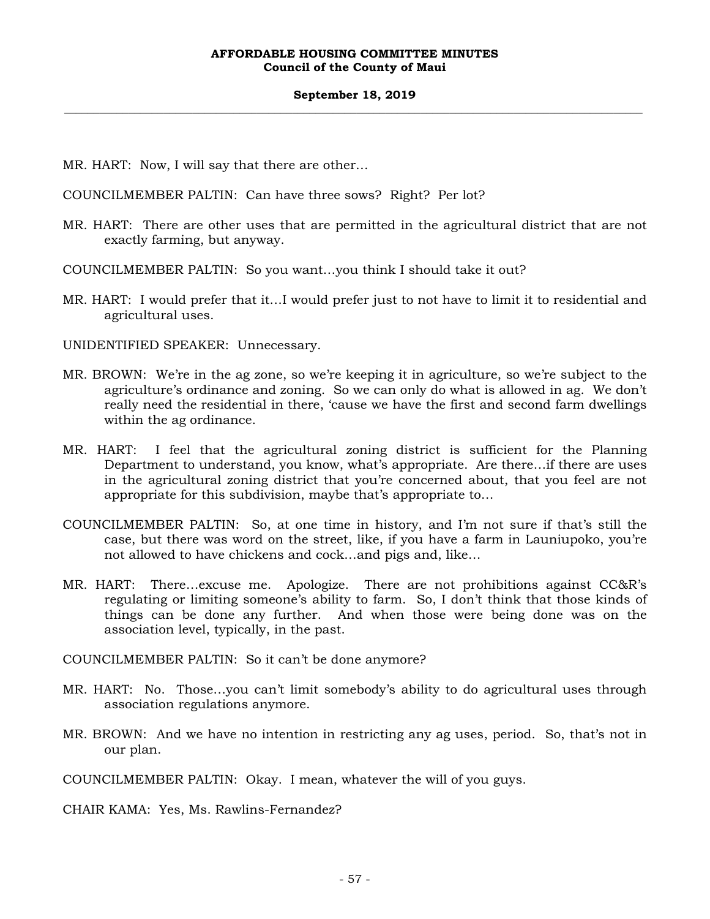#### **September 18, 2019 \_\_\_\_\_\_\_\_\_\_\_\_\_\_\_\_\_\_\_\_\_\_\_\_\_\_\_\_\_\_\_\_\_\_\_\_\_\_\_\_\_\_\_\_\_\_\_\_\_\_\_\_\_\_\_\_\_\_\_\_\_\_\_\_\_\_\_\_\_\_\_\_\_\_\_\_\_\_\_\_\_\_\_\_\_\_\_\_\_\_\_\_\_\_\_\_\_\_\_**

MR. HART: Now, I will say that there are other…

COUNCILMEMBER PALTIN: Can have three sows? Right? Per lot?

- MR. HART: There are other uses that are permitted in the agricultural district that are not exactly farming, but anyway.
- COUNCILMEMBER PALTIN: So you want…you think I should take it out?
- MR. HART: I would prefer that it…I would prefer just to not have to limit it to residential and agricultural uses.

UNIDENTIFIED SPEAKER: Unnecessary.

- MR. BROWN: We're in the ag zone, so we're keeping it in agriculture, so we're subject to the agriculture's ordinance and zoning. So we can only do what is allowed in ag. We don't really need the residential in there, 'cause we have the first and second farm dwellings within the ag ordinance.
- MR. HART: I feel that the agricultural zoning district is sufficient for the Planning Department to understand, you know, what's appropriate. Are there…if there are uses in the agricultural zoning district that you're concerned about, that you feel are not appropriate for this subdivision, maybe that's appropriate to…
- COUNCILMEMBER PALTIN: So, at one time in history, and I'm not sure if that's still the case, but there was word on the street, like, if you have a farm in Launiupoko, you're not allowed to have chickens and cock…and pigs and, like…
- MR. HART: There…excuse me. Apologize. There are not prohibitions against CC&R's regulating or limiting someone's ability to farm. So, I don't think that those kinds of things can be done any further. And when those were being done was on the association level, typically, in the past.

COUNCILMEMBER PALTIN: So it can't be done anymore?

- MR. HART: No. Those…you can't limit somebody's ability to do agricultural uses through association regulations anymore.
- MR. BROWN: And we have no intention in restricting any ag uses, period. So, that's not in our plan.

COUNCILMEMBER PALTIN: Okay. I mean, whatever the will of you guys.

CHAIR KAMA: Yes, Ms. Rawlins-Fernandez?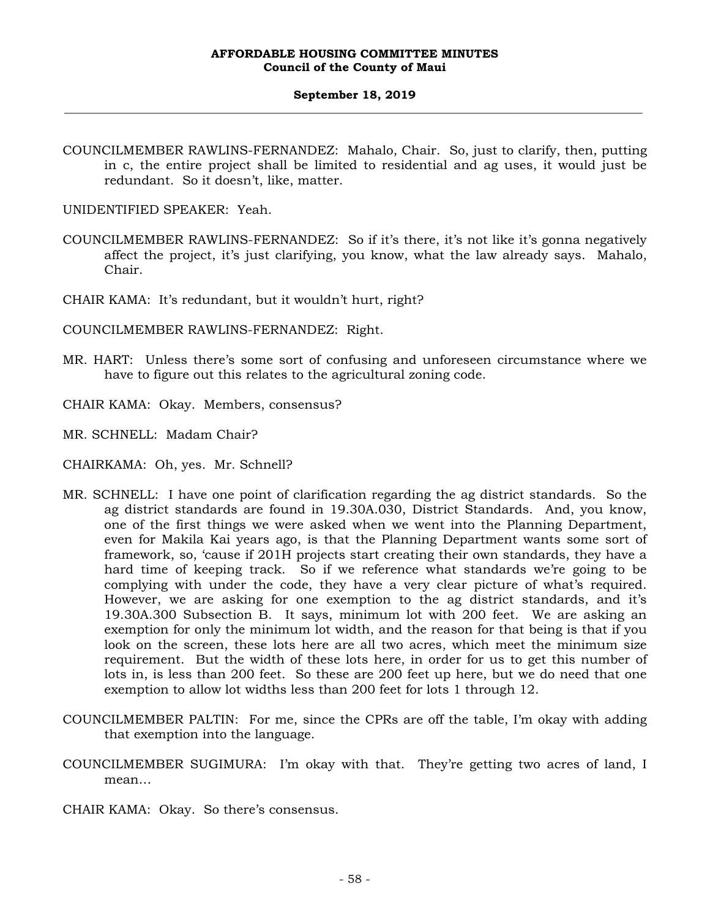COUNCILMEMBER RAWLINS-FERNANDEZ: Mahalo, Chair. So, just to clarify, then, putting in c, the entire project shall be limited to residential and ag uses, it would just be redundant. So it doesn't, like, matter.

UNIDENTIFIED SPEAKER: Yeah.

COUNCILMEMBER RAWLINS-FERNANDEZ: So if it's there, it's not like it's gonna negatively affect the project, it's just clarifying, you know, what the law already says. Mahalo, Chair.

CHAIR KAMA: It's redundant, but it wouldn't hurt, right?

COUNCILMEMBER RAWLINS-FERNANDEZ: Right.

- MR. HART: Unless there's some sort of confusing and unforeseen circumstance where we have to figure out this relates to the agricultural zoning code.
- CHAIR KAMA: Okay. Members, consensus?

MR. SCHNELL: Madam Chair?

CHAIRKAMA: Oh, yes. Mr. Schnell?

- MR. SCHNELL: I have one point of clarification regarding the ag district standards. So the ag district standards are found in 19.30A.030, District Standards. And, you know, one of the first things we were asked when we went into the Planning Department, even for Makila Kai years ago, is that the Planning Department wants some sort of framework, so, 'cause if 201H projects start creating their own standards, they have a hard time of keeping track. So if we reference what standards we're going to be complying with under the code, they have a very clear picture of what's required. However, we are asking for one exemption to the ag district standards, and it's 19.30A.300 Subsection B. It says, minimum lot with 200 feet. We are asking an exemption for only the minimum lot width, and the reason for that being is that if you look on the screen, these lots here are all two acres, which meet the minimum size requirement. But the width of these lots here, in order for us to get this number of lots in, is less than 200 feet. So these are 200 feet up here, but we do need that one exemption to allow lot widths less than 200 feet for lots 1 through 12.
- COUNCILMEMBER PALTIN: For me, since the CPRs are off the table, I'm okay with adding that exemption into the language.
- COUNCILMEMBER SUGIMURA: I'm okay with that. They're getting two acres of land, I mean…
- CHAIR KAMA: Okay. So there's consensus.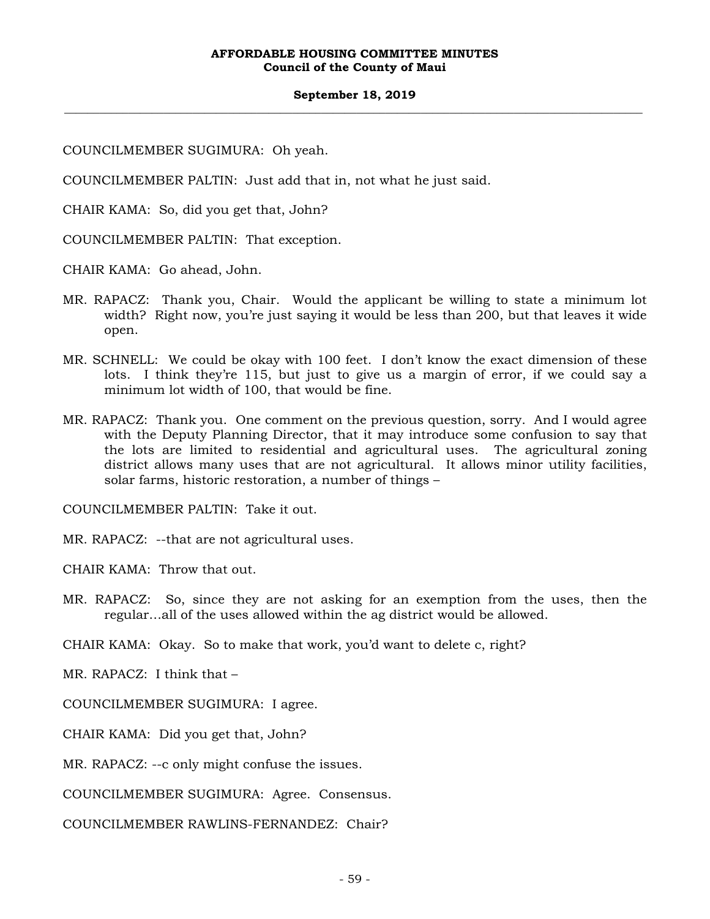#### **September 18, 2019 \_\_\_\_\_\_\_\_\_\_\_\_\_\_\_\_\_\_\_\_\_\_\_\_\_\_\_\_\_\_\_\_\_\_\_\_\_\_\_\_\_\_\_\_\_\_\_\_\_\_\_\_\_\_\_\_\_\_\_\_\_\_\_\_\_\_\_\_\_\_\_\_\_\_\_\_\_\_\_\_\_\_\_\_\_\_\_\_\_\_\_\_\_\_\_\_\_\_\_**

COUNCILMEMBER SUGIMURA: Oh yeah.

COUNCILMEMBER PALTIN: Just add that in, not what he just said.

CHAIR KAMA: So, did you get that, John?

COUNCILMEMBER PALTIN: That exception.

CHAIR KAMA: Go ahead, John.

- MR. RAPACZ: Thank you, Chair. Would the applicant be willing to state a minimum lot width? Right now, you're just saying it would be less than 200, but that leaves it wide open.
- MR. SCHNELL: We could be okay with 100 feet. I don't know the exact dimension of these lots. I think they're 115, but just to give us a margin of error, if we could say a minimum lot width of 100, that would be fine.
- MR. RAPACZ: Thank you. One comment on the previous question, sorry. And I would agree with the Deputy Planning Director, that it may introduce some confusion to say that the lots are limited to residential and agricultural uses. The agricultural zoning district allows many uses that are not agricultural. It allows minor utility facilities, solar farms, historic restoration, a number of things –

COUNCILMEMBER PALTIN: Take it out.

MR. RAPACZ: --that are not agricultural uses.

CHAIR KAMA: Throw that out.

MR. RAPACZ: So, since they are not asking for an exemption from the uses, then the regular…all of the uses allowed within the ag district would be allowed.

CHAIR KAMA: Okay. So to make that work, you'd want to delete c, right?

MR. RAPACZ: I think that –

COUNCILMEMBER SUGIMURA: I agree.

CHAIR KAMA: Did you get that, John?

MR. RAPACZ: --c only might confuse the issues.

COUNCILMEMBER SUGIMURA: Agree. Consensus.

COUNCILMEMBER RAWLINS-FERNANDEZ: Chair?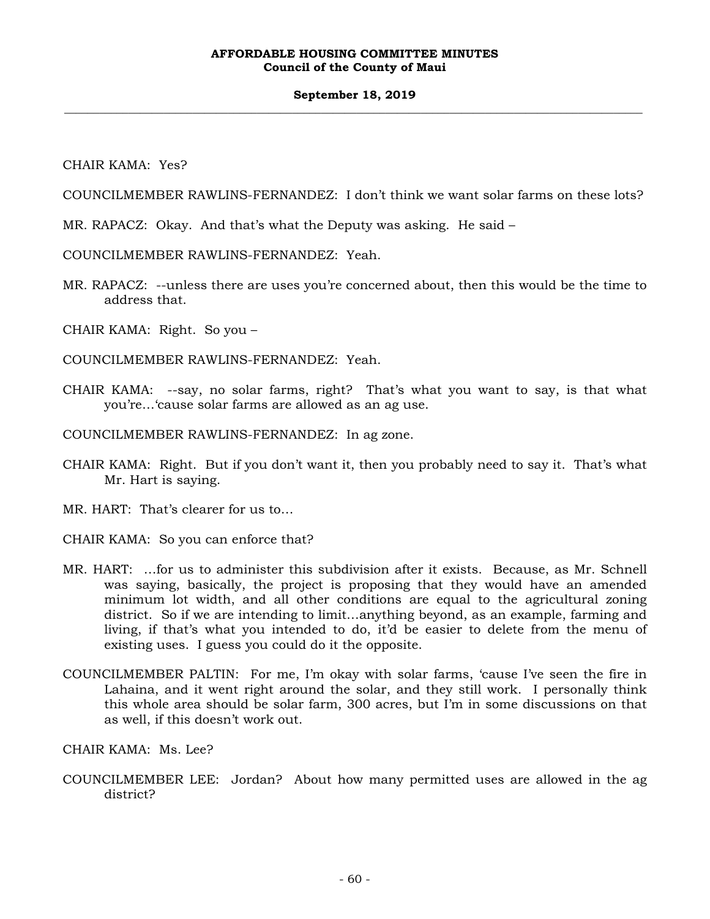### **September 18, 2019 \_\_\_\_\_\_\_\_\_\_\_\_\_\_\_\_\_\_\_\_\_\_\_\_\_\_\_\_\_\_\_\_\_\_\_\_\_\_\_\_\_\_\_\_\_\_\_\_\_\_\_\_\_\_\_\_\_\_\_\_\_\_\_\_\_\_\_\_\_\_\_\_\_\_\_\_\_\_\_\_\_\_\_\_\_\_\_\_\_\_\_\_\_\_\_\_\_\_\_**

# CHAIR KAMA: Yes?

COUNCILMEMBER RAWLINS-FERNANDEZ: I don't think we want solar farms on these lots?

MR. RAPACZ: Okay. And that's what the Deputy was asking. He said –

COUNCILMEMBER RAWLINS-FERNANDEZ: Yeah.

- MR. RAPACZ: --unless there are uses you're concerned about, then this would be the time to address that.
- CHAIR KAMA: Right. So you –

COUNCILMEMBER RAWLINS-FERNANDEZ: Yeah.

CHAIR KAMA: --say, no solar farms, right? That's what you want to say, is that what you're…'cause solar farms are allowed as an ag use.

COUNCILMEMBER RAWLINS-FERNANDEZ: In ag zone.

- CHAIR KAMA: Right. But if you don't want it, then you probably need to say it. That's what Mr. Hart is saying.
- MR. HART: That's clearer for us to…

CHAIR KAMA: So you can enforce that?

- MR. HART: …for us to administer this subdivision after it exists. Because, as Mr. Schnell was saying, basically, the project is proposing that they would have an amended minimum lot width, and all other conditions are equal to the agricultural zoning district. So if we are intending to limit…anything beyond, as an example, farming and living, if that's what you intended to do, it'd be easier to delete from the menu of existing uses. I guess you could do it the opposite.
- COUNCILMEMBER PALTIN: For me, I'm okay with solar farms, 'cause I've seen the fire in Lahaina, and it went right around the solar, and they still work. I personally think this whole area should be solar farm, 300 acres, but I'm in some discussions on that as well, if this doesn't work out.

CHAIR KAMA: Ms. Lee?

COUNCILMEMBER LEE: Jordan? About how many permitted uses are allowed in the ag district?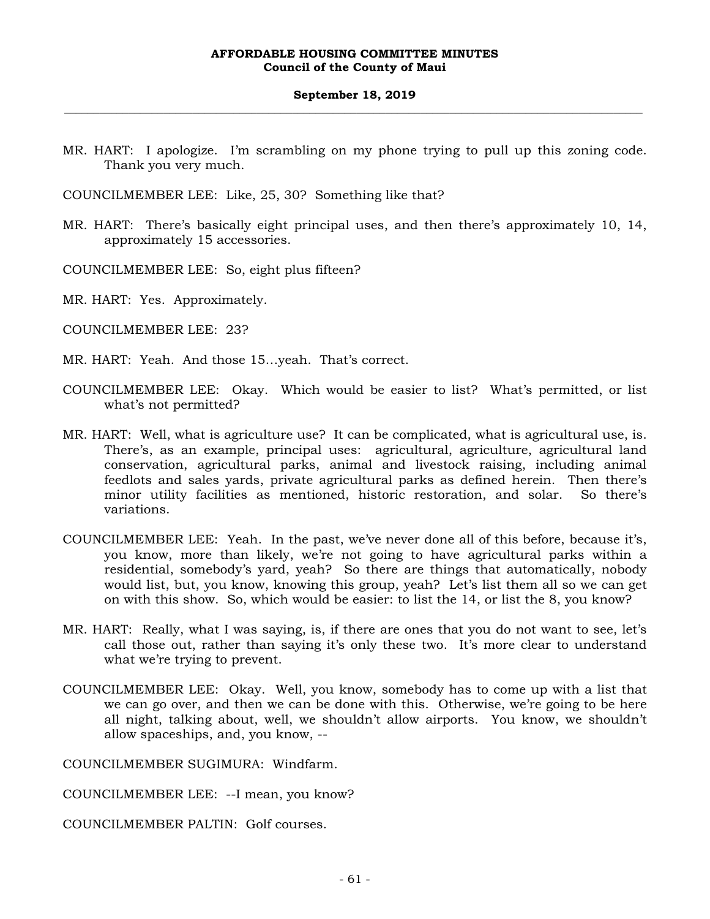MR. HART: I apologize. I'm scrambling on my phone trying to pull up this zoning code. Thank you very much.

COUNCILMEMBER LEE: Like, 25, 30? Something like that?

- MR. HART: There's basically eight principal uses, and then there's approximately 10, 14, approximately 15 accessories.
- COUNCILMEMBER LEE: So, eight plus fifteen?
- MR. HART: Yes. Approximately.
- COUNCILMEMBER LEE: 23?
- MR. HART: Yeah. And those 15…yeah. That's correct.
- COUNCILMEMBER LEE: Okay. Which would be easier to list? What's permitted, or list what's not permitted?
- MR. HART: Well, what is agriculture use? It can be complicated, what is agricultural use, is. There's, as an example, principal uses: agricultural, agriculture, agricultural land conservation, agricultural parks, animal and livestock raising, including animal feedlots and sales yards, private agricultural parks as defined herein. Then there's minor utility facilities as mentioned, historic restoration, and solar. So there's variations.
- COUNCILMEMBER LEE: Yeah. In the past, we've never done all of this before, because it's, you know, more than likely, we're not going to have agricultural parks within a residential, somebody's yard, yeah? So there are things that automatically, nobody would list, but, you know, knowing this group, yeah? Let's list them all so we can get on with this show. So, which would be easier: to list the 14, or list the 8, you know?
- MR. HART: Really, what I was saying, is, if there are ones that you do not want to see, let's call those out, rather than saying it's only these two. It's more clear to understand what we're trying to prevent.
- COUNCILMEMBER LEE: Okay. Well, you know, somebody has to come up with a list that we can go over, and then we can be done with this. Otherwise, we're going to be here all night, talking about, well, we shouldn't allow airports. You know, we shouldn't allow spaceships, and, you know, --

COUNCILMEMBER SUGIMURA: Windfarm.

COUNCILMEMBER LEE: --I mean, you know?

COUNCILMEMBER PALTIN: Golf courses.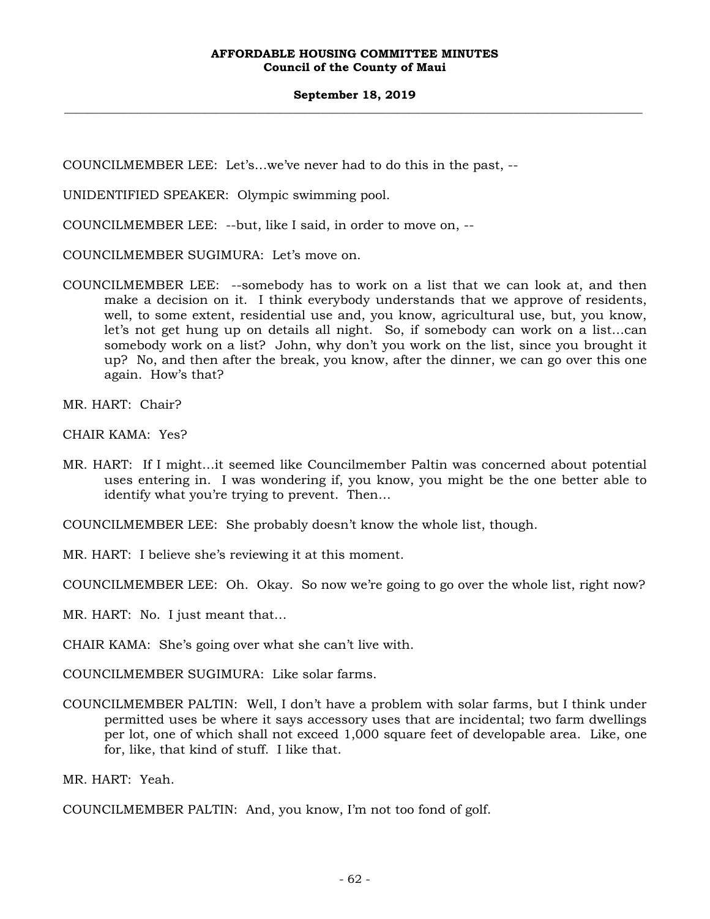## **September 18, 2019 \_\_\_\_\_\_\_\_\_\_\_\_\_\_\_\_\_\_\_\_\_\_\_\_\_\_\_\_\_\_\_\_\_\_\_\_\_\_\_\_\_\_\_\_\_\_\_\_\_\_\_\_\_\_\_\_\_\_\_\_\_\_\_\_\_\_\_\_\_\_\_\_\_\_\_\_\_\_\_\_\_\_\_\_\_\_\_\_\_\_\_\_\_\_\_\_\_\_\_**

COUNCILMEMBER LEE: Let's…we've never had to do this in the past, --

UNIDENTIFIED SPEAKER: Olympic swimming pool.

COUNCILMEMBER LEE: --but, like I said, in order to move on, --

COUNCILMEMBER SUGIMURA: Let's move on.

- COUNCILMEMBER LEE: --somebody has to work on a list that we can look at, and then make a decision on it. I think everybody understands that we approve of residents, well, to some extent, residential use and, you know, agricultural use, but, you know, let's not get hung up on details all night. So, if somebody can work on a list…can somebody work on a list? John, why don't you work on the list, since you brought it up? No, and then after the break, you know, after the dinner, we can go over this one again. How's that?
- MR. HART: Chair?

CHAIR KAMA: Yes?

MR. HART: If I might…it seemed like Councilmember Paltin was concerned about potential uses entering in. I was wondering if, you know, you might be the one better able to identify what you're trying to prevent. Then…

COUNCILMEMBER LEE: She probably doesn't know the whole list, though.

MR. HART: I believe she's reviewing it at this moment.

COUNCILMEMBER LEE: Oh. Okay. So now we're going to go over the whole list, right now?

MR. HART: No. I just meant that…

CHAIR KAMA: She's going over what she can't live with.

COUNCILMEMBER SUGIMURA: Like solar farms.

COUNCILMEMBER PALTIN: Well, I don't have a problem with solar farms, but I think under permitted uses be where it says accessory uses that are incidental; two farm dwellings per lot, one of which shall not exceed 1,000 square feet of developable area. Like, one for, like, that kind of stuff. I like that.

MR. HART: Yeah.

COUNCILMEMBER PALTIN: And, you know, I'm not too fond of golf.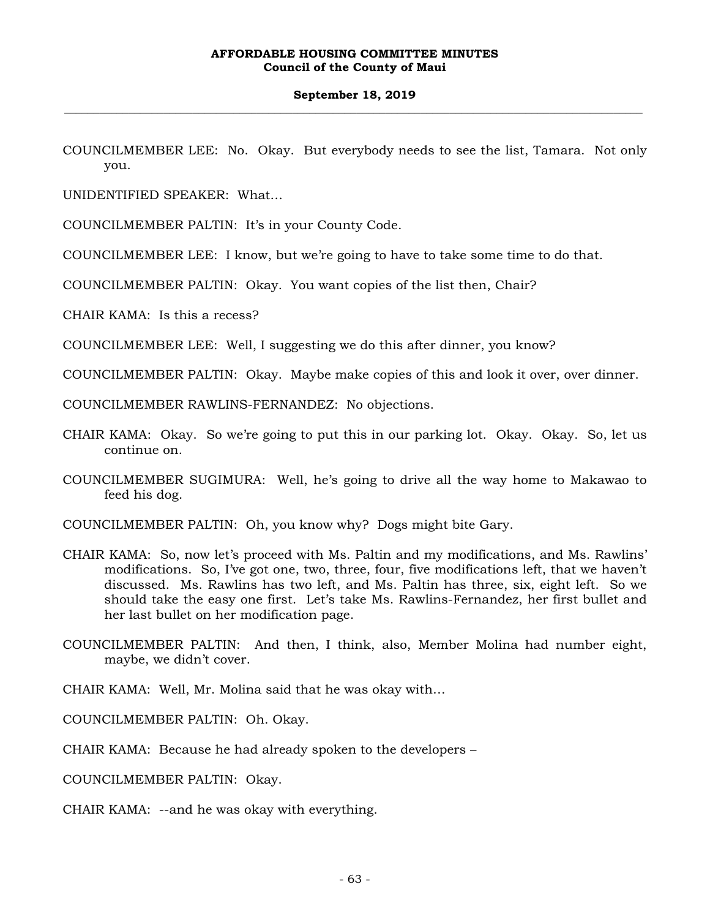COUNCILMEMBER LEE: No. Okay. But everybody needs to see the list, Tamara. Not only you.

UNIDENTIFIED SPEAKER: What…

COUNCILMEMBER PALTIN: It's in your County Code.

COUNCILMEMBER LEE: I know, but we're going to have to take some time to do that.

COUNCILMEMBER PALTIN: Okay. You want copies of the list then, Chair?

CHAIR KAMA: Is this a recess?

COUNCILMEMBER LEE: Well, I suggesting we do this after dinner, you know?

COUNCILMEMBER PALTIN: Okay. Maybe make copies of this and look it over, over dinner.

COUNCILMEMBER RAWLINS-FERNANDEZ: No objections.

- CHAIR KAMA: Okay. So we're going to put this in our parking lot. Okay. Okay. So, let us continue on.
- COUNCILMEMBER SUGIMURA: Well, he's going to drive all the way home to Makawao to feed his dog.

COUNCILMEMBER PALTIN: Oh, you know why? Dogs might bite Gary.

- CHAIR KAMA: So, now let's proceed with Ms. Paltin and my modifications, and Ms. Rawlins' modifications. So, I've got one, two, three, four, five modifications left, that we haven't discussed. Ms. Rawlins has two left, and Ms. Paltin has three, six, eight left. So we should take the easy one first. Let's take Ms. Rawlins-Fernandez, her first bullet and her last bullet on her modification page.
- COUNCILMEMBER PALTIN: And then, I think, also, Member Molina had number eight, maybe, we didn't cover.
- CHAIR KAMA: Well, Mr. Molina said that he was okay with…

COUNCILMEMBER PALTIN: Oh. Okay.

CHAIR KAMA: Because he had already spoken to the developers –

COUNCILMEMBER PALTIN: Okay.

CHAIR KAMA: --and he was okay with everything.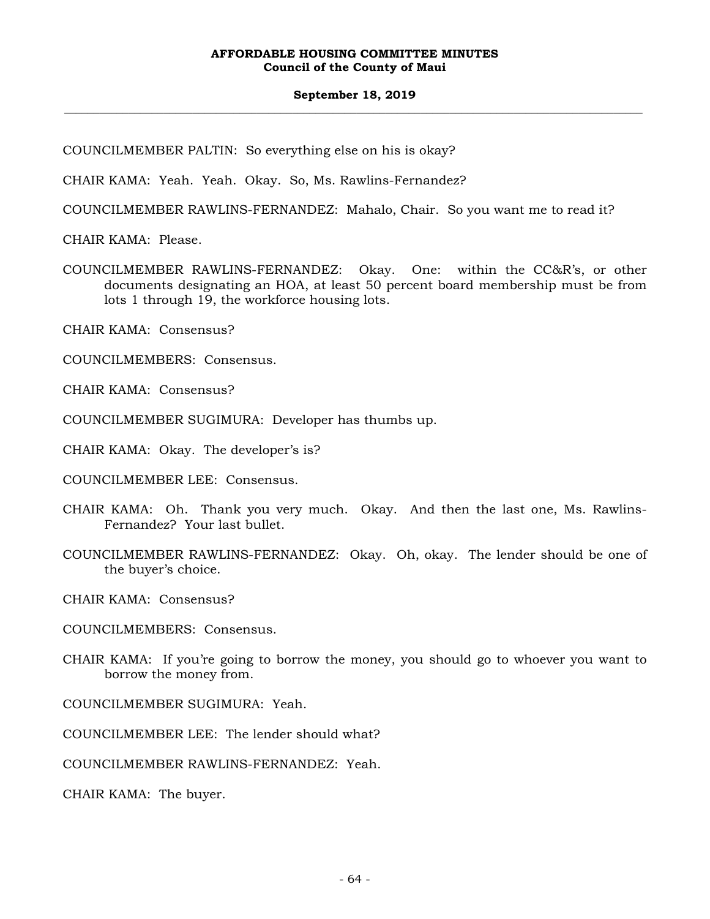#### **September 18, 2019 \_\_\_\_\_\_\_\_\_\_\_\_\_\_\_\_\_\_\_\_\_\_\_\_\_\_\_\_\_\_\_\_\_\_\_\_\_\_\_\_\_\_\_\_\_\_\_\_\_\_\_\_\_\_\_\_\_\_\_\_\_\_\_\_\_\_\_\_\_\_\_\_\_\_\_\_\_\_\_\_\_\_\_\_\_\_\_\_\_\_\_\_\_\_\_\_\_\_\_**

COUNCILMEMBER PALTIN: So everything else on his is okay?

CHAIR KAMA: Yeah. Yeah. Okay. So, Ms. Rawlins-Fernandez?

COUNCILMEMBER RAWLINS-FERNANDEZ: Mahalo, Chair. So you want me to read it?

CHAIR KAMA: Please.

COUNCILMEMBER RAWLINS-FERNANDEZ: Okay. One: within the CC&R's, or other documents designating an HOA, at least 50 percent board membership must be from lots 1 through 19, the workforce housing lots.

CHAIR KAMA: Consensus?

COUNCILMEMBERS: Consensus.

CHAIR KAMA: Consensus?

COUNCILMEMBER SUGIMURA: Developer has thumbs up.

CHAIR KAMA: Okay. The developer's is?

COUNCILMEMBER LEE: Consensus.

- CHAIR KAMA: Oh. Thank you very much. Okay. And then the last one, Ms. Rawlins-Fernandez? Your last bullet.
- COUNCILMEMBER RAWLINS-FERNANDEZ: Okay. Oh, okay. The lender should be one of the buyer's choice.

CHAIR KAMA: Consensus?

COUNCILMEMBERS: Consensus.

CHAIR KAMA: If you're going to borrow the money, you should go to whoever you want to borrow the money from.

COUNCILMEMBER SUGIMURA: Yeah.

COUNCILMEMBER LEE: The lender should what?

COUNCILMEMBER RAWLINS-FERNANDEZ: Yeah.

CHAIR KAMA: The buyer.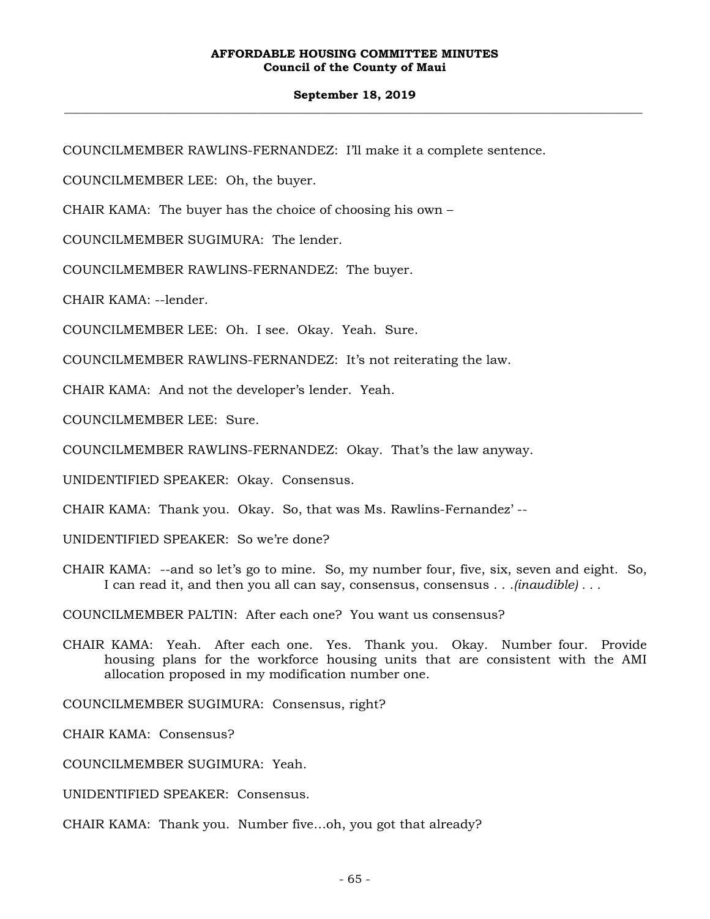# **September 18, 2019 \_\_\_\_\_\_\_\_\_\_\_\_\_\_\_\_\_\_\_\_\_\_\_\_\_\_\_\_\_\_\_\_\_\_\_\_\_\_\_\_\_\_\_\_\_\_\_\_\_\_\_\_\_\_\_\_\_\_\_\_\_\_\_\_\_\_\_\_\_\_\_\_\_\_\_\_\_\_\_\_\_\_\_\_\_\_\_\_\_\_\_\_\_\_\_\_\_\_\_**

COUNCILMEMBER RAWLINS-FERNANDEZ: I'll make it a complete sentence.

COUNCILMEMBER LEE: Oh, the buyer.

CHAIR KAMA: The buyer has the choice of choosing his own –

COUNCILMEMBER SUGIMURA: The lender.

COUNCILMEMBER RAWLINS-FERNANDEZ: The buyer.

CHAIR KAMA: --lender.

COUNCILMEMBER LEE: Oh. I see. Okay. Yeah. Sure.

COUNCILMEMBER RAWLINS-FERNANDEZ: It's not reiterating the law.

CHAIR KAMA: And not the developer's lender. Yeah.

COUNCILMEMBER LEE: Sure.

COUNCILMEMBER RAWLINS-FERNANDEZ: Okay. That's the law anyway.

UNIDENTIFIED SPEAKER: Okay. Consensus.

CHAIR KAMA: Thank you. Okay. So, that was Ms. Rawlins-Fernandez' --

UNIDENTIFIED SPEAKER: So we're done?

CHAIR KAMA: --and so let's go to mine. So, my number four, five, six, seven and eight. So, I can read it, and then you all can say, consensus, consensus . . .*(inaudible) . . .*

COUNCILMEMBER PALTIN: After each one? You want us consensus?

CHAIR KAMA: Yeah. After each one. Yes. Thank you. Okay. Number four. Provide housing plans for the workforce housing units that are consistent with the AMI allocation proposed in my modification number one.

COUNCILMEMBER SUGIMURA: Consensus, right?

CHAIR KAMA: Consensus?

COUNCILMEMBER SUGIMURA: Yeah.

UNIDENTIFIED SPEAKER: Consensus.

CHAIR KAMA: Thank you. Number five…oh, you got that already?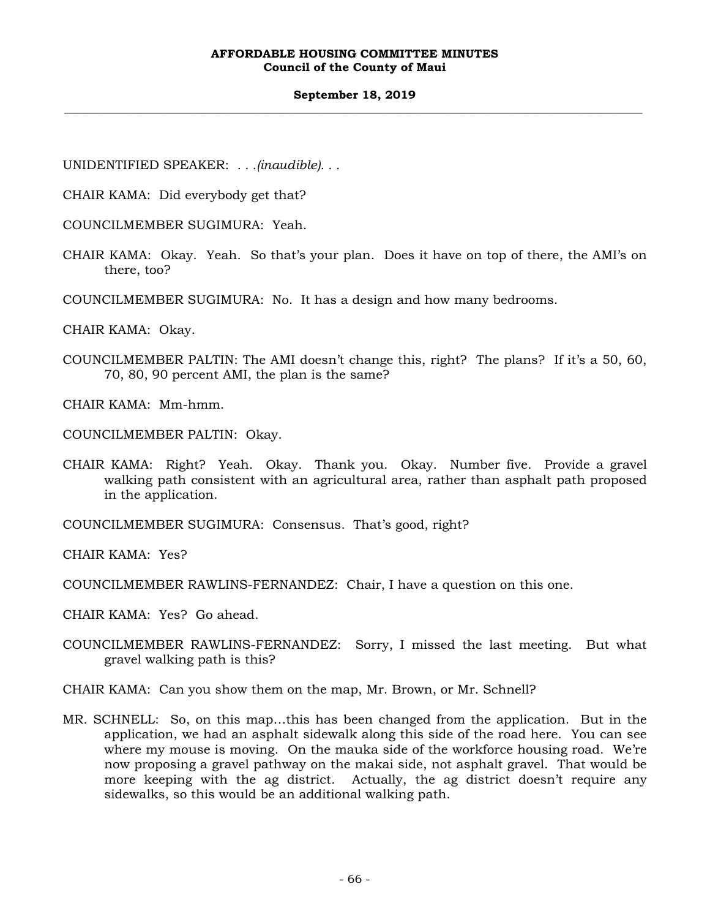## **September 18, 2019 \_\_\_\_\_\_\_\_\_\_\_\_\_\_\_\_\_\_\_\_\_\_\_\_\_\_\_\_\_\_\_\_\_\_\_\_\_\_\_\_\_\_\_\_\_\_\_\_\_\_\_\_\_\_\_\_\_\_\_\_\_\_\_\_\_\_\_\_\_\_\_\_\_\_\_\_\_\_\_\_\_\_\_\_\_\_\_\_\_\_\_\_\_\_\_\_\_\_\_**

UNIDENTIFIED SPEAKER: *. . .(inaudible). . .*

CHAIR KAMA: Did everybody get that?

COUNCILMEMBER SUGIMURA: Yeah.

CHAIR KAMA: Okay. Yeah. So that's your plan. Does it have on top of there, the AMI's on there, too?

COUNCILMEMBER SUGIMURA: No. It has a design and how many bedrooms.

CHAIR KAMA: Okay.

COUNCILMEMBER PALTIN: The AMI doesn't change this, right? The plans? If it's a 50, 60, 70, 80, 90 percent AMI, the plan is the same?

CHAIR KAMA: Mm-hmm.

COUNCILMEMBER PALTIN: Okay.

CHAIR KAMA: Right? Yeah. Okay. Thank you. Okay. Number five. Provide a gravel walking path consistent with an agricultural area, rather than asphalt path proposed in the application.

COUNCILMEMBER SUGIMURA: Consensus. That's good, right?

CHAIR KAMA: Yes?

COUNCILMEMBER RAWLINS-FERNANDEZ: Chair, I have a question on this one.

CHAIR KAMA: Yes? Go ahead.

COUNCILMEMBER RAWLINS-FERNANDEZ: Sorry, I missed the last meeting. But what gravel walking path is this?

CHAIR KAMA: Can you show them on the map, Mr. Brown, or Mr. Schnell?

MR. SCHNELL: So, on this map…this has been changed from the application. But in the application, we had an asphalt sidewalk along this side of the road here. You can see where my mouse is moving. On the mauka side of the workforce housing road. We're now proposing a gravel pathway on the makai side, not asphalt gravel. That would be more keeping with the ag district. Actually, the ag district doesn't require any sidewalks, so this would be an additional walking path.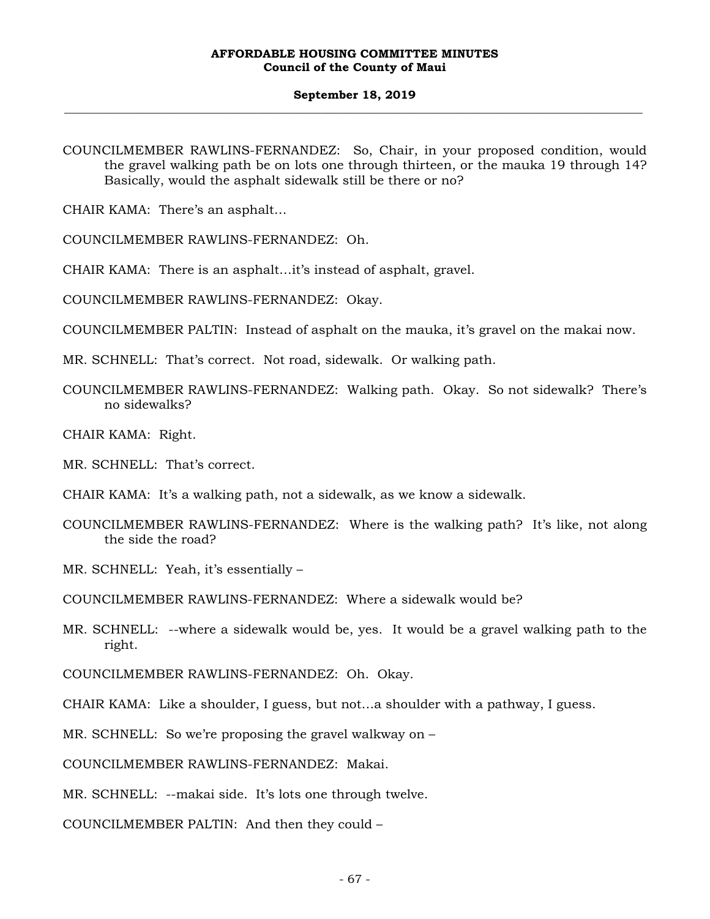#### **September 18, 2019 \_\_\_\_\_\_\_\_\_\_\_\_\_\_\_\_\_\_\_\_\_\_\_\_\_\_\_\_\_\_\_\_\_\_\_\_\_\_\_\_\_\_\_\_\_\_\_\_\_\_\_\_\_\_\_\_\_\_\_\_\_\_\_\_\_\_\_\_\_\_\_\_\_\_\_\_\_\_\_\_\_\_\_\_\_\_\_\_\_\_\_\_\_\_\_\_\_\_\_**

COUNCILMEMBER RAWLINS-FERNANDEZ: So, Chair, in your proposed condition, would the gravel walking path be on lots one through thirteen, or the mauka 19 through 14? Basically, would the asphalt sidewalk still be there or no?

CHAIR KAMA: There's an asphalt…

COUNCILMEMBER RAWLINS-FERNANDEZ: Oh.

CHAIR KAMA: There is an asphalt…it's instead of asphalt, gravel.

COUNCILMEMBER RAWLINS-FERNANDEZ: Okay.

COUNCILMEMBER PALTIN: Instead of asphalt on the mauka, it's gravel on the makai now.

MR. SCHNELL: That's correct. Not road, sidewalk. Or walking path.

- COUNCILMEMBER RAWLINS-FERNANDEZ: Walking path. Okay. So not sidewalk? There's no sidewalks?
- CHAIR KAMA: Right.
- MR. SCHNELL: That's correct.

CHAIR KAMA: It's a walking path, not a sidewalk, as we know a sidewalk.

COUNCILMEMBER RAWLINS-FERNANDEZ: Where is the walking path? It's like, not along the side the road?

MR. SCHNELL: Yeah, it's essentially –

COUNCILMEMBER RAWLINS-FERNANDEZ: Where a sidewalk would be?

MR. SCHNELL: --where a sidewalk would be, yes. It would be a gravel walking path to the right.

COUNCILMEMBER RAWLINS-FERNANDEZ: Oh. Okay.

CHAIR KAMA: Like a shoulder, I guess, but not…a shoulder with a pathway, I guess.

MR. SCHNELL: So we're proposing the gravel walkway on –

COUNCILMEMBER RAWLINS-FERNANDEZ: Makai.

MR. SCHNELL: --makai side. It's lots one through twelve.

COUNCILMEMBER PALTIN: And then they could –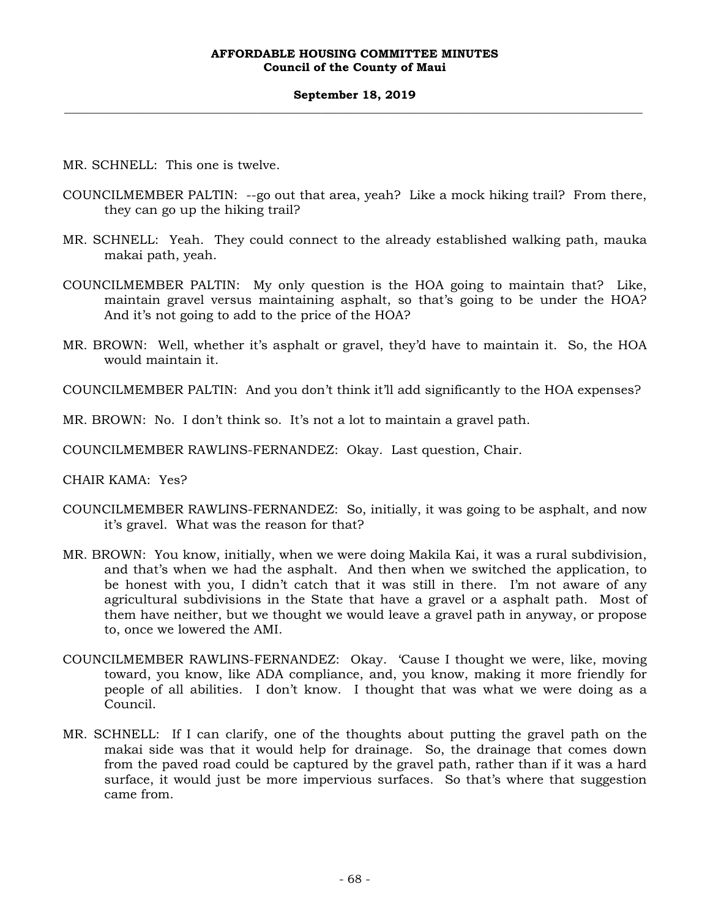# **September 18, 2019 \_\_\_\_\_\_\_\_\_\_\_\_\_\_\_\_\_\_\_\_\_\_\_\_\_\_\_\_\_\_\_\_\_\_\_\_\_\_\_\_\_\_\_\_\_\_\_\_\_\_\_\_\_\_\_\_\_\_\_\_\_\_\_\_\_\_\_\_\_\_\_\_\_\_\_\_\_\_\_\_\_\_\_\_\_\_\_\_\_\_\_\_\_\_\_\_\_\_\_**

- MR. SCHNELL: This one is twelve.
- COUNCILMEMBER PALTIN: --go out that area, yeah? Like a mock hiking trail? From there, they can go up the hiking trail?
- MR. SCHNELL: Yeah. They could connect to the already established walking path, mauka makai path, yeah.
- COUNCILMEMBER PALTIN: My only question is the HOA going to maintain that? Like, maintain gravel versus maintaining asphalt, so that's going to be under the HOA? And it's not going to add to the price of the HOA?
- MR. BROWN: Well, whether it's asphalt or gravel, they'd have to maintain it. So, the HOA would maintain it.

COUNCILMEMBER PALTIN: And you don't think it'll add significantly to the HOA expenses?

MR. BROWN: No. I don't think so. It's not a lot to maintain a gravel path.

COUNCILMEMBER RAWLINS-FERNANDEZ: Okay. Last question, Chair.

- CHAIR KAMA: Yes?
- COUNCILMEMBER RAWLINS-FERNANDEZ: So, initially, it was going to be asphalt, and now it's gravel. What was the reason for that?
- MR. BROWN: You know, initially, when we were doing Makila Kai, it was a rural subdivision, and that's when we had the asphalt. And then when we switched the application, to be honest with you, I didn't catch that it was still in there. I'm not aware of any agricultural subdivisions in the State that have a gravel or a asphalt path. Most of them have neither, but we thought we would leave a gravel path in anyway, or propose to, once we lowered the AMI.
- COUNCILMEMBER RAWLINS-FERNANDEZ: Okay. 'Cause I thought we were, like, moving toward, you know, like ADA compliance, and, you know, making it more friendly for people of all abilities. I don't know. I thought that was what we were doing as a Council.
- MR. SCHNELL: If I can clarify, one of the thoughts about putting the gravel path on the makai side was that it would help for drainage. So, the drainage that comes down from the paved road could be captured by the gravel path, rather than if it was a hard surface, it would just be more impervious surfaces. So that's where that suggestion came from.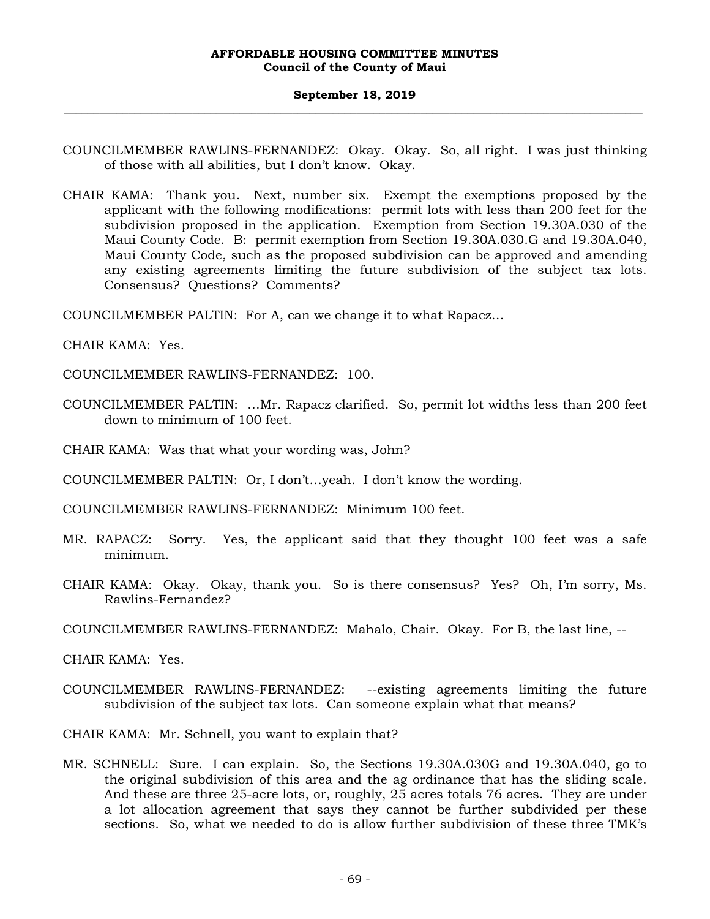#### **September 18, 2019 \_\_\_\_\_\_\_\_\_\_\_\_\_\_\_\_\_\_\_\_\_\_\_\_\_\_\_\_\_\_\_\_\_\_\_\_\_\_\_\_\_\_\_\_\_\_\_\_\_\_\_\_\_\_\_\_\_\_\_\_\_\_\_\_\_\_\_\_\_\_\_\_\_\_\_\_\_\_\_\_\_\_\_\_\_\_\_\_\_\_\_\_\_\_\_\_\_\_\_**

- COUNCILMEMBER RAWLINS-FERNANDEZ: Okay. Okay. So, all right. I was just thinking of those with all abilities, but I don't know. Okay.
- CHAIR KAMA: Thank you. Next, number six. Exempt the exemptions proposed by the applicant with the following modifications: permit lots with less than 200 feet for the subdivision proposed in the application. Exemption from Section 19.30A.030 of the Maui County Code. B: permit exemption from Section 19.30A.030.G and 19.30A.040, Maui County Code, such as the proposed subdivision can be approved and amending any existing agreements limiting the future subdivision of the subject tax lots. Consensus? Questions? Comments?

COUNCILMEMBER PALTIN: For A, can we change it to what Rapacz…

CHAIR KAMA: Yes.

COUNCILMEMBER RAWLINS-FERNANDEZ: 100.

COUNCILMEMBER PALTIN: …Mr. Rapacz clarified. So, permit lot widths less than 200 feet down to minimum of 100 feet.

CHAIR KAMA: Was that what your wording was, John?

COUNCILMEMBER PALTIN: Or, I don't…yeah. I don't know the wording.

COUNCILMEMBER RAWLINS-FERNANDEZ: Minimum 100 feet.

- MR. RAPACZ: Sorry. Yes, the applicant said that they thought 100 feet was a safe minimum.
- CHAIR KAMA: Okay. Okay, thank you. So is there consensus? Yes? Oh, I'm sorry, Ms. Rawlins-Fernandez?
- COUNCILMEMBER RAWLINS-FERNANDEZ: Mahalo, Chair. Okay. For B, the last line, --

CHAIR KAMA: Yes.

COUNCILMEMBER RAWLINS-FERNANDEZ: --existing agreements limiting the future subdivision of the subject tax lots. Can someone explain what that means?

CHAIR KAMA: Mr. Schnell, you want to explain that?

MR. SCHNELL: Sure. I can explain. So, the Sections 19.30A.030G and 19.30A.040, go to the original subdivision of this area and the ag ordinance that has the sliding scale. And these are three 25-acre lots, or, roughly, 25 acres totals 76 acres. They are under a lot allocation agreement that says they cannot be further subdivided per these sections. So, what we needed to do is allow further subdivision of these three TMK's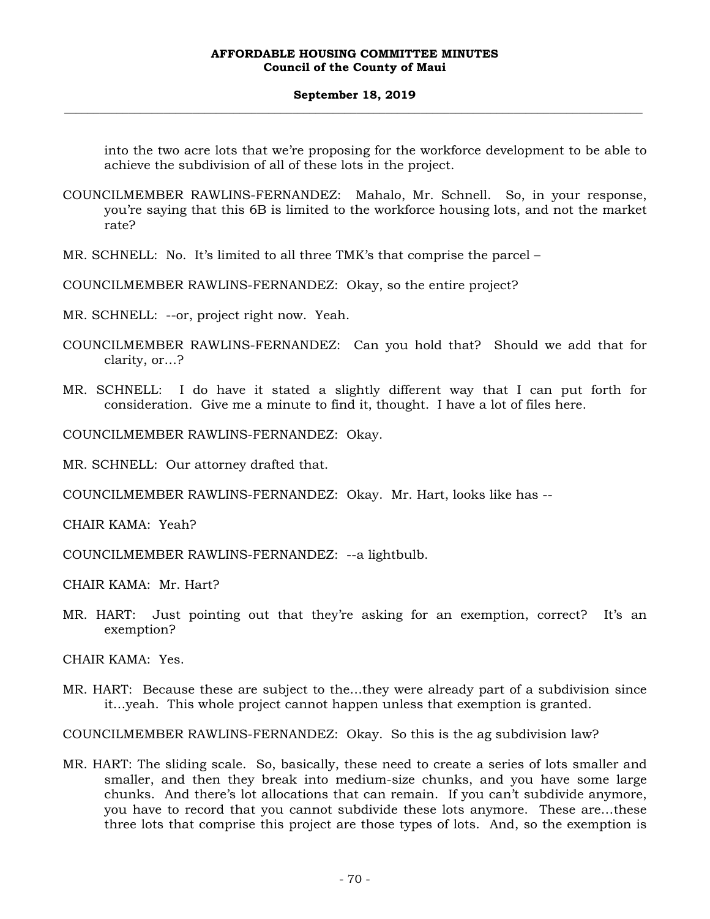## **September 18, 2019 \_\_\_\_\_\_\_\_\_\_\_\_\_\_\_\_\_\_\_\_\_\_\_\_\_\_\_\_\_\_\_\_\_\_\_\_\_\_\_\_\_\_\_\_\_\_\_\_\_\_\_\_\_\_\_\_\_\_\_\_\_\_\_\_\_\_\_\_\_\_\_\_\_\_\_\_\_\_\_\_\_\_\_\_\_\_\_\_\_\_\_\_\_\_\_\_\_\_\_**

into the two acre lots that we're proposing for the workforce development to be able to achieve the subdivision of all of these lots in the project.

COUNCILMEMBER RAWLINS-FERNANDEZ: Mahalo, Mr. Schnell. So, in your response, you're saying that this 6B is limited to the workforce housing lots, and not the market rate?

- MR. SCHNELL: No. It's limited to all three TMK's that comprise the parcel –
- COUNCILMEMBER RAWLINS-FERNANDEZ: Okay, so the entire project?
- MR. SCHNELL: --or, project right now. Yeah.
- COUNCILMEMBER RAWLINS-FERNANDEZ: Can you hold that? Should we add that for clarity, or…?
- MR. SCHNELL: I do have it stated a slightly different way that I can put forth for consideration. Give me a minute to find it, thought. I have a lot of files here.

COUNCILMEMBER RAWLINS-FERNANDEZ: Okay.

MR. SCHNELL: Our attorney drafted that.

COUNCILMEMBER RAWLINS-FERNANDEZ: Okay. Mr. Hart, looks like has --

CHAIR KAMA: Yeah?

COUNCILMEMBER RAWLINS-FERNANDEZ: --a lightbulb.

CHAIR KAMA: Mr. Hart?

MR. HART: Just pointing out that they're asking for an exemption, correct? It's an exemption?

CHAIR KAMA: Yes.

MR. HART: Because these are subject to the…they were already part of a subdivision since it…yeah. This whole project cannot happen unless that exemption is granted.

COUNCILMEMBER RAWLINS-FERNANDEZ: Okay. So this is the ag subdivision law?

MR. HART: The sliding scale. So, basically, these need to create a series of lots smaller and smaller, and then they break into medium-size chunks, and you have some large chunks. And there's lot allocations that can remain. If you can't subdivide anymore, you have to record that you cannot subdivide these lots anymore. These are…these three lots that comprise this project are those types of lots. And, so the exemption is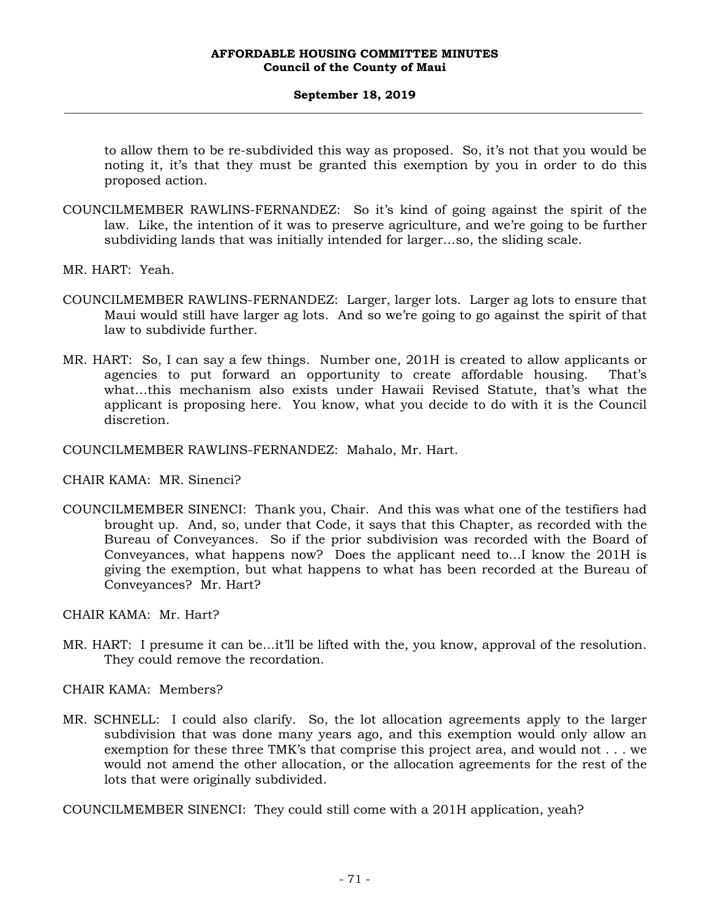to allow them to be re-subdivided this way as proposed. So, it's not that you would be noting it, it's that they must be granted this exemption by you in order to do this proposed action.

- COUNCILMEMBER RAWLINS-FERNANDEZ: So it's kind of going against the spirit of the law. Like, the intention of it was to preserve agriculture, and we're going to be further subdividing lands that was initially intended for larger…so, the sliding scale.
- MR. HART: Yeah.
- COUNCILMEMBER RAWLINS-FERNANDEZ: Larger, larger lots. Larger ag lots to ensure that Maui would still have larger ag lots. And so we're going to go against the spirit of that law to subdivide further.
- MR. HART: So, I can say a few things. Number one, 201H is created to allow applicants or agencies to put forward an opportunity to create affordable housing. That's what…this mechanism also exists under Hawaii Revised Statute, that's what the applicant is proposing here. You know, what you decide to do with it is the Council discretion.

COUNCILMEMBER RAWLINS-FERNANDEZ: Mahalo, Mr. Hart.

CHAIR KAMA: MR. Sinenci?

COUNCILMEMBER SINENCI: Thank you, Chair. And this was what one of the testifiers had brought up. And, so, under that Code, it says that this Chapter, as recorded with the Bureau of Conveyances. So if the prior subdivision was recorded with the Board of Conveyances, what happens now? Does the applicant need to…I know the 201H is giving the exemption, but what happens to what has been recorded at the Bureau of Conveyances? Mr. Hart?

CHAIR KAMA: Mr. Hart?

- MR. HART: I presume it can be…it'll be lifted with the, you know, approval of the resolution. They could remove the recordation.
- CHAIR KAMA: Members?
- MR. SCHNELL: I could also clarify. So, the lot allocation agreements apply to the larger subdivision that was done many years ago, and this exemption would only allow an exemption for these three TMK's that comprise this project area, and would not . . . we would not amend the other allocation, or the allocation agreements for the rest of the lots that were originally subdivided.

COUNCILMEMBER SINENCI: They could still come with a 201H application, yeah?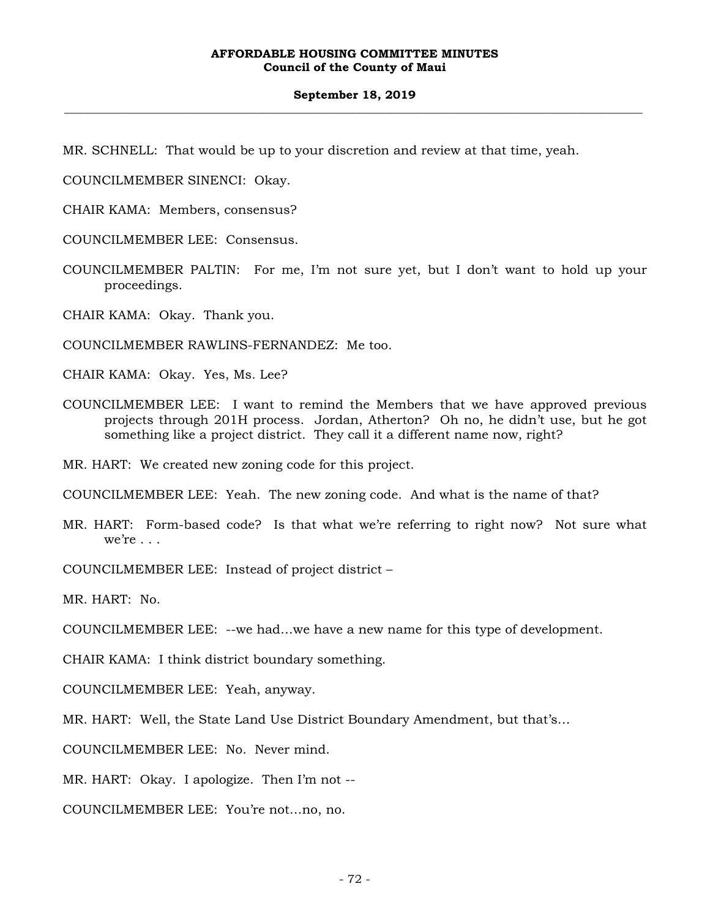#### **September 18, 2019 \_\_\_\_\_\_\_\_\_\_\_\_\_\_\_\_\_\_\_\_\_\_\_\_\_\_\_\_\_\_\_\_\_\_\_\_\_\_\_\_\_\_\_\_\_\_\_\_\_\_\_\_\_\_\_\_\_\_\_\_\_\_\_\_\_\_\_\_\_\_\_\_\_\_\_\_\_\_\_\_\_\_\_\_\_\_\_\_\_\_\_\_\_\_\_\_\_\_\_**

MR. SCHNELL: That would be up to your discretion and review at that time, yeah.

COUNCILMEMBER SINENCI: Okay.

CHAIR KAMA: Members, consensus?

COUNCILMEMBER LEE: Consensus.

COUNCILMEMBER PALTIN: For me, I'm not sure yet, but I don't want to hold up your proceedings.

CHAIR KAMA: Okay. Thank you.

COUNCILMEMBER RAWLINS-FERNANDEZ: Me too.

CHAIR KAMA: Okay. Yes, Ms. Lee?

COUNCILMEMBER LEE: I want to remind the Members that we have approved previous projects through 201H process. Jordan, Atherton? Oh no, he didn't use, but he got something like a project district. They call it a different name now, right?

MR. HART: We created new zoning code for this project.

COUNCILMEMBER LEE: Yeah. The new zoning code. And what is the name of that?

MR. HART: Form-based code? Is that what we're referring to right now? Not sure what  $we're...$ 

COUNCILMEMBER LEE: Instead of project district –

MR. HART: No.

COUNCILMEMBER LEE: --we had…we have a new name for this type of development.

CHAIR KAMA: I think district boundary something.

COUNCILMEMBER LEE: Yeah, anyway.

MR. HART: Well, the State Land Use District Boundary Amendment, but that's…

COUNCILMEMBER LEE: No. Never mind.

MR. HART: Okay. I apologize. Then I'm not --

COUNCILMEMBER LEE: You're not…no, no.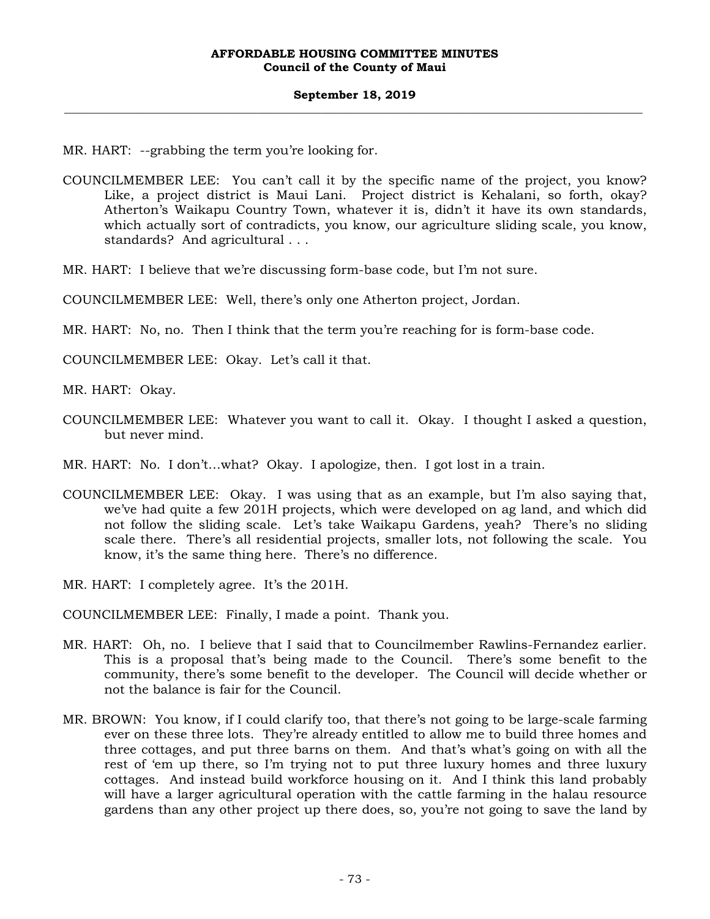MR. HART: --grabbing the term you're looking for.

- COUNCILMEMBER LEE: You can't call it by the specific name of the project, you know? Like, a project district is Maui Lani. Project district is Kehalani, so forth, okay? Atherton's Waikapu Country Town, whatever it is, didn't it have its own standards, which actually sort of contradicts, you know, our agriculture sliding scale, you know, standards? And agricultural . . .
- MR. HART: I believe that we're discussing form-base code, but I'm not sure.

COUNCILMEMBER LEE: Well, there's only one Atherton project, Jordan.

MR. HART: No, no. Then I think that the term you're reaching for is form-base code.

COUNCILMEMBER LEE: Okay. Let's call it that.

MR. HART: Okay.

- COUNCILMEMBER LEE: Whatever you want to call it. Okay. I thought I asked a question, but never mind.
- MR. HART: No. I don't…what? Okay. I apologize, then. I got lost in a train.
- COUNCILMEMBER LEE: Okay. I was using that as an example, but I'm also saying that, we've had quite a few 201H projects, which were developed on ag land, and which did not follow the sliding scale. Let's take Waikapu Gardens, yeah? There's no sliding scale there. There's all residential projects, smaller lots, not following the scale. You know, it's the same thing here. There's no difference.

MR. HART: I completely agree. It's the 201H.

COUNCILMEMBER LEE: Finally, I made a point. Thank you.

- MR. HART: Oh, no. I believe that I said that to Councilmember Rawlins-Fernandez earlier. This is a proposal that's being made to the Council. There's some benefit to the community, there's some benefit to the developer. The Council will decide whether or not the balance is fair for the Council.
- MR. BROWN: You know, if I could clarify too, that there's not going to be large-scale farming ever on these three lots. They're already entitled to allow me to build three homes and three cottages, and put three barns on them. And that's what's going on with all the rest of 'em up there, so I'm trying not to put three luxury homes and three luxury cottages. And instead build workforce housing on it. And I think this land probably will have a larger agricultural operation with the cattle farming in the halau resource gardens than any other project up there does, so, you're not going to save the land by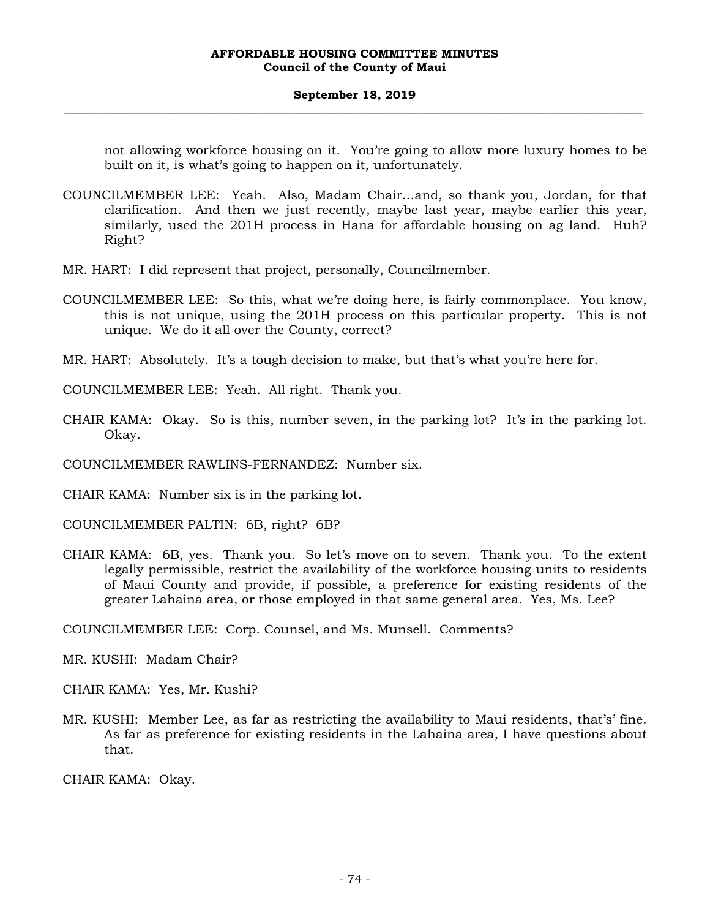### **September 18, 2019 \_\_\_\_\_\_\_\_\_\_\_\_\_\_\_\_\_\_\_\_\_\_\_\_\_\_\_\_\_\_\_\_\_\_\_\_\_\_\_\_\_\_\_\_\_\_\_\_\_\_\_\_\_\_\_\_\_\_\_\_\_\_\_\_\_\_\_\_\_\_\_\_\_\_\_\_\_\_\_\_\_\_\_\_\_\_\_\_\_\_\_\_\_\_\_\_\_\_\_**

not allowing workforce housing on it. You're going to allow more luxury homes to be built on it, is what's going to happen on it, unfortunately.

- COUNCILMEMBER LEE: Yeah. Also, Madam Chair…and, so thank you, Jordan, for that clarification. And then we just recently, maybe last year, maybe earlier this year, similarly, used the 201H process in Hana for affordable housing on ag land. Huh? Right?
- MR. HART: I did represent that project, personally, Councilmember.
- COUNCILMEMBER LEE: So this, what we're doing here, is fairly commonplace. You know, this is not unique, using the 201H process on this particular property. This is not unique. We do it all over the County, correct?
- MR. HART: Absolutely. It's a tough decision to make, but that's what you're here for.
- COUNCILMEMBER LEE: Yeah. All right. Thank you.
- CHAIR KAMA: Okay. So is this, number seven, in the parking lot? It's in the parking lot. Okay.
- COUNCILMEMBER RAWLINS-FERNANDEZ: Number six.
- CHAIR KAMA: Number six is in the parking lot.
- COUNCILMEMBER PALTIN: 6B, right? 6B?
- CHAIR KAMA: 6B, yes. Thank you. So let's move on to seven. Thank you. To the extent legally permissible, restrict the availability of the workforce housing units to residents of Maui County and provide, if possible, a preference for existing residents of the greater Lahaina area, or those employed in that same general area. Yes, Ms. Lee?

COUNCILMEMBER LEE: Corp. Counsel, and Ms. Munsell. Comments?

MR. KUSHI: Madam Chair?

CHAIR KAMA: Yes, Mr. Kushi?

MR. KUSHI: Member Lee, as far as restricting the availability to Maui residents, that's' fine. As far as preference for existing residents in the Lahaina area, I have questions about that.

CHAIR KAMA: Okay.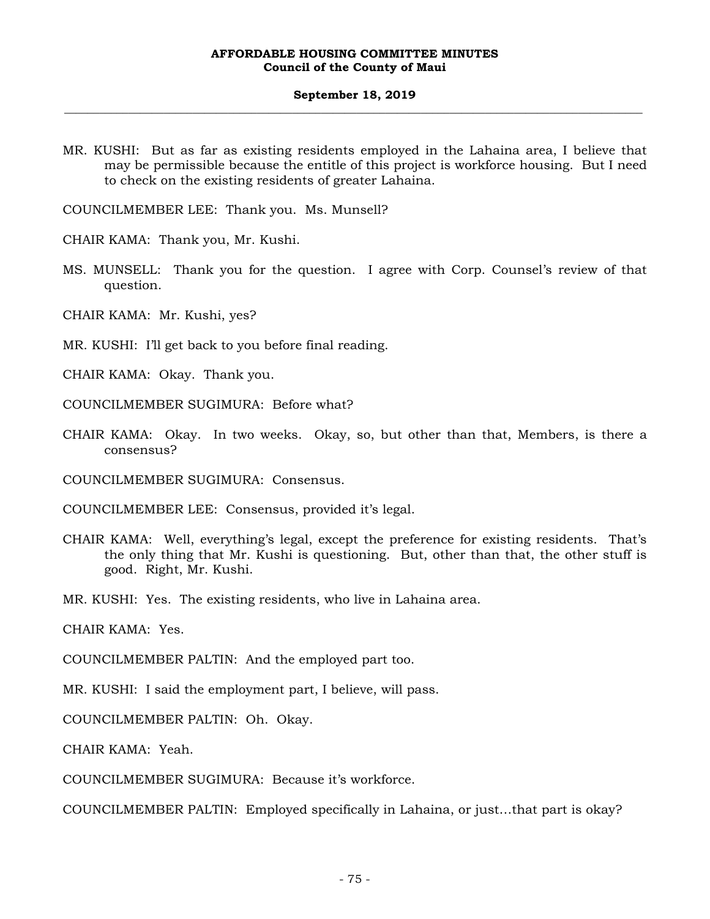MR. KUSHI: But as far as existing residents employed in the Lahaina area, I believe that may be permissible because the entitle of this project is workforce housing. But I need to check on the existing residents of greater Lahaina.

COUNCILMEMBER LEE: Thank you. Ms. Munsell?

CHAIR KAMA: Thank you, Mr. Kushi.

MS. MUNSELL: Thank you for the question. I agree with Corp. Counsel's review of that question.

CHAIR KAMA: Mr. Kushi, yes?

MR. KUSHI: I'll get back to you before final reading.

CHAIR KAMA: Okay. Thank you.

COUNCILMEMBER SUGIMURA: Before what?

CHAIR KAMA: Okay. In two weeks. Okay, so, but other than that, Members, is there a consensus?

COUNCILMEMBER SUGIMURA: Consensus.

COUNCILMEMBER LEE: Consensus, provided it's legal.

CHAIR KAMA: Well, everything's legal, except the preference for existing residents. That's the only thing that Mr. Kushi is questioning. But, other than that, the other stuff is good. Right, Mr. Kushi.

MR. KUSHI: Yes. The existing residents, who live in Lahaina area.

CHAIR KAMA: Yes.

COUNCILMEMBER PALTIN: And the employed part too.

MR. KUSHI: I said the employment part, I believe, will pass.

COUNCILMEMBER PALTIN: Oh. Okay.

CHAIR KAMA: Yeah.

COUNCILMEMBER SUGIMURA: Because it's workforce.

COUNCILMEMBER PALTIN: Employed specifically in Lahaina, or just…that part is okay?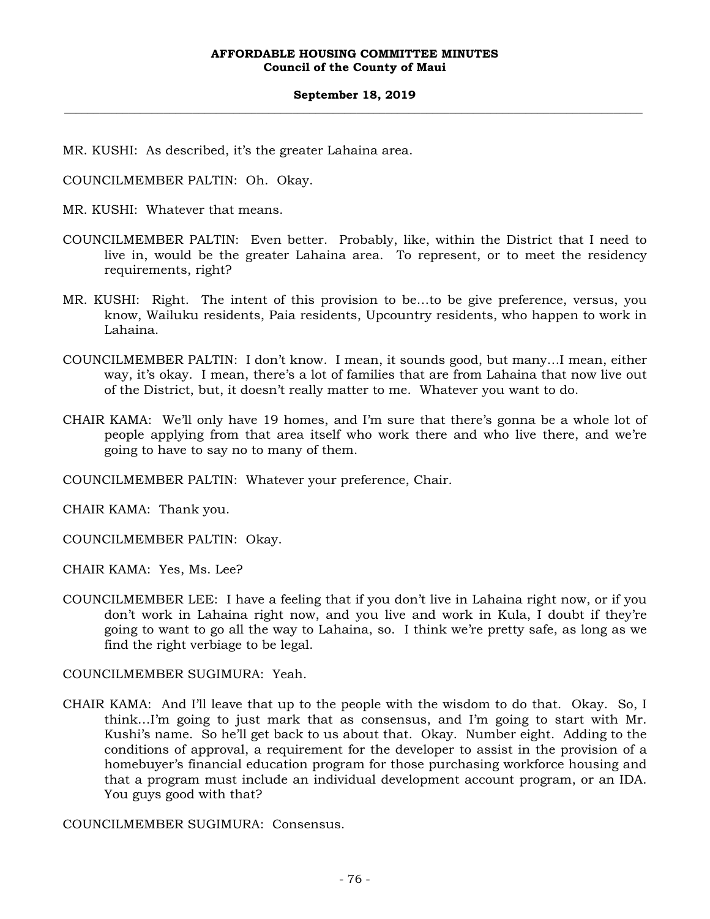MR. KUSHI: As described, it's the greater Lahaina area.

COUNCILMEMBER PALTIN: Oh. Okay.

MR. KUSHI: Whatever that means.

- COUNCILMEMBER PALTIN: Even better. Probably, like, within the District that I need to live in, would be the greater Lahaina area. To represent, or to meet the residency requirements, right?
- MR. KUSHI: Right. The intent of this provision to be…to be give preference, versus, you know, Wailuku residents, Paia residents, Upcountry residents, who happen to work in Lahaina.
- COUNCILMEMBER PALTIN: I don't know. I mean, it sounds good, but many…I mean, either way, it's okay. I mean, there's a lot of families that are from Lahaina that now live out of the District, but, it doesn't really matter to me. Whatever you want to do.
- CHAIR KAMA: We'll only have 19 homes, and I'm sure that there's gonna be a whole lot of people applying from that area itself who work there and who live there, and we're going to have to say no to many of them.

COUNCILMEMBER PALTIN: Whatever your preference, Chair.

CHAIR KAMA: Thank you.

COUNCILMEMBER PALTIN: Okay.

CHAIR KAMA: Yes, Ms. Lee?

COUNCILMEMBER LEE: I have a feeling that if you don't live in Lahaina right now, or if you don't work in Lahaina right now, and you live and work in Kula, I doubt if they're going to want to go all the way to Lahaina, so. I think we're pretty safe, as long as we find the right verbiage to be legal.

COUNCILMEMBER SUGIMURA: Yeah.

CHAIR KAMA: And I'll leave that up to the people with the wisdom to do that. Okay. So, I think…I'm going to just mark that as consensus, and I'm going to start with Mr. Kushi's name. So he'll get back to us about that. Okay. Number eight. Adding to the conditions of approval, a requirement for the developer to assist in the provision of a homebuyer's financial education program for those purchasing workforce housing and that a program must include an individual development account program, or an IDA. You guys good with that?

COUNCILMEMBER SUGIMURA: Consensus.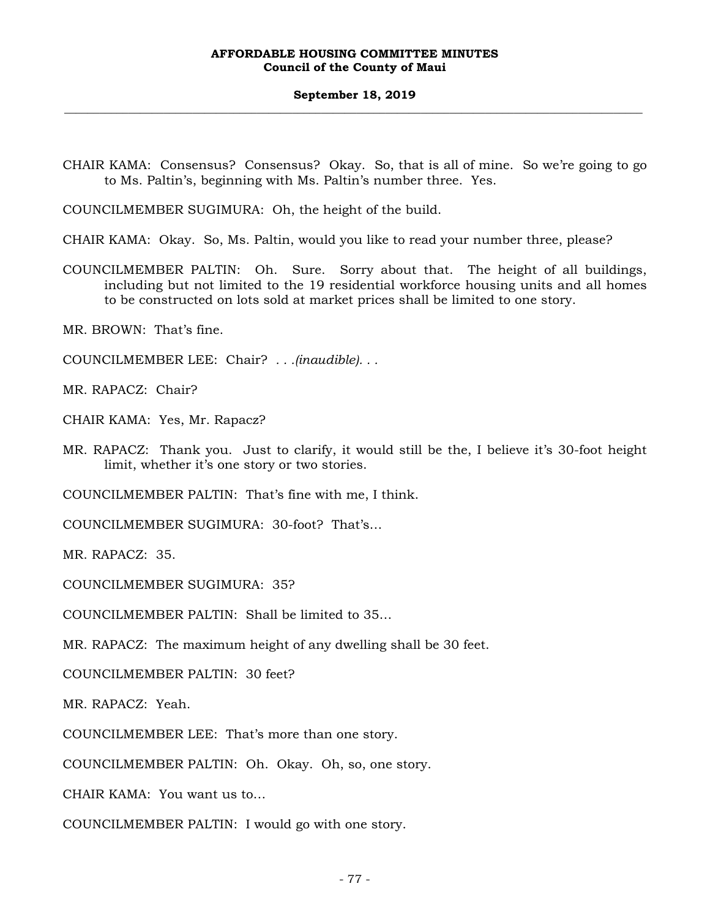CHAIR KAMA: Consensus? Consensus? Okay. So, that is all of mine. So we're going to go to Ms. Paltin's, beginning with Ms. Paltin's number three. Yes.

COUNCILMEMBER SUGIMURA: Oh, the height of the build.

CHAIR KAMA: Okay. So, Ms. Paltin, would you like to read your number three, please?

COUNCILMEMBER PALTIN: Oh. Sure. Sorry about that. The height of all buildings, including but not limited to the 19 residential workforce housing units and all homes to be constructed on lots sold at market prices shall be limited to one story.

MR. BROWN: That's fine.

COUNCILMEMBER LEE: Chair? *. . .(inaudible). . .*

MR. RAPACZ: Chair?

CHAIR KAMA: Yes, Mr. Rapacz?

MR. RAPACZ: Thank you. Just to clarify, it would still be the, I believe it's 30-foot height limit, whether it's one story or two stories.

COUNCILMEMBER PALTIN: That's fine with me, I think.

COUNCILMEMBER SUGIMURA: 30-foot? That's…

MR. RAPACZ: 35.

COUNCILMEMBER SUGIMURA: 35?

COUNCILMEMBER PALTIN: Shall be limited to 35…

MR. RAPACZ: The maximum height of any dwelling shall be 30 feet.

COUNCILMEMBER PALTIN: 30 feet?

MR. RAPACZ: Yeah.

COUNCILMEMBER LEE: That's more than one story.

COUNCILMEMBER PALTIN: Oh. Okay. Oh, so, one story.

CHAIR KAMA: You want us to…

COUNCILMEMBER PALTIN: I would go with one story.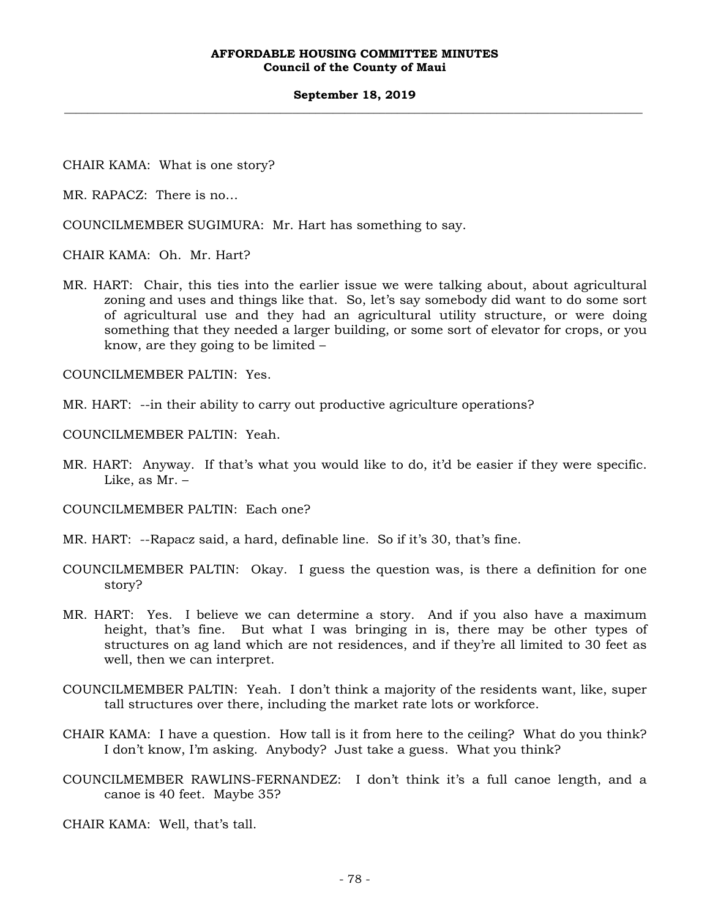### **September 18, 2019 \_\_\_\_\_\_\_\_\_\_\_\_\_\_\_\_\_\_\_\_\_\_\_\_\_\_\_\_\_\_\_\_\_\_\_\_\_\_\_\_\_\_\_\_\_\_\_\_\_\_\_\_\_\_\_\_\_\_\_\_\_\_\_\_\_\_\_\_\_\_\_\_\_\_\_\_\_\_\_\_\_\_\_\_\_\_\_\_\_\_\_\_\_\_\_\_\_\_\_**

CHAIR KAMA: What is one story?

MR. RAPACZ: There is no…

COUNCILMEMBER SUGIMURA: Mr. Hart has something to say.

CHAIR KAMA: Oh. Mr. Hart?

MR. HART: Chair, this ties into the earlier issue we were talking about, about agricultural zoning and uses and things like that. So, let's say somebody did want to do some sort of agricultural use and they had an agricultural utility structure, or were doing something that they needed a larger building, or some sort of elevator for crops, or you know, are they going to be limited –

COUNCILMEMBER PALTIN: Yes.

MR. HART: --in their ability to carry out productive agriculture operations?

COUNCILMEMBER PALTIN: Yeah.

MR. HART: Anyway. If that's what you would like to do, it'd be easier if they were specific. Like, as Mr. –

COUNCILMEMBER PALTIN: Each one?

- MR. HART: --Rapacz said, a hard, definable line. So if it's 30, that's fine.
- COUNCILMEMBER PALTIN: Okay. I guess the question was, is there a definition for one story?
- MR. HART: Yes. I believe we can determine a story. And if you also have a maximum height, that's fine. But what I was bringing in is, there may be other types of structures on ag land which are not residences, and if they're all limited to 30 feet as well, then we can interpret.
- COUNCILMEMBER PALTIN: Yeah. I don't think a majority of the residents want, like, super tall structures over there, including the market rate lots or workforce.
- CHAIR KAMA: I have a question. How tall is it from here to the ceiling? What do you think? I don't know, I'm asking. Anybody? Just take a guess. What you think?
- COUNCILMEMBER RAWLINS-FERNANDEZ: I don't think it's a full canoe length, and a canoe is 40 feet. Maybe 35?

CHAIR KAMA: Well, that's tall.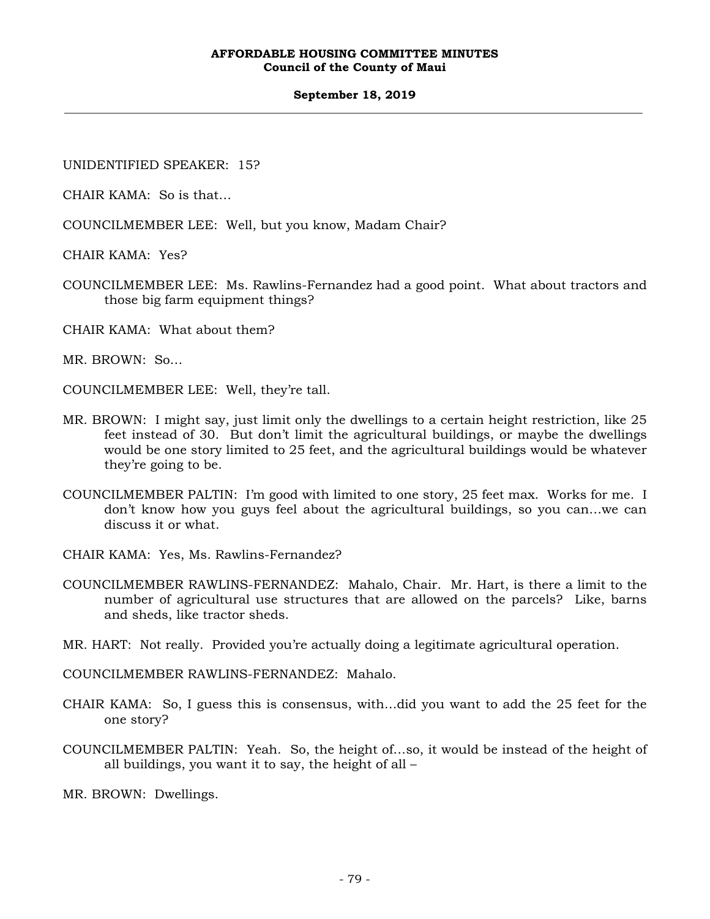# **September 18, 2019 \_\_\_\_\_\_\_\_\_\_\_\_\_\_\_\_\_\_\_\_\_\_\_\_\_\_\_\_\_\_\_\_\_\_\_\_\_\_\_\_\_\_\_\_\_\_\_\_\_\_\_\_\_\_\_\_\_\_\_\_\_\_\_\_\_\_\_\_\_\_\_\_\_\_\_\_\_\_\_\_\_\_\_\_\_\_\_\_\_\_\_\_\_\_\_\_\_\_\_**

UNIDENTIFIED SPEAKER: 15?

CHAIR KAMA: So is that…

COUNCILMEMBER LEE: Well, but you know, Madam Chair?

CHAIR KAMA: Yes?

COUNCILMEMBER LEE: Ms. Rawlins-Fernandez had a good point. What about tractors and those big farm equipment things?

CHAIR KAMA: What about them?

MR. BROWN: So…

COUNCILMEMBER LEE: Well, they're tall.

- MR. BROWN: I might say, just limit only the dwellings to a certain height restriction, like 25 feet instead of 30. But don't limit the agricultural buildings, or maybe the dwellings would be one story limited to 25 feet, and the agricultural buildings would be whatever they're going to be.
- COUNCILMEMBER PALTIN: I'm good with limited to one story, 25 feet max. Works for me. I don't know how you guys feel about the agricultural buildings, so you can…we can discuss it or what.

CHAIR KAMA: Yes, Ms. Rawlins-Fernandez?

COUNCILMEMBER RAWLINS-FERNANDEZ: Mahalo, Chair. Mr. Hart, is there a limit to the number of agricultural use structures that are allowed on the parcels? Like, barns and sheds, like tractor sheds.

MR. HART: Not really. Provided you're actually doing a legitimate agricultural operation.

COUNCILMEMBER RAWLINS-FERNANDEZ: Mahalo.

- CHAIR KAMA: So, I guess this is consensus, with…did you want to add the 25 feet for the one story?
- COUNCILMEMBER PALTIN: Yeah. So, the height of…so, it would be instead of the height of all buildings, you want it to say, the height of all –

MR. BROWN: Dwellings.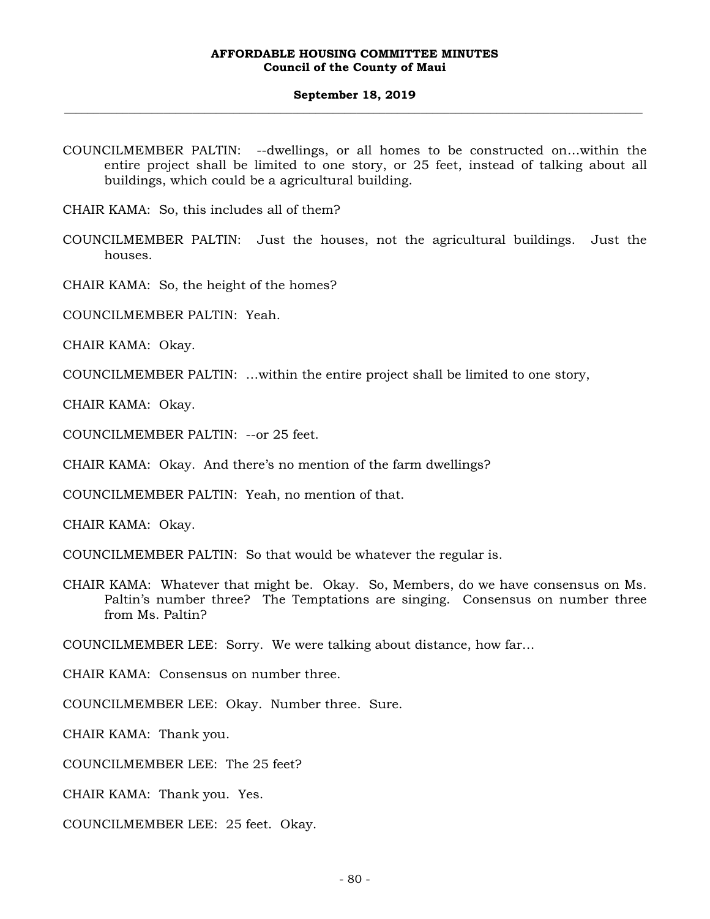### **September 18, 2019 \_\_\_\_\_\_\_\_\_\_\_\_\_\_\_\_\_\_\_\_\_\_\_\_\_\_\_\_\_\_\_\_\_\_\_\_\_\_\_\_\_\_\_\_\_\_\_\_\_\_\_\_\_\_\_\_\_\_\_\_\_\_\_\_\_\_\_\_\_\_\_\_\_\_\_\_\_\_\_\_\_\_\_\_\_\_\_\_\_\_\_\_\_\_\_\_\_\_\_**

COUNCILMEMBER PALTIN: --dwellings, or all homes to be constructed on…within the entire project shall be limited to one story, or 25 feet, instead of talking about all buildings, which could be a agricultural building.

CHAIR KAMA: So, this includes all of them?

- COUNCILMEMBER PALTIN: Just the houses, not the agricultural buildings. Just the houses.
- CHAIR KAMA: So, the height of the homes?
- COUNCILMEMBER PALTIN: Yeah.

CHAIR KAMA: Okay.

COUNCILMEMBER PALTIN: …within the entire project shall be limited to one story,

CHAIR KAMA: Okay.

COUNCILMEMBER PALTIN: --or 25 feet.

CHAIR KAMA: Okay. And there's no mention of the farm dwellings?

COUNCILMEMBER PALTIN: Yeah, no mention of that.

CHAIR KAMA: Okay.

COUNCILMEMBER PALTIN: So that would be whatever the regular is.

CHAIR KAMA: Whatever that might be. Okay. So, Members, do we have consensus on Ms. Paltin's number three? The Temptations are singing. Consensus on number three from Ms. Paltin?

COUNCILMEMBER LEE: Sorry. We were talking about distance, how far…

CHAIR KAMA: Consensus on number three.

COUNCILMEMBER LEE: Okay. Number three. Sure.

CHAIR KAMA: Thank you.

COUNCILMEMBER LEE: The 25 feet?

CHAIR KAMA: Thank you. Yes.

COUNCILMEMBER LEE: 25 feet. Okay.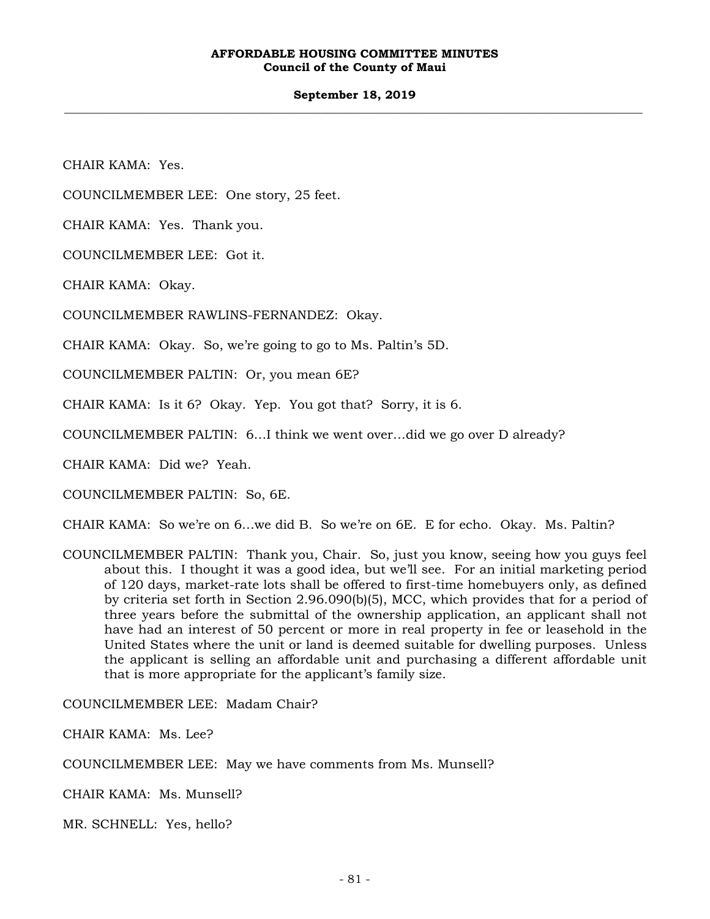## **September 18, 2019 \_\_\_\_\_\_\_\_\_\_\_\_\_\_\_\_\_\_\_\_\_\_\_\_\_\_\_\_\_\_\_\_\_\_\_\_\_\_\_\_\_\_\_\_\_\_\_\_\_\_\_\_\_\_\_\_\_\_\_\_\_\_\_\_\_\_\_\_\_\_\_\_\_\_\_\_\_\_\_\_\_\_\_\_\_\_\_\_\_\_\_\_\_\_\_\_\_\_\_**

CHAIR KAMA: Yes.

COUNCILMEMBER LEE: One story, 25 feet.

CHAIR KAMA: Yes. Thank you.

COUNCILMEMBER LEE: Got it.

CHAIR KAMA: Okay.

COUNCILMEMBER RAWLINS-FERNANDEZ: Okay.

CHAIR KAMA: Okay. So, we're going to go to Ms. Paltin's 5D.

COUNCILMEMBER PALTIN: Or, you mean 6E?

CHAIR KAMA: Is it 6? Okay. Yep. You got that? Sorry, it is 6.

COUNCILMEMBER PALTIN: 6…I think we went over…did we go over D already?

CHAIR KAMA: Did we? Yeah.

COUNCILMEMBER PALTIN: So, 6E.

CHAIR KAMA: So we're on 6…we did B. So we're on 6E. E for echo. Okay. Ms. Paltin?

COUNCILMEMBER PALTIN: Thank you, Chair. So, just you know, seeing how you guys feel about this. I thought it was a good idea, but we'll see. For an initial marketing period of 120 days, market-rate lots shall be offered to first-time homebuyers only, as defined by criteria set forth in Section 2.96.090(b)(5), MCC, which provides that for a period of three years before the submittal of the ownership application, an applicant shall not have had an interest of 50 percent or more in real property in fee or leasehold in the United States where the unit or land is deemed suitable for dwelling purposes. Unless the applicant is selling an affordable unit and purchasing a different affordable unit that is more appropriate for the applicant's family size.

COUNCILMEMBER LEE: Madam Chair?

CHAIR KAMA: Ms. Lee?

COUNCILMEMBER LEE: May we have comments from Ms. Munsell?

CHAIR KAMA: Ms. Munsell?

MR. SCHNELL: Yes, hello?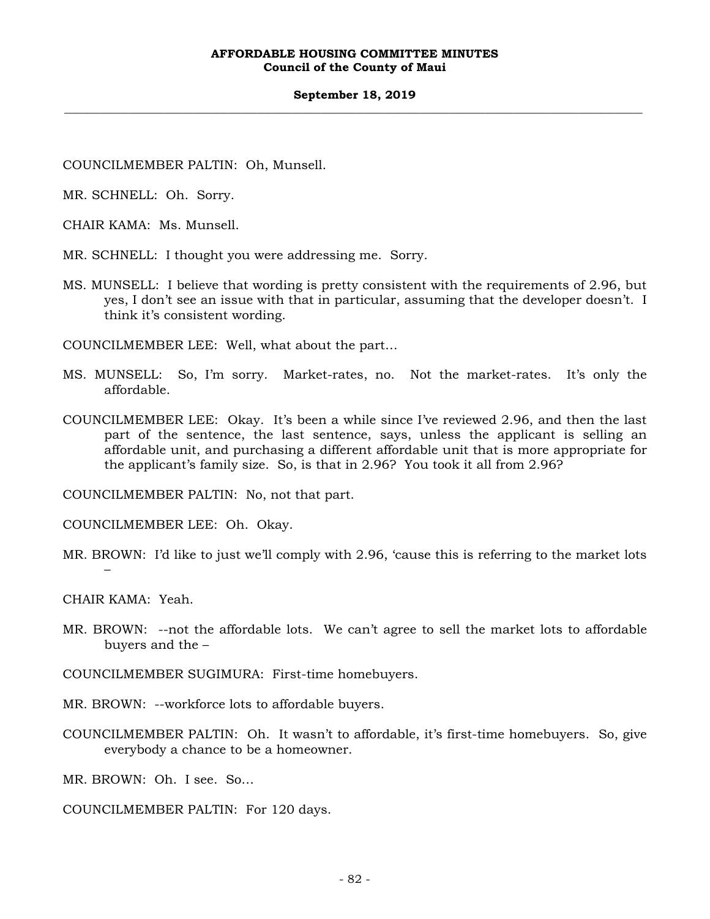#### **September 18, 2019 \_\_\_\_\_\_\_\_\_\_\_\_\_\_\_\_\_\_\_\_\_\_\_\_\_\_\_\_\_\_\_\_\_\_\_\_\_\_\_\_\_\_\_\_\_\_\_\_\_\_\_\_\_\_\_\_\_\_\_\_\_\_\_\_\_\_\_\_\_\_\_\_\_\_\_\_\_\_\_\_\_\_\_\_\_\_\_\_\_\_\_\_\_\_\_\_\_\_\_**

COUNCILMEMBER PALTIN: Oh, Munsell.

MR. SCHNELL: Oh. Sorry.

CHAIR KAMA: Ms. Munsell.

MR. SCHNELL: I thought you were addressing me. Sorry.

MS. MUNSELL: I believe that wording is pretty consistent with the requirements of 2.96, but yes, I don't see an issue with that in particular, assuming that the developer doesn't. I think it's consistent wording.

COUNCILMEMBER LEE: Well, what about the part…

- MS. MUNSELL: So, I'm sorry. Market-rates, no. Not the market-rates. It's only the affordable.
- COUNCILMEMBER LEE: Okay. It's been a while since I've reviewed 2.96, and then the last part of the sentence, the last sentence, says, unless the applicant is selling an affordable unit, and purchasing a different affordable unit that is more appropriate for the applicant's family size. So, is that in 2.96? You took it all from 2.96?

COUNCILMEMBER PALTIN: No, not that part.

COUNCILMEMBER LEE: Oh. Okay.

MR. BROWN: I'd like to just we'll comply with 2.96, 'cause this is referring to the market lots –

CHAIR KAMA: Yeah.

MR. BROWN: --not the affordable lots. We can't agree to sell the market lots to affordable buyers and the –

COUNCILMEMBER SUGIMURA: First-time homebuyers.

MR. BROWN: --workforce lots to affordable buyers.

COUNCILMEMBER PALTIN: Oh. It wasn't to affordable, it's first-time homebuyers. So, give everybody a chance to be a homeowner.

MR. BROWN: Oh. I see. So…

COUNCILMEMBER PALTIN: For 120 days.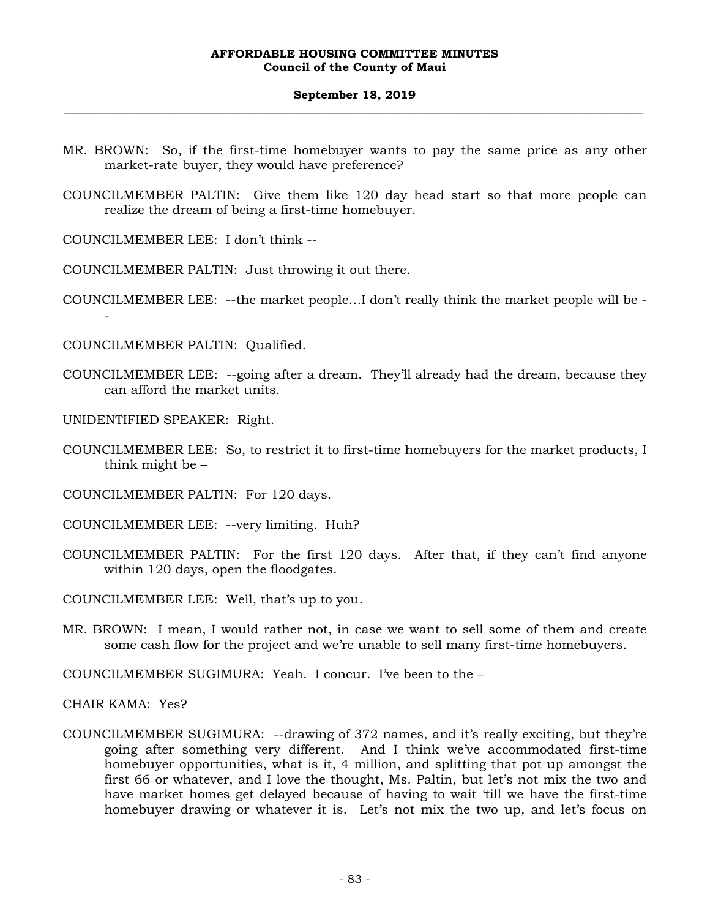### **September 18, 2019 \_\_\_\_\_\_\_\_\_\_\_\_\_\_\_\_\_\_\_\_\_\_\_\_\_\_\_\_\_\_\_\_\_\_\_\_\_\_\_\_\_\_\_\_\_\_\_\_\_\_\_\_\_\_\_\_\_\_\_\_\_\_\_\_\_\_\_\_\_\_\_\_\_\_\_\_\_\_\_\_\_\_\_\_\_\_\_\_\_\_\_\_\_\_\_\_\_\_\_**

- MR. BROWN: So, if the first-time homebuyer wants to pay the same price as any other market-rate buyer, they would have preference?
- COUNCILMEMBER PALTIN: Give them like 120 day head start so that more people can realize the dream of being a first-time homebuyer.

COUNCILMEMBER LEE: I don't think --

COUNCILMEMBER PALTIN: Just throwing it out there.

COUNCILMEMBER LEE: --the market people…I don't really think the market people will be -

COUNCILMEMBER PALTIN: Qualified.

COUNCILMEMBER LEE: --going after a dream. They'll already had the dream, because they can afford the market units.

UNIDENTIFIED SPEAKER: Right.

-

COUNCILMEMBER LEE: So, to restrict it to first-time homebuyers for the market products, I think might be –

COUNCILMEMBER PALTIN: For 120 days.

- COUNCILMEMBER LEE: --very limiting. Huh?
- COUNCILMEMBER PALTIN: For the first 120 days. After that, if they can't find anyone within 120 days, open the floodgates.

COUNCILMEMBER LEE: Well, that's up to you.

MR. BROWN: I mean, I would rather not, in case we want to sell some of them and create some cash flow for the project and we're unable to sell many first-time homebuyers.

COUNCILMEMBER SUGIMURA: Yeah. I concur. I've been to the –

CHAIR KAMA: Yes?

COUNCILMEMBER SUGIMURA: --drawing of 372 names, and it's really exciting, but they're going after something very different. And I think we've accommodated first-time homebuyer opportunities, what is it, 4 million, and splitting that pot up amongst the first 66 or whatever, and I love the thought, Ms. Paltin, but let's not mix the two and have market homes get delayed because of having to wait 'till we have the first-time homebuyer drawing or whatever it is. Let's not mix the two up, and let's focus on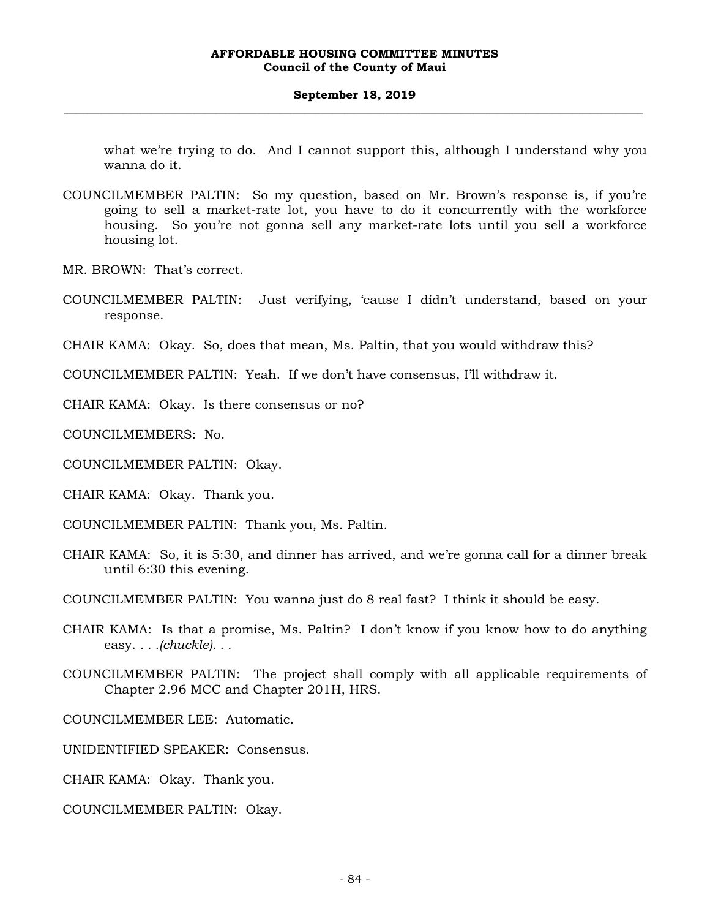what we're trying to do. And I cannot support this, although I understand why you wanna do it.

- COUNCILMEMBER PALTIN: So my question, based on Mr. Brown's response is, if you're going to sell a market-rate lot, you have to do it concurrently with the workforce housing. So you're not gonna sell any market-rate lots until you sell a workforce housing lot.
- MR. BROWN: That's correct.
- COUNCILMEMBER PALTIN: Just verifying, 'cause I didn't understand, based on your response.
- CHAIR KAMA: Okay. So, does that mean, Ms. Paltin, that you would withdraw this?
- COUNCILMEMBER PALTIN: Yeah. If we don't have consensus, I'll withdraw it.
- CHAIR KAMA: Okay. Is there consensus or no?
- COUNCILMEMBERS: No.
- COUNCILMEMBER PALTIN: Okay.
- CHAIR KAMA: Okay. Thank you.
- COUNCILMEMBER PALTIN: Thank you, Ms. Paltin.
- CHAIR KAMA: So, it is 5:30, and dinner has arrived, and we're gonna call for a dinner break until 6:30 this evening.
- COUNCILMEMBER PALTIN: You wanna just do 8 real fast? I think it should be easy.
- CHAIR KAMA: Is that a promise, Ms. Paltin? I don't know if you know how to do anything easy. *. . .(chuckle). . .*
- COUNCILMEMBER PALTIN: The project shall comply with all applicable requirements of Chapter 2.96 MCC and Chapter 201H, HRS.
- COUNCILMEMBER LEE: Automatic.
- UNIDENTIFIED SPEAKER: Consensus.
- CHAIR KAMA: Okay. Thank you.
- COUNCILMEMBER PALTIN: Okay.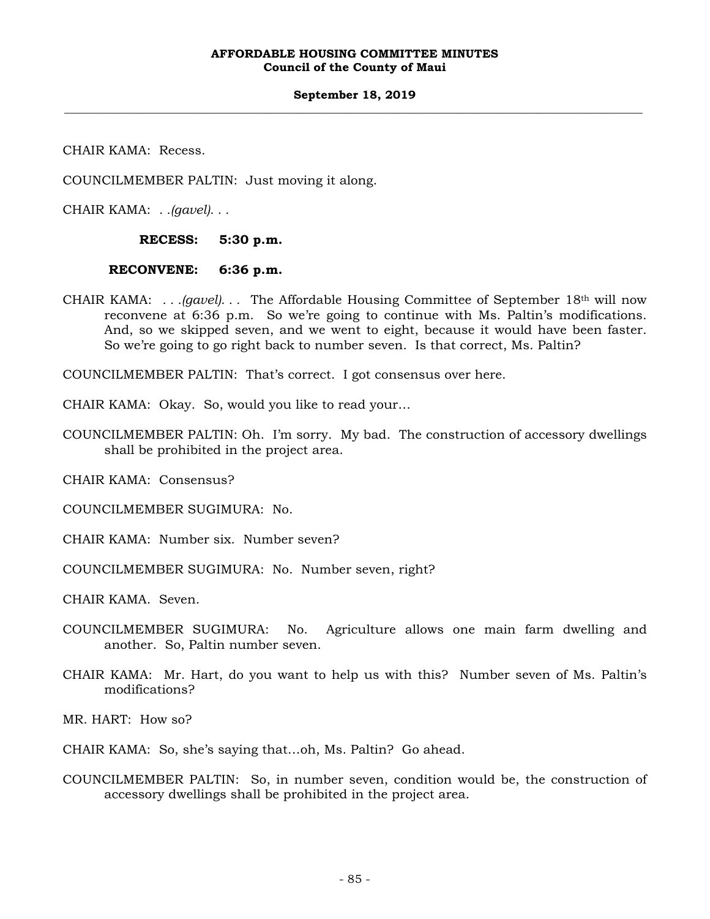### **September 18, 2019 \_\_\_\_\_\_\_\_\_\_\_\_\_\_\_\_\_\_\_\_\_\_\_\_\_\_\_\_\_\_\_\_\_\_\_\_\_\_\_\_\_\_\_\_\_\_\_\_\_\_\_\_\_\_\_\_\_\_\_\_\_\_\_\_\_\_\_\_\_\_\_\_\_\_\_\_\_\_\_\_\_\_\_\_\_\_\_\_\_\_\_\_\_\_\_\_\_\_\_**

CHAIR KAMA: Recess.

COUNCILMEMBER PALTIN: Just moving it along.

CHAIR KAMA: *. .(gavel). . .*

**RECESS: 5:30 p.m.** 

#### **RECONVENE: 6:36 p.m.**

CHAIR KAMA: *. . .(gavel). . .* The Affordable Housing Committee of September 18th will now reconvene at 6:36 p.m. So we're going to continue with Ms. Paltin's modifications. And, so we skipped seven, and we went to eight, because it would have been faster. So we're going to go right back to number seven. Is that correct, Ms. Paltin?

COUNCILMEMBER PALTIN: That's correct. I got consensus over here.

CHAIR KAMA: Okay. So, would you like to read your…

COUNCILMEMBER PALTIN: Oh. I'm sorry. My bad. The construction of accessory dwellings shall be prohibited in the project area.

CHAIR KAMA: Consensus?

COUNCILMEMBER SUGIMURA: No.

CHAIR KAMA: Number six. Number seven?

COUNCILMEMBER SUGIMURA: No. Number seven, right?

CHAIR KAMA. Seven.

- COUNCILMEMBER SUGIMURA: No. Agriculture allows one main farm dwelling and another. So, Paltin number seven.
- CHAIR KAMA: Mr. Hart, do you want to help us with this? Number seven of Ms. Paltin's modifications?

MR. HART: How so?

CHAIR KAMA: So, she's saying that…oh, Ms. Paltin? Go ahead.

COUNCILMEMBER PALTIN: So, in number seven, condition would be, the construction of accessory dwellings shall be prohibited in the project area.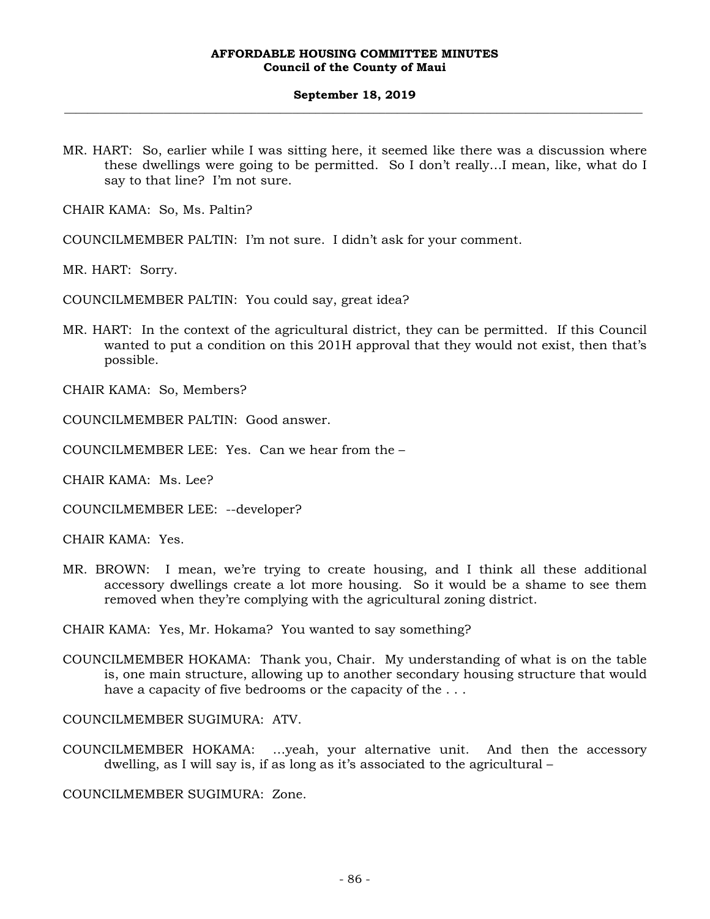MR. HART: So, earlier while I was sitting here, it seemed like there was a discussion where these dwellings were going to be permitted. So I don't really…I mean, like, what do I say to that line? I'm not sure.

CHAIR KAMA: So, Ms. Paltin?

COUNCILMEMBER PALTIN: I'm not sure. I didn't ask for your comment.

MR. HART: Sorry.

COUNCILMEMBER PALTIN: You could say, great idea?

MR. HART: In the context of the agricultural district, they can be permitted. If this Council wanted to put a condition on this 201H approval that they would not exist, then that's possible.

CHAIR KAMA: So, Members?

COUNCILMEMBER PALTIN: Good answer.

COUNCILMEMBER LEE: Yes. Can we hear from the –

CHAIR KAMA: Ms. Lee?

COUNCILMEMBER LEE: --developer?

CHAIR KAMA: Yes.

MR. BROWN: I mean, we're trying to create housing, and I think all these additional accessory dwellings create a lot more housing. So it would be a shame to see them removed when they're complying with the agricultural zoning district.

CHAIR KAMA: Yes, Mr. Hokama? You wanted to say something?

COUNCILMEMBER HOKAMA: Thank you, Chair. My understanding of what is on the table is, one main structure, allowing up to another secondary housing structure that would have a capacity of five bedrooms or the capacity of the . . .

COUNCILMEMBER SUGIMURA: ATV.

COUNCILMEMBER HOKAMA: …yeah, your alternative unit. And then the accessory dwelling, as I will say is, if as long as it's associated to the agricultural –

COUNCILMEMBER SUGIMURA: Zone.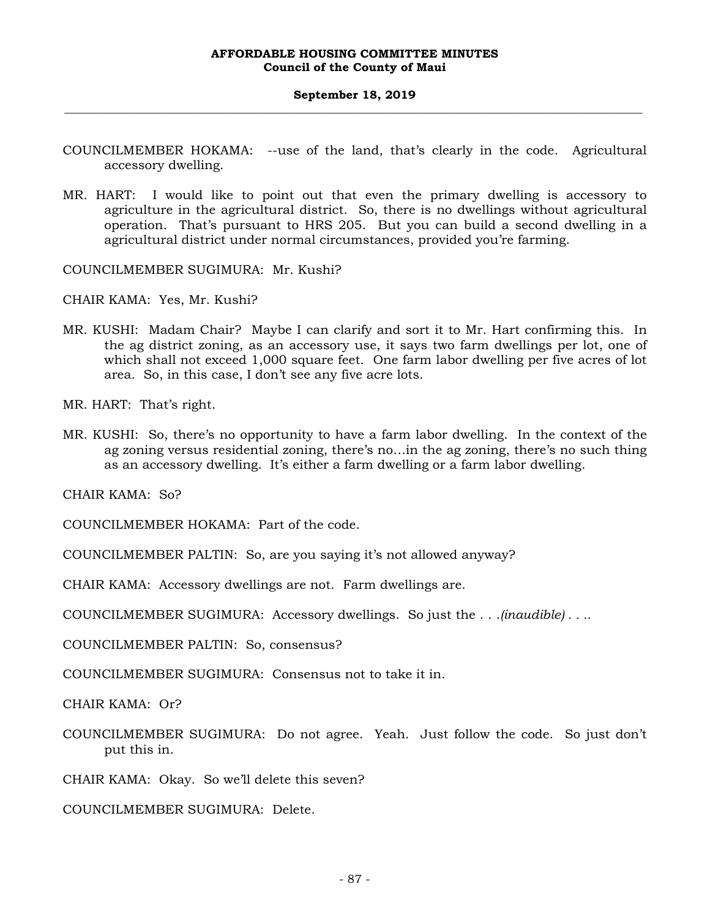- COUNCILMEMBER HOKAMA: --use of the land, that's clearly in the code. Agricultural accessory dwelling.
- MR. HART: I would like to point out that even the primary dwelling is accessory to agriculture in the agricultural district. So, there is no dwellings without agricultural operation. That's pursuant to HRS 205. But you can build a second dwelling in a agricultural district under normal circumstances, provided you're farming.

COUNCILMEMBER SUGIMURA: Mr. Kushi?

CHAIR KAMA: Yes, Mr. Kushi?

MR. KUSHI: Madam Chair? Maybe I can clarify and sort it to Mr. Hart confirming this. In the ag district zoning, as an accessory use, it says two farm dwellings per lot, one of which shall not exceed 1,000 square feet. One farm labor dwelling per five acres of lot area. So, in this case, I don't see any five acre lots.

MR. HART: That's right.

MR. KUSHI: So, there's no opportunity to have a farm labor dwelling. In the context of the ag zoning versus residential zoning, there's no…in the ag zoning, there's no such thing as an accessory dwelling. It's either a farm dwelling or a farm labor dwelling.

CHAIR KAMA: So?

COUNCILMEMBER HOKAMA: Part of the code.

COUNCILMEMBER PALTIN: So, are you saying it's not allowed anyway?

CHAIR KAMA: Accessory dwellings are not. Farm dwellings are.

COUNCILMEMBER SUGIMURA: Accessory dwellings. So just the . . .*(inaudible) . . .*.

COUNCILMEMBER PALTIN: So, consensus?

COUNCILMEMBER SUGIMURA: Consensus not to take it in.

CHAIR KAMA: Or?

COUNCILMEMBER SUGIMURA: Do not agree. Yeah. Just follow the code. So just don't put this in.

CHAIR KAMA: Okay. So we'll delete this seven?

COUNCILMEMBER SUGIMURA: Delete.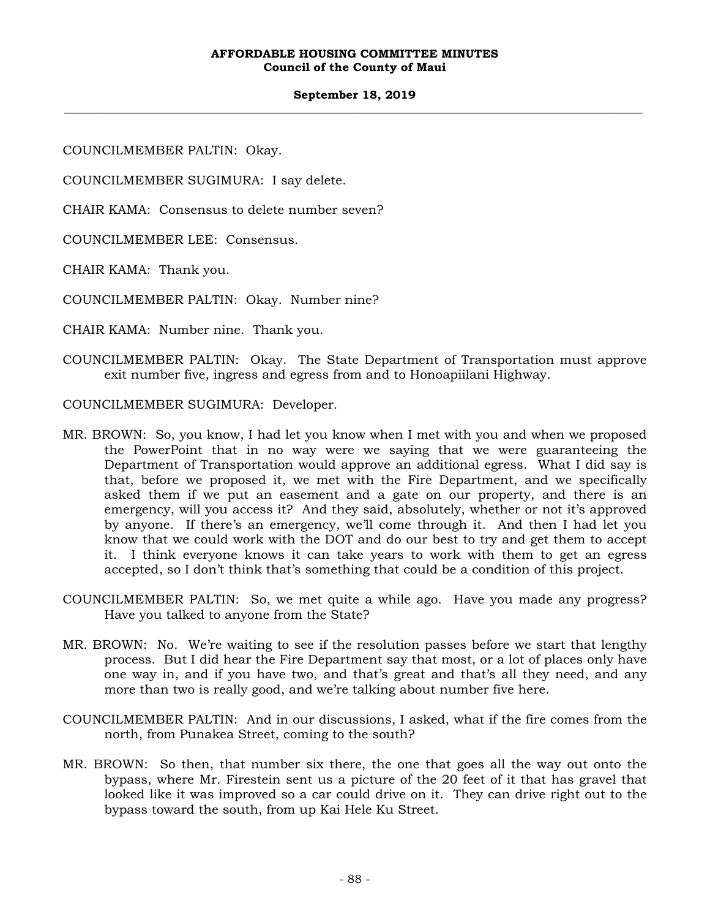# **September 18, 2019 \_\_\_\_\_\_\_\_\_\_\_\_\_\_\_\_\_\_\_\_\_\_\_\_\_\_\_\_\_\_\_\_\_\_\_\_\_\_\_\_\_\_\_\_\_\_\_\_\_\_\_\_\_\_\_\_\_\_\_\_\_\_\_\_\_\_\_\_\_\_\_\_\_\_\_\_\_\_\_\_\_\_\_\_\_\_\_\_\_\_\_\_\_\_\_\_\_\_\_**

COUNCILMEMBER PALTIN: Okay.

COUNCILMEMBER SUGIMURA: I say delete.

CHAIR KAMA: Consensus to delete number seven?

COUNCILMEMBER LEE: Consensus.

CHAIR KAMA: Thank you.

COUNCILMEMBER PALTIN: Okay. Number nine?

CHAIR KAMA: Number nine. Thank you.

COUNCILMEMBER PALTIN: Okay. The State Department of Transportation must approve exit number five, ingress and egress from and to Honoapiilani Highway.

COUNCILMEMBER SUGIMURA: Developer.

- MR. BROWN: So, you know, I had let you know when I met with you and when we proposed the PowerPoint that in no way were we saying that we were guaranteeing the Department of Transportation would approve an additional egress. What I did say is that, before we proposed it, we met with the Fire Department, and we specifically asked them if we put an easement and a gate on our property, and there is an emergency, will you access it? And they said, absolutely, whether or not it's approved by anyone. If there's an emergency, we'll come through it. And then I had let you know that we could work with the DOT and do our best to try and get them to accept it. I think everyone knows it can take years to work with them to get an egress accepted, so I don't think that's something that could be a condition of this project.
- COUNCILMEMBER PALTIN: So, we met quite a while ago. Have you made any progress? Have you talked to anyone from the State?
- MR. BROWN: No. We're waiting to see if the resolution passes before we start that lengthy process. But I did hear the Fire Department say that most, or a lot of places only have one way in, and if you have two, and that's great and that's all they need, and any more than two is really good, and we're talking about number five here.
- COUNCILMEMBER PALTIN: And in our discussions, I asked, what if the fire comes from the north, from Punakea Street, coming to the south?
- MR. BROWN: So then, that number six there, the one that goes all the way out onto the bypass, where Mr. Firestein sent us a picture of the 20 feet of it that has gravel that looked like it was improved so a car could drive on it. They can drive right out to the bypass toward the south, from up Kai Hele Ku Street.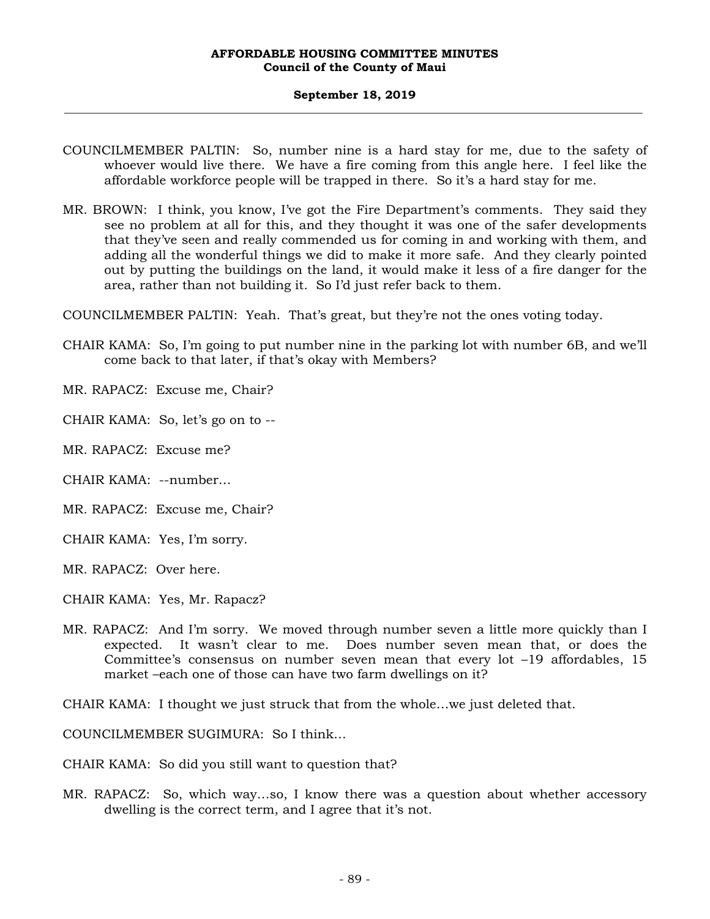### **September 18, 2019 \_\_\_\_\_\_\_\_\_\_\_\_\_\_\_\_\_\_\_\_\_\_\_\_\_\_\_\_\_\_\_\_\_\_\_\_\_\_\_\_\_\_\_\_\_\_\_\_\_\_\_\_\_\_\_\_\_\_\_\_\_\_\_\_\_\_\_\_\_\_\_\_\_\_\_\_\_\_\_\_\_\_\_\_\_\_\_\_\_\_\_\_\_\_\_\_\_\_\_**

- COUNCILMEMBER PALTIN: So, number nine is a hard stay for me, due to the safety of whoever would live there. We have a fire coming from this angle here. I feel like the affordable workforce people will be trapped in there. So it's a hard stay for me.
- MR. BROWN: I think, you know, I've got the Fire Department's comments. They said they see no problem at all for this, and they thought it was one of the safer developments that they've seen and really commended us for coming in and working with them, and adding all the wonderful things we did to make it more safe. And they clearly pointed out by putting the buildings on the land, it would make it less of a fire danger for the area, rather than not building it. So I'd just refer back to them.

COUNCILMEMBER PALTIN: Yeah. That's great, but they're not the ones voting today.

- CHAIR KAMA: So, I'm going to put number nine in the parking lot with number 6B, and we'll come back to that later, if that's okay with Members?
- MR. RAPACZ: Excuse me, Chair?
- CHAIR KAMA: So, let's go on to --
- MR. RAPACZ: Excuse me?
- CHAIR KAMA: --number…
- MR. RAPACZ: Excuse me, Chair?
- CHAIR KAMA: Yes, I'm sorry.
- MR. RAPACZ: Over here.
- CHAIR KAMA: Yes, Mr. Rapacz?
- MR. RAPACZ: And I'm sorry. We moved through number seven a little more quickly than I expected. It wasn't clear to me. Does number seven mean that, or does the Committee's consensus on number seven mean that every lot –19 affordables, 15 market –each one of those can have two farm dwellings on it?

CHAIR KAMA: I thought we just struck that from the whole…we just deleted that.

COUNCILMEMBER SUGIMURA: So I think…

- CHAIR KAMA: So did you still want to question that?
- MR. RAPACZ: So, which way…so, I know there was a question about whether accessory dwelling is the correct term, and I agree that it's not.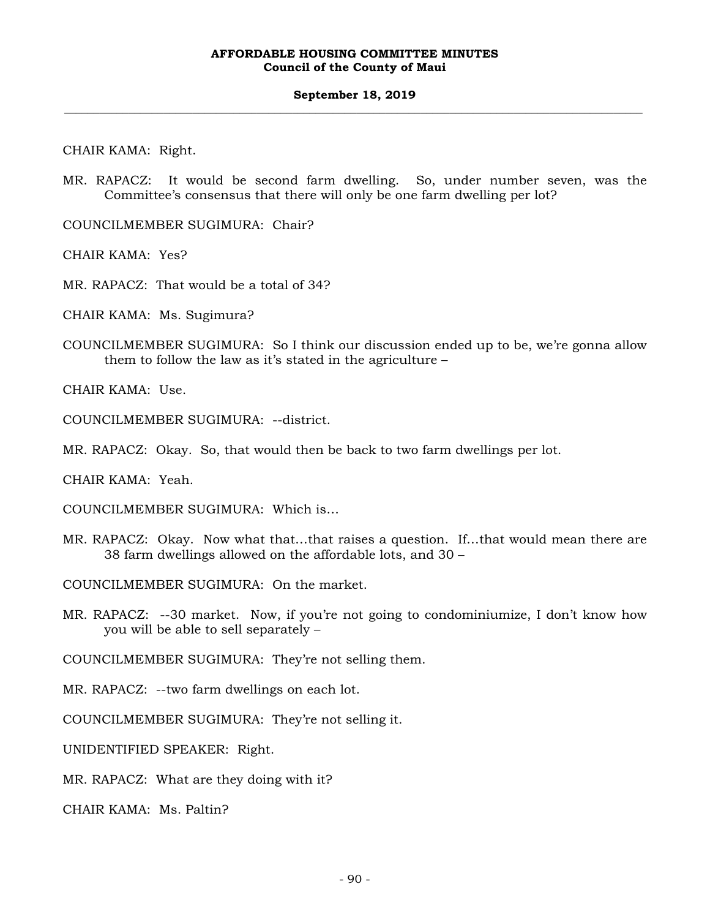#### **September 18, 2019 \_\_\_\_\_\_\_\_\_\_\_\_\_\_\_\_\_\_\_\_\_\_\_\_\_\_\_\_\_\_\_\_\_\_\_\_\_\_\_\_\_\_\_\_\_\_\_\_\_\_\_\_\_\_\_\_\_\_\_\_\_\_\_\_\_\_\_\_\_\_\_\_\_\_\_\_\_\_\_\_\_\_\_\_\_\_\_\_\_\_\_\_\_\_\_\_\_\_\_**

CHAIR KAMA: Right.

MR. RAPACZ: It would be second farm dwelling. So, under number seven, was the Committee's consensus that there will only be one farm dwelling per lot?

COUNCILMEMBER SUGIMURA: Chair?

CHAIR KAMA: Yes?

MR. RAPACZ: That would be a total of 34?

CHAIR KAMA: Ms. Sugimura?

COUNCILMEMBER SUGIMURA: So I think our discussion ended up to be, we're gonna allow them to follow the law as it's stated in the agriculture –

CHAIR KAMA: Use.

COUNCILMEMBER SUGIMURA: --district.

MR. RAPACZ: Okay. So, that would then be back to two farm dwellings per lot.

CHAIR KAMA: Yeah.

COUNCILMEMBER SUGIMURA: Which is…

MR. RAPACZ: Okay. Now what that…that raises a question. If…that would mean there are 38 farm dwellings allowed on the affordable lots, and 30 –

COUNCILMEMBER SUGIMURA: On the market.

MR. RAPACZ: --30 market. Now, if you're not going to condominiumize, I don't know how you will be able to sell separately –

COUNCILMEMBER SUGIMURA: They're not selling them.

MR. RAPACZ: --two farm dwellings on each lot.

COUNCILMEMBER SUGIMURA: They're not selling it.

UNIDENTIFIED SPEAKER: Right.

MR. RAPACZ: What are they doing with it?

CHAIR KAMA: Ms. Paltin?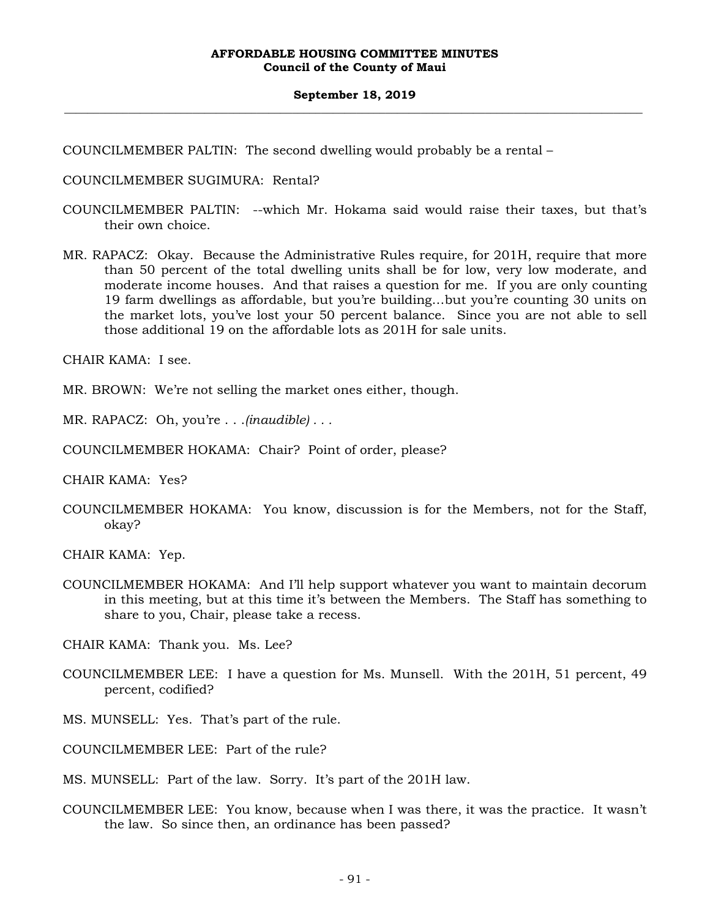COUNCILMEMBER PALTIN: The second dwelling would probably be a rental –

COUNCILMEMBER SUGIMURA: Rental?

- COUNCILMEMBER PALTIN: --which Mr. Hokama said would raise their taxes, but that's their own choice.
- MR. RAPACZ: Okay. Because the Administrative Rules require, for 201H, require that more than 50 percent of the total dwelling units shall be for low, very low moderate, and moderate income houses. And that raises a question for me. If you are only counting 19 farm dwellings as affordable, but you're building…but you're counting 30 units on the market lots, you've lost your 50 percent balance. Since you are not able to sell those additional 19 on the affordable lots as 201H for sale units.

CHAIR KAMA: I see.

MR. BROWN: We're not selling the market ones either, though.

MR. RAPACZ: Oh, you're . . .*(inaudible) . . .*

COUNCILMEMBER HOKAMA: Chair? Point of order, please?

CHAIR KAMA: Yes?

COUNCILMEMBER HOKAMA: You know, discussion is for the Members, not for the Staff, okay?

CHAIR KAMA: Yep.

COUNCILMEMBER HOKAMA: And I'll help support whatever you want to maintain decorum in this meeting, but at this time it's between the Members. The Staff has something to share to you, Chair, please take a recess.

CHAIR KAMA: Thank you. Ms. Lee?

- COUNCILMEMBER LEE: I have a question for Ms. Munsell. With the 201H, 51 percent, 49 percent, codified?
- MS. MUNSELL: Yes. That's part of the rule.

COUNCILMEMBER LEE: Part of the rule?

MS. MUNSELL: Part of the law. Sorry. It's part of the 201H law.

COUNCILMEMBER LEE: You know, because when I was there, it was the practice. It wasn't the law. So since then, an ordinance has been passed?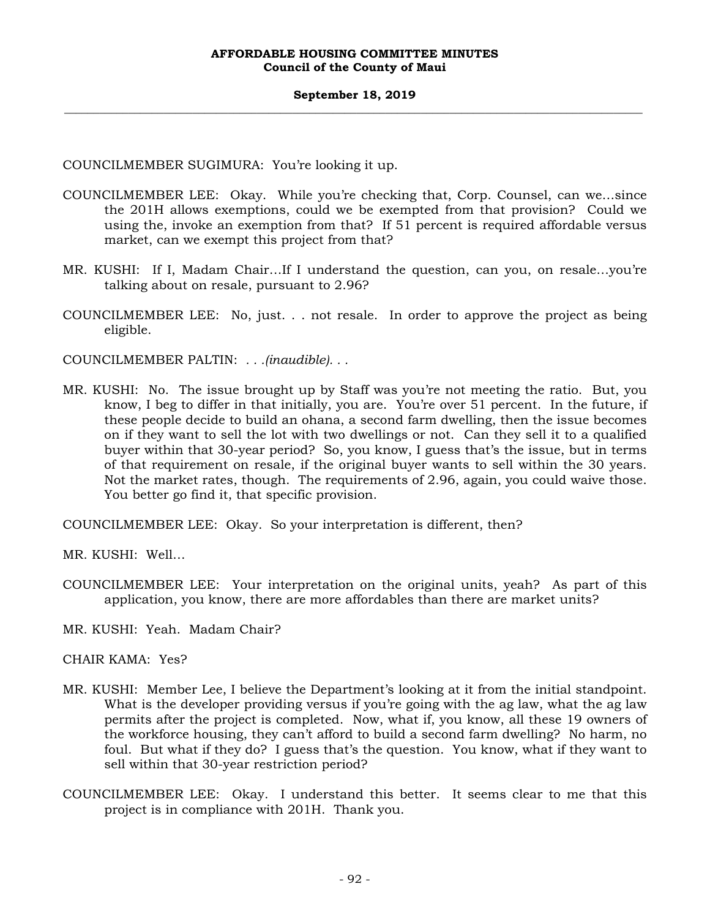COUNCILMEMBER SUGIMURA: You're looking it up.

- COUNCILMEMBER LEE: Okay. While you're checking that, Corp. Counsel, can we…since the 201H allows exemptions, could we be exempted from that provision? Could we using the, invoke an exemption from that? If 51 percent is required affordable versus market, can we exempt this project from that?
- MR. KUSHI: If I, Madam Chair…If I understand the question, can you, on resale…you're talking about on resale, pursuant to 2.96?
- COUNCILMEMBER LEE: No, just. . . not resale. In order to approve the project as being eligible.

COUNCILMEMBER PALTIN: *. . .(inaudible). . .*

MR. KUSHI: No. The issue brought up by Staff was you're not meeting the ratio. But, you know, I beg to differ in that initially, you are. You're over 51 percent. In the future, if these people decide to build an ohana, a second farm dwelling, then the issue becomes on if they want to sell the lot with two dwellings or not. Can they sell it to a qualified buyer within that 30-year period? So, you know, I guess that's the issue, but in terms of that requirement on resale, if the original buyer wants to sell within the 30 years. Not the market rates, though. The requirements of 2.96, again, you could waive those. You better go find it, that specific provision.

COUNCILMEMBER LEE: Okay. So your interpretation is different, then?

MR. KUSHI: Well…

- COUNCILMEMBER LEE: Your interpretation on the original units, yeah? As part of this application, you know, there are more affordables than there are market units?
- MR. KUSHI: Yeah. Madam Chair?

CHAIR KAMA: Yes?

- MR. KUSHI: Member Lee, I believe the Department's looking at it from the initial standpoint. What is the developer providing versus if you're going with the ag law, what the ag law permits after the project is completed. Now, what if, you know, all these 19 owners of the workforce housing, they can't afford to build a second farm dwelling? No harm, no foul. But what if they do? I guess that's the question. You know, what if they want to sell within that 30-year restriction period?
- COUNCILMEMBER LEE: Okay. I understand this better. It seems clear to me that this project is in compliance with 201H. Thank you.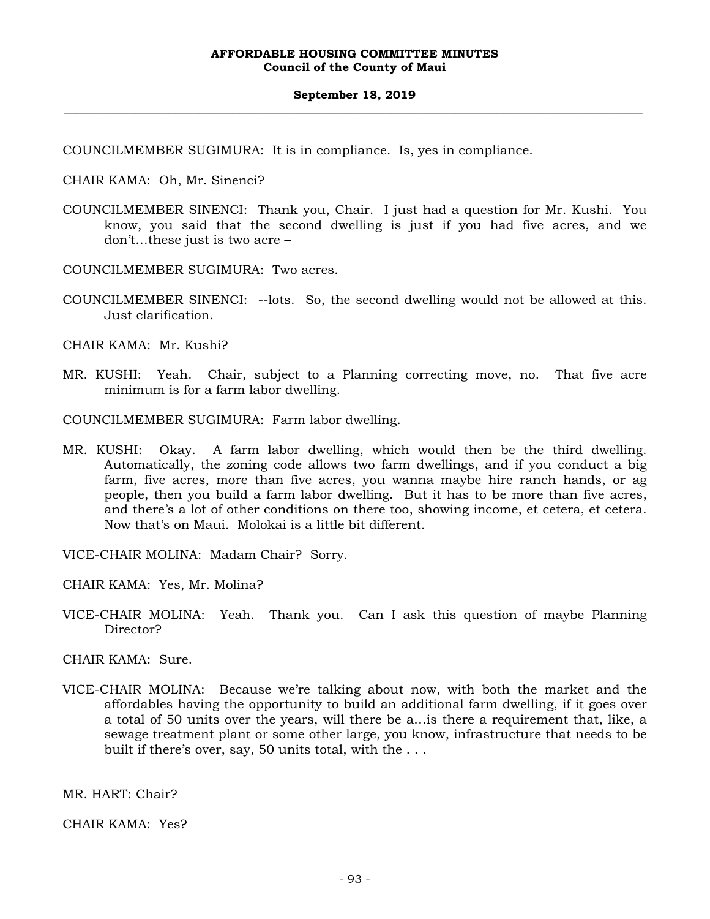COUNCILMEMBER SUGIMURA: It is in compliance. Is, yes in compliance.

CHAIR KAMA: Oh, Mr. Sinenci?

- COUNCILMEMBER SINENCI: Thank you, Chair. I just had a question for Mr. Kushi. You know, you said that the second dwelling is just if you had five acres, and we don't…these just is two acre –
- COUNCILMEMBER SUGIMURA: Two acres.
- COUNCILMEMBER SINENCI: --lots. So, the second dwelling would not be allowed at this. Just clarification.

CHAIR KAMA: Mr. Kushi?

MR. KUSHI: Yeah. Chair, subject to a Planning correcting move, no. That five acre minimum is for a farm labor dwelling.

COUNCILMEMBER SUGIMURA: Farm labor dwelling.

MR. KUSHI: Okay. A farm labor dwelling, which would then be the third dwelling. Automatically, the zoning code allows two farm dwellings, and if you conduct a big farm, five acres, more than five acres, you wanna maybe hire ranch hands, or ag people, then you build a farm labor dwelling. But it has to be more than five acres, and there's a lot of other conditions on there too, showing income, et cetera, et cetera. Now that's on Maui. Molokai is a little bit different.

VICE-CHAIR MOLINA: Madam Chair? Sorry.

CHAIR KAMA: Yes, Mr. Molina?

VICE-CHAIR MOLINA: Yeah. Thank you. Can I ask this question of maybe Planning Director?

CHAIR KAMA: Sure.

VICE-CHAIR MOLINA: Because we're talking about now, with both the market and the affordables having the opportunity to build an additional farm dwelling, if it goes over a total of 50 units over the years, will there be a…is there a requirement that, like, a sewage treatment plant or some other large, you know, infrastructure that needs to be built if there's over, say, 50 units total, with the . . .

MR. HART: Chair?

CHAIR KAMA: Yes?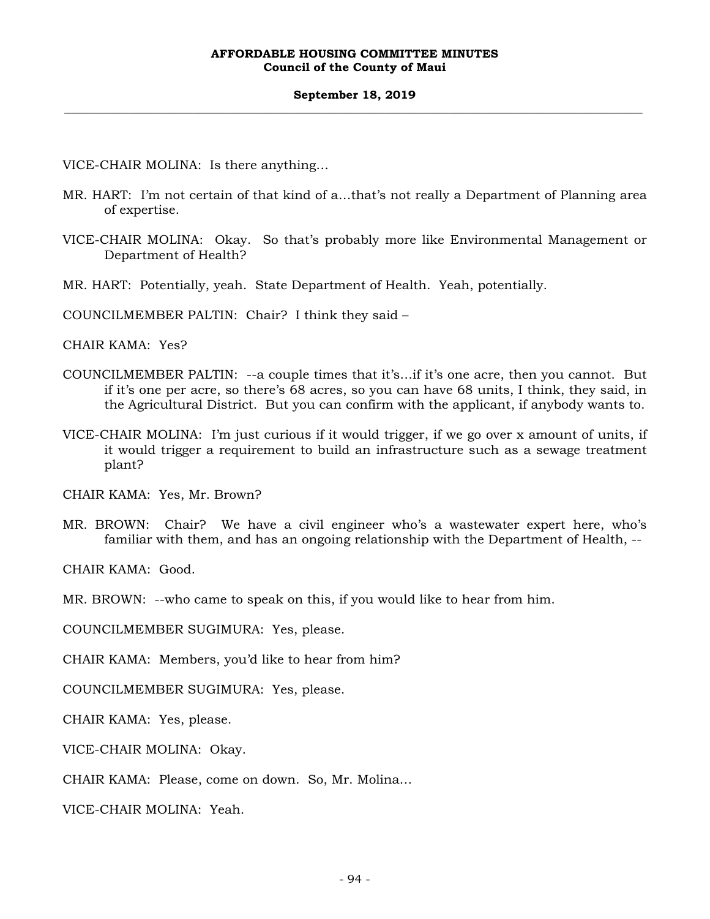VICE-CHAIR MOLINA: Is there anything…

- MR. HART: I'm not certain of that kind of a…that's not really a Department of Planning area of expertise.
- VICE-CHAIR MOLINA: Okay. So that's probably more like Environmental Management or Department of Health?
- MR. HART: Potentially, yeah. State Department of Health. Yeah, potentially.

COUNCILMEMBER PALTIN: Chair? I think they said –

CHAIR KAMA: Yes?

- COUNCILMEMBER PALTIN: --a couple times that it's…if it's one acre, then you cannot. But if it's one per acre, so there's 68 acres, so you can have 68 units, I think, they said, in the Agricultural District. But you can confirm with the applicant, if anybody wants to.
- VICE-CHAIR MOLINA: I'm just curious if it would trigger, if we go over x amount of units, if it would trigger a requirement to build an infrastructure such as a sewage treatment plant?

CHAIR KAMA: Yes, Mr. Brown?

MR. BROWN: Chair? We have a civil engineer who's a wastewater expert here, who's familiar with them, and has an ongoing relationship with the Department of Health, --

CHAIR KAMA: Good.

MR. BROWN: --who came to speak on this, if you would like to hear from him.

COUNCILMEMBER SUGIMURA: Yes, please.

CHAIR KAMA: Members, you'd like to hear from him?

COUNCILMEMBER SUGIMURA: Yes, please.

CHAIR KAMA: Yes, please.

VICE-CHAIR MOLINA: Okay.

CHAIR KAMA: Please, come on down. So, Mr. Molina…

VICE-CHAIR MOLINA: Yeah.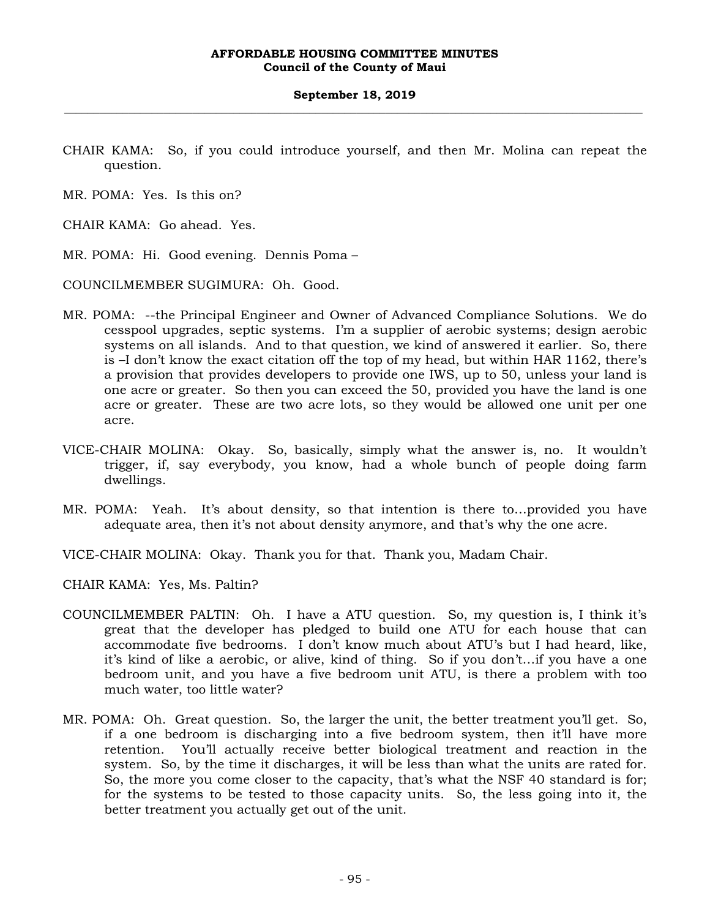- CHAIR KAMA: So, if you could introduce yourself, and then Mr. Molina can repeat the question.
- MR. POMA: Yes. Is this on?
- CHAIR KAMA: Go ahead. Yes.
- MR. POMA: Hi. Good evening. Dennis Poma –
- COUNCILMEMBER SUGIMURA: Oh. Good.
- MR. POMA: --the Principal Engineer and Owner of Advanced Compliance Solutions. We do cesspool upgrades, septic systems. I'm a supplier of aerobic systems; design aerobic systems on all islands. And to that question, we kind of answered it earlier. So, there is –I don't know the exact citation off the top of my head, but within HAR 1162, there's a provision that provides developers to provide one IWS, up to 50, unless your land is one acre or greater. So then you can exceed the 50, provided you have the land is one acre or greater. These are two acre lots, so they would be allowed one unit per one acre.
- VICE-CHAIR MOLINA: Okay. So, basically, simply what the answer is, no. It wouldn't trigger, if, say everybody, you know, had a whole bunch of people doing farm dwellings.
- MR. POMA: Yeah. It's about density, so that intention is there to…provided you have adequate area, then it's not about density anymore, and that's why the one acre.
- VICE-CHAIR MOLINA: Okay. Thank you for that. Thank you, Madam Chair.

CHAIR KAMA: Yes, Ms. Paltin?

- COUNCILMEMBER PALTIN: Oh. I have a ATU question. So, my question is, I think it's great that the developer has pledged to build one ATU for each house that can accommodate five bedrooms. I don't know much about ATU's but I had heard, like, it's kind of like a aerobic, or alive, kind of thing. So if you don't…if you have a one bedroom unit, and you have a five bedroom unit ATU, is there a problem with too much water, too little water?
- MR. POMA: Oh. Great question. So, the larger the unit, the better treatment you'll get. So, if a one bedroom is discharging into a five bedroom system, then it'll have more retention. You'll actually receive better biological treatment and reaction in the system. So, by the time it discharges, it will be less than what the units are rated for. So, the more you come closer to the capacity, that's what the NSF 40 standard is for; for the systems to be tested to those capacity units. So, the less going into it, the better treatment you actually get out of the unit.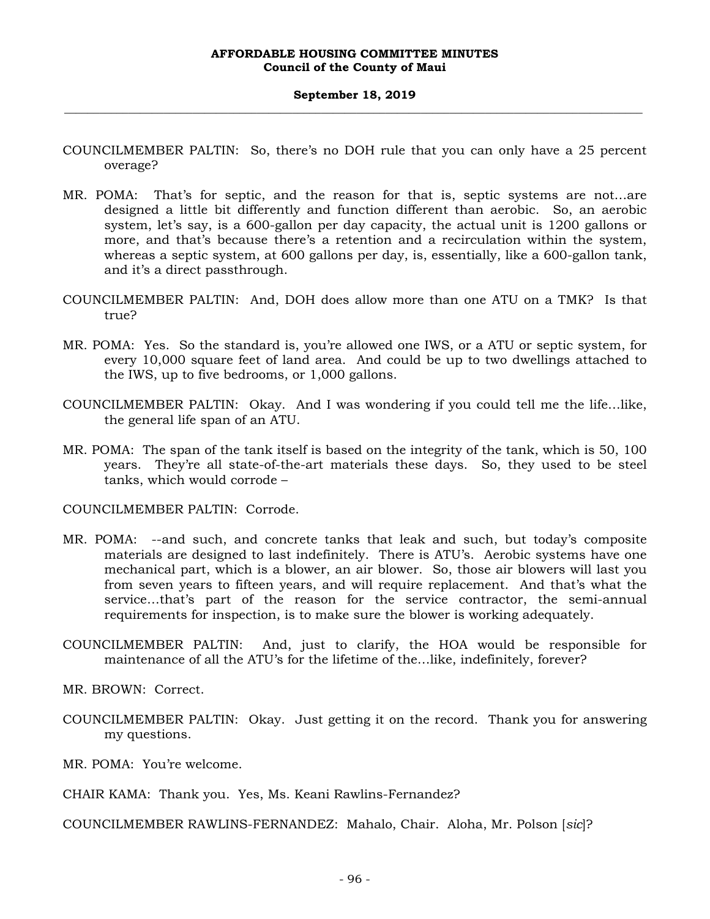- COUNCILMEMBER PALTIN: So, there's no DOH rule that you can only have a 25 percent overage?
- MR. POMA: That's for septic, and the reason for that is, septic systems are not…are designed a little bit differently and function different than aerobic. So, an aerobic system, let's say, is a 600-gallon per day capacity, the actual unit is 1200 gallons or more, and that's because there's a retention and a recirculation within the system, whereas a septic system, at 600 gallons per day, is, essentially, like a 600-gallon tank, and it's a direct passthrough.
- COUNCILMEMBER PALTIN: And, DOH does allow more than one ATU on a TMK? Is that true?
- MR. POMA: Yes. So the standard is, you're allowed one IWS, or a ATU or septic system, for every 10,000 square feet of land area. And could be up to two dwellings attached to the IWS, up to five bedrooms, or 1,000 gallons.
- COUNCILMEMBER PALTIN: Okay. And I was wondering if you could tell me the life…like, the general life span of an ATU.
- MR. POMA: The span of the tank itself is based on the integrity of the tank, which is 50, 100 years. They're all state-of-the-art materials these days. So, they used to be steel tanks, which would corrode –

COUNCILMEMBER PALTIN: Corrode.

- MR. POMA: --and such, and concrete tanks that leak and such, but today's composite materials are designed to last indefinitely. There is ATU's. Aerobic systems have one mechanical part, which is a blower, an air blower. So, those air blowers will last you from seven years to fifteen years, and will require replacement. And that's what the service…that's part of the reason for the service contractor, the semi-annual requirements for inspection, is to make sure the blower is working adequately.
- COUNCILMEMBER PALTIN: And, just to clarify, the HOA would be responsible for maintenance of all the ATU's for the lifetime of the…like, indefinitely, forever?
- MR. BROWN: Correct.
- COUNCILMEMBER PALTIN: Okay. Just getting it on the record. Thank you for answering my questions.

MR. POMA: You're welcome.

CHAIR KAMA: Thank you. Yes, Ms. Keani Rawlins-Fernandez?

COUNCILMEMBER RAWLINS-FERNANDEZ: Mahalo, Chair. Aloha, Mr. Polson [*sic*]?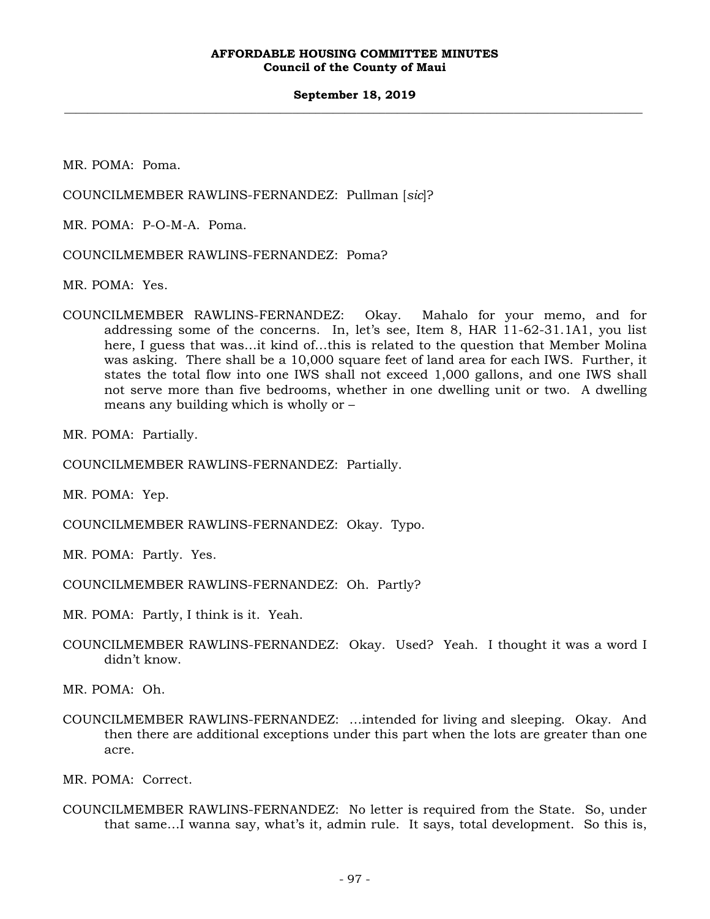### **September 18, 2019 \_\_\_\_\_\_\_\_\_\_\_\_\_\_\_\_\_\_\_\_\_\_\_\_\_\_\_\_\_\_\_\_\_\_\_\_\_\_\_\_\_\_\_\_\_\_\_\_\_\_\_\_\_\_\_\_\_\_\_\_\_\_\_\_\_\_\_\_\_\_\_\_\_\_\_\_\_\_\_\_\_\_\_\_\_\_\_\_\_\_\_\_\_\_\_\_\_\_\_**

MR. POMA: Poma.

COUNCILMEMBER RAWLINS-FERNANDEZ: Pullman [*sic*]?

MR. POMA: P-O-M-A. Poma.

COUNCILMEMBER RAWLINS-FERNANDEZ: Poma?

MR. POMA: Yes.

COUNCILMEMBER RAWLINS-FERNANDEZ: Okay. Mahalo for your memo, and for addressing some of the concerns. In, let's see, Item 8, HAR 11-62-31.1A1, you list here, I guess that was…it kind of…this is related to the question that Member Molina was asking. There shall be a 10,000 square feet of land area for each IWS. Further, it states the total flow into one IWS shall not exceed 1,000 gallons, and one IWS shall not serve more than five bedrooms, whether in one dwelling unit or two. A dwelling means any building which is wholly or –

MR. POMA: Partially.

COUNCILMEMBER RAWLINS-FERNANDEZ: Partially.

MR. POMA: Yep.

COUNCILMEMBER RAWLINS-FERNANDEZ: Okay. Typo.

MR. POMA: Partly. Yes.

COUNCILMEMBER RAWLINS-FERNANDEZ: Oh. Partly?

MR. POMA: Partly, I think is it. Yeah.

COUNCILMEMBER RAWLINS-FERNANDEZ: Okay. Used? Yeah. I thought it was a word I didn't know.

MR. POMA: Oh.

COUNCILMEMBER RAWLINS-FERNANDEZ: …intended for living and sleeping. Okay. And then there are additional exceptions under this part when the lots are greater than one acre.

MR. POMA: Correct.

COUNCILMEMBER RAWLINS-FERNANDEZ: No letter is required from the State. So, under that same…I wanna say, what's it, admin rule. It says, total development. So this is,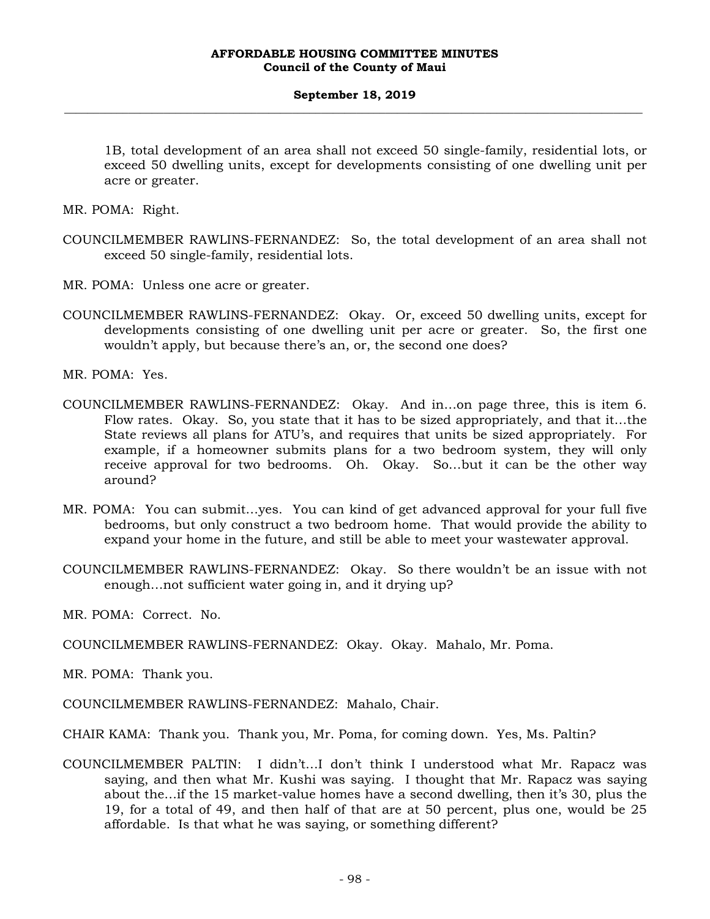## **September 18, 2019 \_\_\_\_\_\_\_\_\_\_\_\_\_\_\_\_\_\_\_\_\_\_\_\_\_\_\_\_\_\_\_\_\_\_\_\_\_\_\_\_\_\_\_\_\_\_\_\_\_\_\_\_\_\_\_\_\_\_\_\_\_\_\_\_\_\_\_\_\_\_\_\_\_\_\_\_\_\_\_\_\_\_\_\_\_\_\_\_\_\_\_\_\_\_\_\_\_\_\_**

1B, total development of an area shall not exceed 50 single-family, residential lots, or exceed 50 dwelling units, except for developments consisting of one dwelling unit per acre or greater.

MR. POMA: Right.

- COUNCILMEMBER RAWLINS-FERNANDEZ: So, the total development of an area shall not exceed 50 single-family, residential lots.
- MR. POMA: Unless one acre or greater.
- COUNCILMEMBER RAWLINS-FERNANDEZ: Okay. Or, exceed 50 dwelling units, except for developments consisting of one dwelling unit per acre or greater. So, the first one wouldn't apply, but because there's an, or, the second one does?

MR. POMA: Yes.

- COUNCILMEMBER RAWLINS-FERNANDEZ: Okay. And in…on page three, this is item 6. Flow rates. Okay. So, you state that it has to be sized appropriately, and that it…the State reviews all plans for ATU's, and requires that units be sized appropriately. For example, if a homeowner submits plans for a two bedroom system, they will only receive approval for two bedrooms. Oh. Okay. So…but it can be the other way around?
- MR. POMA: You can submit…yes. You can kind of get advanced approval for your full five bedrooms, but only construct a two bedroom home. That would provide the ability to expand your home in the future, and still be able to meet your wastewater approval.
- COUNCILMEMBER RAWLINS-FERNANDEZ: Okay. So there wouldn't be an issue with not enough…not sufficient water going in, and it drying up?

MR. POMA: Correct. No.

COUNCILMEMBER RAWLINS-FERNANDEZ: Okay. Okay. Mahalo, Mr. Poma.

MR. POMA: Thank you.

COUNCILMEMBER RAWLINS-FERNANDEZ: Mahalo, Chair.

CHAIR KAMA: Thank you. Thank you, Mr. Poma, for coming down. Yes, Ms. Paltin?

COUNCILMEMBER PALTIN: I didn't…I don't think I understood what Mr. Rapacz was saying, and then what Mr. Kushi was saying. I thought that Mr. Rapacz was saying about the…if the 15 market-value homes have a second dwelling, then it's 30, plus the 19, for a total of 49, and then half of that are at 50 percent, plus one, would be 25 affordable. Is that what he was saying, or something different?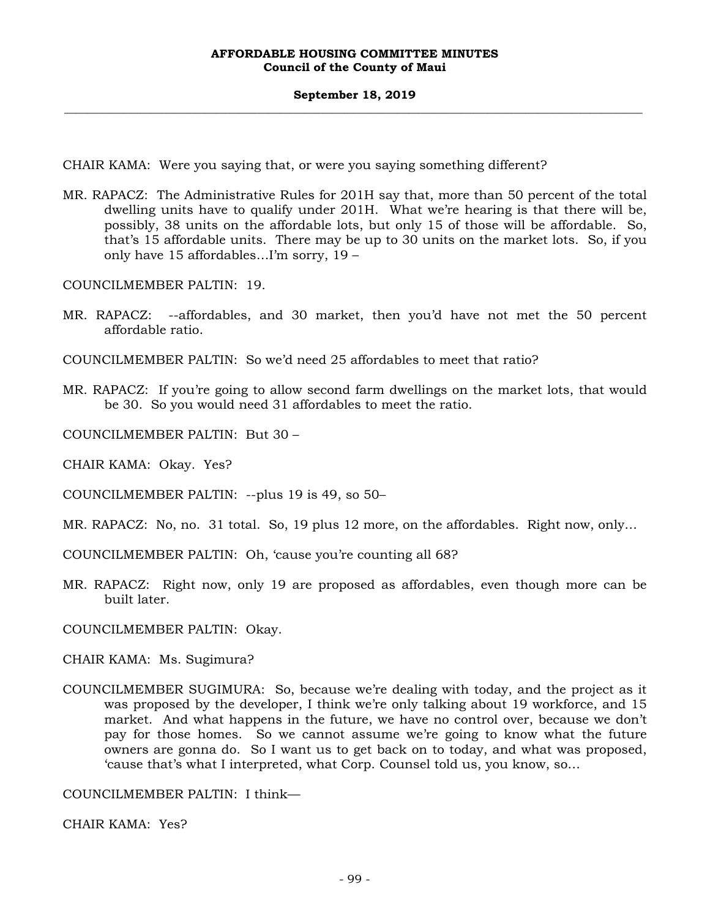CHAIR KAMA: Were you saying that, or were you saying something different?

MR. RAPACZ: The Administrative Rules for 201H say that, more than 50 percent of the total dwelling units have to qualify under 201H. What we're hearing is that there will be, possibly, 38 units on the affordable lots, but only 15 of those will be affordable. So, that's 15 affordable units. There may be up to 30 units on the market lots. So, if you only have 15 affordables…I'm sorry, 19 –

COUNCILMEMBER PALTIN: 19.

- MR. RAPACZ: --affordables, and 30 market, then you'd have not met the 50 percent affordable ratio.
- COUNCILMEMBER PALTIN: So we'd need 25 affordables to meet that ratio?
- MR. RAPACZ: If you're going to allow second farm dwellings on the market lots, that would be 30. So you would need 31 affordables to meet the ratio.
- COUNCILMEMBER PALTIN: But 30 –
- CHAIR KAMA: Okay. Yes?
- COUNCILMEMBER PALTIN: --plus 19 is 49, so 50–
- MR. RAPACZ: No, no. 31 total. So, 19 plus 12 more, on the affordables. Right now, only…
- COUNCILMEMBER PALTIN: Oh, 'cause you're counting all 68?
- MR. RAPACZ: Right now, only 19 are proposed as affordables, even though more can be built later.

COUNCILMEMBER PALTIN: Okay.

CHAIR KAMA: Ms. Sugimura?

COUNCILMEMBER SUGIMURA: So, because we're dealing with today, and the project as it was proposed by the developer, I think we're only talking about 19 workforce, and 15 market. And what happens in the future, we have no control over, because we don't pay for those homes. So we cannot assume we're going to know what the future owners are gonna do. So I want us to get back on to today, and what was proposed, 'cause that's what I interpreted, what Corp. Counsel told us, you know, so…

COUNCILMEMBER PALTIN: I think—

CHAIR KAMA: Yes?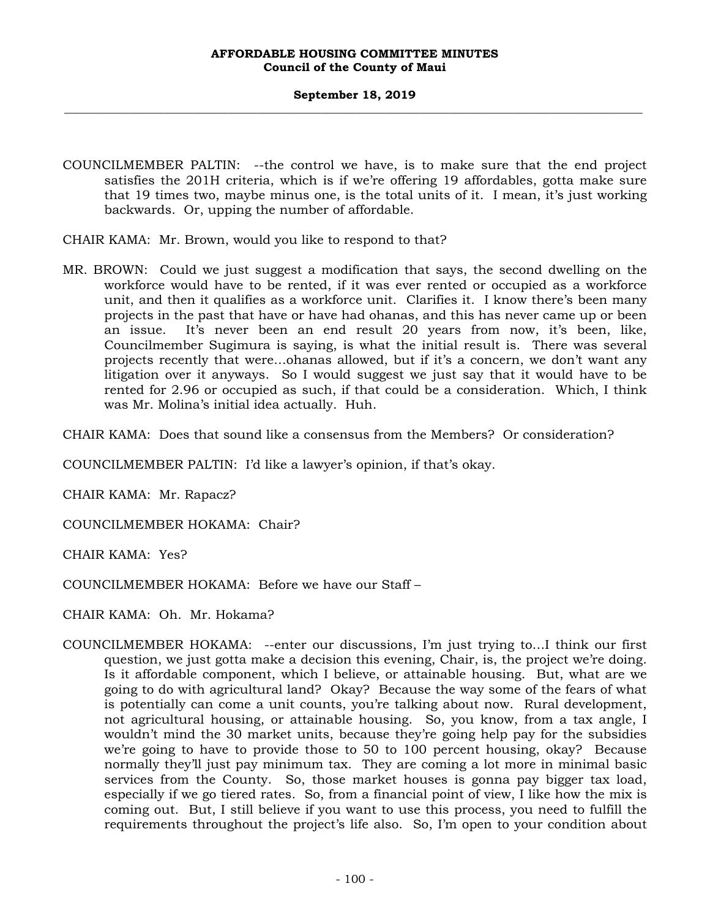COUNCILMEMBER PALTIN: --the control we have, is to make sure that the end project satisfies the 201H criteria, which is if we're offering 19 affordables, gotta make sure that 19 times two, maybe minus one, is the total units of it. I mean, it's just working backwards. Or, upping the number of affordable.

CHAIR KAMA: Mr. Brown, would you like to respond to that?

MR. BROWN: Could we just suggest a modification that says, the second dwelling on the workforce would have to be rented, if it was ever rented or occupied as a workforce unit, and then it qualifies as a workforce unit. Clarifies it. I know there's been many projects in the past that have or have had ohanas, and this has never came up or been an issue. It's never been an end result 20 years from now, it's been, like, Councilmember Sugimura is saying, is what the initial result is. There was several projects recently that were…ohanas allowed, but if it's a concern, we don't want any litigation over it anyways. So I would suggest we just say that it would have to be rented for 2.96 or occupied as such, if that could be a consideration. Which, I think was Mr. Molina's initial idea actually. Huh.

CHAIR KAMA: Does that sound like a consensus from the Members? Or consideration?

COUNCILMEMBER PALTIN: I'd like a lawyer's opinion, if that's okay.

CHAIR KAMA: Mr. Rapacz?

COUNCILMEMBER HOKAMA: Chair?

CHAIR KAMA: Yes?

COUNCILMEMBER HOKAMA: Before we have our Staff –

CHAIR KAMA: Oh. Mr. Hokama?

COUNCILMEMBER HOKAMA: --enter our discussions, I'm just trying to…I think our first question, we just gotta make a decision this evening, Chair, is, the project we're doing. Is it affordable component, which I believe, or attainable housing. But, what are we going to do with agricultural land? Okay? Because the way some of the fears of what is potentially can come a unit counts, you're talking about now. Rural development, not agricultural housing, or attainable housing. So, you know, from a tax angle, I wouldn't mind the 30 market units, because they're going help pay for the subsidies we're going to have to provide those to 50 to 100 percent housing, okay? Because normally they'll just pay minimum tax. They are coming a lot more in minimal basic services from the County. So, those market houses is gonna pay bigger tax load, especially if we go tiered rates. So, from a financial point of view, I like how the mix is coming out. But, I still believe if you want to use this process, you need to fulfill the requirements throughout the project's life also. So, I'm open to your condition about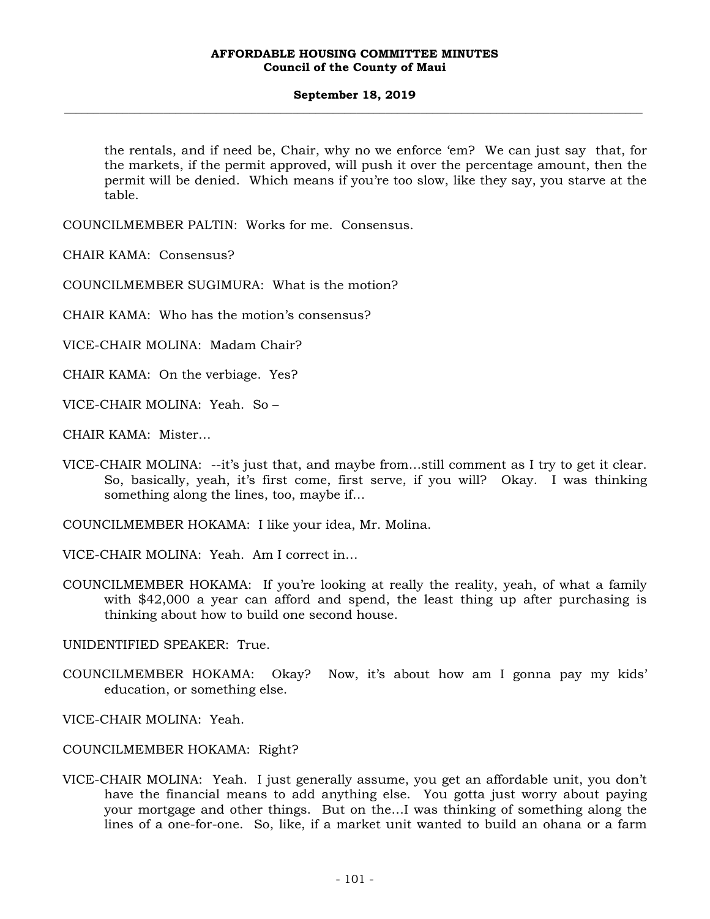the rentals, and if need be, Chair, why no we enforce 'em? We can just say that, for the markets, if the permit approved, will push it over the percentage amount, then the permit will be denied. Which means if you're too slow, like they say, you starve at the table.

COUNCILMEMBER PALTIN: Works for me. Consensus.

CHAIR KAMA: Consensus?

COUNCILMEMBER SUGIMURA: What is the motion?

CHAIR KAMA: Who has the motion's consensus?

VICE-CHAIR MOLINA: Madam Chair?

CHAIR KAMA: On the verbiage. Yes?

VICE-CHAIR MOLINA: Yeah. So –

CHAIR KAMA: Mister…

VICE-CHAIR MOLINA: --it's just that, and maybe from…still comment as I try to get it clear. So, basically, yeah, it's first come, first serve, if you will? Okay. I was thinking something along the lines, too, maybe if…

COUNCILMEMBER HOKAMA: I like your idea, Mr. Molina.

VICE-CHAIR MOLINA: Yeah. Am I correct in…

COUNCILMEMBER HOKAMA: If you're looking at really the reality, yeah, of what a family with \$42,000 a year can afford and spend, the least thing up after purchasing is thinking about how to build one second house.

UNIDENTIFIED SPEAKER: True.

COUNCILMEMBER HOKAMA: Okay? Now, it's about how am I gonna pay my kids' education, or something else.

VICE-CHAIR MOLINA: Yeah.

COUNCILMEMBER HOKAMA: Right?

VICE-CHAIR MOLINA: Yeah. I just generally assume, you get an affordable unit, you don't have the financial means to add anything else. You gotta just worry about paying your mortgage and other things. But on the…I was thinking of something along the lines of a one-for-one. So, like, if a market unit wanted to build an ohana or a farm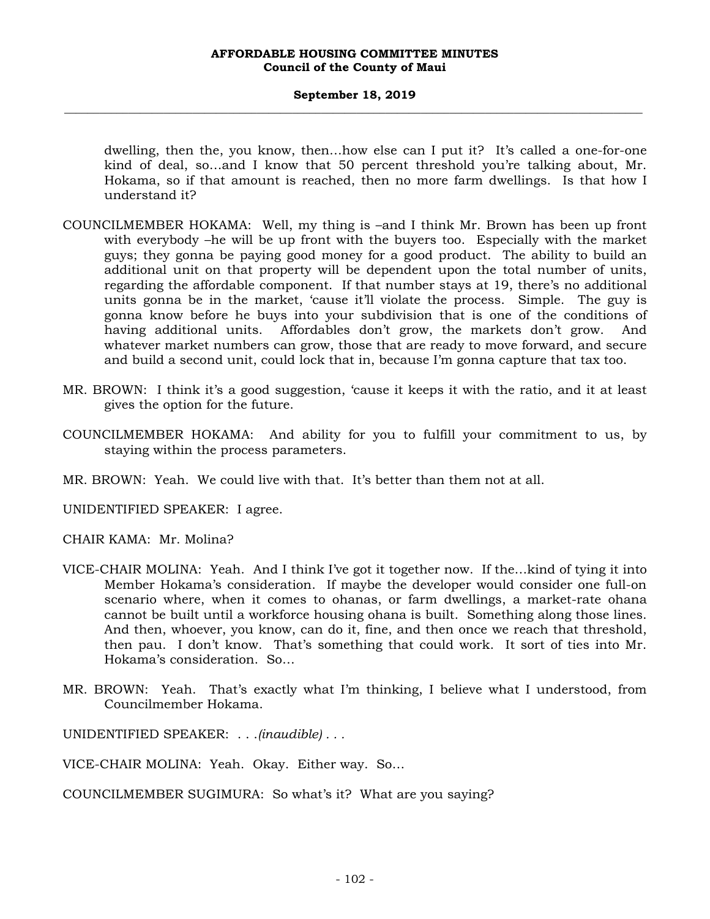dwelling, then the, you know, then…how else can I put it? It's called a one-for-one kind of deal, so…and I know that 50 percent threshold you're talking about, Mr. Hokama, so if that amount is reached, then no more farm dwellings. Is that how I understand it?

- COUNCILMEMBER HOKAMA: Well, my thing is –and I think Mr. Brown has been up front with everybody –he will be up front with the buyers too. Especially with the market guys; they gonna be paying good money for a good product. The ability to build an additional unit on that property will be dependent upon the total number of units, regarding the affordable component. If that number stays at 19, there's no additional units gonna be in the market, 'cause it'll violate the process. Simple. The guy is gonna know before he buys into your subdivision that is one of the conditions of having additional units. Affordables don't grow, the markets don't grow. And whatever market numbers can grow, those that are ready to move forward, and secure and build a second unit, could lock that in, because I'm gonna capture that tax too.
- MR. BROWN: I think it's a good suggestion, 'cause it keeps it with the ratio, and it at least gives the option for the future.
- COUNCILMEMBER HOKAMA: And ability for you to fulfill your commitment to us, by staying within the process parameters.
- MR. BROWN: Yeah. We could live with that. It's better than them not at all.

UNIDENTIFIED SPEAKER: I agree.

CHAIR KAMA: Mr. Molina?

- VICE-CHAIR MOLINA: Yeah. And I think I've got it together now. If the…kind of tying it into Member Hokama's consideration. If maybe the developer would consider one full-on scenario where, when it comes to ohanas, or farm dwellings, a market-rate ohana cannot be built until a workforce housing ohana is built. Something along those lines. And then, whoever, you know, can do it, fine, and then once we reach that threshold, then pau. I don't know. That's something that could work. It sort of ties into Mr. Hokama's consideration. So…
- MR. BROWN: Yeah. That's exactly what I'm thinking, I believe what I understood, from Councilmember Hokama.

UNIDENTIFIED SPEAKER: . . .*(inaudible) . . .*

VICE-CHAIR MOLINA: Yeah. Okay. Either way. So…

COUNCILMEMBER SUGIMURA: So what's it? What are you saying?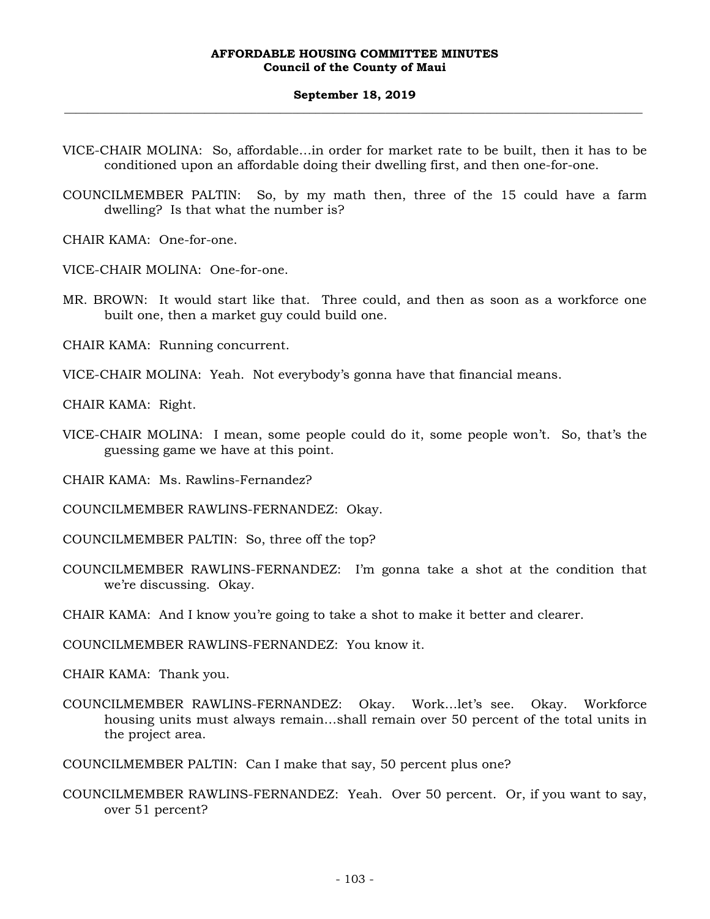- VICE-CHAIR MOLINA: So, affordable…in order for market rate to be built, then it has to be conditioned upon an affordable doing their dwelling first, and then one-for-one.
- COUNCILMEMBER PALTIN: So, by my math then, three of the 15 could have a farm dwelling? Is that what the number is?

CHAIR KAMA: One-for-one.

- VICE-CHAIR MOLINA: One-for-one.
- MR. BROWN: It would start like that. Three could, and then as soon as a workforce one built one, then a market guy could build one.

CHAIR KAMA: Running concurrent.

VICE-CHAIR MOLINA: Yeah. Not everybody's gonna have that financial means.

CHAIR KAMA: Right.

VICE-CHAIR MOLINA: I mean, some people could do it, some people won't. So, that's the guessing game we have at this point.

CHAIR KAMA: Ms. Rawlins-Fernandez?

- COUNCILMEMBER RAWLINS-FERNANDEZ: Okay.
- COUNCILMEMBER PALTIN: So, three off the top?
- COUNCILMEMBER RAWLINS-FERNANDEZ: I'm gonna take a shot at the condition that we're discussing. Okay.

CHAIR KAMA: And I know you're going to take a shot to make it better and clearer.

COUNCILMEMBER RAWLINS-FERNANDEZ: You know it.

CHAIR KAMA: Thank you.

- COUNCILMEMBER RAWLINS-FERNANDEZ: Okay. Work…let's see. Okay. Workforce housing units must always remain…shall remain over 50 percent of the total units in the project area.
- COUNCILMEMBER PALTIN: Can I make that say, 50 percent plus one?
- COUNCILMEMBER RAWLINS-FERNANDEZ: Yeah. Over 50 percent. Or, if you want to say, over 51 percent?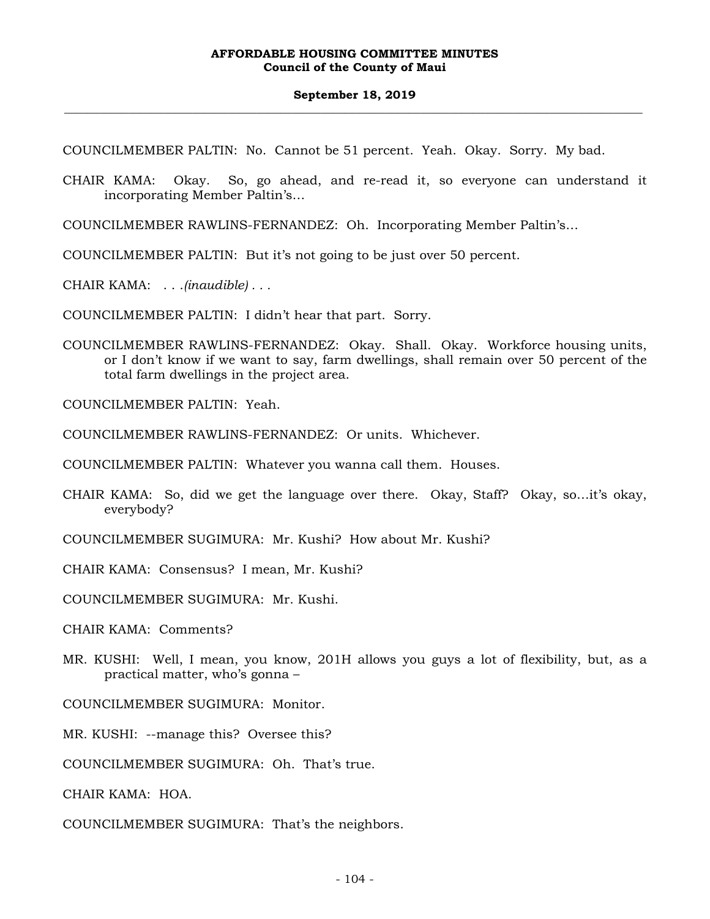COUNCILMEMBER PALTIN: No. Cannot be 51 percent. Yeah. Okay. Sorry. My bad.

- CHAIR KAMA: Okay. So, go ahead, and re-read it, so everyone can understand it incorporating Member Paltin's…
- COUNCILMEMBER RAWLINS-FERNANDEZ: Oh. Incorporating Member Paltin's…
- COUNCILMEMBER PALTIN: But it's not going to be just over 50 percent.
- CHAIR KAMA: . . .*(inaudible) . . .*

COUNCILMEMBER PALTIN: I didn't hear that part. Sorry.

COUNCILMEMBER RAWLINS-FERNANDEZ: Okay. Shall. Okay. Workforce housing units, or I don't know if we want to say, farm dwellings, shall remain over 50 percent of the total farm dwellings in the project area.

COUNCILMEMBER PALTIN: Yeah.

COUNCILMEMBER RAWLINS-FERNANDEZ: Or units. Whichever.

COUNCILMEMBER PALTIN: Whatever you wanna call them. Houses.

- CHAIR KAMA: So, did we get the language over there. Okay, Staff? Okay, so…it's okay, everybody?
- COUNCILMEMBER SUGIMURA: Mr. Kushi? How about Mr. Kushi?
- CHAIR KAMA: Consensus? I mean, Mr. Kushi?

COUNCILMEMBER SUGIMURA: Mr. Kushi.

CHAIR KAMA: Comments?

MR. KUSHI: Well, I mean, you know, 201H allows you guys a lot of flexibility, but, as a practical matter, who's gonna –

COUNCILMEMBER SUGIMURA: Monitor.

MR. KUSHI: --manage this? Oversee this?

COUNCILMEMBER SUGIMURA: Oh. That's true.

CHAIR KAMA: HOA.

COUNCILMEMBER SUGIMURA: That's the neighbors.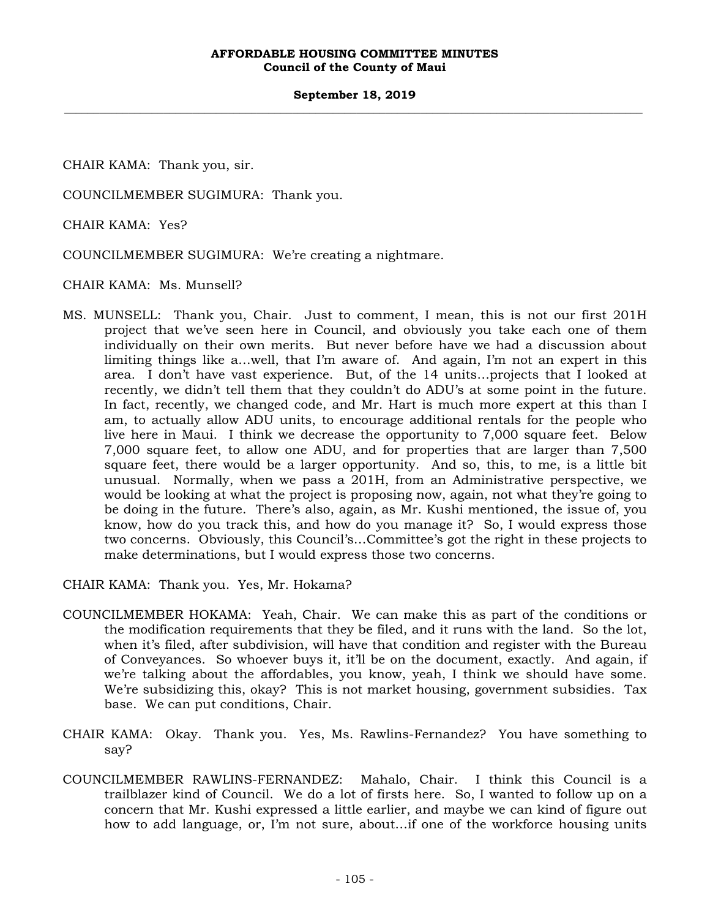CHAIR KAMA: Thank you, sir.

COUNCILMEMBER SUGIMURA: Thank you.

CHAIR KAMA: Yes?

COUNCILMEMBER SUGIMURA: We're creating a nightmare.

CHAIR KAMA: Ms. Munsell?

MS. MUNSELL: Thank you, Chair. Just to comment, I mean, this is not our first 201H project that we've seen here in Council, and obviously you take each one of them individually on their own merits. But never before have we had a discussion about limiting things like a…well, that I'm aware of. And again, I'm not an expert in this area. I don't have vast experience. But, of the 14 units…projects that I looked at recently, we didn't tell them that they couldn't do ADU's at some point in the future. In fact, recently, we changed code, and Mr. Hart is much more expert at this than I am, to actually allow ADU units, to encourage additional rentals for the people who live here in Maui. I think we decrease the opportunity to 7,000 square feet. Below 7,000 square feet, to allow one ADU, and for properties that are larger than 7,500 square feet, there would be a larger opportunity. And so, this, to me, is a little bit unusual. Normally, when we pass a 201H, from an Administrative perspective, we would be looking at what the project is proposing now, again, not what they're going to be doing in the future. There's also, again, as Mr. Kushi mentioned, the issue of, you know, how do you track this, and how do you manage it? So, I would express those two concerns. Obviously, this Council's…Committee's got the right in these projects to make determinations, but I would express those two concerns.

CHAIR KAMA: Thank you. Yes, Mr. Hokama?

- COUNCILMEMBER HOKAMA: Yeah, Chair. We can make this as part of the conditions or the modification requirements that they be filed, and it runs with the land. So the lot, when it's filed, after subdivision, will have that condition and register with the Bureau of Conveyances. So whoever buys it, it'll be on the document, exactly. And again, if we're talking about the affordables, you know, yeah, I think we should have some. We're subsidizing this, okay? This is not market housing, government subsidies. Tax base. We can put conditions, Chair.
- CHAIR KAMA: Okay. Thank you. Yes, Ms. Rawlins-Fernandez? You have something to say?
- COUNCILMEMBER RAWLINS-FERNANDEZ: Mahalo, Chair. I think this Council is a trailblazer kind of Council. We do a lot of firsts here. So, I wanted to follow up on a concern that Mr. Kushi expressed a little earlier, and maybe we can kind of figure out how to add language, or, I'm not sure, about…if one of the workforce housing units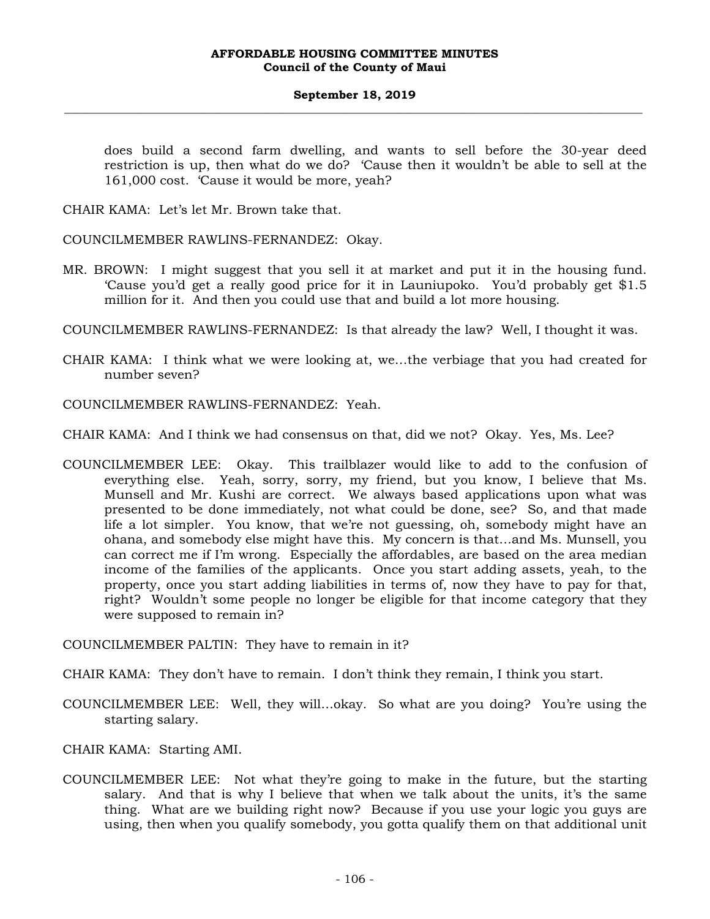does build a second farm dwelling, and wants to sell before the 30-year deed restriction is up, then what do we do? 'Cause then it wouldn't be able to sell at the 161,000 cost. 'Cause it would be more, yeah?

CHAIR KAMA: Let's let Mr. Brown take that.

COUNCILMEMBER RAWLINS-FERNANDEZ: Okay.

- MR. BROWN: I might suggest that you sell it at market and put it in the housing fund. 'Cause you'd get a really good price for it in Launiupoko. You'd probably get \$1.5 million for it. And then you could use that and build a lot more housing.
- COUNCILMEMBER RAWLINS-FERNANDEZ: Is that already the law? Well, I thought it was.
- CHAIR KAMA: I think what we were looking at, we…the verbiage that you had created for number seven?
- COUNCILMEMBER RAWLINS-FERNANDEZ: Yeah.
- CHAIR KAMA: And I think we had consensus on that, did we not? Okay. Yes, Ms. Lee?
- COUNCILMEMBER LEE: Okay. This trailblazer would like to add to the confusion of everything else. Yeah, sorry, sorry, my friend, but you know, I believe that Ms. Munsell and Mr. Kushi are correct. We always based applications upon what was presented to be done immediately, not what could be done, see? So, and that made life a lot simpler. You know, that we're not guessing, oh, somebody might have an ohana, and somebody else might have this. My concern is that…and Ms. Munsell, you can correct me if I'm wrong. Especially the affordables, are based on the area median income of the families of the applicants. Once you start adding assets, yeah, to the property, once you start adding liabilities in terms of, now they have to pay for that, right? Wouldn't some people no longer be eligible for that income category that they were supposed to remain in?

COUNCILMEMBER PALTIN: They have to remain in it?

- CHAIR KAMA: They don't have to remain. I don't think they remain, I think you start.
- COUNCILMEMBER LEE: Well, they will…okay. So what are you doing? You're using the starting salary.
- CHAIR KAMA: Starting AMI.
- COUNCILMEMBER LEE: Not what they're going to make in the future, but the starting salary. And that is why I believe that when we talk about the units, it's the same thing. What are we building right now? Because if you use your logic you guys are using, then when you qualify somebody, you gotta qualify them on that additional unit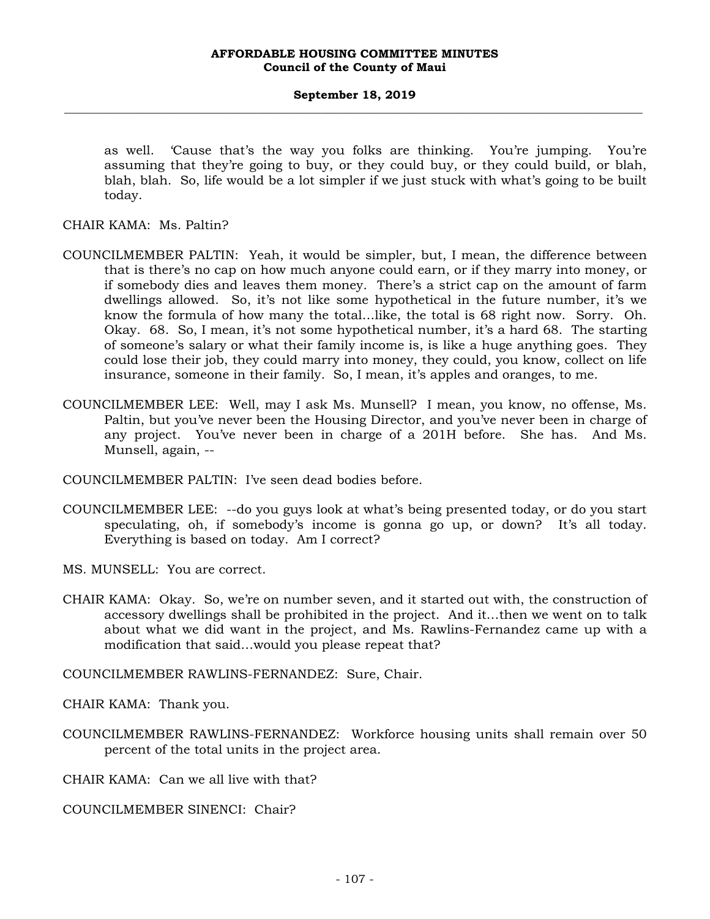as well. 'Cause that's the way you folks are thinking. You're jumping. You're assuming that they're going to buy, or they could buy, or they could build, or blah, blah, blah. So, life would be a lot simpler if we just stuck with what's going to be built today.

CHAIR KAMA: Ms. Paltin?

- COUNCILMEMBER PALTIN: Yeah, it would be simpler, but, I mean, the difference between that is there's no cap on how much anyone could earn, or if they marry into money, or if somebody dies and leaves them money. There's a strict cap on the amount of farm dwellings allowed. So, it's not like some hypothetical in the future number, it's we know the formula of how many the total…like, the total is 68 right now. Sorry. Oh. Okay. 68. So, I mean, it's not some hypothetical number, it's a hard 68. The starting of someone's salary or what their family income is, is like a huge anything goes. They could lose their job, they could marry into money, they could, you know, collect on life insurance, someone in their family. So, I mean, it's apples and oranges, to me.
- COUNCILMEMBER LEE: Well, may I ask Ms. Munsell? I mean, you know, no offense, Ms. Paltin, but you've never been the Housing Director, and you've never been in charge of any project. You've never been in charge of a 201H before. She has. And Ms. Munsell, again, --
- COUNCILMEMBER PALTIN: I've seen dead bodies before.
- COUNCILMEMBER LEE: --do you guys look at what's being presented today, or do you start speculating, oh, if somebody's income is gonna go up, or down? It's all today. Everything is based on today. Am I correct?
- MS. MUNSELL: You are correct.
- CHAIR KAMA: Okay. So, we're on number seven, and it started out with, the construction of accessory dwellings shall be prohibited in the project. And it…then we went on to talk about what we did want in the project, and Ms. Rawlins-Fernandez came up with a modification that said…would you please repeat that?

COUNCILMEMBER RAWLINS-FERNANDEZ: Sure, Chair.

CHAIR KAMA: Thank you.

COUNCILMEMBER RAWLINS-FERNANDEZ: Workforce housing units shall remain over 50 percent of the total units in the project area.

CHAIR KAMA: Can we all live with that?

COUNCILMEMBER SINENCI: Chair?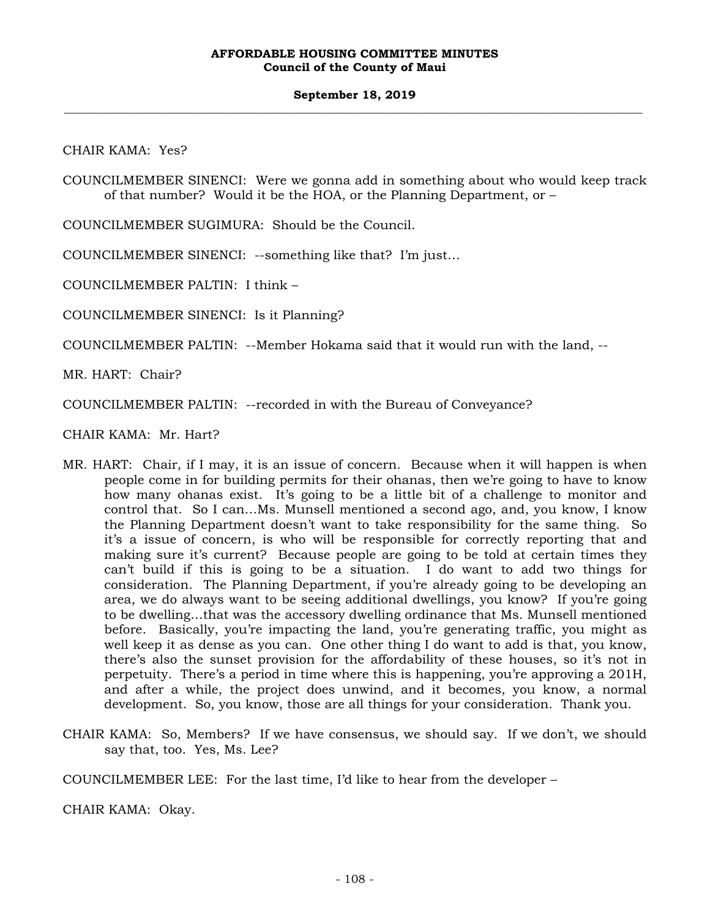## **September 18, 2019 \_\_\_\_\_\_\_\_\_\_\_\_\_\_\_\_\_\_\_\_\_\_\_\_\_\_\_\_\_\_\_\_\_\_\_\_\_\_\_\_\_\_\_\_\_\_\_\_\_\_\_\_\_\_\_\_\_\_\_\_\_\_\_\_\_\_\_\_\_\_\_\_\_\_\_\_\_\_\_\_\_\_\_\_\_\_\_\_\_\_\_\_\_\_\_\_\_\_\_**

CHAIR KAMA: Yes?

COUNCILMEMBER SINENCI: Were we gonna add in something about who would keep track of that number? Would it be the HOA, or the Planning Department, or –

COUNCILMEMBER SUGIMURA: Should be the Council.

COUNCILMEMBER SINENCI: --something like that? I'm just…

COUNCILMEMBER PALTIN: I think –

COUNCILMEMBER SINENCI: Is it Planning?

COUNCILMEMBER PALTIN: --Member Hokama said that it would run with the land, --

MR. HART: Chair?

COUNCILMEMBER PALTIN: --recorded in with the Bureau of Conveyance?

CHAIR KAMA: Mr. Hart?

- MR. HART: Chair, if I may, it is an issue of concern. Because when it will happen is when people come in for building permits for their ohanas, then we're going to have to know how many ohanas exist. It's going to be a little bit of a challenge to monitor and control that. So I can…Ms. Munsell mentioned a second ago, and, you know, I know the Planning Department doesn't want to take responsibility for the same thing. So it's a issue of concern, is who will be responsible for correctly reporting that and making sure it's current? Because people are going to be told at certain times they can't build if this is going to be a situation. I do want to add two things for consideration. The Planning Department, if you're already going to be developing an area, we do always want to be seeing additional dwellings, you know? If you're going to be dwelling…that was the accessory dwelling ordinance that Ms. Munsell mentioned before. Basically, you're impacting the land, you're generating traffic, you might as well keep it as dense as you can. One other thing I do want to add is that, you know, there's also the sunset provision for the affordability of these houses, so it's not in perpetuity. There's a period in time where this is happening, you're approving a 201H, and after a while, the project does unwind, and it becomes, you know, a normal development. So, you know, those are all things for your consideration. Thank you.
- CHAIR KAMA: So, Members? If we have consensus, we should say. If we don't, we should say that, too. Yes, Ms. Lee?

COUNCILMEMBER LEE: For the last time, I'd like to hear from the developer –

CHAIR KAMA: Okay.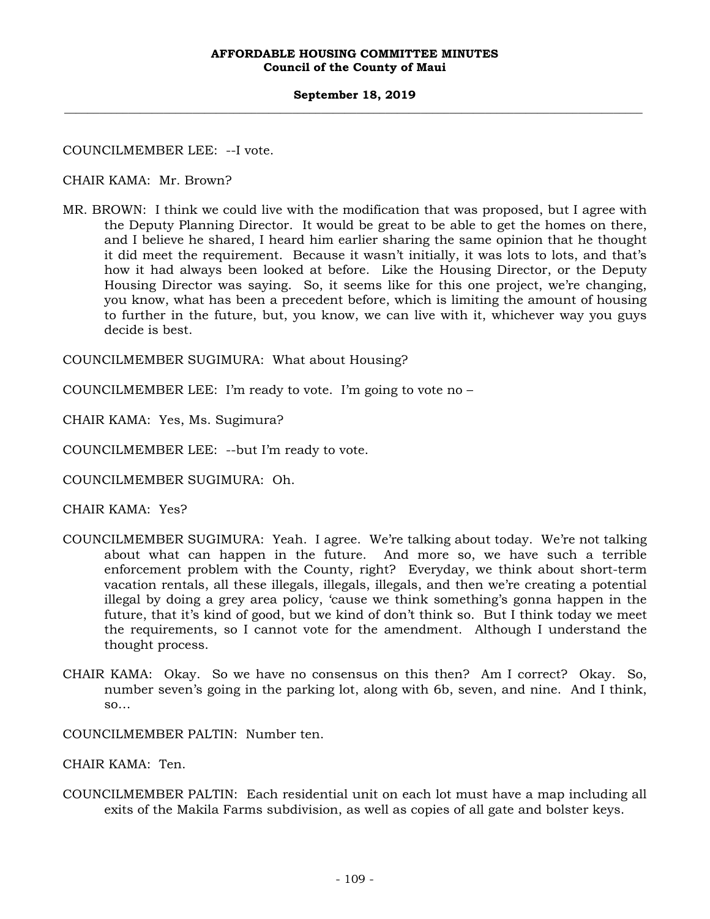# **September 18, 2019 \_\_\_\_\_\_\_\_\_\_\_\_\_\_\_\_\_\_\_\_\_\_\_\_\_\_\_\_\_\_\_\_\_\_\_\_\_\_\_\_\_\_\_\_\_\_\_\_\_\_\_\_\_\_\_\_\_\_\_\_\_\_\_\_\_\_\_\_\_\_\_\_\_\_\_\_\_\_\_\_\_\_\_\_\_\_\_\_\_\_\_\_\_\_\_\_\_\_\_**

COUNCILMEMBER LEE: --I vote.

CHAIR KAMA: Mr. Brown?

MR. BROWN: I think we could live with the modification that was proposed, but I agree with the Deputy Planning Director. It would be great to be able to get the homes on there, and I believe he shared, I heard him earlier sharing the same opinion that he thought it did meet the requirement. Because it wasn't initially, it was lots to lots, and that's how it had always been looked at before. Like the Housing Director, or the Deputy Housing Director was saying. So, it seems like for this one project, we're changing, you know, what has been a precedent before, which is limiting the amount of housing to further in the future, but, you know, we can live with it, whichever way you guys decide is best.

COUNCILMEMBER SUGIMURA: What about Housing?

COUNCILMEMBER LEE: I'm ready to vote. I'm going to vote no –

CHAIR KAMA: Yes, Ms. Sugimura?

COUNCILMEMBER LEE: --but I'm ready to vote.

COUNCILMEMBER SUGIMURA: Oh.

CHAIR KAMA: Yes?

- COUNCILMEMBER SUGIMURA: Yeah. I agree. We're talking about today. We're not talking about what can happen in the future. And more so, we have such a terrible enforcement problem with the County, right? Everyday, we think about short-term vacation rentals, all these illegals, illegals, illegals, and then we're creating a potential illegal by doing a grey area policy, 'cause we think something's gonna happen in the future, that it's kind of good, but we kind of don't think so. But I think today we meet the requirements, so I cannot vote for the amendment. Although I understand the thought process.
- CHAIR KAMA: Okay. So we have no consensus on this then? Am I correct? Okay. So, number seven's going in the parking lot, along with 6b, seven, and nine. And I think, so…

COUNCILMEMBER PALTIN: Number ten.

CHAIR KAMA: Ten.

COUNCILMEMBER PALTIN: Each residential unit on each lot must have a map including all exits of the Makila Farms subdivision, as well as copies of all gate and bolster keys.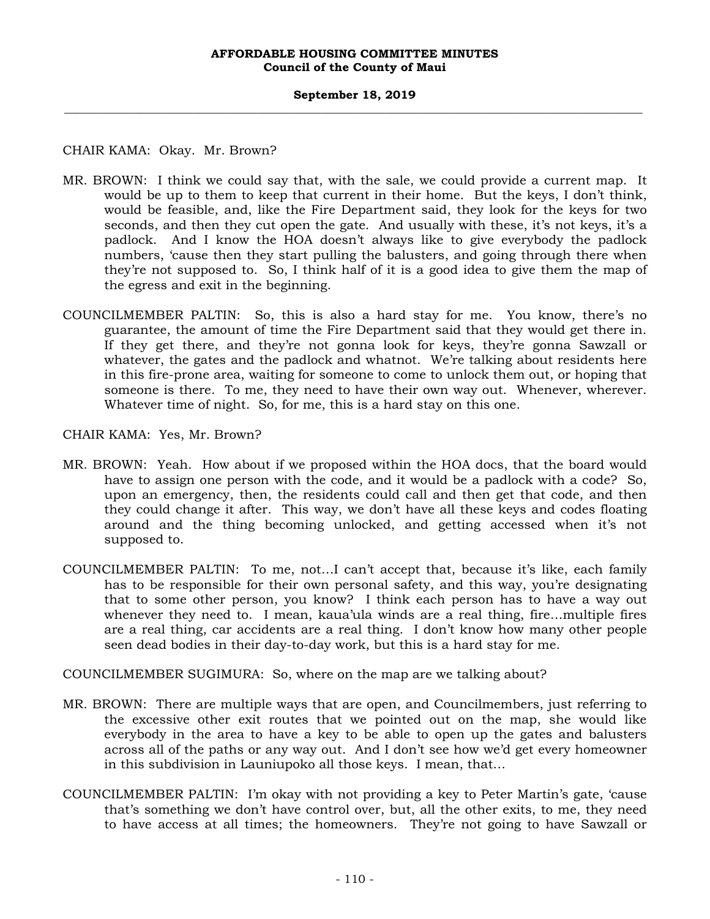# **September 18, 2019 \_\_\_\_\_\_\_\_\_\_\_\_\_\_\_\_\_\_\_\_\_\_\_\_\_\_\_\_\_\_\_\_\_\_\_\_\_\_\_\_\_\_\_\_\_\_\_\_\_\_\_\_\_\_\_\_\_\_\_\_\_\_\_\_\_\_\_\_\_\_\_\_\_\_\_\_\_\_\_\_\_\_\_\_\_\_\_\_\_\_\_\_\_\_\_\_\_\_\_**

# CHAIR KAMA: Okay. Mr. Brown?

- MR. BROWN: I think we could say that, with the sale, we could provide a current map. It would be up to them to keep that current in their home. But the keys, I don't think, would be feasible, and, like the Fire Department said, they look for the keys for two seconds, and then they cut open the gate. And usually with these, it's not keys, it's a padlock. And I know the HOA doesn't always like to give everybody the padlock numbers, 'cause then they start pulling the balusters, and going through there when they're not supposed to. So, I think half of it is a good idea to give them the map of the egress and exit in the beginning.
- COUNCILMEMBER PALTIN: So, this is also a hard stay for me. You know, there's no guarantee, the amount of time the Fire Department said that they would get there in. If they get there, and they're not gonna look for keys, they're gonna Sawzall or whatever, the gates and the padlock and whatnot. We're talking about residents here in this fire-prone area, waiting for someone to come to unlock them out, or hoping that someone is there. To me, they need to have their own way out. Whenever, wherever. Whatever time of night. So, for me, this is a hard stay on this one.

CHAIR KAMA: Yes, Mr. Brown?

- MR. BROWN: Yeah. How about if we proposed within the HOA docs, that the board would have to assign one person with the code, and it would be a padlock with a code? So, upon an emergency, then, the residents could call and then get that code, and then they could change it after. This way, we don't have all these keys and codes floating around and the thing becoming unlocked, and getting accessed when it's not supposed to.
- COUNCILMEMBER PALTIN: To me, not…I can't accept that, because it's like, each family has to be responsible for their own personal safety, and this way, you're designating that to some other person, you know? I think each person has to have a way out whenever they need to. I mean, kaua'ula winds are a real thing, fire…multiple fires are a real thing, car accidents are a real thing. I don't know how many other people seen dead bodies in their day-to-day work, but this is a hard stay for me.

COUNCILMEMBER SUGIMURA: So, where on the map are we talking about?

- MR. BROWN: There are multiple ways that are open, and Councilmembers, just referring to the excessive other exit routes that we pointed out on the map, she would like everybody in the area to have a key to be able to open up the gates and balusters across all of the paths or any way out. And I don't see how we'd get every homeowner in this subdivision in Launiupoko all those keys. I mean, that…
- COUNCILMEMBER PALTIN: I'm okay with not providing a key to Peter Martin's gate, 'cause that's something we don't have control over, but, all the other exits, to me, they need to have access at all times; the homeowners. They're not going to have Sawzall or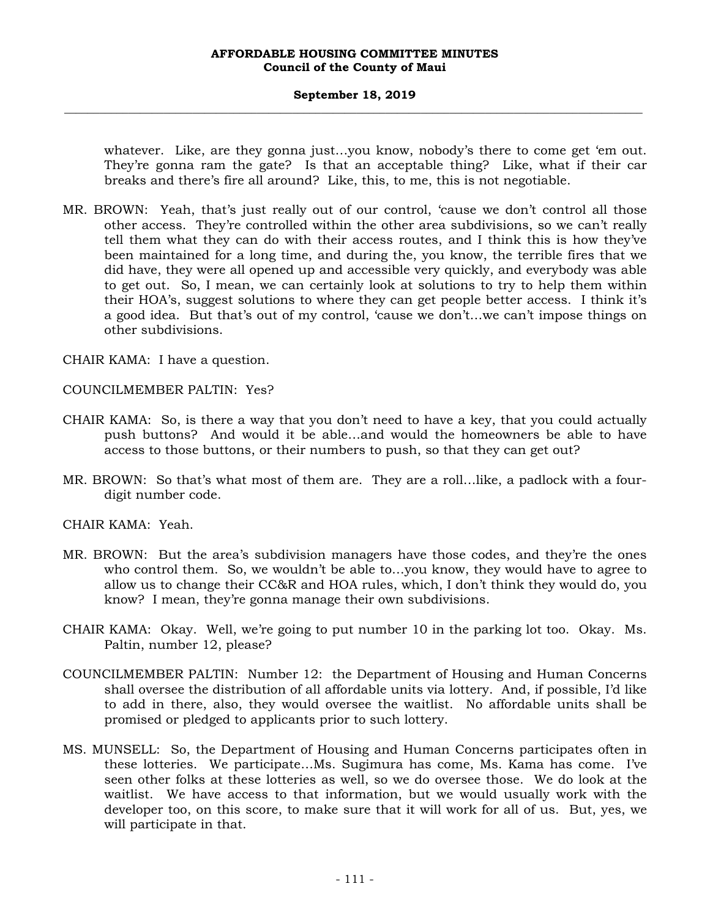whatever. Like, are they gonna just…you know, nobody's there to come get 'em out. They're gonna ram the gate? Is that an acceptable thing? Like, what if their car breaks and there's fire all around? Like, this, to me, this is not negotiable.

MR. BROWN: Yeah, that's just really out of our control, 'cause we don't control all those other access. They're controlled within the other area subdivisions, so we can't really tell them what they can do with their access routes, and I think this is how they've been maintained for a long time, and during the, you know, the terrible fires that we did have, they were all opened up and accessible very quickly, and everybody was able to get out. So, I mean, we can certainly look at solutions to try to help them within their HOA's, suggest solutions to where they can get people better access. I think it's a good idea. But that's out of my control, 'cause we don't…we can't impose things on other subdivisions.

CHAIR KAMA: I have a question.

COUNCILMEMBER PALTIN: Yes?

- CHAIR KAMA: So, is there a way that you don't need to have a key, that you could actually push buttons? And would it be able…and would the homeowners be able to have access to those buttons, or their numbers to push, so that they can get out?
- MR. BROWN: So that's what most of them are. They are a roll…like, a padlock with a fourdigit number code.

CHAIR KAMA: Yeah.

- MR. BROWN: But the area's subdivision managers have those codes, and they're the ones who control them. So, we wouldn't be able to…you know, they would have to agree to allow us to change their CC&R and HOA rules, which, I don't think they would do, you know? I mean, they're gonna manage their own subdivisions.
- CHAIR KAMA: Okay. Well, we're going to put number 10 in the parking lot too. Okay. Ms. Paltin, number 12, please?
- COUNCILMEMBER PALTIN: Number 12: the Department of Housing and Human Concerns shall oversee the distribution of all affordable units via lottery. And, if possible, I'd like to add in there, also, they would oversee the waitlist. No affordable units shall be promised or pledged to applicants prior to such lottery.
- MS. MUNSELL: So, the Department of Housing and Human Concerns participates often in these lotteries. We participate…Ms. Sugimura has come, Ms. Kama has come. I've seen other folks at these lotteries as well, so we do oversee those. We do look at the waitlist. We have access to that information, but we would usually work with the developer too, on this score, to make sure that it will work for all of us. But, yes, we will participate in that.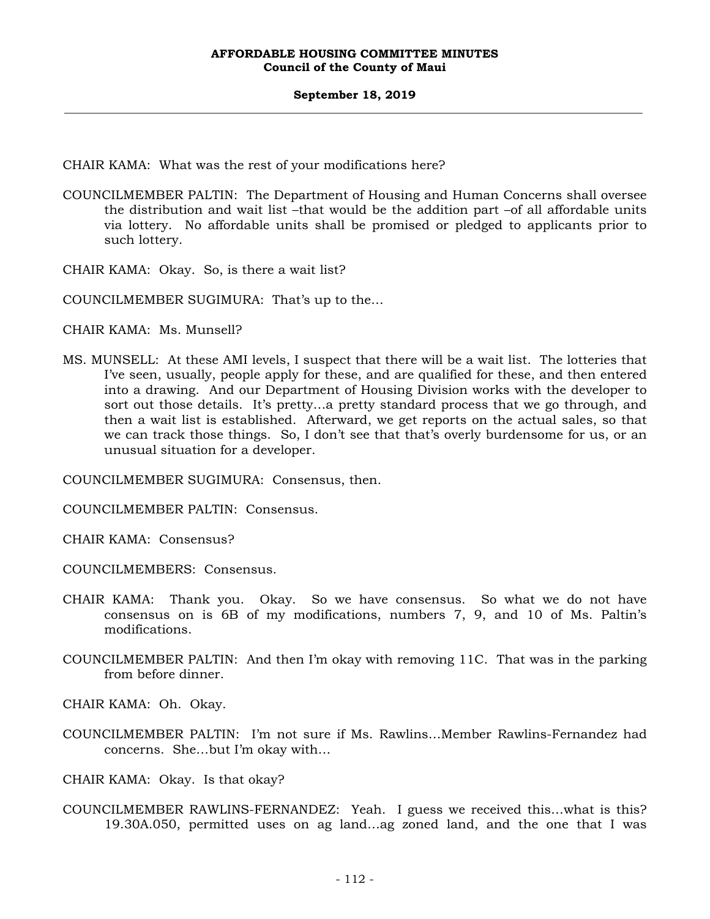CHAIR KAMA: What was the rest of your modifications here?

- COUNCILMEMBER PALTIN: The Department of Housing and Human Concerns shall oversee the distribution and wait list –that would be the addition part –of all affordable units via lottery. No affordable units shall be promised or pledged to applicants prior to such lottery.
- CHAIR KAMA: Okay. So, is there a wait list?

COUNCILMEMBER SUGIMURA: That's up to the…

CHAIR KAMA: Ms. Munsell?

MS. MUNSELL: At these AMI levels, I suspect that there will be a wait list. The lotteries that I've seen, usually, people apply for these, and are qualified for these, and then entered into a drawing. And our Department of Housing Division works with the developer to sort out those details. It's pretty…a pretty standard process that we go through, and then a wait list is established. Afterward, we get reports on the actual sales, so that we can track those things. So, I don't see that that's overly burdensome for us, or an unusual situation for a developer.

COUNCILMEMBER SUGIMURA: Consensus, then.

COUNCILMEMBER PALTIN: Consensus.

CHAIR KAMA: Consensus?

COUNCILMEMBERS: Consensus.

- CHAIR KAMA: Thank you. Okay. So we have consensus. So what we do not have consensus on is 6B of my modifications, numbers 7, 9, and 10 of Ms. Paltin's modifications.
- COUNCILMEMBER PALTIN: And then I'm okay with removing 11C. That was in the parking from before dinner.

CHAIR KAMA: Oh. Okay.

COUNCILMEMBER PALTIN: I'm not sure if Ms. Rawlins…Member Rawlins-Fernandez had concerns. She…but I'm okay with…

CHAIR KAMA: Okay. Is that okay?

COUNCILMEMBER RAWLINS-FERNANDEZ: Yeah. I guess we received this…what is this? 19.30A.050, permitted uses on ag land…ag zoned land, and the one that I was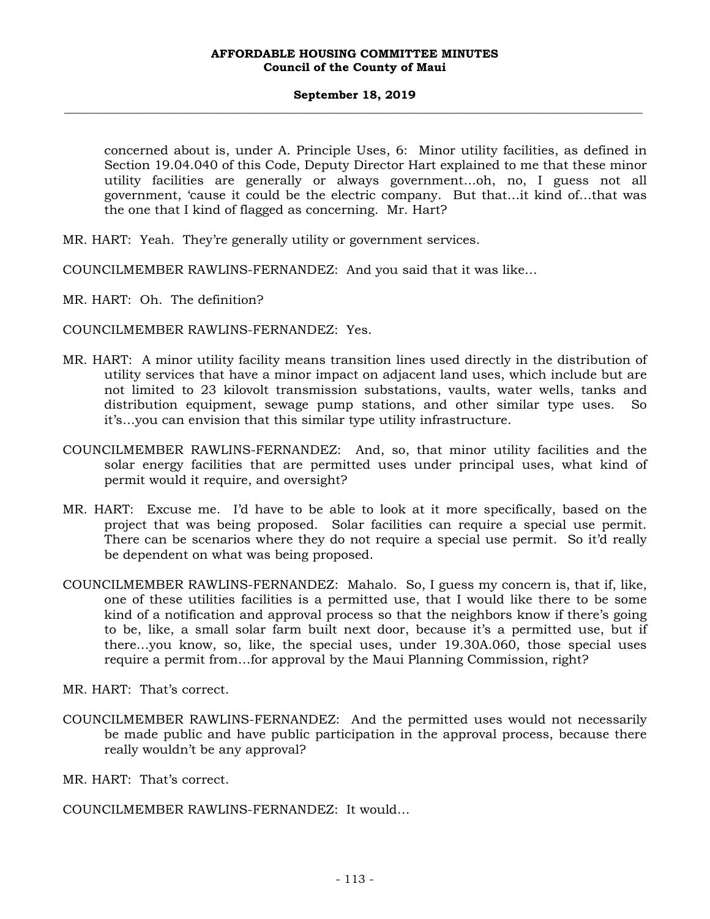concerned about is, under A. Principle Uses, 6: Minor utility facilities, as defined in Section 19.04.040 of this Code, Deputy Director Hart explained to me that these minor utility facilities are generally or always government…oh, no, I guess not all government, 'cause it could be the electric company. But that…it kind of…that was the one that I kind of flagged as concerning. Mr. Hart?

MR. HART: Yeah. They're generally utility or government services.

COUNCILMEMBER RAWLINS-FERNANDEZ: And you said that it was like…

MR. HART: Oh. The definition?

COUNCILMEMBER RAWLINS-FERNANDEZ: Yes.

- MR. HART: A minor utility facility means transition lines used directly in the distribution of utility services that have a minor impact on adjacent land uses, which include but are not limited to 23 kilovolt transmission substations, vaults, water wells, tanks and distribution equipment, sewage pump stations, and other similar type uses. So it's…you can envision that this similar type utility infrastructure.
- COUNCILMEMBER RAWLINS-FERNANDEZ: And, so, that minor utility facilities and the solar energy facilities that are permitted uses under principal uses, what kind of permit would it require, and oversight?
- MR. HART: Excuse me. I'd have to be able to look at it more specifically, based on the project that was being proposed. Solar facilities can require a special use permit. There can be scenarios where they do not require a special use permit. So it'd really be dependent on what was being proposed.
- COUNCILMEMBER RAWLINS-FERNANDEZ: Mahalo. So, I guess my concern is, that if, like, one of these utilities facilities is a permitted use, that I would like there to be some kind of a notification and approval process so that the neighbors know if there's going to be, like, a small solar farm built next door, because it's a permitted use, but if there…you know, so, like, the special uses, under 19.30A.060, those special uses require a permit from…for approval by the Maui Planning Commission, right?

MR. HART: That's correct.

COUNCILMEMBER RAWLINS-FERNANDEZ: And the permitted uses would not necessarily be made public and have public participation in the approval process, because there really wouldn't be any approval?

MR. HART: That's correct.

COUNCILMEMBER RAWLINS-FERNANDEZ: It would…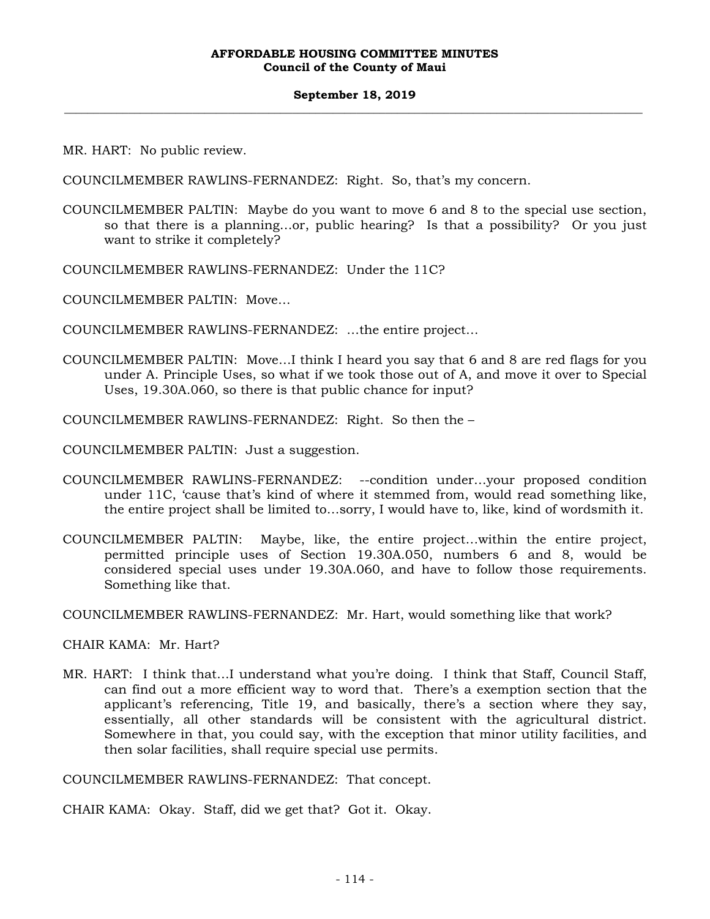# **September 18, 2019 \_\_\_\_\_\_\_\_\_\_\_\_\_\_\_\_\_\_\_\_\_\_\_\_\_\_\_\_\_\_\_\_\_\_\_\_\_\_\_\_\_\_\_\_\_\_\_\_\_\_\_\_\_\_\_\_\_\_\_\_\_\_\_\_\_\_\_\_\_\_\_\_\_\_\_\_\_\_\_\_\_\_\_\_\_\_\_\_\_\_\_\_\_\_\_\_\_\_\_**

MR. HART: No public review.

COUNCILMEMBER RAWLINS-FERNANDEZ: Right. So, that's my concern.

- COUNCILMEMBER PALTIN: Maybe do you want to move 6 and 8 to the special use section, so that there is a planning…or, public hearing? Is that a possibility? Or you just want to strike it completely?
- COUNCILMEMBER RAWLINS-FERNANDEZ: Under the 11C?

COUNCILMEMBER PALTIN: Move…

- COUNCILMEMBER RAWLINS-FERNANDEZ: …the entire project…
- COUNCILMEMBER PALTIN: Move…I think I heard you say that 6 and 8 are red flags for you under A. Principle Uses, so what if we took those out of A, and move it over to Special Uses, 19.30A.060, so there is that public chance for input?

COUNCILMEMBER RAWLINS-FERNANDEZ: Right. So then the –

COUNCILMEMBER PALTIN: Just a suggestion.

- COUNCILMEMBER RAWLINS-FERNANDEZ: --condition under…your proposed condition under 11C, 'cause that's kind of where it stemmed from, would read something like, the entire project shall be limited to…sorry, I would have to, like, kind of wordsmith it.
- COUNCILMEMBER PALTIN: Maybe, like, the entire project…within the entire project, permitted principle uses of Section 19.30A.050, numbers 6 and 8, would be considered special uses under 19.30A.060, and have to follow those requirements. Something like that.

COUNCILMEMBER RAWLINS-FERNANDEZ: Mr. Hart, would something like that work?

# CHAIR KAMA: Mr. Hart?

MR. HART: I think that...I understand what you're doing. I think that Staff, Council Staff, can find out a more efficient way to word that. There's a exemption section that the applicant's referencing, Title 19, and basically, there's a section where they say, essentially, all other standards will be consistent with the agricultural district. Somewhere in that, you could say, with the exception that minor utility facilities, and then solar facilities, shall require special use permits.

COUNCILMEMBER RAWLINS-FERNANDEZ: That concept.

CHAIR KAMA: Okay. Staff, did we get that? Got it. Okay.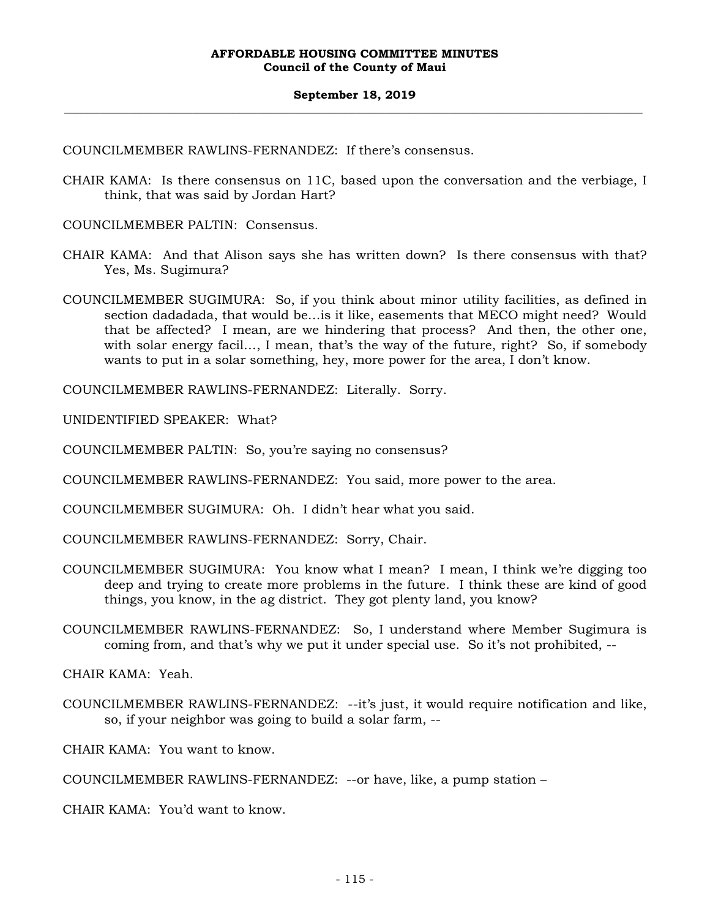COUNCILMEMBER RAWLINS-FERNANDEZ: If there's consensus.

- CHAIR KAMA: Is there consensus on 11C, based upon the conversation and the verbiage, I think, that was said by Jordan Hart?
- COUNCILMEMBER PALTIN: Consensus.
- CHAIR KAMA: And that Alison says she has written down? Is there consensus with that? Yes, Ms. Sugimura?
- COUNCILMEMBER SUGIMURA: So, if you think about minor utility facilities, as defined in section dadadada, that would be…is it like, easements that MECO might need? Would that be affected? I mean, are we hindering that process? And then, the other one, with solar energy facil..., I mean, that's the way of the future, right? So, if somebody wants to put in a solar something, hey, more power for the area, I don't know.

COUNCILMEMBER RAWLINS-FERNANDEZ: Literally. Sorry.

UNIDENTIFIED SPEAKER: What?

COUNCILMEMBER PALTIN: So, you're saying no consensus?

COUNCILMEMBER RAWLINS-FERNANDEZ: You said, more power to the area.

COUNCILMEMBER SUGIMURA: Oh. I didn't hear what you said.

COUNCILMEMBER RAWLINS-FERNANDEZ: Sorry, Chair.

- COUNCILMEMBER SUGIMURA: You know what I mean? I mean, I think we're digging too deep and trying to create more problems in the future. I think these are kind of good things, you know, in the ag district. They got plenty land, you know?
- COUNCILMEMBER RAWLINS-FERNANDEZ: So, I understand where Member Sugimura is coming from, and that's why we put it under special use. So it's not prohibited, --

CHAIR KAMA: Yeah.

COUNCILMEMBER RAWLINS-FERNANDEZ: --it's just, it would require notification and like, so, if your neighbor was going to build a solar farm, --

CHAIR KAMA: You want to know.

COUNCILMEMBER RAWLINS-FERNANDEZ: --or have, like, a pump station –

CHAIR KAMA: You'd want to know.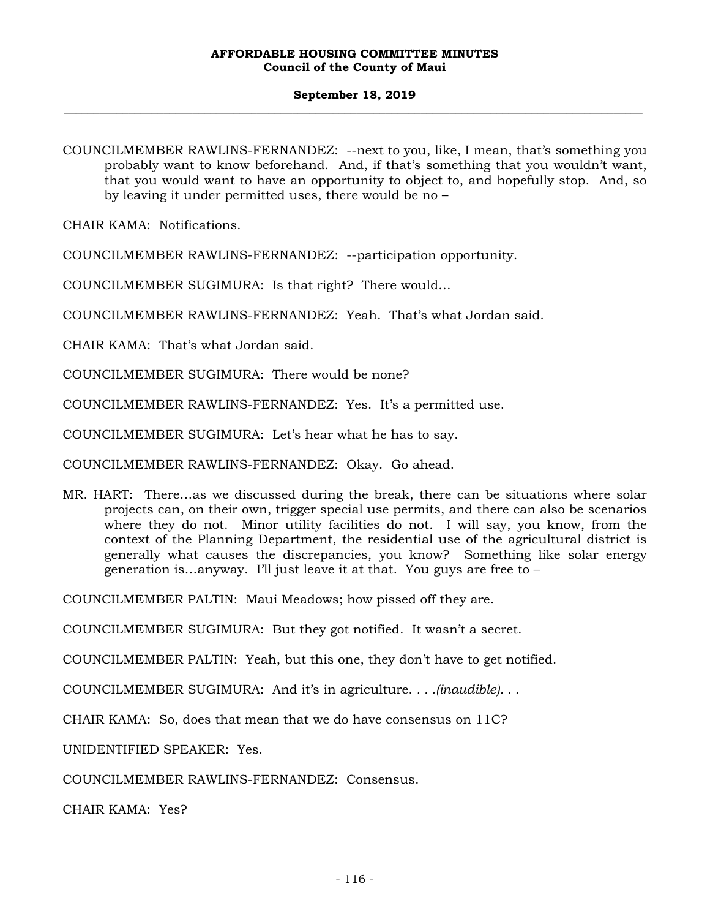# **September 18, 2019 \_\_\_\_\_\_\_\_\_\_\_\_\_\_\_\_\_\_\_\_\_\_\_\_\_\_\_\_\_\_\_\_\_\_\_\_\_\_\_\_\_\_\_\_\_\_\_\_\_\_\_\_\_\_\_\_\_\_\_\_\_\_\_\_\_\_\_\_\_\_\_\_\_\_\_\_\_\_\_\_\_\_\_\_\_\_\_\_\_\_\_\_\_\_\_\_\_\_\_**

COUNCILMEMBER RAWLINS-FERNANDEZ: --next to you, like, I mean, that's something you probably want to know beforehand. And, if that's something that you wouldn't want, that you would want to have an opportunity to object to, and hopefully stop. And, so by leaving it under permitted uses, there would be no –

CHAIR KAMA: Notifications.

COUNCILMEMBER RAWLINS-FERNANDEZ: --participation opportunity.

COUNCILMEMBER SUGIMURA: Is that right? There would…

COUNCILMEMBER RAWLINS-FERNANDEZ: Yeah. That's what Jordan said.

CHAIR KAMA: That's what Jordan said.

COUNCILMEMBER SUGIMURA: There would be none?

COUNCILMEMBER RAWLINS-FERNANDEZ: Yes. It's a permitted use.

COUNCILMEMBER SUGIMURA: Let's hear what he has to say.

COUNCILMEMBER RAWLINS-FERNANDEZ: Okay. Go ahead.

MR. HART: There…as we discussed during the break, there can be situations where solar projects can, on their own, trigger special use permits, and there can also be scenarios where they do not. Minor utility facilities do not. I will say, you know, from the context of the Planning Department, the residential use of the agricultural district is generally what causes the discrepancies, you know? Something like solar energy generation is…anyway. I'll just leave it at that. You guys are free to  $-$ 

COUNCILMEMBER PALTIN: Maui Meadows; how pissed off they are.

COUNCILMEMBER SUGIMURA: But they got notified. It wasn't a secret.

COUNCILMEMBER PALTIN: Yeah, but this one, they don't have to get notified.

COUNCILMEMBER SUGIMURA: And it's in agriculture. *. . .(inaudible). . .* 

CHAIR KAMA: So, does that mean that we do have consensus on 11C?

UNIDENTIFIED SPEAKER: Yes.

COUNCILMEMBER RAWLINS-FERNANDEZ: Consensus.

CHAIR KAMA: Yes?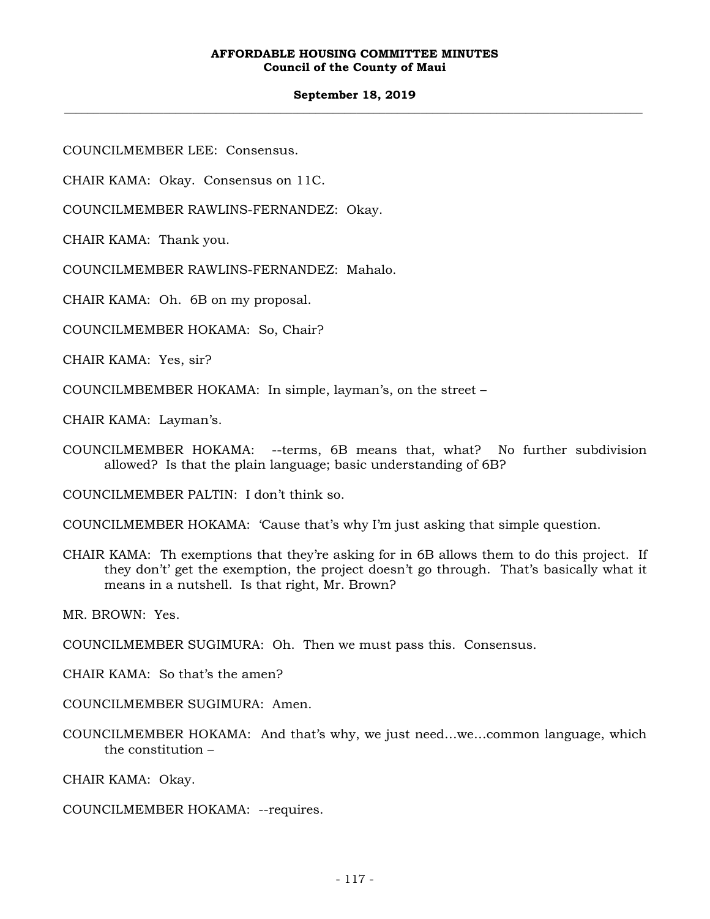# **September 18, 2019 \_\_\_\_\_\_\_\_\_\_\_\_\_\_\_\_\_\_\_\_\_\_\_\_\_\_\_\_\_\_\_\_\_\_\_\_\_\_\_\_\_\_\_\_\_\_\_\_\_\_\_\_\_\_\_\_\_\_\_\_\_\_\_\_\_\_\_\_\_\_\_\_\_\_\_\_\_\_\_\_\_\_\_\_\_\_\_\_\_\_\_\_\_\_\_\_\_\_\_**

COUNCILMEMBER LEE: Consensus.

CHAIR KAMA: Okay. Consensus on 11C.

COUNCILMEMBER RAWLINS-FERNANDEZ: Okay.

CHAIR KAMA: Thank you.

COUNCILMEMBER RAWLINS-FERNANDEZ: Mahalo.

CHAIR KAMA: Oh. 6B on my proposal.

COUNCILMEMBER HOKAMA: So, Chair?

CHAIR KAMA: Yes, sir?

COUNCILMBEMBER HOKAMA: In simple, layman's, on the street –

CHAIR KAMA: Layman's.

COUNCILMEMBER HOKAMA: --terms, 6B means that, what? No further subdivision allowed? Is that the plain language; basic understanding of 6B?

COUNCILMEMBER PALTIN: I don't think so.

COUNCILMEMBER HOKAMA: 'Cause that's why I'm just asking that simple question.

CHAIR KAMA: Th exemptions that they're asking for in 6B allows them to do this project. If they don't' get the exemption, the project doesn't go through. That's basically what it means in a nutshell. Is that right, Mr. Brown?

MR. BROWN: Yes.

COUNCILMEMBER SUGIMURA: Oh. Then we must pass this. Consensus.

CHAIR KAMA: So that's the amen?

COUNCILMEMBER SUGIMURA: Amen.

COUNCILMEMBER HOKAMA: And that's why, we just need…we…common language, which the constitution –

CHAIR KAMA: Okay.

COUNCILMEMBER HOKAMA: --requires.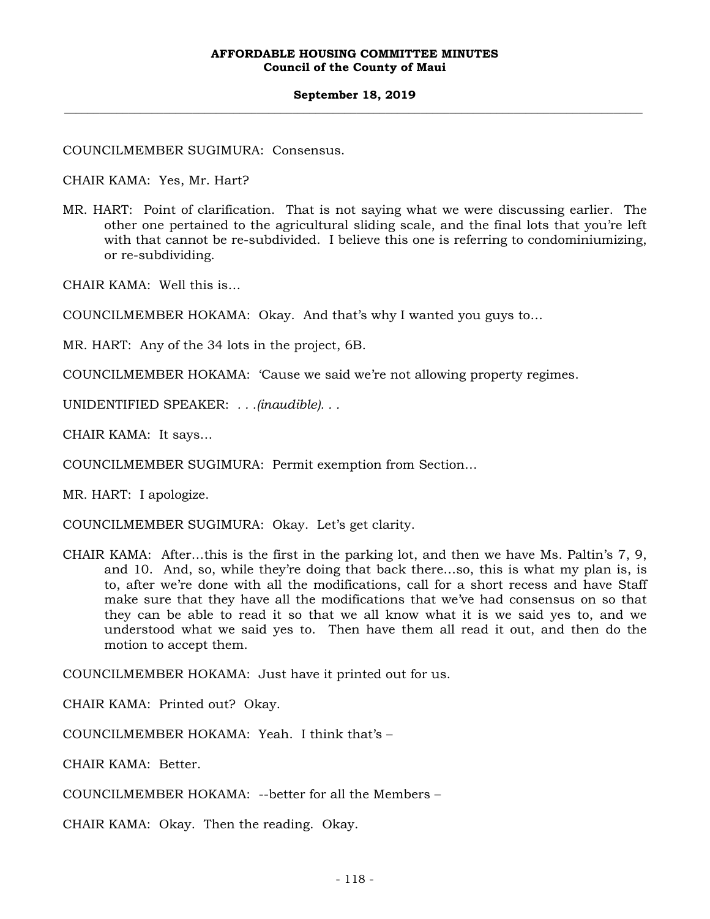COUNCILMEMBER SUGIMURA: Consensus.

CHAIR KAMA: Yes, Mr. Hart?

MR. HART: Point of clarification. That is not saying what we were discussing earlier. The other one pertained to the agricultural sliding scale, and the final lots that you're left with that cannot be re-subdivided. I believe this one is referring to condominiumizing, or re-subdividing.

CHAIR KAMA: Well this is…

COUNCILMEMBER HOKAMA: Okay. And that's why I wanted you guys to…

MR. HART: Any of the 34 lots in the project, 6B.

COUNCILMEMBER HOKAMA: 'Cause we said we're not allowing property regimes.

UNIDENTIFIED SPEAKER: *. . .(inaudible). . .*

CHAIR KAMA: It says…

COUNCILMEMBER SUGIMURA: Permit exemption from Section…

MR. HART: I apologize.

COUNCILMEMBER SUGIMURA: Okay. Let's get clarity.

CHAIR KAMA: After…this is the first in the parking lot, and then we have Ms. Paltin's 7, 9, and 10. And, so, while they're doing that back there…so, this is what my plan is, is to, after we're done with all the modifications, call for a short recess and have Staff make sure that they have all the modifications that we've had consensus on so that they can be able to read it so that we all know what it is we said yes to, and we understood what we said yes to. Then have them all read it out, and then do the motion to accept them.

COUNCILMEMBER HOKAMA: Just have it printed out for us.

CHAIR KAMA: Printed out? Okay.

COUNCILMEMBER HOKAMA: Yeah. I think that's –

CHAIR KAMA: Better.

COUNCILMEMBER HOKAMA: --better for all the Members –

CHAIR KAMA: Okay. Then the reading. Okay.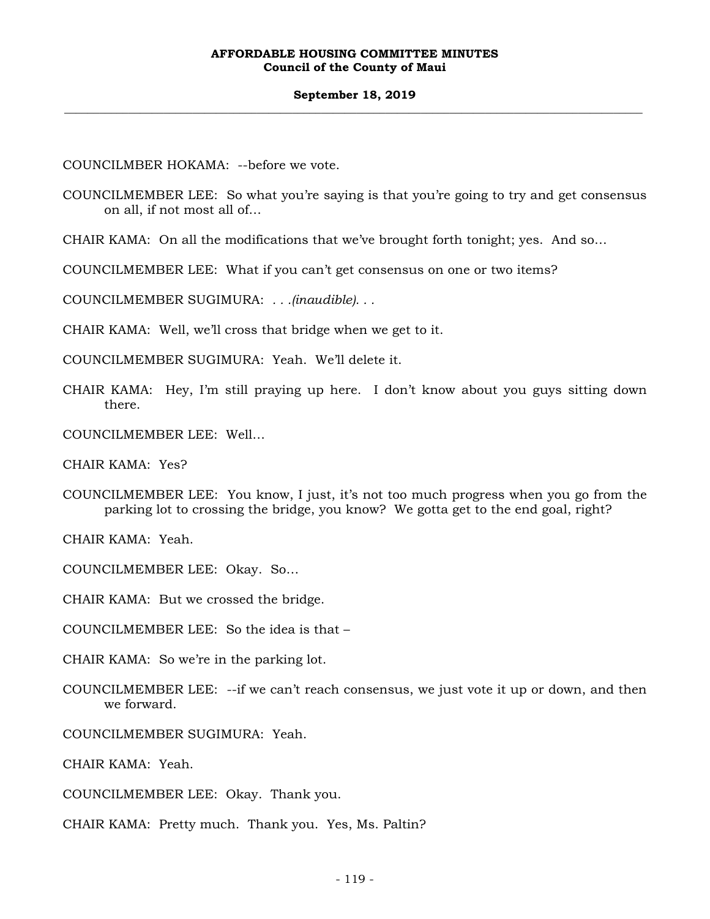# **September 18, 2019 \_\_\_\_\_\_\_\_\_\_\_\_\_\_\_\_\_\_\_\_\_\_\_\_\_\_\_\_\_\_\_\_\_\_\_\_\_\_\_\_\_\_\_\_\_\_\_\_\_\_\_\_\_\_\_\_\_\_\_\_\_\_\_\_\_\_\_\_\_\_\_\_\_\_\_\_\_\_\_\_\_\_\_\_\_\_\_\_\_\_\_\_\_\_\_\_\_\_\_**

COUNCILMBER HOKAMA: --before we vote.

COUNCILMEMBER LEE: So what you're saying is that you're going to try and get consensus on all, if not most all of…

CHAIR KAMA: On all the modifications that we've brought forth tonight; yes. And so…

COUNCILMEMBER LEE: What if you can't get consensus on one or two items?

COUNCILMEMBER SUGIMURA: *. . .(inaudible). . .*

CHAIR KAMA: Well, we'll cross that bridge when we get to it.

COUNCILMEMBER SUGIMURA: Yeah. We'll delete it.

- CHAIR KAMA: Hey, I'm still praying up here. I don't know about you guys sitting down there.
- COUNCILMEMBER LEE: Well…

CHAIR KAMA: Yes?

COUNCILMEMBER LEE: You know, I just, it's not too much progress when you go from the parking lot to crossing the bridge, you know? We gotta get to the end goal, right?

CHAIR KAMA: Yeah.

COUNCILMEMBER LEE: Okay. So…

CHAIR KAMA: But we crossed the bridge.

COUNCILMEMBER LEE: So the idea is that –

CHAIR KAMA: So we're in the parking lot.

- COUNCILMEMBER LEE: --if we can't reach consensus, we just vote it up or down, and then we forward.
- COUNCILMEMBER SUGIMURA: Yeah.

CHAIR KAMA: Yeah.

COUNCILMEMBER LEE: Okay. Thank you.

CHAIR KAMA: Pretty much. Thank you. Yes, Ms. Paltin?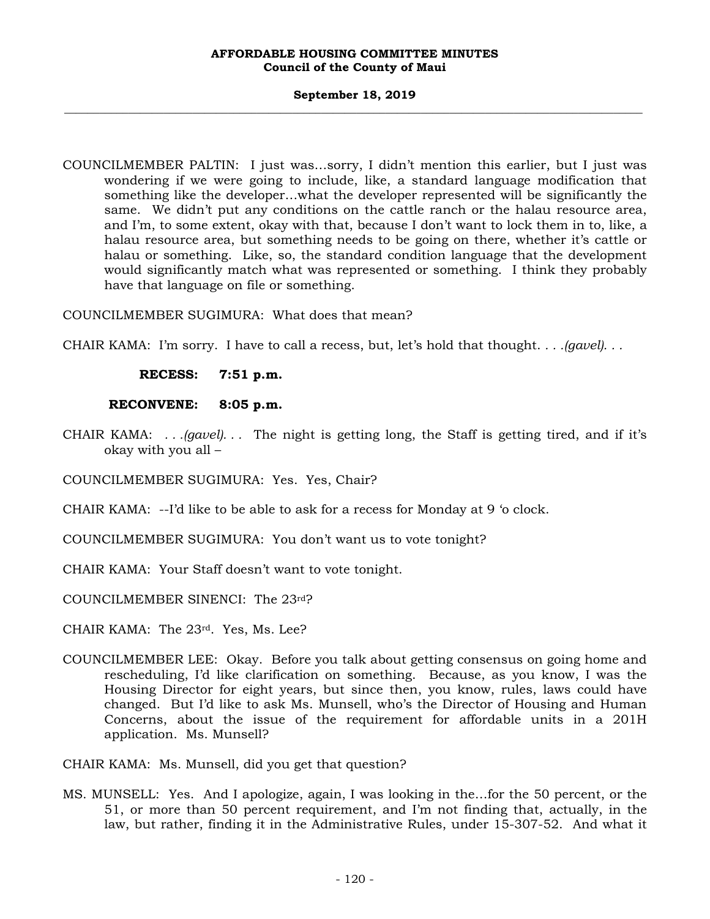COUNCILMEMBER PALTIN: I just was…sorry, I didn't mention this earlier, but I just was wondering if we were going to include, like, a standard language modification that something like the developer…what the developer represented will be significantly the same. We didn't put any conditions on the cattle ranch or the halau resource area, and I'm, to some extent, okay with that, because I don't want to lock them in to, like, a halau resource area, but something needs to be going on there, whether it's cattle or halau or something. Like, so, the standard condition language that the development would significantly match what was represented or something. I think they probably have that language on file or something.

COUNCILMEMBER SUGIMURA: What does that mean?

CHAIR KAMA: I'm sorry. I have to call a recess, but, let's hold that thought. *. . .(gavel). . .*

# **RECESS: 7:51 p.m.**

# **RECONVENE: 8:05 p.m.**

- CHAIR KAMA: *. . .(gavel). . .* The night is getting long, the Staff is getting tired, and if it's okay with you all –
- COUNCILMEMBER SUGIMURA: Yes. Yes, Chair?
- CHAIR KAMA: --I'd like to be able to ask for a recess for Monday at 9 'o clock.
- COUNCILMEMBER SUGIMURA: You don't want us to vote tonight?
- CHAIR KAMA: Your Staff doesn't want to vote tonight.
- COUNCILMEMBER SINENCI: The 23rd?
- CHAIR KAMA: The 23rd. Yes, Ms. Lee?
- COUNCILMEMBER LEE: Okay. Before you talk about getting consensus on going home and rescheduling, I'd like clarification on something. Because, as you know, I was the Housing Director for eight years, but since then, you know, rules, laws could have changed. But I'd like to ask Ms. Munsell, who's the Director of Housing and Human Concerns, about the issue of the requirement for affordable units in a 201H application. Ms. Munsell?
- CHAIR KAMA: Ms. Munsell, did you get that question?
- MS. MUNSELL: Yes. And I apologize, again, I was looking in the…for the 50 percent, or the 51, or more than 50 percent requirement, and I'm not finding that, actually, in the law, but rather, finding it in the Administrative Rules, under 15-307-52. And what it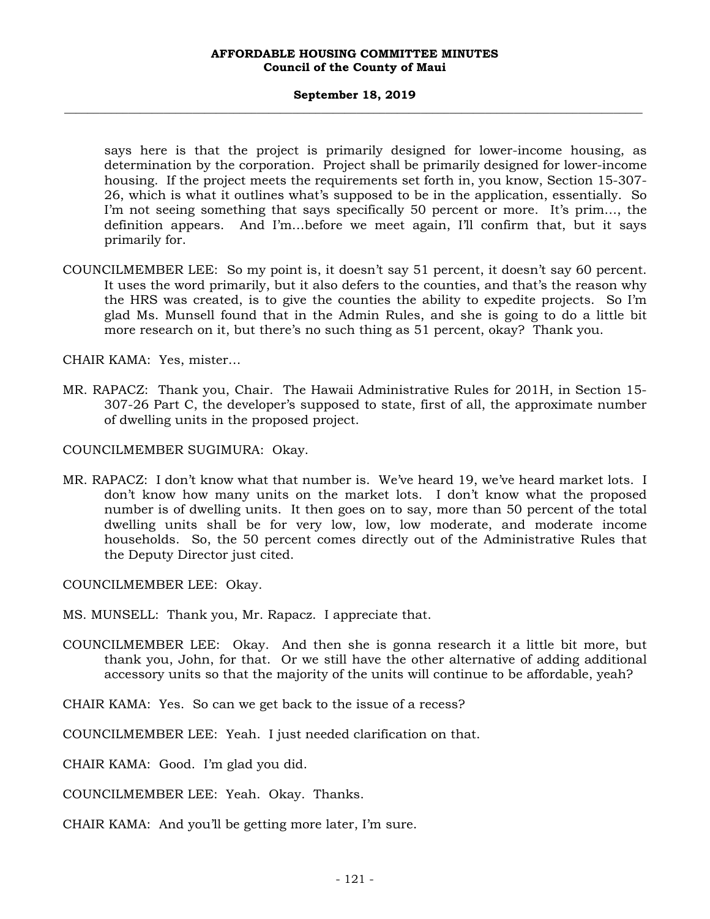# **September 18, 2019 \_\_\_\_\_\_\_\_\_\_\_\_\_\_\_\_\_\_\_\_\_\_\_\_\_\_\_\_\_\_\_\_\_\_\_\_\_\_\_\_\_\_\_\_\_\_\_\_\_\_\_\_\_\_\_\_\_\_\_\_\_\_\_\_\_\_\_\_\_\_\_\_\_\_\_\_\_\_\_\_\_\_\_\_\_\_\_\_\_\_\_\_\_\_\_\_\_\_\_**

says here is that the project is primarily designed for lower-income housing, as determination by the corporation. Project shall be primarily designed for lower-income housing. If the project meets the requirements set forth in, you know, Section 15-307- 26, which is what it outlines what's supposed to be in the application, essentially. So I'm not seeing something that says specifically 50 percent or more. It's prim…, the definition appears. And I'm…before we meet again, I'll confirm that, but it says primarily for.

COUNCILMEMBER LEE: So my point is, it doesn't say 51 percent, it doesn't say 60 percent. It uses the word primarily, but it also defers to the counties, and that's the reason why the HRS was created, is to give the counties the ability to expedite projects. So I'm glad Ms. Munsell found that in the Admin Rules, and she is going to do a little bit more research on it, but there's no such thing as 51 percent, okay? Thank you.

CHAIR KAMA: Yes, mister…

MR. RAPACZ: Thank you, Chair. The Hawaii Administrative Rules for 201H, in Section 15- 307-26 Part C, the developer's supposed to state, first of all, the approximate number of dwelling units in the proposed project.

COUNCILMEMBER SUGIMURA: Okay.

MR. RAPACZ: I don't know what that number is. We've heard 19, we've heard market lots. I don't know how many units on the market lots. I don't know what the proposed number is of dwelling units. It then goes on to say, more than 50 percent of the total dwelling units shall be for very low, low, low moderate, and moderate income households. So, the 50 percent comes directly out of the Administrative Rules that the Deputy Director just cited.

COUNCILMEMBER LEE: Okay.

MS. MUNSELL: Thank you, Mr. Rapacz. I appreciate that.

- COUNCILMEMBER LEE: Okay. And then she is gonna research it a little bit more, but thank you, John, for that. Or we still have the other alternative of adding additional accessory units so that the majority of the units will continue to be affordable, yeah?
- CHAIR KAMA: Yes. So can we get back to the issue of a recess?

COUNCILMEMBER LEE: Yeah. I just needed clarification on that.

CHAIR KAMA: Good. I'm glad you did.

COUNCILMEMBER LEE: Yeah. Okay. Thanks.

CHAIR KAMA: And you'll be getting more later, I'm sure.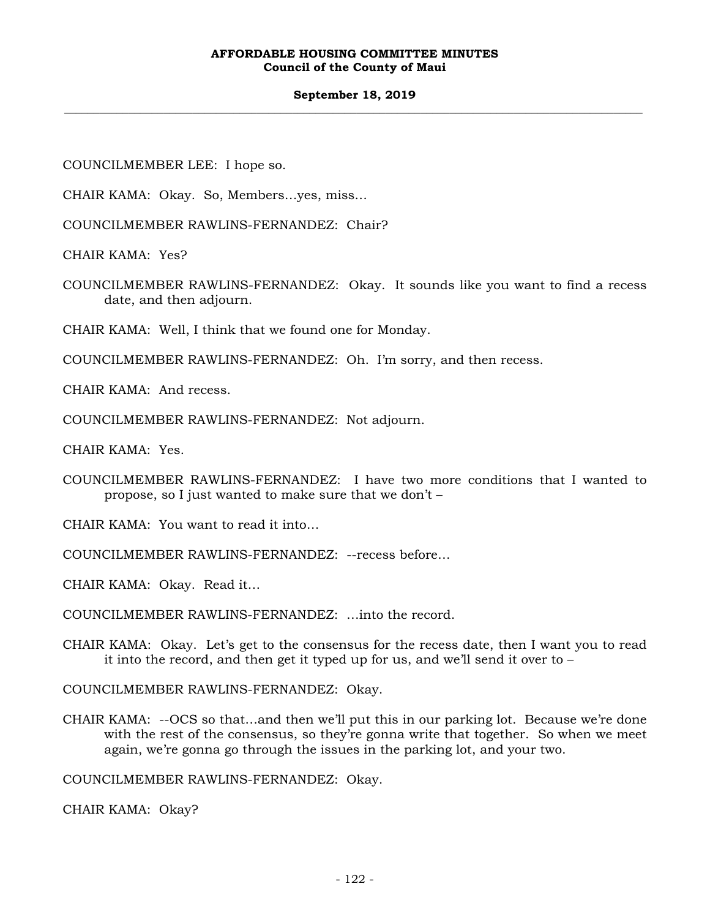## **September 18, 2019 \_\_\_\_\_\_\_\_\_\_\_\_\_\_\_\_\_\_\_\_\_\_\_\_\_\_\_\_\_\_\_\_\_\_\_\_\_\_\_\_\_\_\_\_\_\_\_\_\_\_\_\_\_\_\_\_\_\_\_\_\_\_\_\_\_\_\_\_\_\_\_\_\_\_\_\_\_\_\_\_\_\_\_\_\_\_\_\_\_\_\_\_\_\_\_\_\_\_\_**

COUNCILMEMBER LEE: I hope so.

CHAIR KAMA: Okay. So, Members…yes, miss…

COUNCILMEMBER RAWLINS-FERNANDEZ: Chair?

CHAIR KAMA: Yes?

COUNCILMEMBER RAWLINS-FERNANDEZ: Okay. It sounds like you want to find a recess date, and then adjourn.

CHAIR KAMA: Well, I think that we found one for Monday.

COUNCILMEMBER RAWLINS-FERNANDEZ: Oh. I'm sorry, and then recess.

CHAIR KAMA: And recess.

COUNCILMEMBER RAWLINS-FERNANDEZ: Not adjourn.

CHAIR KAMA: Yes.

COUNCILMEMBER RAWLINS-FERNANDEZ: I have two more conditions that I wanted to propose, so I just wanted to make sure that we don't –

CHAIR KAMA: You want to read it into…

COUNCILMEMBER RAWLINS-FERNANDEZ: --recess before…

CHAIR KAMA: Okay. Read it…

COUNCILMEMBER RAWLINS-FERNANDEZ: …into the record.

CHAIR KAMA: Okay. Let's get to the consensus for the recess date, then I want you to read it into the record, and then get it typed up for us, and we'll send it over to –

COUNCILMEMBER RAWLINS-FERNANDEZ: Okay.

CHAIR KAMA: --OCS so that…and then we'll put this in our parking lot. Because we're done with the rest of the consensus, so they're gonna write that together. So when we meet again, we're gonna go through the issues in the parking lot, and your two.

COUNCILMEMBER RAWLINS-FERNANDEZ: Okay.

CHAIR KAMA: Okay?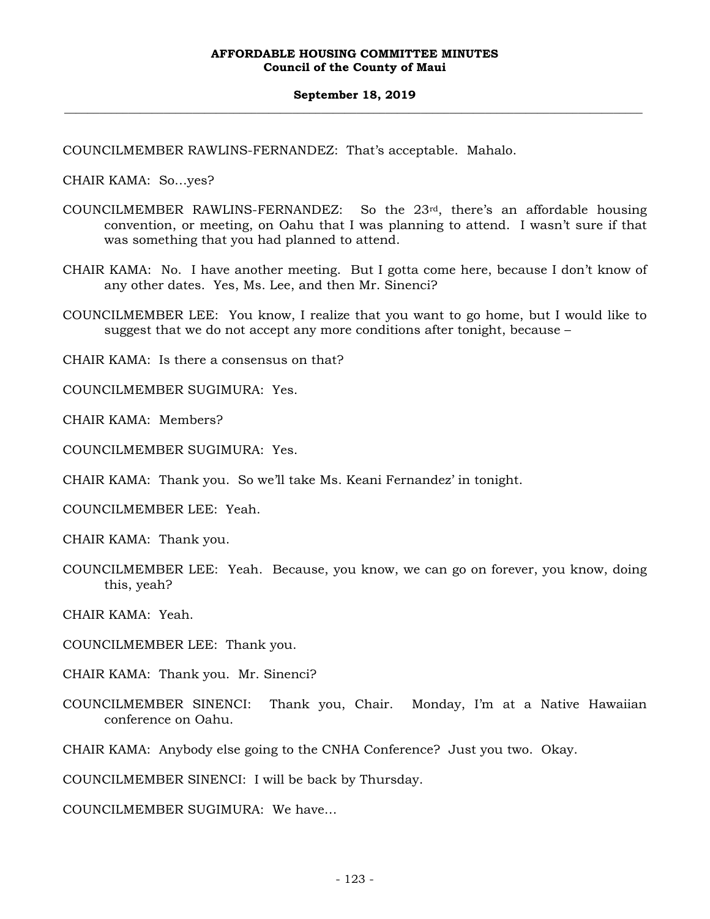COUNCILMEMBER RAWLINS-FERNANDEZ: That's acceptable. Mahalo.

CHAIR KAMA: So…yes?

- COUNCILMEMBER RAWLINS-FERNANDEZ: So the 23rd, there's an affordable housing convention, or meeting, on Oahu that I was planning to attend. I wasn't sure if that was something that you had planned to attend.
- CHAIR KAMA: No. I have another meeting. But I gotta come here, because I don't know of any other dates. Yes, Ms. Lee, and then Mr. Sinenci?
- COUNCILMEMBER LEE: You know, I realize that you want to go home, but I would like to suggest that we do not accept any more conditions after tonight, because –

CHAIR KAMA: Is there a consensus on that?

COUNCILMEMBER SUGIMURA: Yes.

CHAIR KAMA: Members?

COUNCILMEMBER SUGIMURA: Yes.

CHAIR KAMA: Thank you. So we'll take Ms. Keani Fernandez' in tonight.

COUNCILMEMBER LEE: Yeah.

CHAIR KAMA: Thank you.

COUNCILMEMBER LEE: Yeah. Because, you know, we can go on forever, you know, doing this, yeah?

CHAIR KAMA: Yeah.

COUNCILMEMBER LEE: Thank you.

- CHAIR KAMA: Thank you. Mr. Sinenci?
- COUNCILMEMBER SINENCI: Thank you, Chair. Monday, I'm at a Native Hawaiian conference on Oahu.

CHAIR KAMA: Anybody else going to the CNHA Conference? Just you two. Okay.

COUNCILMEMBER SINENCI: I will be back by Thursday.

COUNCILMEMBER SUGIMURA: We have…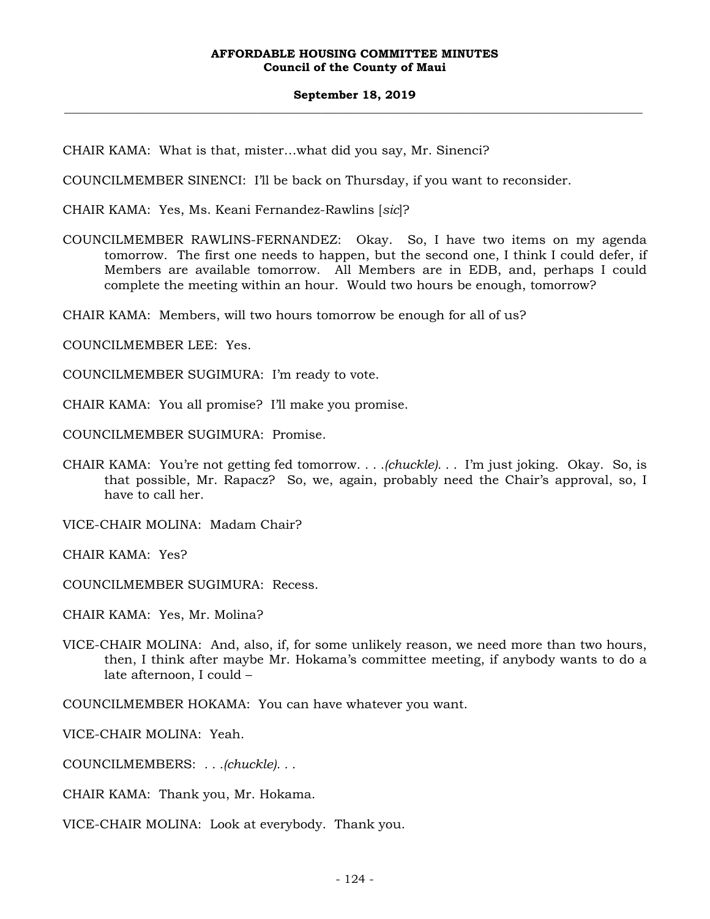#### **September 18, 2019 \_\_\_\_\_\_\_\_\_\_\_\_\_\_\_\_\_\_\_\_\_\_\_\_\_\_\_\_\_\_\_\_\_\_\_\_\_\_\_\_\_\_\_\_\_\_\_\_\_\_\_\_\_\_\_\_\_\_\_\_\_\_\_\_\_\_\_\_\_\_\_\_\_\_\_\_\_\_\_\_\_\_\_\_\_\_\_\_\_\_\_\_\_\_\_\_\_\_\_**

CHAIR KAMA: What is that, mister…what did you say, Mr. Sinenci?

COUNCILMEMBER SINENCI: I'll be back on Thursday, if you want to reconsider.

CHAIR KAMA: Yes, Ms. Keani Fernandez-Rawlins [*sic*]?

COUNCILMEMBER RAWLINS-FERNANDEZ: Okay. So, I have two items on my agenda tomorrow. The first one needs to happen, but the second one, I think I could defer, if Members are available tomorrow. All Members are in EDB, and, perhaps I could complete the meeting within an hour. Would two hours be enough, tomorrow?

CHAIR KAMA: Members, will two hours tomorrow be enough for all of us?

COUNCILMEMBER LEE: Yes.

COUNCILMEMBER SUGIMURA: I'm ready to vote.

CHAIR KAMA: You all promise? I'll make you promise.

COUNCILMEMBER SUGIMURA: Promise.

CHAIR KAMA: You're not getting fed tomorrow. *. . .(chuckle). . .* I'm just joking. Okay. So, is that possible, Mr. Rapacz? So, we, again, probably need the Chair's approval, so, I have to call her.

VICE-CHAIR MOLINA: Madam Chair?

CHAIR KAMA: Yes?

COUNCILMEMBER SUGIMURA: Recess.

CHAIR KAMA: Yes, Mr. Molina?

VICE-CHAIR MOLINA: And, also, if, for some unlikely reason, we need more than two hours, then, I think after maybe Mr. Hokama's committee meeting, if anybody wants to do a late afternoon, I could –

COUNCILMEMBER HOKAMA: You can have whatever you want.

VICE-CHAIR MOLINA: Yeah.

COUNCILMEMBERS: *. . .(chuckle). . .*

CHAIR KAMA: Thank you, Mr. Hokama.

VICE-CHAIR MOLINA: Look at everybody. Thank you.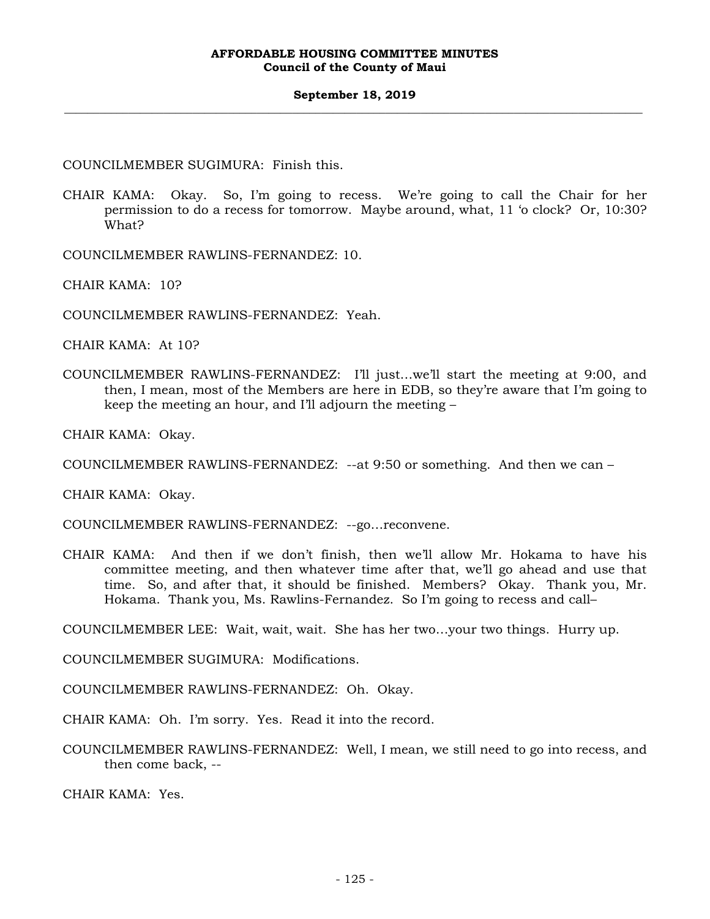COUNCILMEMBER SUGIMURA: Finish this.

CHAIR KAMA: Okay. So, I'm going to recess. We're going to call the Chair for her permission to do a recess for tomorrow. Maybe around, what, 11 'o clock? Or, 10:30? What?

COUNCILMEMBER RAWLINS-FERNANDEZ: 10.

CHAIR KAMA: 10?

COUNCILMEMBER RAWLINS-FERNANDEZ: Yeah.

CHAIR KAMA: At 10?

COUNCILMEMBER RAWLINS-FERNANDEZ: I'll just…we'll start the meeting at 9:00, and then, I mean, most of the Members are here in EDB, so they're aware that I'm going to keep the meeting an hour, and I'll adjourn the meeting –

CHAIR KAMA: Okay.

COUNCILMEMBER RAWLINS-FERNANDEZ: --at 9:50 or something. And then we can –

CHAIR KAMA: Okay.

COUNCILMEMBER RAWLINS-FERNANDEZ: --go…reconvene.

CHAIR KAMA: And then if we don't finish, then we'll allow Mr. Hokama to have his committee meeting, and then whatever time after that, we'll go ahead and use that time. So, and after that, it should be finished. Members? Okay. Thank you, Mr. Hokama. Thank you, Ms. Rawlins-Fernandez. So I'm going to recess and call–

COUNCILMEMBER LEE: Wait, wait, wait. She has her two…your two things. Hurry up.

COUNCILMEMBER SUGIMURA: Modifications.

COUNCILMEMBER RAWLINS-FERNANDEZ: Oh. Okay.

CHAIR KAMA: Oh. I'm sorry. Yes. Read it into the record.

COUNCILMEMBER RAWLINS-FERNANDEZ: Well, I mean, we still need to go into recess, and then come back, --

CHAIR KAMA: Yes.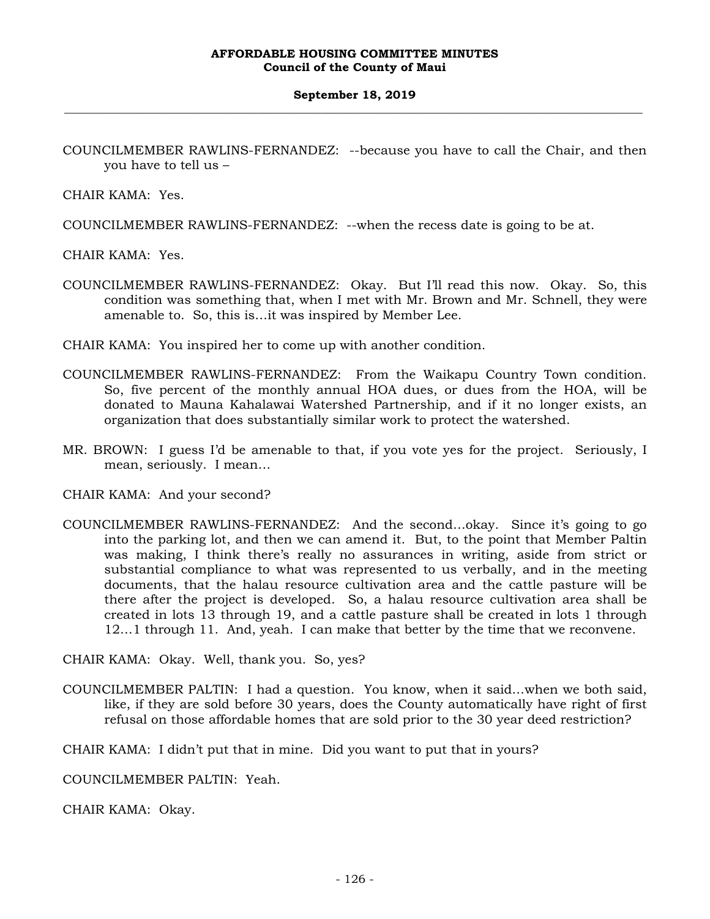#### **September 18, 2019 \_\_\_\_\_\_\_\_\_\_\_\_\_\_\_\_\_\_\_\_\_\_\_\_\_\_\_\_\_\_\_\_\_\_\_\_\_\_\_\_\_\_\_\_\_\_\_\_\_\_\_\_\_\_\_\_\_\_\_\_\_\_\_\_\_\_\_\_\_\_\_\_\_\_\_\_\_\_\_\_\_\_\_\_\_\_\_\_\_\_\_\_\_\_\_\_\_\_\_**

COUNCILMEMBER RAWLINS-FERNANDEZ: --because you have to call the Chair, and then you have to tell us –

CHAIR KAMA: Yes.

COUNCILMEMBER RAWLINS-FERNANDEZ: --when the recess date is going to be at.

CHAIR KAMA: Yes.

COUNCILMEMBER RAWLINS-FERNANDEZ: Okay. But I'll read this now. Okay. So, this condition was something that, when I met with Mr. Brown and Mr. Schnell, they were amenable to. So, this is…it was inspired by Member Lee.

CHAIR KAMA: You inspired her to come up with another condition.

- COUNCILMEMBER RAWLINS-FERNANDEZ: From the Waikapu Country Town condition. So, five percent of the monthly annual HOA dues, or dues from the HOA, will be donated to Mauna Kahalawai Watershed Partnership, and if it no longer exists, an organization that does substantially similar work to protect the watershed.
- MR. BROWN: I guess I'd be amenable to that, if you vote yes for the project. Seriously, I mean, seriously. I mean…

CHAIR KAMA: And your second?

COUNCILMEMBER RAWLINS-FERNANDEZ: And the second…okay. Since it's going to go into the parking lot, and then we can amend it. But, to the point that Member Paltin was making, I think there's really no assurances in writing, aside from strict or substantial compliance to what was represented to us verbally, and in the meeting documents, that the halau resource cultivation area and the cattle pasture will be there after the project is developed. So, a halau resource cultivation area shall be created in lots 13 through 19, and a cattle pasture shall be created in lots 1 through 12…1 through 11. And, yeah. I can make that better by the time that we reconvene.

CHAIR KAMA: Okay. Well, thank you. So, yes?

COUNCILMEMBER PALTIN: I had a question. You know, when it said…when we both said, like, if they are sold before 30 years, does the County automatically have right of first refusal on those affordable homes that are sold prior to the 30 year deed restriction?

CHAIR KAMA: I didn't put that in mine. Did you want to put that in yours?

COUNCILMEMBER PALTIN: Yeah.

CHAIR KAMA: Okay.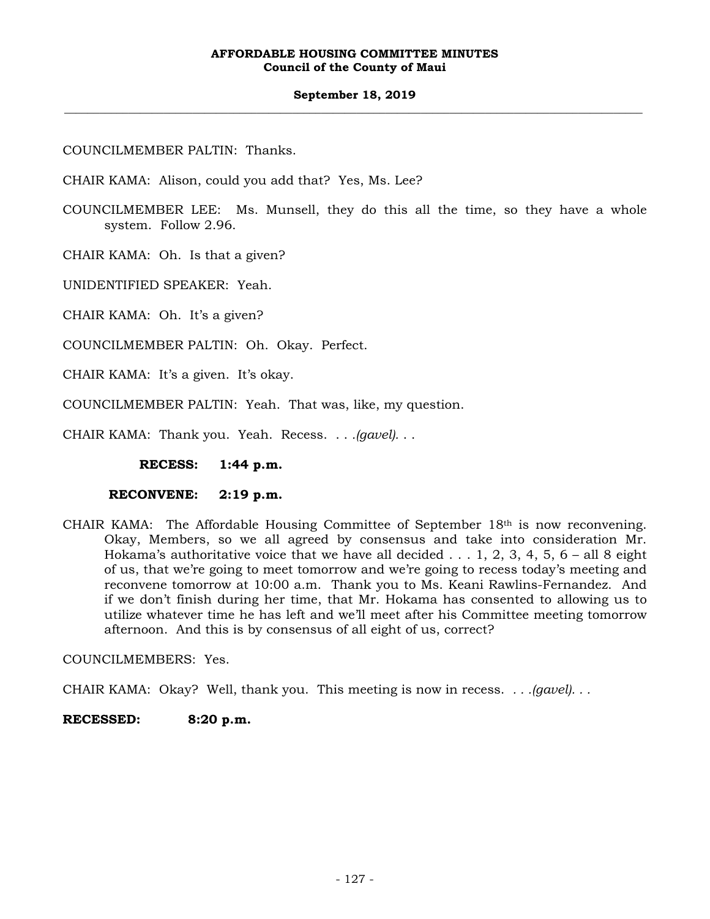COUNCILMEMBER PALTIN: Thanks.

CHAIR KAMA: Alison, could you add that? Yes, Ms. Lee?

COUNCILMEMBER LEE: Ms. Munsell, they do this all the time, so they have a whole system. Follow 2.96.

CHAIR KAMA: Oh. Is that a given?

UNIDENTIFIED SPEAKER: Yeah.

CHAIR KAMA: Oh. It's a given?

COUNCILMEMBER PALTIN: Oh. Okay. Perfect.

CHAIR KAMA: It's a given. It's okay.

COUNCILMEMBER PALTIN: Yeah. That was, like, my question.

CHAIR KAMA: Thank you. Yeah. Recess. . . *.(gavel).* . .

**RECESS: 1:44 p.m.** 

 **RECONVENE: 2:19 p.m.** 

CHAIR KAMA: The Affordable Housing Committee of September 18th is now reconvening. Okay, Members, so we all agreed by consensus and take into consideration Mr. Hokama's authoritative voice that we have all decided  $\dots$  1, 2, 3, 4, 5, 6 – all 8 eight of us, that we're going to meet tomorrow and we're going to recess today's meeting and reconvene tomorrow at 10:00 a.m. Thank you to Ms. Keani Rawlins-Fernandez. And if we don't finish during her time, that Mr. Hokama has consented to allowing us to utilize whatever time he has left and we'll meet after his Committee meeting tomorrow afternoon. And this is by consensus of all eight of us, correct?

COUNCILMEMBERS: Yes.

CHAIR KAMA: Okay? Well, thank you. This meeting is now in recess. *. . .(gavel). . .*

# **RECESSED: 8:20 p.m.**